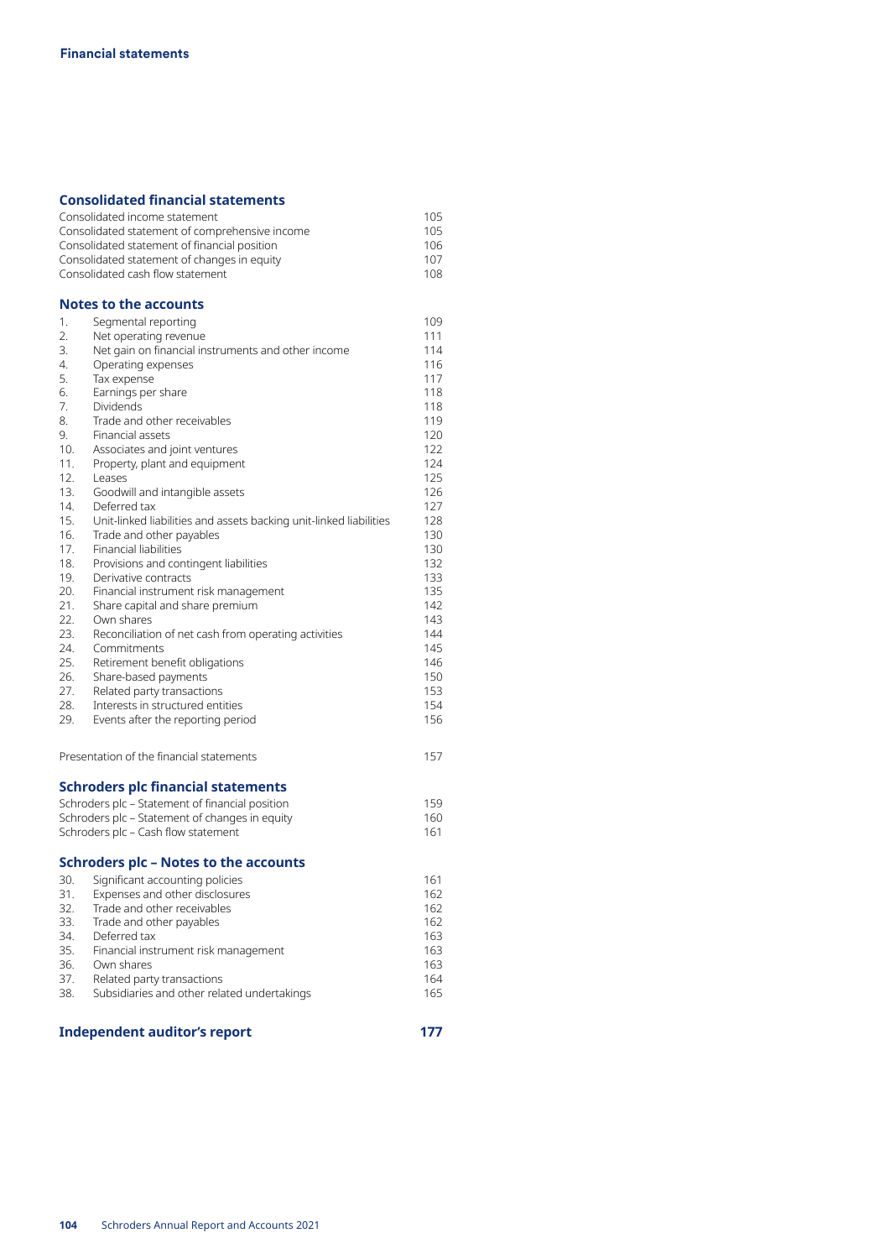## **Consolidated financial statements**

|            | <b>Independent auditor's report</b>                                | 177        |
|------------|--------------------------------------------------------------------|------------|
| 38.        | Subsidiaries and other related undertakings                        | 165        |
| 37.        | Related party transactions                                         | 164        |
| 36.        | Own shares                                                         | 163        |
| 35.        | Financial instrument risk management                               | 163        |
| 34.        | Deferred tax                                                       | 163        |
| 33.        | Trade and other payables                                           | 162        |
| 31.<br>32. | Expenses and other disclosures<br>Trade and other receivables      | 162<br>162 |
| 30.        | Significant accounting policies                                    | 161        |
|            | <b>Schroders plc - Notes to the accounts</b>                       |            |
|            |                                                                    |            |
|            | Schroders plc - Cash flow statement                                | 161        |
|            | Schroders plc - Statement of changes in equity                     | 160        |
|            | Schroders plc – Statement of financial position                    | 159        |
|            | <b>Schroders plc financial statements</b>                          |            |
|            | Presentation of the financial statements                           | 157        |
| 29.        | Events after the reporting period                                  | 156        |
| 28.        | Interests in structured entities                                   | 154        |
| 27.        | Related party transactions                                         | 153        |
| 26.        | Share-based payments                                               | 150        |
| 25.        | Retirement benefit obligations                                     | 146        |
| 24.        | Commitments                                                        | 145        |
| 22.<br>23. | Own shares<br>Reconciliation of net cash from operating activities | 143<br>144 |
| 21.        | Share capital and share premium                                    | 142        |
| 20.        | Financial instrument risk management                               | 135        |
| 19.        | Derivative contracts                                               | 133        |
| 18.        | Provisions and contingent liabilities                              | 132        |
| 17.        | Financial liabilities                                              | 130        |
| 16.        | Trade and other payables                                           | 130        |
| 15.        | Unit-linked liabilities and assets backing unit-linked liabilities | 128        |
| 14.        | Deferred tax                                                       | 127        |
| 13.        | Goodwill and intangible assets                                     | 126        |
| 12.        | Leases                                                             | 125        |
| 11.        | Property, plant and equipment                                      | 124        |
| 10.        | Associates and joint ventures                                      | 122        |
| 9.         | Financial assets                                                   | 120        |
| 8.         | Trade and other receivables                                        | 119        |
| 6.<br>7.   | Earnings per share<br><b>Dividends</b>                             | 118<br>118 |
| 5.         | Tax expense                                                        | 117        |
| 4.         | Operating expenses                                                 | 116        |
| 3.         | Net gain on financial instruments and other income                 | 114        |
| 2.         | Net operating revenue                                              | 111        |
| 1.         | Segmental reporting                                                | 109        |
|            | Notes to the accounts                                              |            |
|            |                                                                    |            |
|            | Consolidated cash flow statement                                   | 108        |
|            | Consolidated statement of changes in equity                        | 107        |
|            | Consolidated statement of financial position                       | 106        |
|            | Consolidated statement of comprehensive income                     | 105        |
|            | Consolidated income statement                                      | 105        |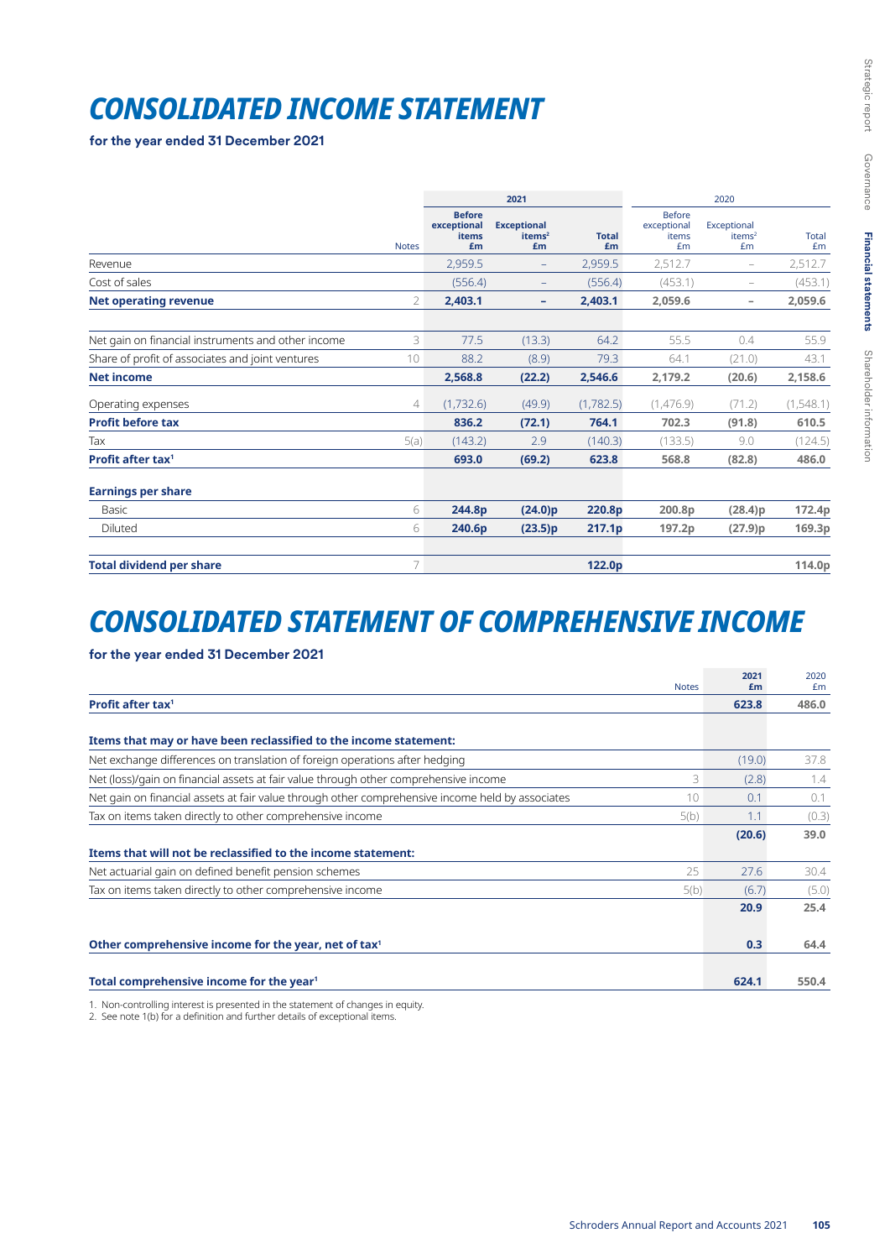# *CONSOLIDATED INCOME STATEMENT*

**for the year ended 31 December 2021**

|                                                    |                | 2021                                               |                                                |                    |                                             | 2020                                    |                    |  |  |
|----------------------------------------------------|----------------|----------------------------------------------------|------------------------------------------------|--------------------|---------------------------------------------|-----------------------------------------|--------------------|--|--|
|                                                    | <b>Notes</b>   | <b>Before</b><br>exceptional<br><b>items</b><br>£m | <b>Exceptional</b><br>items <sup>2</sup><br>£m | <b>Total</b><br>£m | <b>Before</b><br>exceptional<br>items<br>£m | Exceptional<br>items <sup>2</sup><br>£m | <b>Total</b><br>Em |  |  |
| Revenue                                            |                | 2,959.5                                            | $\overline{\phantom{m}}$                       | 2,959.5            | 2,512.7                                     | $\overline{\phantom{m}}$                | 2,512.7            |  |  |
| Cost of sales                                      |                | (556.4)                                            | $\qquad \qquad -$                              | (556.4)            | (453.1)                                     | ۰                                       | (453.1)            |  |  |
| <b>Net operating revenue</b>                       | 2              | 2,403.1                                            | ۰                                              | 2,403.1            | 2,059.6                                     | $\overline{\phantom{a}}$                | 2,059.6            |  |  |
| Net gain on financial instruments and other income | 3              | 77.5                                               | (13.3)                                         | 64.2               | 55.5                                        | 0.4                                     | 55.9               |  |  |
| Share of profit of associates and joint ventures   | 10             | 88.2                                               | (8.9)                                          | 79.3               | 64.1                                        | (21.0)                                  | 43.1               |  |  |
| <b>Net income</b>                                  |                | 2,568.8                                            | (22.2)                                         | 2,546.6            | 2,179.2                                     | (20.6)                                  | 2,158.6            |  |  |
| Operating expenses                                 | $\overline{4}$ | (1,732.6)                                          | (49.9)                                         | (1,782.5)          | (1,476.9)                                   | (71.2)                                  | (1,548.1)          |  |  |
| <b>Profit before tax</b>                           |                | 836.2                                              | (72.1)                                         | 764.1              | 702.3                                       | (91.8)                                  | 610.5              |  |  |
| Tax                                                | 5(a)           | (143.2)                                            | 2.9                                            | (140.3)            | (133.5)                                     | 9.0                                     | (124.5)            |  |  |
| Profit after tax <sup>1</sup>                      |                | 693.0                                              | (69.2)                                         | 623.8              | 568.8                                       | (82.8)                                  | 486.0              |  |  |
| <b>Earnings per share</b>                          |                |                                                    |                                                |                    |                                             |                                         |                    |  |  |
| Basic                                              | 6              | 244.8p                                             | (24.0)p                                        | 220.8p             | 200.8p                                      | (28.4)p                                 | 172.4p             |  |  |
| Diluted                                            | 6              | 240.6p                                             | (23.5)p                                        | 217.1p             | 197.2p                                      | (27.9)p                                 | 169.3p             |  |  |
| <b>Total dividend per share</b>                    | 7              |                                                    |                                                | 122.0p             |                                             |                                         | 114.0p             |  |  |

## *CONSOLIDATED STATEMENT OF COMPREHENSIVE INCOME*

## **for the year ended 31 December 2021**

| <b>Notes</b>                                                                                           | 2021<br>£m | 2020<br>£m |
|--------------------------------------------------------------------------------------------------------|------------|------------|
| <b>Profit after tax<sup>1</sup></b>                                                                    | 623.8      | 486.0      |
| Items that may or have been reclassified to the income statement:                                      |            |            |
| Net exchange differences on translation of foreign operations after hedging                            | (19.0)     | 37.8       |
| Net (loss)/gain on financial assets at fair value through other comprehensive income<br>3              | (2.8)      | 1.4        |
| Net gain on financial assets at fair value through other comprehensive income held by associates<br>10 | 0.1        | 0.1        |
| Tax on items taken directly to other comprehensive income<br>5(b)                                      | 1.1        | (0.3)      |
|                                                                                                        | (20.6)     | 39.0       |
| Items that will not be reclassified to the income statement:                                           |            |            |
| Net actuarial gain on defined benefit pension schemes<br>25                                            | 27.6       | 30.4       |
| Tax on items taken directly to other comprehensive income<br>5(b)                                      | (6.7)      | (5.0)      |
|                                                                                                        | 20.9       | 25.4       |
| Other comprehensive income for the year, net of tax <sup>1</sup>                                       | 0.3        | 64.4       |
| Total comprehensive income for the year <sup>1</sup>                                                   | 624.1      | 550.4      |

1. Non-controlling interest is presented in the statement of changes in equity.

2. See note 1(b) for a definition and further details of exceptional items.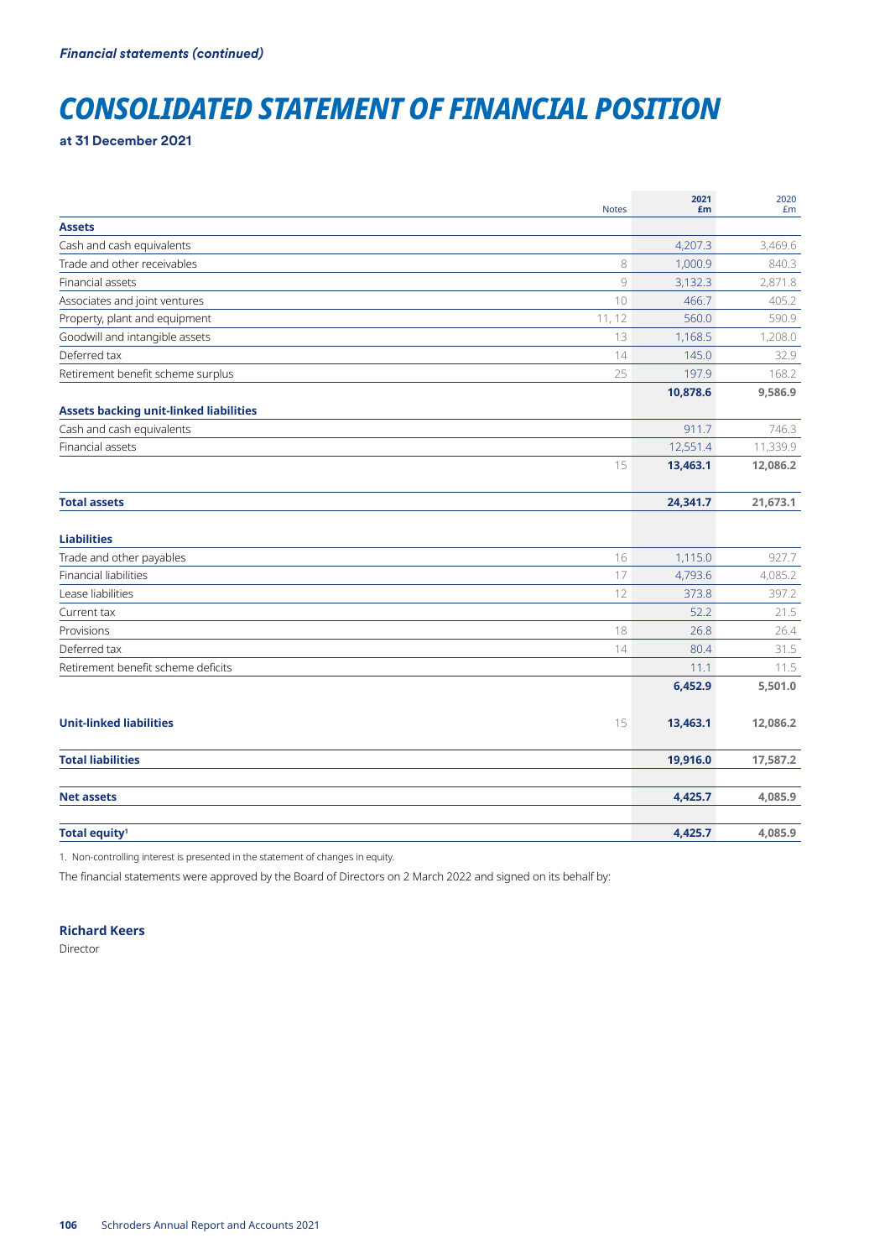## *CONSOLIDATED STATEMENT OF FINANCIAL POSITION*

**at 31 December 2021**

| <b>Notes</b>                                  | 2021<br>£m | 2020<br>£m |
|-----------------------------------------------|------------|------------|
| <b>Assets</b>                                 |            |            |
| Cash and cash equivalents                     | 4,207.3    | 3,469.6    |
| Trade and other receivables<br>8              | 1,000.9    | 840.3      |
| 9<br>Financial assets                         | 3,132.3    | 2,871.8    |
| 10<br>Associates and joint ventures           | 466.7      | 405.2      |
| Property, plant and equipment<br>11, 12       | 560.0      | 590.9      |
| Goodwill and intangible assets<br>13          | 1,168.5    | 1,208.0    |
| Deferred tax<br>14                            | 145.0      | 32.9       |
| Retirement benefit scheme surplus<br>25       | 197.9      | 168.2      |
|                                               | 10,878.6   | 9,586.9    |
| <b>Assets backing unit-linked liabilities</b> |            |            |
| Cash and cash equivalents                     | 911.7      | 746.3      |
| Financial assets                              | 12,551.4   | 11,339.9   |
| 15                                            | 13,463.1   | 12,086.2   |
| <b>Total assets</b>                           | 24,341.7   | 21,673.1   |
|                                               |            |            |
| <b>Liabilities</b>                            |            |            |
| Trade and other payables<br>16                | 1,115.0    | 927.7      |
| <b>Financial liabilities</b><br>17            | 4,793.6    | 4,085.2    |
| Lease liabilities<br>12                       | 373.8      | 397.2      |
| Current tax                                   | 52.2       | 21.5       |
| 18<br>Provisions                              | 26.8       | 26.4       |
| Deferred tax<br>14                            | 80.4       | 31.5       |
| Retirement benefit scheme deficits            | 11.1       | 11.5       |
|                                               | 6,452.9    | 5,501.0    |
| <b>Unit-linked liabilities</b><br>15          | 13,463.1   | 12,086.2   |
| <b>Total liabilities</b>                      | 19,916.0   | 17,587.2   |
| <b>Net assets</b>                             | 4,425.7    | 4,085.9    |
| Total equity <sup>1</sup>                     | 4,425.7    | 4,085.9    |

1. Non-controlling interest is presented in the statement of changes in equity.

The financial statements were approved by the Board of Directors on 2 March 2022 and signed on its behalf by:

## **Richard Keers**

Director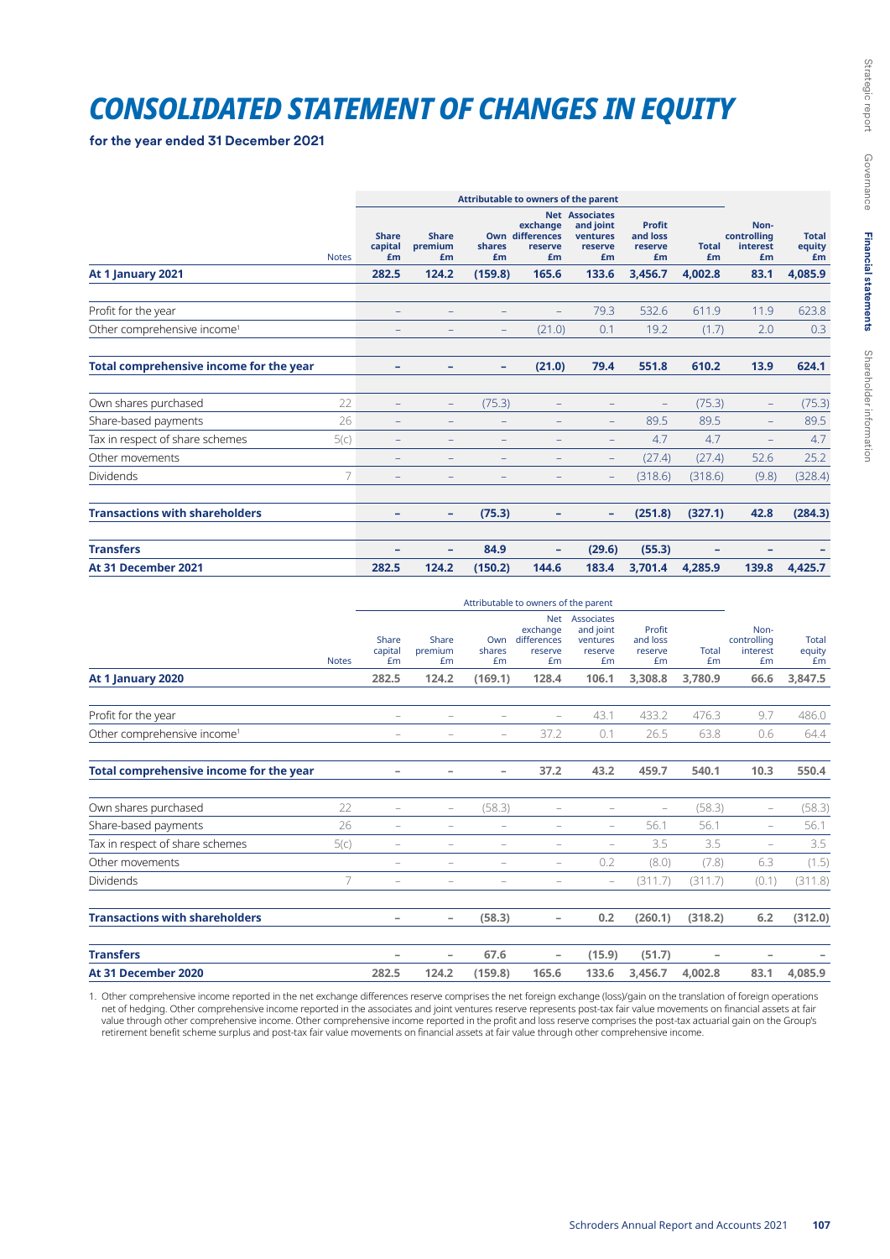## *CONSOLIDATED STATEMENT OF CHANGES IN EQUITY*

**for the year ended 31 December 2021**

|                                                |              | Attributable to owners of the parent |                               |                   |                                                     |                                                                 |                                            |                    |                                       |                              |
|------------------------------------------------|--------------|--------------------------------------|-------------------------------|-------------------|-----------------------------------------------------|-----------------------------------------------------------------|--------------------------------------------|--------------------|---------------------------------------|------------------------------|
|                                                | <b>Notes</b> | <b>Share</b><br>capital<br>£m        | <b>Share</b><br>premium<br>£m | shares<br>£m      | exchange<br><b>Own differences</b><br>reserve<br>£m | <b>Net Associates</b><br>and joint<br>ventures<br>reserve<br>£m | <b>Profit</b><br>and loss<br>reserve<br>£m | <b>Total</b><br>£m | Non-<br>controlling<br>interest<br>£m | <b>Total</b><br>equity<br>£m |
| At 1 January 2021                              |              | 282.5                                | 124.2                         | (159.8)           | 165.6                                               | 133.6                                                           | 3,456.7                                    | 4,002.8            | 83.1                                  | 4,085.9                      |
| Profit for the year                            |              |                                      |                               |                   |                                                     | 79.3                                                            | 532.6                                      | 611.9              | 11.9                                  | 623.8                        |
| Other comprehensive income <sup>1</sup>        |              |                                      |                               | $\qquad \qquad -$ | (21.0)                                              | 0.1                                                             | 19.2                                       | (1.7)              | 2.0                                   | 0.3                          |
| <b>Total comprehensive income for the year</b> |              | ۰                                    | ۰                             | ۰                 | (21.0)                                              | 79.4                                                            | 551.8                                      | 610.2              | 13.9                                  | 624.1                        |
| Own shares purchased                           | 22           |                                      | $\qquad \qquad -$             | (75.3)            |                                                     |                                                                 | -                                          | (75.3)             |                                       | (75.3)                       |
| Share-based payments                           | 26           |                                      |                               |                   |                                                     | $\qquad \qquad -$                                               | 89.5                                       | 89.5               |                                       | 89.5                         |
| Tax in respect of share schemes                | 5(c)         |                                      |                               |                   |                                                     |                                                                 | 4.7                                        | 4.7                |                                       | 4.7                          |
| Other movements                                |              | -                                    |                               |                   | -                                                   | $\qquad \qquad -$                                               | (27.4)                                     | (27.4)             | 52.6                                  | 25.2                         |
| <b>Dividends</b>                               | 7            |                                      |                               |                   |                                                     |                                                                 | (318.6)                                    | (318.6)            | (9.8)                                 | (328.4)                      |
| <b>Transactions with shareholders</b>          |              |                                      | -                             | (75.3)            |                                                     | ۰                                                               | (251.8)                                    | (327.1)            | 42.8                                  | (284.3)                      |
| <b>Transfers</b>                               |              |                                      | -                             | 84.9              |                                                     | (29.6)                                                          | (55.3)                                     |                    |                                       |                              |
| At 31 December 2021                            |              | 282.5                                | 124.2                         | (150.2)           | 144.6                                               | 183.4                                                           | 3,701.4                                    | 4,285.9            | 139.8                                 | 4,425.7                      |

|                                         |              | Attributable to owners of the parent |                          |                          |                                                 |                                                      |                                     |                    |                                       |                       |
|-----------------------------------------|--------------|--------------------------------------|--------------------------|--------------------------|-------------------------------------------------|------------------------------------------------------|-------------------------------------|--------------------|---------------------------------------|-----------------------|
|                                         | <b>Notes</b> | Share<br>capital<br>£m               | Share<br>premium<br>£m   | Own<br>shares<br>£m      | Net<br>exchange<br>differences<br>reserve<br>£m | Associates<br>and joint<br>ventures<br>reserve<br>£m | Profit<br>and loss<br>reserve<br>£m | <b>Total</b><br>£m | Non-<br>controlling<br>interest<br>£m | Total<br>equity<br>£m |
| At 1 January 2020                       |              | 282.5                                | 124.2                    | (169.1)                  | 128.4                                           | 106.1                                                | 3.308.8                             | 3.780.9            | 66.6                                  | 3,847.5               |
| Profit for the year                     |              |                                      |                          |                          |                                                 | 43.1                                                 | 433.2                               | 476.3              | 9.7                                   | 486.0                 |
| Other comprehensive income <sup>1</sup> |              |                                      | -                        | $\overline{\phantom{a}}$ | 37.2                                            | 0.1                                                  | 26.5                                | 63.8               | 0.6                                   | 64.4                  |
| Total comprehensive income for the year |              | $\overline{\phantom{a}}$             | $\overline{\phantom{a}}$ | -                        | 37.2                                            | 43.2                                                 | 459.7                               | 540.1              | 10.3                                  | 550.4                 |
| Own shares purchased                    | 22           | $\overline{\phantom{m}}$             | $\overline{\phantom{m}}$ | (58.3)                   | $\overline{\phantom{m}}$                        |                                                      | $\equiv$                            | (58.3)             | $\hspace{1.0cm} - \hspace{1.0cm}$     | (58.3)                |
| Share-based payments                    | 26           |                                      |                          |                          |                                                 | $\overline{\phantom{m}}$                             | 56.1                                | 56.1               | ۰                                     | 56.1                  |
| Tax in respect of share schemes         | 5(c)         | $\equiv$                             | $\equiv$                 |                          | $\sim$                                          | $\equiv$                                             | 3.5                                 | 3.5                | $\equiv$                              | 3.5                   |
| Other movements                         |              | $\qquad \qquad -$                    | $\overline{\phantom{m}}$ | $\qquad \qquad -$        | $\overline{\phantom{m}}$                        | 0.2                                                  | (8.0)                               | (7.8)              | 6.3                                   | (1.5)                 |
| Dividends                               | 7            | $\equiv$                             |                          |                          | $\overline{\phantom{0}}$                        | $\overline{\phantom{m}}$                             | (311.7)                             | (311.7)            | (0.1)                                 | (311.8)               |
| <b>Transactions with shareholders</b>   |              | -                                    | $\overline{\phantom{a}}$ | (58.3)                   | -                                               | 0.2                                                  | (260.1)                             | (318.2)            | 6.2                                   | (312.0)               |
| <b>Transfers</b>                        |              | ۰                                    | $\overline{\phantom{a}}$ | 67.6                     | -                                               | (15.9)                                               | (51.7)                              |                    |                                       |                       |
| At 31 December 2020                     |              | 282.5                                | 124.2                    | (159.8)                  | 165.6                                           | 133.6                                                | 3,456.7                             | 4,002.8            | 83.1                                  | 4,085.9               |

1. Other comprehensive income reported in the net exchange differences reserve comprises the net foreign exchange (loss)/gain on the translation of foreign operations net of hedging. Other comprehensive income reported in the associates and joint ventures reserve represents post-tax fair value movements on financial assets at fair value through other comprehensive income. Other comprehensive income reported in the profit and loss reserve comprises the post-tax actuarial gain on the Group's retirement benefit scheme surplus and post-tax fair value movements on financial assets at fair value through other comprehensive income.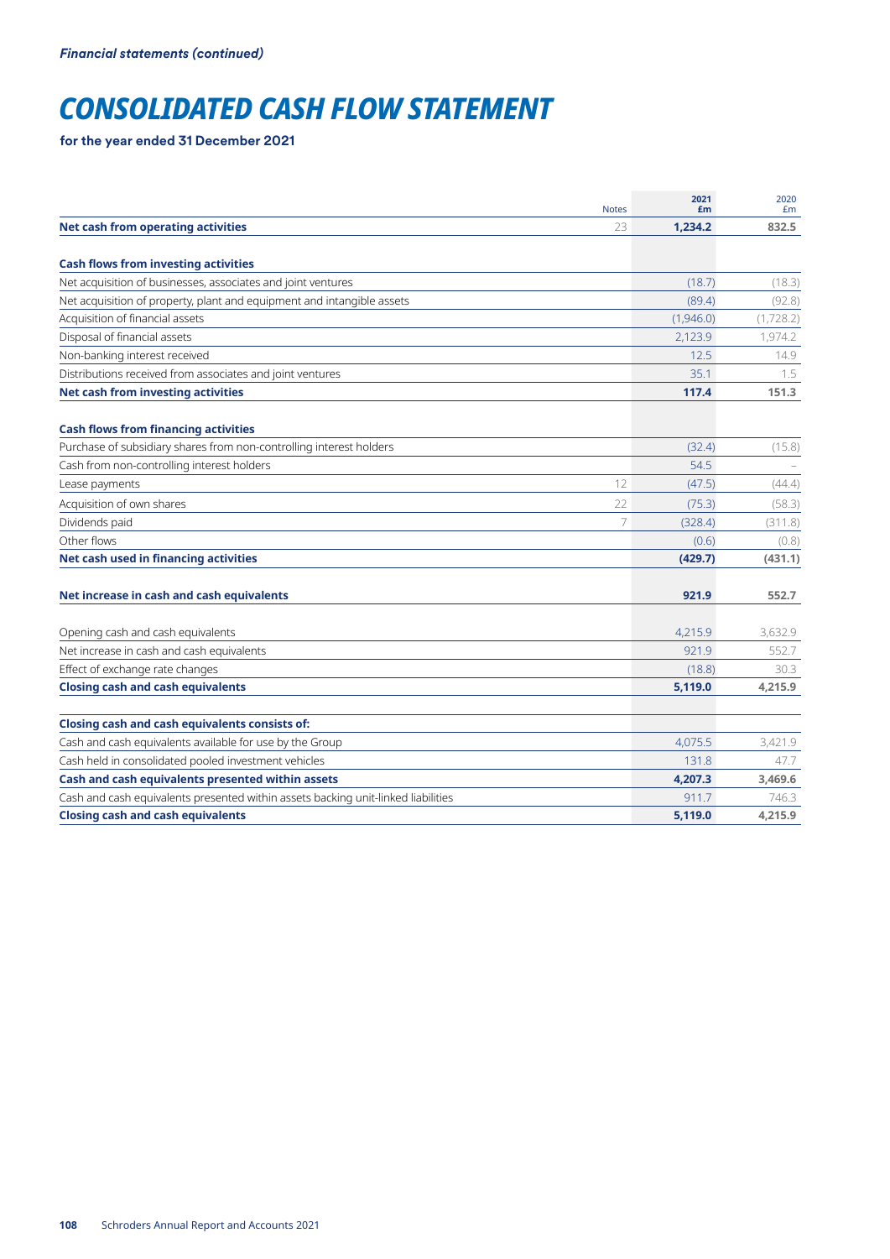## *CONSOLIDATED CASH FLOW STATEMENT*

**for the year ended 31 December 2021**

| <b>Notes</b>                                                                      | 2021<br>£m | 2020<br>Em |
|-----------------------------------------------------------------------------------|------------|------------|
| <b>Net cash from operating activities</b><br>23                                   | 1,234.2    | 832.5      |
|                                                                                   |            |            |
| <b>Cash flows from investing activities</b>                                       |            |            |
| Net acquisition of businesses, associates and joint ventures                      | (18.7)     | (18.3)     |
| Net acquisition of property, plant and equipment and intangible assets            | (89.4)     | (92.8)     |
| Acquisition of financial assets                                                   | (1,946.0)  | (1,728.2)  |
| Disposal of financial assets                                                      | 2,123.9    | 1,974.2    |
| Non-banking interest received                                                     | 12.5       | 14.9       |
| Distributions received from associates and joint ventures                         | 35.1       | 1.5        |
| Net cash from investing activities                                                | 117.4      | 151.3      |
| <b>Cash flows from financing activities</b>                                       |            |            |
| Purchase of subsidiary shares from non-controlling interest holders               | (32.4)     | (15.8)     |
| Cash from non-controlling interest holders                                        | 54.5       |            |
| 12<br>Lease payments                                                              | (47.5)     | (44.4)     |
| Acquisition of own shares<br>22                                                   | (75.3)     | (58.3)     |
| 7<br>Dividends paid                                                               | (328.4)    | (311.8)    |
| Other flows                                                                       | (0.6)      | (0.8)      |
| Net cash used in financing activities                                             | (429.7)    | (431.1)    |
| Net increase in cash and cash equivalents                                         | 921.9      | 552.7      |
| Opening cash and cash equivalents                                                 | 4,215.9    | 3,632.9    |
| Net increase in cash and cash equivalents                                         | 921.9      | 552.7      |
| Effect of exchange rate changes                                                   | (18.8)     | 30.3       |
| <b>Closing cash and cash equivalents</b>                                          | 5,119.0    | 4,215.9    |
| Closing cash and cash equivalents consists of:                                    |            |            |
| Cash and cash equivalents available for use by the Group                          | 4,075.5    | 3,421.9    |
| Cash held in consolidated pooled investment vehicles                              | 131.8      | 47.7       |
| Cash and cash equivalents presented within assets                                 | 4,207.3    | 3,469.6    |
| Cash and cash equivalents presented within assets backing unit-linked liabilities | 911.7      | 746.3      |
| <b>Closing cash and cash equivalents</b>                                          | 5,119.0    | 4,215.9    |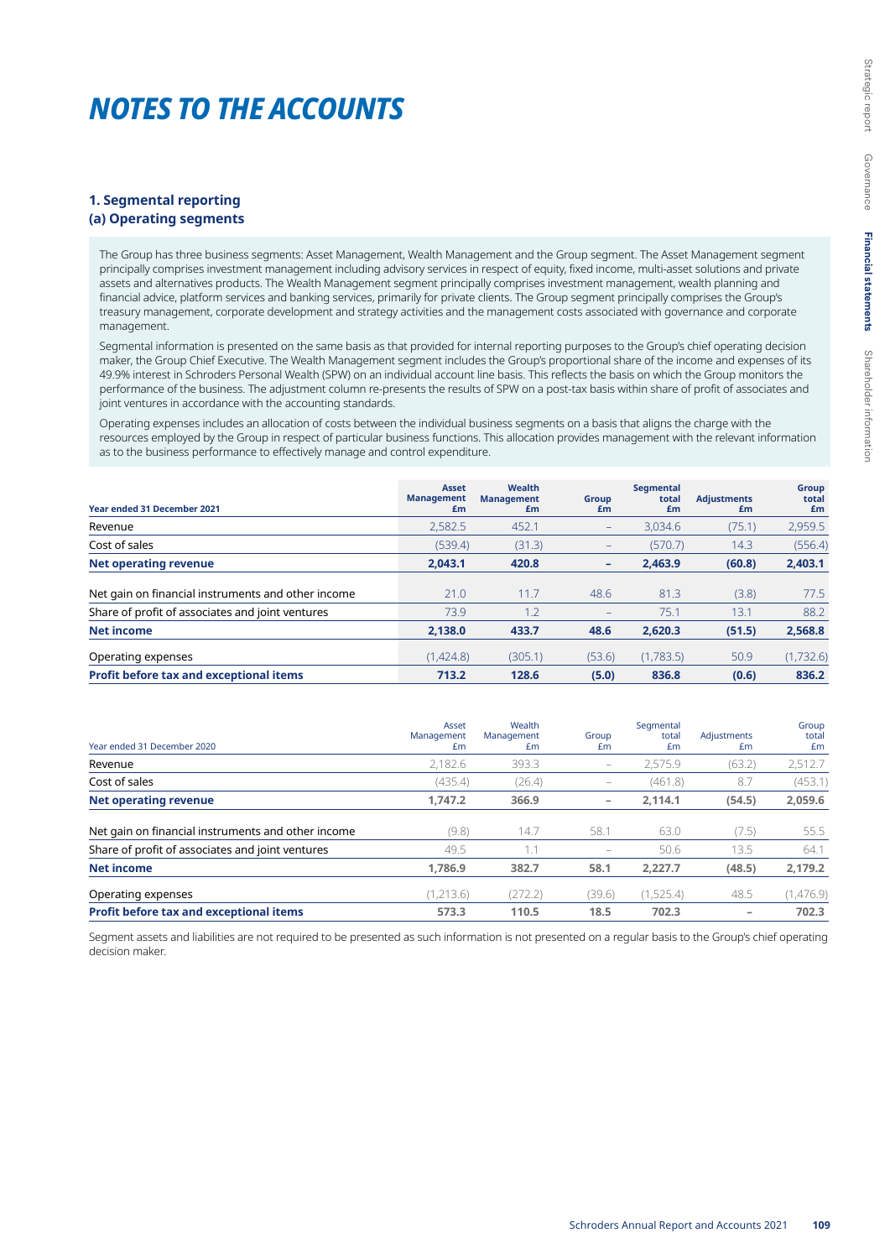## *NOTES TO THE ACCOUNTS*

## **1. Segmental reporting (a) Operating segments**

The Group has three business segments: Asset Management, Wealth Management and the Group segment. The Asset Management segment principally comprises investment management including advisory services in respect of equity, fixed income, multi-asset solutions and private assets and alternatives products. The Wealth Management segment principally comprises investment management, wealth planning and financial advice, platform services and banking services, primarily for private clients. The Group segment principally comprises the Group's treasury management, corporate development and strategy activities and the management costs associated with governance and corporate management.

Segmental information is presented on the same basis as that provided for internal reporting purposes to the Group's chief operating decision maker, the Group Chief Executive. The Wealth Management segment includes the Group's proportional share of the income and expenses of its 49.9% interest in Schroders Personal Wealth (SPW) on an individual account line basis. This reflects the basis on which the Group monitors the performance of the business. The adjustment column re-presents the results of SPW on a post-tax basis within share of profit of associates and joint ventures in accordance with the accounting standards.

Operating expenses includes an allocation of costs between the individual business segments on a basis that aligns the charge with the resources employed by the Group in respect of particular business functions. This allocation provides management with the relevant information as to the business performance to effectively manage and control expenditure.

| <b>Year ended 31 December 2021</b>                 | <b>Asset</b><br><b>Management</b><br>£m | Wealth<br><b>Management</b><br>£m | Group<br>£m       | Segmental<br>total<br>£m | <b>Adjustments</b><br>£m | <b>Group</b><br>total<br>£m |
|----------------------------------------------------|-----------------------------------------|-----------------------------------|-------------------|--------------------------|--------------------------|-----------------------------|
| Revenue                                            | 2,582.5                                 | 452.1                             | $\qquad \qquad -$ | 3.034.6                  | (75.1)                   | 2,959.5                     |
| Cost of sales                                      | (539.4)                                 | (31.3)                            | $\qquad \qquad -$ | (570.7)                  | 14.3                     | (556.4)                     |
| <b>Net operating revenue</b>                       | 2.043.1                                 | 420.8                             | ٠                 | 2.463.9                  | (60.8)                   | 2,403.1                     |
| Net gain on financial instruments and other income | 21.0                                    | 11.7                              | 48.6              | 81.3                     | (3.8)                    | 77.5                        |
| Share of profit of associates and joint ventures   | 73.9                                    | 1.2                               | $\qquad \qquad -$ | 75.1                     | 13.1                     | 88.2                        |
| <b>Net income</b>                                  | 2,138.0                                 | 433.7                             | 48.6              | 2,620.3                  | (51.5)                   | 2,568.8                     |
| Operating expenses                                 | (1,424.8)                               | (305.1)                           | (53.6)            | (1,783.5)                | 50.9                     | (1,732.6)                   |
| Profit before tax and exceptional items            | 713.2                                   | 128.6                             | (5.0)             | 836.8                    | (0.6)                    | 836.2                       |

| Year ended 31 December 2020                        | Asset<br>Management<br>£m | Wealth<br>Management<br>£m | Group<br>£m              | Segmental<br>total<br>£m | Adjustments<br>£m | Group<br>total<br>Em |
|----------------------------------------------------|---------------------------|----------------------------|--------------------------|--------------------------|-------------------|----------------------|
| Revenue                                            | 2,182.6                   | 393.3                      | -                        | 2.575.9                  | (63.2)            | 2,512.7              |
| Cost of sales                                      | (435.4)                   | (26.4)                     | -                        | (461.8)                  | 8.7               | (453.1)              |
| <b>Net operating revenue</b>                       | 1.747.2                   | 366.9                      | $\overline{\phantom{0}}$ | 2.114.1                  | (54.5)            | 2,059.6              |
| Net gain on financial instruments and other income | (9.8)                     | 14.7                       | 58.1                     | 63.0                     | (7.5)             | 55.5                 |
| Share of profit of associates and joint ventures   | 49.5                      | 1.1                        | $\qquad \qquad -$        | 50.6                     | 13.5              | 64.1                 |
| <b>Net income</b>                                  | 1.786.9                   | 382.7                      | 58.1                     | 2.227.7                  | (48.5)            | 2,179.2              |
| Operating expenses                                 | (1,213.6)                 | (272.2)                    | (39.6)                   | (1,525.4)                | 48.5              | (1,476.9)            |
| Profit before tax and exceptional items            | 573.3                     | 110.5                      | 18.5                     | 702.3                    | $\qquad \qquad$   | 702.3                |

Segment assets and liabilities are not required to be presented as such information is not presented on a regular basis to the Group's chief operating decision maker.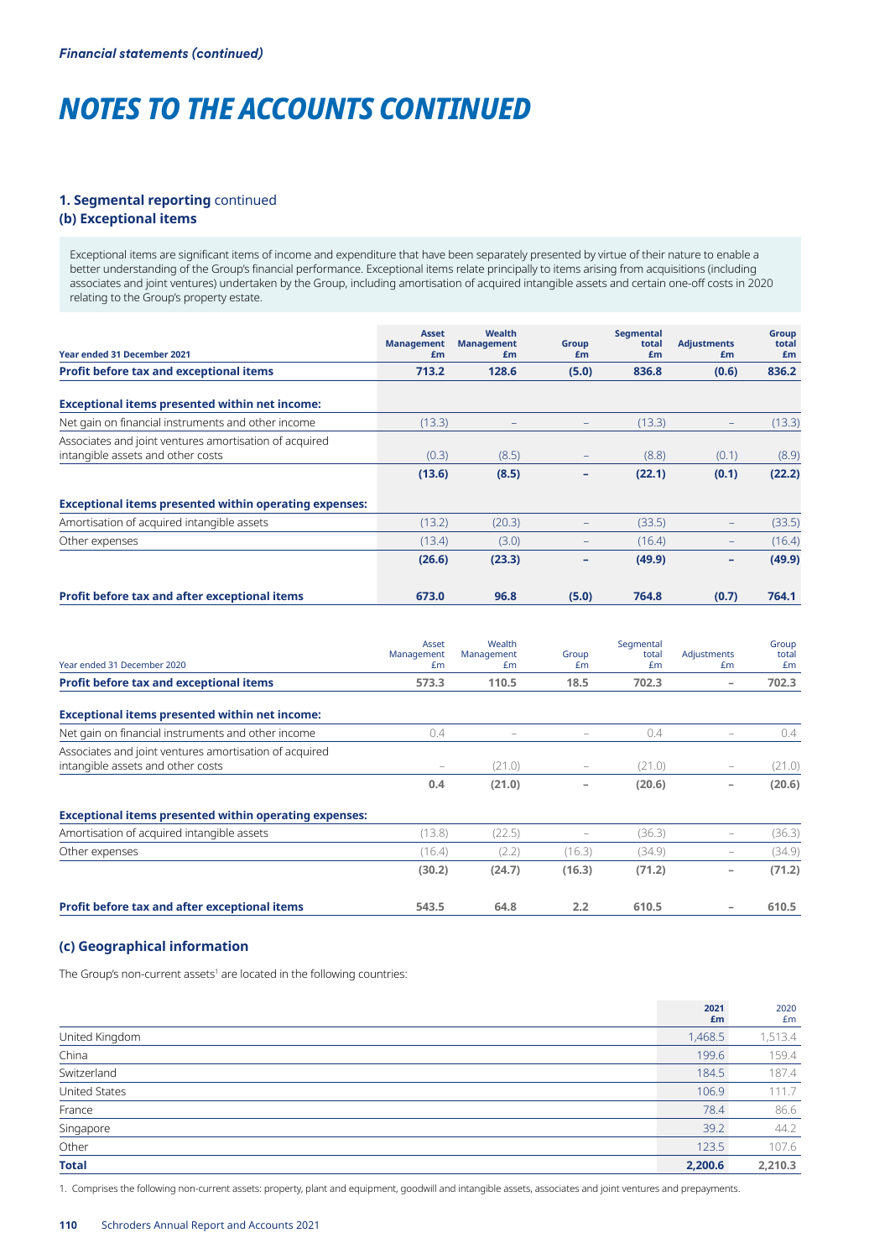## **1. Segmental reporting** continued

## **(b) Exceptional items**

Exceptional items are significant items of income and expenditure that have been separately presented by virtue of their nature to enable a better understanding of the Group's financial performance. Exceptional items relate principally to items arising from acquisitions (including associates and joint ventures) undertaken by the Group, including amortisation of acquired intangible assets and certain one-off costs in 2020 relating to the Group's property estate.

| <b>Year ended 31 December 2021</b>                            | <b>Asset</b><br><b>Management</b><br>£m | Wealth<br><b>Management</b><br>£m | Group<br>£m              | <b>Segmental</b><br>total<br>£m | <b>Adjustments</b><br>£m | Group<br>total<br>£m |
|---------------------------------------------------------------|-----------------------------------------|-----------------------------------|--------------------------|---------------------------------|--------------------------|----------------------|
| Profit before tax and exceptional items                       | 713.2                                   | 128.6                             | (5.0)                    | 836.8                           | (0.6)                    | 836.2                |
|                                                               |                                         |                                   |                          |                                 |                          |                      |
| <b>Exceptional items presented within net income:</b>         |                                         |                                   |                          |                                 |                          |                      |
| Net gain on financial instruments and other income            | (13.3)                                  |                                   | -                        | (13.3)                          | $\overline{\phantom{a}}$ | (13.3)               |
| Associates and joint ventures amortisation of acquired        |                                         |                                   |                          |                                 |                          |                      |
| intangible assets and other costs                             | (0.3)                                   | (8.5)                             |                          | (8.8)                           | (0.1)                    | (8.9)                |
|                                                               | (13.6)                                  | (8.5)                             |                          | (22.1)                          | (0.1)                    | (22.2)               |
| <b>Exceptional items presented within operating expenses:</b> |                                         |                                   |                          |                                 |                          |                      |
| Amortisation of acquired intangible assets                    | (13.2)                                  | (20.3)                            | L,                       | (33.5)                          |                          | (33.5)               |
| Other expenses                                                | (13.4)                                  | (3.0)                             | $\qquad \qquad -$        | (16.4)                          | $\overline{\phantom{m}}$ | (16.4)               |
|                                                               | (26.6)                                  | (23.3)                            | ÷                        | (49.9)                          | $\qquad \qquad -$        | (49.9)               |
| Profit before tax and after exceptional items                 | 673.0                                   | 96.8                              | (5.0)                    | 764.8                           | (0.7)                    | 764.1                |
| Year ended 31 December 2020                                   | Asset<br>Management<br>£m               | Wealth<br>Management<br>£m        | Group<br>£m              | Segmental<br>total<br>£m        | Adjustments<br>£m        | Group<br>total<br>£m |
| Profit before tax and exceptional items                       | 573.3                                   | 110.5                             | 18.5                     | 702.3                           | $\overline{\phantom{a}}$ | 702.3                |
| <b>Exceptional items presented within net income:</b>         |                                         |                                   |                          |                                 |                          |                      |
| Net gain on financial instruments and other income            | 0.4                                     | $\overline{\phantom{0}}$          | $\qquad \qquad -$        | 0.4                             | $\overline{\phantom{m}}$ | 0.4                  |
| Associates and joint ventures amortisation of acquired        |                                         |                                   |                          |                                 |                          |                      |
| intangible assets and other costs                             |                                         | (21.0)                            |                          | (21.0)                          |                          | (21.0)               |
|                                                               | 0.4                                     | (21.0)                            |                          | (20.6)                          | $\overline{\phantom{a}}$ | (20.6)               |
| <b>Exceptional items presented within operating expenses:</b> |                                         |                                   |                          |                                 |                          |                      |
| Amortisation of acquired intangible assets                    | (13.8)                                  | (22.5)                            | $\overline{\phantom{a}}$ | (36.3)                          | $\overline{\phantom{a}}$ | (36.3)               |
| Other expenses                                                | (16.4)                                  | (2.2)                             | (16.3)                   | (34.9)                          | $\overline{\phantom{0}}$ | (34.9)               |
|                                                               | (30.2)                                  | (24.7)                            | (16.3)                   | (71.2)                          | $\overline{\phantom{a}}$ | (71.2)               |
| Profit before tax and after exceptional items                 | 543.5                                   | 64.8                              | 2.2                      | 610.5                           |                          | 610.5                |

## **(c) Geographical information**

The Group's non-current assets<sup>1</sup> are located in the following countries:

|                | 2021<br>£m | 2020<br>£m |
|----------------|------------|------------|
| United Kingdom | 1,468.5    | 1,513.4    |
| China          | 199.6      | 159.4      |
| Switzerland    | 184.5      | 187.4      |
| United States  | 106.9      | 111.7      |
| France         | 78.4       | 86.6       |
| Singapore      | 39.2       | 44.2       |
| Other          | 123.5      | 107.6      |
| <b>Total</b>   | 2,200.6    | 2,210.3    |

1. Comprises the following non-current assets: property, plant and equipment, goodwill and intangible assets, associates and joint ventures and prepayments.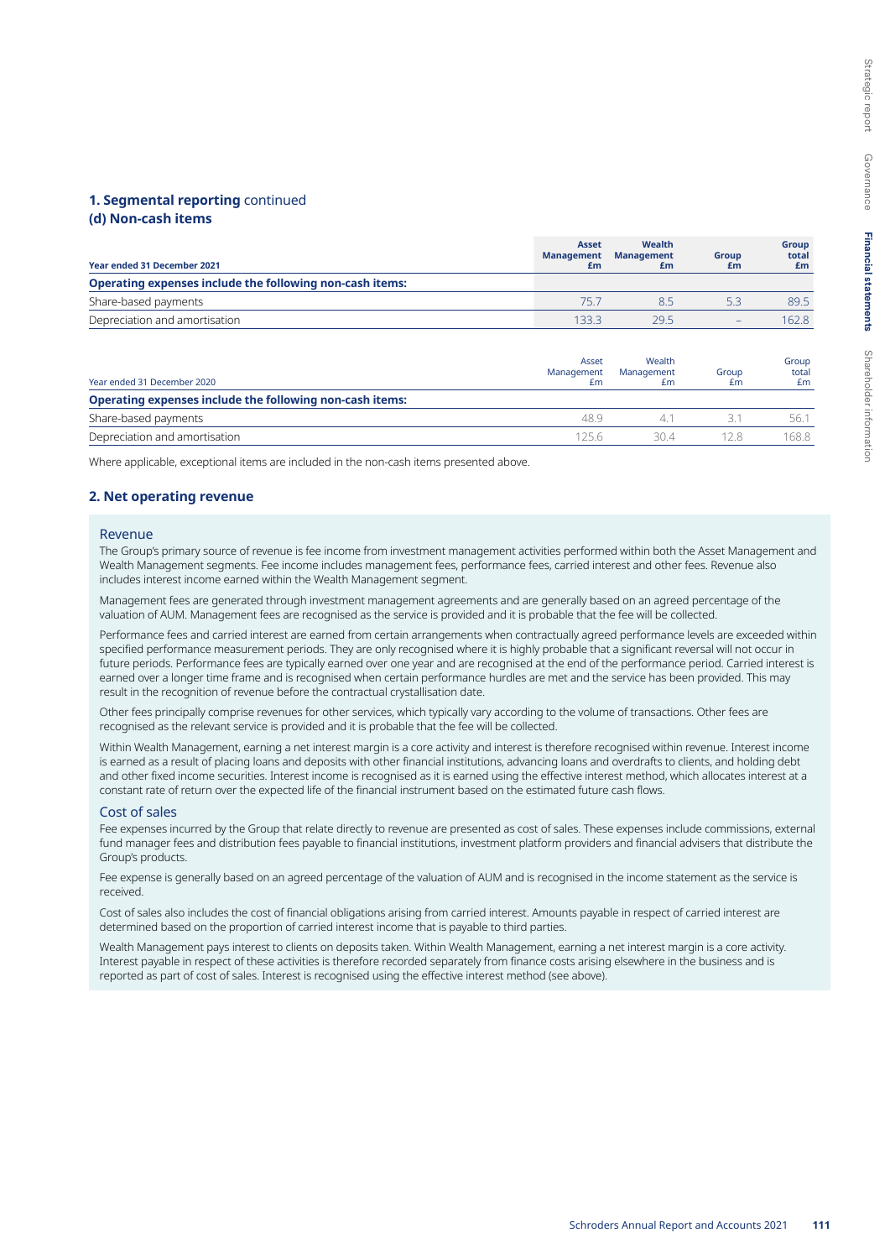## **(d) Non-cash items**

| Year ended 31 December 2021                              | <b>Asset</b><br><b>Management</b><br>£m | <b>Wealth</b><br><b>Management</b><br>£m | <b>Group</b><br>£m | <b>Group</b><br>total<br>£m |
|----------------------------------------------------------|-----------------------------------------|------------------------------------------|--------------------|-----------------------------|
| Operating expenses include the following non-cash items: |                                         |                                          |                    |                             |
| Share-based payments                                     | 75 7                                    | 85                                       | 5.3                | 89.5                        |
| Depreciation and amortisation                            | 1333                                    | 295                                      |                    | 162.8                       |

| Year ended 31 December 2020                              | Asset<br>Management<br>£m | Wealth<br>Management<br>£m | Group<br>£m | Group<br>total<br>£m |
|----------------------------------------------------------|---------------------------|----------------------------|-------------|----------------------|
| Operating expenses include the following non-cash items: |                           |                            |             |                      |
| Share-based payments                                     | 489                       |                            |             | 56.1                 |
| Depreciation and amortisation                            | 1256                      | 304                        |             | 168.8                |

Where applicable, exceptional items are included in the non-cash items presented above.

## **2. Net operating revenue**

#### Revenue

The Group's primary source of revenue is fee income from investment management activities performed within both the Asset Management and Wealth Management segments. Fee income includes management fees, performance fees, carried interest and other fees. Revenue also includes interest income earned within the Wealth Management segment.

Management fees are generated through investment management agreements and are generally based on an agreed percentage of the valuation of AUM. Management fees are recognised as the service is provided and it is probable that the fee will be collected.

Performance fees and carried interest are earned from certain arrangements when contractually agreed performance levels are exceeded within specified performance measurement periods. They are only recognised where it is highly probable that a significant reversal will not occur in future periods. Performance fees are typically earned over one year and are recognised at the end of the performance period. Carried interest is earned over a longer time frame and is recognised when certain performance hurdles are met and the service has been provided. This may result in the recognition of revenue before the contractual crystallisation date.

Other fees principally comprise revenues for other services, which typically vary according to the volume of transactions. Other fees are recognised as the relevant service is provided and it is probable that the fee will be collected.

Within Wealth Management, earning a net interest margin is a core activity and interest is therefore recognised within revenue. Interest income is earned as a result of placing loans and deposits with other financial institutions, advancing loans and overdrafts to clients, and holding debt and other fixed income securities. Interest income is recognised as it is earned using the effective interest method, which allocates interest at a constant rate of return over the expected life of the financial instrument based on the estimated future cash flows.

#### Cost of sales

Fee expenses incurred by the Group that relate directly to revenue are presented as cost of sales. These expenses include commissions, external fund manager fees and distribution fees payable to financial institutions, investment platform providers and financial advisers that distribute the Group's products.

Fee expense is generally based on an agreed percentage of the valuation of AUM and is recognised in the income statement as the service is received.

Cost of sales also includes the cost of financial obligations arising from carried interest. Amounts payable in respect of carried interest are determined based on the proportion of carried interest income that is payable to third parties.

Wealth Management pays interest to clients on deposits taken. Within Wealth Management, earning a net interest margin is a core activity. Interest payable in respect of these activities is therefore recorded separately from finance costs arising elsewhere in the business and is reported as part of cost of sales. Interest is recognised using the effective interest method (see above).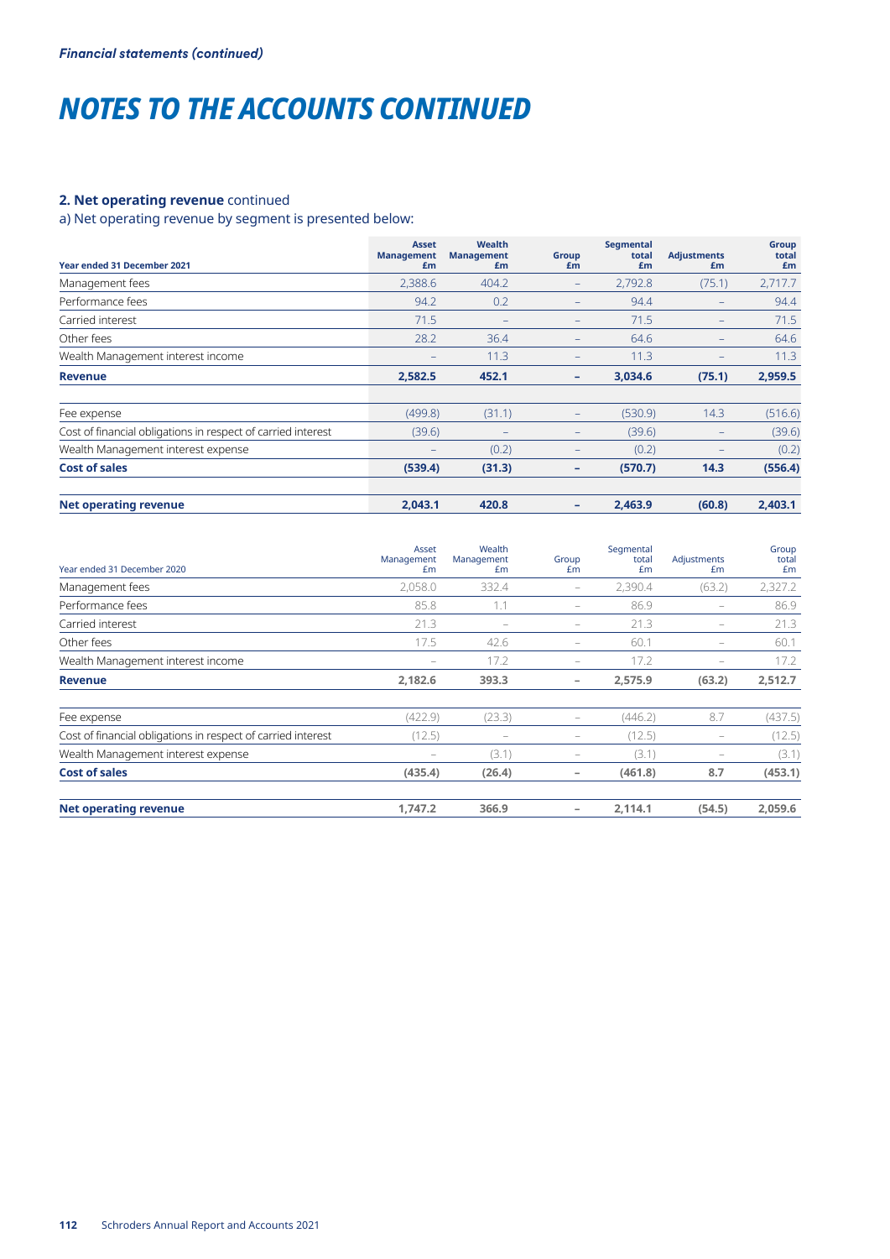## **2. Net operating revenue** continued

## a) Net operating revenue by segment is presented below:

| <b>Year ended 31 December 2021</b>                           | <b>Asset</b><br><b>Management</b><br>£m | Wealth<br><b>Management</b><br>£m | Group<br>£m       | Segmental<br>total<br>£m | <b>Adjustments</b><br>£m     | Group<br>total<br>Em |
|--------------------------------------------------------------|-----------------------------------------|-----------------------------------|-------------------|--------------------------|------------------------------|----------------------|
| Management fees                                              | 2,388.6                                 | 404.2                             | $\qquad \qquad -$ | 2,792.8                  | (75.1)                       | 2,717.7              |
| Performance fees                                             | 94.2                                    | 0.2                               | $\qquad \qquad -$ | 94.4                     |                              | 94.4                 |
| Carried interest                                             | 71.5                                    |                                   | $\qquad \qquad -$ | 71.5                     |                              | 71.5                 |
| Other fees                                                   | 28.2                                    | 36.4                              | $\qquad \qquad -$ | 64.6                     | $\overline{\phantom{m}}$     | 64.6                 |
| Wealth Management interest income                            |                                         | 11.3                              | $\qquad \qquad -$ | 11.3                     | $\qquad \qquad \blacksquare$ | 11.3                 |
| <b>Revenue</b>                                               | 2,582.5                                 | 452.1                             | ۰                 | 3,034.6                  | (75.1)                       | 2,959.5              |
| Fee expense                                                  | (499.8)                                 | (31.1)                            | $\qquad \qquad -$ | (530.9)                  | 14.3                         | (516.6)              |
| Cost of financial obligations in respect of carried interest | (39.6)                                  | -                                 | $\qquad \qquad -$ | (39.6)                   |                              | (39.6)               |
| Wealth Management interest expense                           |                                         | (0.2)                             | $\qquad \qquad -$ | (0.2)                    |                              | (0.2)                |
| <b>Cost of sales</b>                                         | (539.4)                                 | (31.3)                            | -                 | (570.7)                  | 14.3                         | (556.4)              |
| <b>Net operating revenue</b>                                 | 2,043.1                                 | 420.8                             | ۰                 | 2,463.9                  | (60.8)                       | 2,403.1              |

| Year ended 31 December 2020                                  | Asset<br>Management<br>Em | Wealth<br>Management<br>£m | Group<br>Em                       | Segmental<br>total<br>£m | Adjustments<br>£m        | Group<br>total<br>£m |
|--------------------------------------------------------------|---------------------------|----------------------------|-----------------------------------|--------------------------|--------------------------|----------------------|
| Management fees                                              | 2,058.0                   | 332.4                      | $\hspace{1.0cm} - \hspace{1.0cm}$ | 2,390.4                  | (63.2)                   | 2,327.2              |
| Performance fees                                             | 85.8                      | 1.1                        | $\qquad \qquad -$                 | 86.9                     | $\overline{\phantom{a}}$ | 86.9                 |
| Carried interest                                             | 21.3                      | $\qquad \qquad =$          | $\overline{\phantom{a}}$          | 21.3                     | $\overline{\phantom{a}}$ | 21.3                 |
| Other fees                                                   | 17.5                      | 42.6                       | $\overline{\phantom{a}}$          | 60.1                     | $\qquad \qquad -$        | 60.1                 |
| Wealth Management interest income                            |                           | 17.2                       | $\qquad \qquad -$                 | 17.2                     | $\overline{\phantom{a}}$ | 17.2                 |
| <b>Revenue</b>                                               | 2,182.6                   | 393.3                      | -                                 | 2,575.9                  | (63.2)                   | 2,512.7              |
| Fee expense                                                  | (422.9)                   | (23.3)                     | $\qquad \qquad -$                 | (446.2)                  | 8.7                      | (437.5)              |
| Cost of financial obligations in respect of carried interest | (12.5)                    |                            | $\overline{\phantom{a}}$          | (12.5)                   |                          | (12.5)               |
| Wealth Management interest expense                           |                           | (3.1)                      | $\qquad \qquad -$                 | (3.1)                    |                          | (3.1)                |
| <b>Cost of sales</b>                                         | (435.4)                   | (26.4)                     | $\overline{\phantom{a}}$          | (461.8)                  | 8.7                      | (453.1)              |
| <b>Net operating revenue</b>                                 | 1,747.2                   | 366.9                      | -                                 | 2,114.1                  | (54.5)                   | 2,059.6              |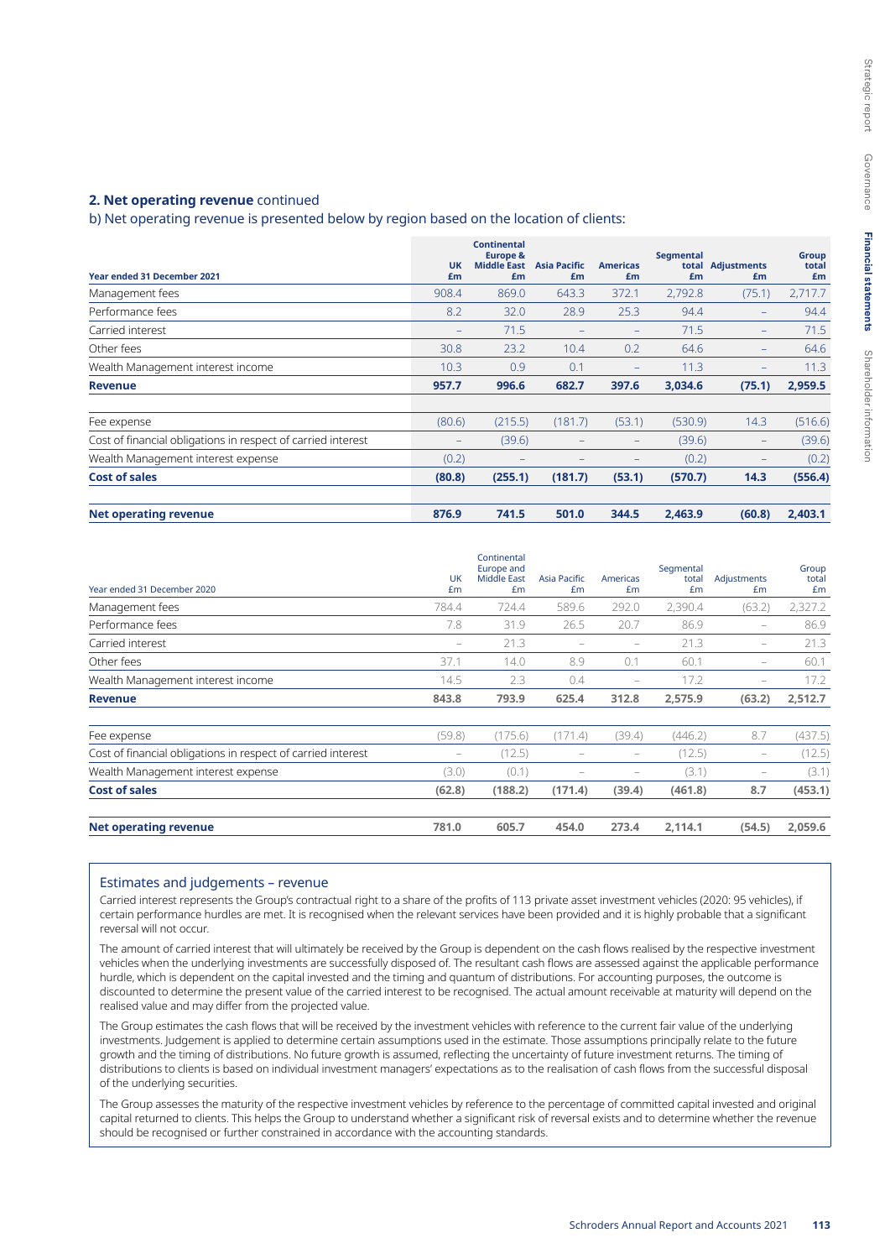### **2. Net operating revenue** continued

b) Net operating revenue is presented below by region based on the location of clients:

| <b>Year ended 31 December 2021</b>                           | <b>UK</b><br>£m   | <b>Continental</b><br><b>Europe &amp;</b><br><b>Middle East</b><br>£m | <b>Asia Pacific</b><br>£m | <b>Americas</b><br>£m    | Segmental<br>£m | total Adjustments<br>£m  | Group<br>total<br>£m |
|--------------------------------------------------------------|-------------------|-----------------------------------------------------------------------|---------------------------|--------------------------|-----------------|--------------------------|----------------------|
| Management fees                                              | 908.4             | 869.0                                                                 | 643.3                     | 372.1                    | 2,792.8         | (75.1)                   | 2,717.7              |
| Performance fees                                             | 8.2               | 32.0                                                                  | 28.9                      | 25.3                     | 94.4            | $\qquad \qquad -$        | 94.4                 |
| Carried interest                                             | $\qquad \qquad -$ | 71.5                                                                  |                           | $\overline{\phantom{0}}$ | 71.5            | $\qquad \qquad -$        | 71.5                 |
| Other fees                                                   | 30.8              | 23.2                                                                  | 10.4                      | 0.2                      | 64.6            | $\overline{\phantom{0}}$ | 64.6                 |
| Wealth Management interest income                            | 10.3              | 0.9                                                                   | 0.1                       | $-$                      | 11.3            | $\overline{\phantom{0}}$ | 11.3                 |
| <b>Revenue</b>                                               | 957.7             | 996.6                                                                 | 682.7                     | 397.6                    | 3,034.6         | (75.1)                   | 2,959.5              |
| Fee expense                                                  | (80.6)            | (215.5)                                                               | (181.7)                   | (53.1)                   | (530.9)         | 14.3                     | (516.6)              |
| Cost of financial obligations in respect of carried interest | $\qquad \qquad -$ | (39.6)                                                                | -                         | $\qquad \qquad -$        | (39.6)          | -                        | (39.6)               |
| Wealth Management interest expense                           | (0.2)             |                                                                       |                           |                          | (0.2)           | -                        | (0.2)                |
| <b>Cost of sales</b>                                         | (80.8)            | (255.1)                                                               | (181.7)                   | (53.1)                   | (570.7)         | 14.3                     | (556.4)              |
| <b>Net operating revenue</b>                                 | 876.9             | 741.5                                                                 | 501.0                     | 344.5                    | 2,463.9         | (60.8)                   | 2,403.1              |

| Year ended 31 December 2020                                  | UK<br>£m          | Continental<br>Europe and<br><b>Middle East</b><br>£m | Asia Pacific<br>£m       | Americas<br>£m           | Segmental<br>total<br>£m | Adjustments<br>Em | Group<br>total<br>Em |
|--------------------------------------------------------------|-------------------|-------------------------------------------------------|--------------------------|--------------------------|--------------------------|-------------------|----------------------|
| Management fees                                              | 784.4             | 724.4                                                 | 589.6                    | 292.0                    | 2,390.4                  | (63.2)            | 2,327.2              |
| Performance fees                                             | 7.8               | 31.9                                                  | 26.5                     | 20.7                     | 86.9                     | $\qquad \qquad -$ | 86.9                 |
| Carried interest                                             | $\qquad \qquad -$ | 21.3                                                  |                          |                          | 21.3                     | -                 | 21.3                 |
| Other fees                                                   | 37.1              | 14.0                                                  | 8.9                      | 0.1                      | 60.1                     | $-$               | 60.1                 |
| Wealth Management interest income                            | 14.5              | 2.3                                                   | 0.4                      | $\qquad \qquad -$        | 17.2                     | -                 | 17.2                 |
| <b>Revenue</b>                                               | 843.8             | 793.9                                                 | 625.4                    | 312.8                    | 2,575.9                  | (63.2)            | 2,512.7              |
| Fee expense                                                  | (59.8)            | (175.6)                                               | (171.4)                  | (39.4)                   | (446.2)                  | 8.7               | (437.5)              |
| Cost of financial obligations in respect of carried interest | -                 | (12.5)                                                |                          | $\qquad \qquad -$        | (12.5)                   | -                 | (12.5)               |
| Wealth Management interest expense                           | (3.0)             | (0.1)                                                 | $\overline{\phantom{a}}$ | $\overline{\phantom{a}}$ | (3.1)                    | -                 | (3.1)                |
| <b>Cost of sales</b>                                         | (62.8)            | (188.2)                                               | (171.4)                  | (39.4)                   | (461.8)                  | 8.7               | (453.1)              |
| <b>Net operating revenue</b>                                 | 781.0             | 605.7                                                 | 454.0                    | 273.4                    | 2,114.1                  | (54.5)            | 2,059.6              |

#### Estimates and judgements – revenue

Carried interest represents the Group's contractual right to a share of the profits of 113 private asset investment vehicles (2020: 95 vehicles), if certain performance hurdles are met. It is recognised when the relevant services have been provided and it is highly probable that a significant reversal will not occur.

The amount of carried interest that will ultimately be received by the Group is dependent on the cash flows realised by the respective investment vehicles when the underlying investments are successfully disposed of. The resultant cash flows are assessed against the applicable performance hurdle, which is dependent on the capital invested and the timing and quantum of distributions. For accounting purposes, the outcome is discounted to determine the present value of the carried interest to be recognised. The actual amount receivable at maturity will depend on the realised value and may differ from the projected value.

The Group estimates the cash flows that will be received by the investment vehicles with reference to the current fair value of the underlying investments. Judgement is applied to determine certain assumptions used in the estimate. Those assumptions principally relate to the future growth and the timing of distributions. No future growth is assumed, reflecting the uncertainty of future investment returns. The timing of distributions to clients is based on individual investment managers' expectations as to the realisation of cash flows from the successful disposal of the underlying securities.

The Group assesses the maturity of the respective investment vehicles by reference to the percentage of committed capital invested and original capital returned to clients. This helps the Group to understand whether a significant risk of reversal exists and to determine whether the revenue should be recognised or further constrained in accordance with the accounting standards.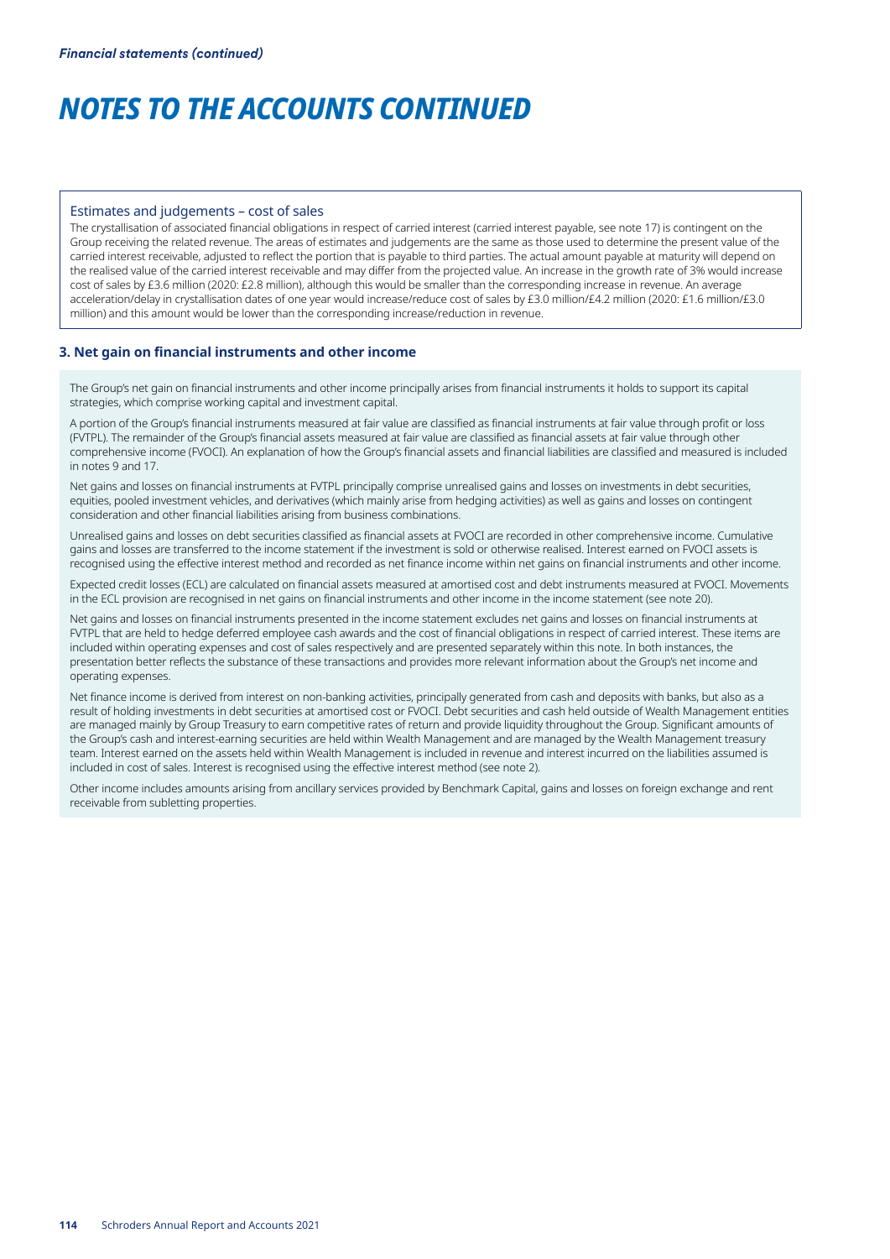#### Estimates and judgements – cost of sales

The crystallisation of associated financial obligations in respect of carried interest (carried interest payable, see note 17) is contingent on the Group receiving the related revenue. The areas of estimates and judgements are the same as those used to determine the present value of the carried interest receivable, adjusted to reflect the portion that is payable to third parties. The actual amount payable at maturity will depend on the realised value of the carried interest receivable and may differ from the projected value. An increase in the growth rate of 3% would increase cost of sales by £3.6 million (2020: £2.8 million), although this would be smaller than the corresponding increase in revenue. An average acceleration/delay in crystallisation dates of one year would increase/reduce cost of sales by £3.0 million/£4.2 million (2020: £1.6 million/£3.0 million) and this amount would be lower than the corresponding increase/reduction in revenue.

### **3. Net gain on financial instruments and other income**

The Group's net gain on financial instruments and other income principally arises from financial instruments it holds to support its capital strategies, which comprise working capital and investment capital.

A portion of the Group's financial instruments measured at fair value are classified as financial instruments at fair value through profit or loss (FVTPL). The remainder of the Group's financial assets measured at fair value are classified as financial assets at fair value through other comprehensive income (FVOCI). An explanation of how the Group's financial assets and financial liabilities are classified and measured is included in notes 9 and 17.

Net gains and losses on financial instruments at FVTPL principally comprise unrealised gains and losses on investments in debt securities, equities, pooled investment vehicles, and derivatives (which mainly arise from hedging activities) as well as gains and losses on contingent consideration and other financial liabilities arising from business combinations.

Unrealised gains and losses on debt securities classified as financial assets at FVOCI are recorded in other comprehensive income. Cumulative gains and losses are transferred to the income statement if the investment is sold or otherwise realised. Interest earned on FVOCI assets is recognised using the effective interest method and recorded as net finance income within net gains on financial instruments and other income.

Expected credit losses (ECL) are calculated on financial assets measured at amortised cost and debt instruments measured at FVOCI. Movements in the ECL provision are recognised in net gains on financial instruments and other income in the income statement (see note 20).

Net gains and losses on financial instruments presented in the income statement excludes net gains and losses on financial instruments at FVTPL that are held to hedge deferred employee cash awards and the cost of financial obligations in respect of carried interest. These items are included within operating expenses and cost of sales respectively and are presented separately within this note. In both instances, the presentation better reflects the substance of these transactions and provides more relevant information about the Group's net income and operating expenses.

Net finance income is derived from interest on non-banking activities, principally generated from cash and deposits with banks, but also as a result of holding investments in debt securities at amortised cost or FVOCI. Debt securities and cash held outside of Wealth Management entities are managed mainly by Group Treasury to earn competitive rates of return and provide liquidity throughout the Group. Significant amounts of the Group's cash and interest-earning securities are held within Wealth Management and are managed by the Wealth Management treasury team. Interest earned on the assets held within Wealth Management is included in revenue and interest incurred on the liabilities assumed is included in cost of sales. Interest is recognised using the effective interest method (see note 2).

Other income includes amounts arising from ancillary services provided by Benchmark Capital, gains and losses on foreign exchange and rent receivable from subletting properties.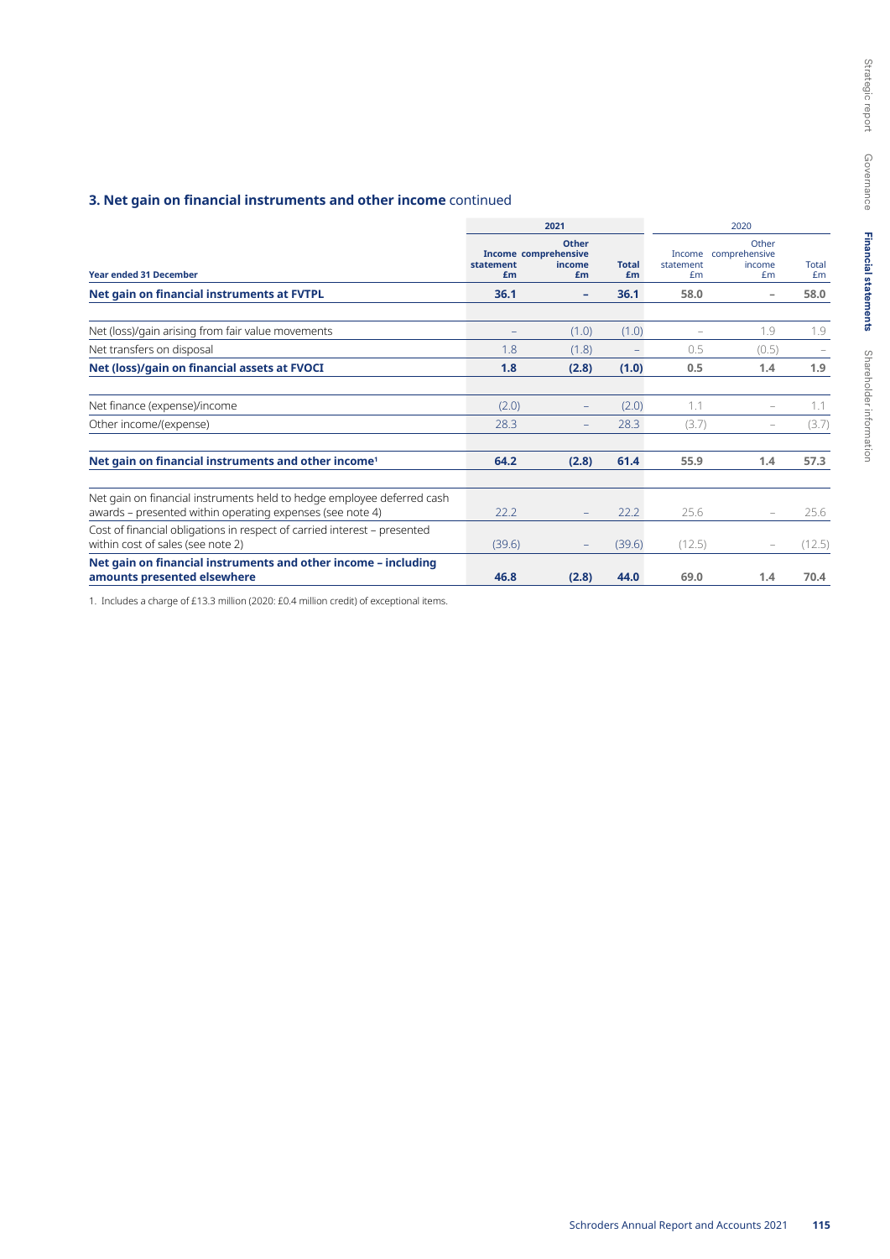## **3. Net gain on financial instruments and other income** continued

| 2021                                                                                                                                |                                         |                       |                          |                           | 2020                                   |             |
|-------------------------------------------------------------------------------------------------------------------------------------|-----------------------------------------|-----------------------|--------------------------|---------------------------|----------------------------------------|-------------|
| <b>Year ended 31 December</b>                                                                                                       | Income comprehensive<br>statement<br>£m | Other<br>income<br>£m | <b>Total</b><br>£m       | Income<br>statement<br>Em | Other<br>comprehensive<br>income<br>Em | Total<br>£m |
| Net gain on financial instruments at FVTPL                                                                                          | 36.1                                    | -                     | 36.1                     | 58.0                      | $\overline{\phantom{a}}$               | 58.0        |
| Net (loss)/gain arising from fair value movements                                                                                   |                                         | (1.0)                 | (1.0)                    |                           | 1.9                                    | 1.9         |
| Net transfers on disposal                                                                                                           | 1.8                                     | (1.8)                 | $\overline{\phantom{a}}$ | 0.5                       | (0.5)                                  |             |
| Net (loss)/gain on financial assets at FVOCI                                                                                        | 1.8                                     | (2.8)                 | (1.0)                    | 0.5                       | 1.4                                    | 1.9         |
| Net finance (expense)/income                                                                                                        | (2.0)                                   |                       | (2.0)                    | 1.1                       |                                        | 1.1         |
| Other income/(expense)                                                                                                              | 28.3                                    |                       | 28.3                     | (3.7)                     |                                        | (3.7)       |
| Net gain on financial instruments and other income <sup>1</sup>                                                                     | 64.2                                    | (2.8)                 | 61.4                     | 55.9                      | 1.4                                    | 57.3        |
| Net gain on financial instruments held to hedge employee deferred cash<br>awards – presented within operating expenses (see note 4) | 22.2                                    |                       | 22.2                     | 25.6                      | $\overline{\phantom{m}}$               | 25.6        |
| Cost of financial obligations in respect of carried interest - presented<br>within cost of sales (see note 2)                       | (39.6)                                  |                       | (39.6)                   | (12.5)                    |                                        | (12.5)      |
| Net gain on financial instruments and other income - including<br>amounts presented elsewhere                                       | 46.8                                    | (2.8)                 | 44.0                     | 69.0                      | 1.4                                    | 70.4        |

1. Includes a charge of £13.3 million (2020: £0.4 million credit) of exceptional items.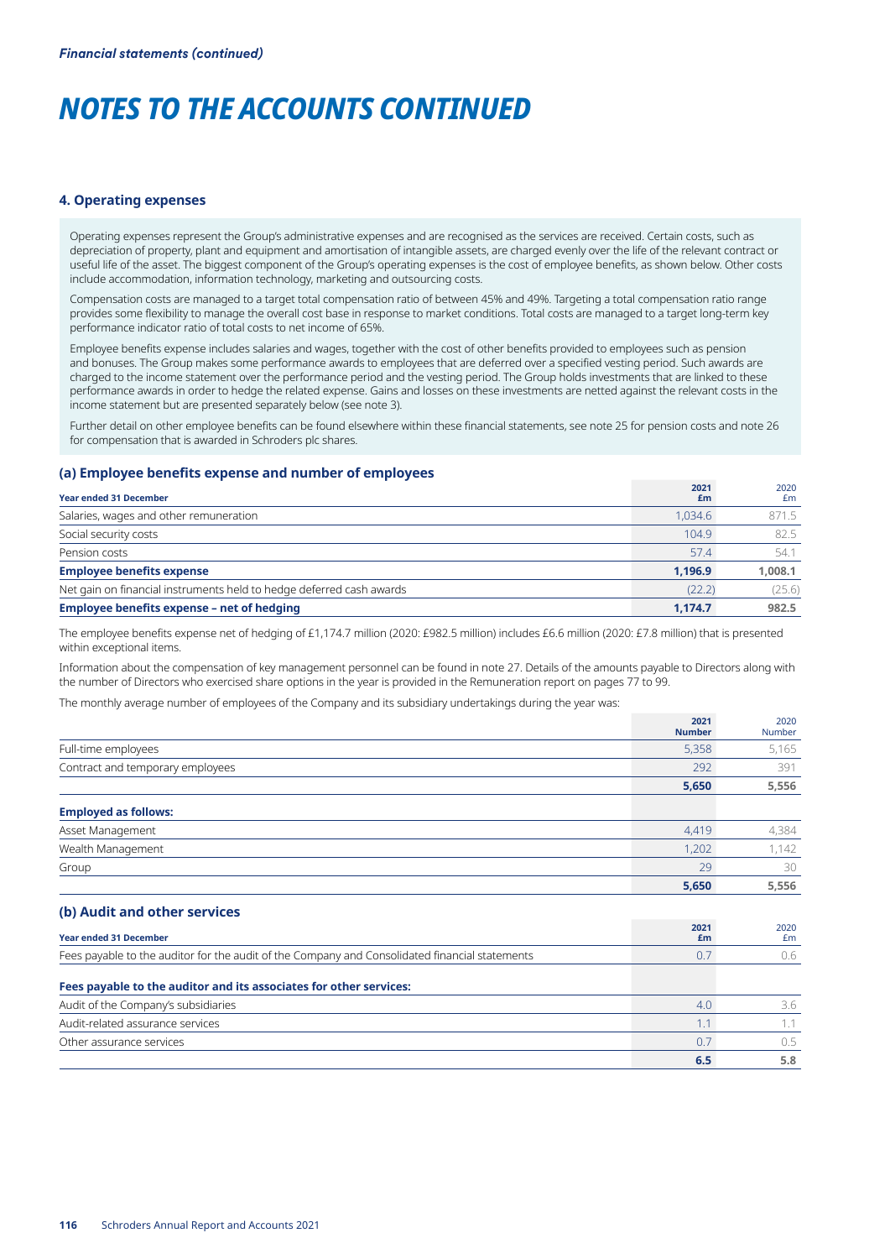#### **4. Operating expenses**

Operating expenses represent the Group's administrative expenses and are recognised as the services are received. Certain costs, such as depreciation of property, plant and equipment and amortisation of intangible assets, are charged evenly over the life of the relevant contract or useful life of the asset. The biggest component of the Group's operating expenses is the cost of employee benefits, as shown below. Other costs include accommodation, information technology, marketing and outsourcing costs.

Compensation costs are managed to a target total compensation ratio of between 45% and 49%. Targeting a total compensation ratio range provides some flexibility to manage the overall cost base in response to market conditions. Total costs are managed to a target long-term key performance indicator ratio of total costs to net income of 65%.

Employee benefits expense includes salaries and wages, together with the cost of other benefits provided to employees such as pension and bonuses. The Group makes some performance awards to employees that are deferred over a specified vesting period. Such awards are charged to the income statement over the performance period and the vesting period. The Group holds investments that are linked to these performance awards in order to hedge the related expense. Gains and losses on these investments are netted against the relevant costs in the income statement but are presented separately below (see note 3).

Further detail on other employee benefits can be found elsewhere within these financial statements, see note 25 for pension costs and note 26 for compensation that is awarded in Schroders plc shares.

#### **(a) Employee benefits expense and number of employees**

| <b>Year ended 31 December</b>                                        | 2021<br>£m | 2020<br>£m |
|----------------------------------------------------------------------|------------|------------|
| Salaries, wages and other remuneration                               | 1.034.6    | 871.5      |
| Social security costs                                                | 104.9      | 82.5       |
| Pension costs                                                        | 57.4       | 54.1       |
| <b>Employee benefits expense</b>                                     | 1.196.9    | 1,008.1    |
| Net gain on financial instruments held to hedge deferred cash awards | (22.2)     | (25.6)     |
| <b>Employee benefits expense - net of hedging</b>                    | 1,174.7    | 982.5      |

The employee benefits expense net of hedging of £1,174.7 million (2020: £982.5 million) includes £6.6 million (2020: £7.8 million) that is presented within exceptional items.

Information about the compensation of key management personnel can be found in note 27. Details of the amounts payable to Directors along with the number of Directors who exercised share options in the year is provided in the Remuneration report on pages 77 to 99.

The monthly average number of employees of the Company and its subsidiary undertakings during the year was:

|                                                                                                | 2021<br><b>Number</b> | 2020<br><b>Number</b> |
|------------------------------------------------------------------------------------------------|-----------------------|-----------------------|
| Full-time employees                                                                            | 5,358                 | 5,165                 |
| Contract and temporary employees                                                               | 292                   | 391                   |
|                                                                                                | 5,650                 | 5,556                 |
| <b>Employed as follows:</b>                                                                    |                       |                       |
| Asset Management                                                                               | 4,419                 | 4,384                 |
| Wealth Management                                                                              | 1,202                 | 1,142                 |
| Group                                                                                          | 29                    | 30                    |
|                                                                                                | 5,650                 | 5,556                 |
| (b) Audit and other services                                                                   |                       |                       |
| <b>Year ended 31 December</b>                                                                  | 2021<br>£m            | 2020<br>£m            |
| Fees payable to the auditor for the audit of the Company and Consolidated financial statements | 0.7                   | 0.6                   |
| Fees payable to the auditor and its associates for other services:                             |                       |                       |
| Audit of the Company's subsidiaries                                                            | 4.0                   | 3.6                   |
| Audit-related assurance services                                                               | 1.1                   | 1.1                   |
| Other assurance services                                                                       | 0.7                   | 0.5                   |
|                                                                                                | 6.5                   | 5.8                   |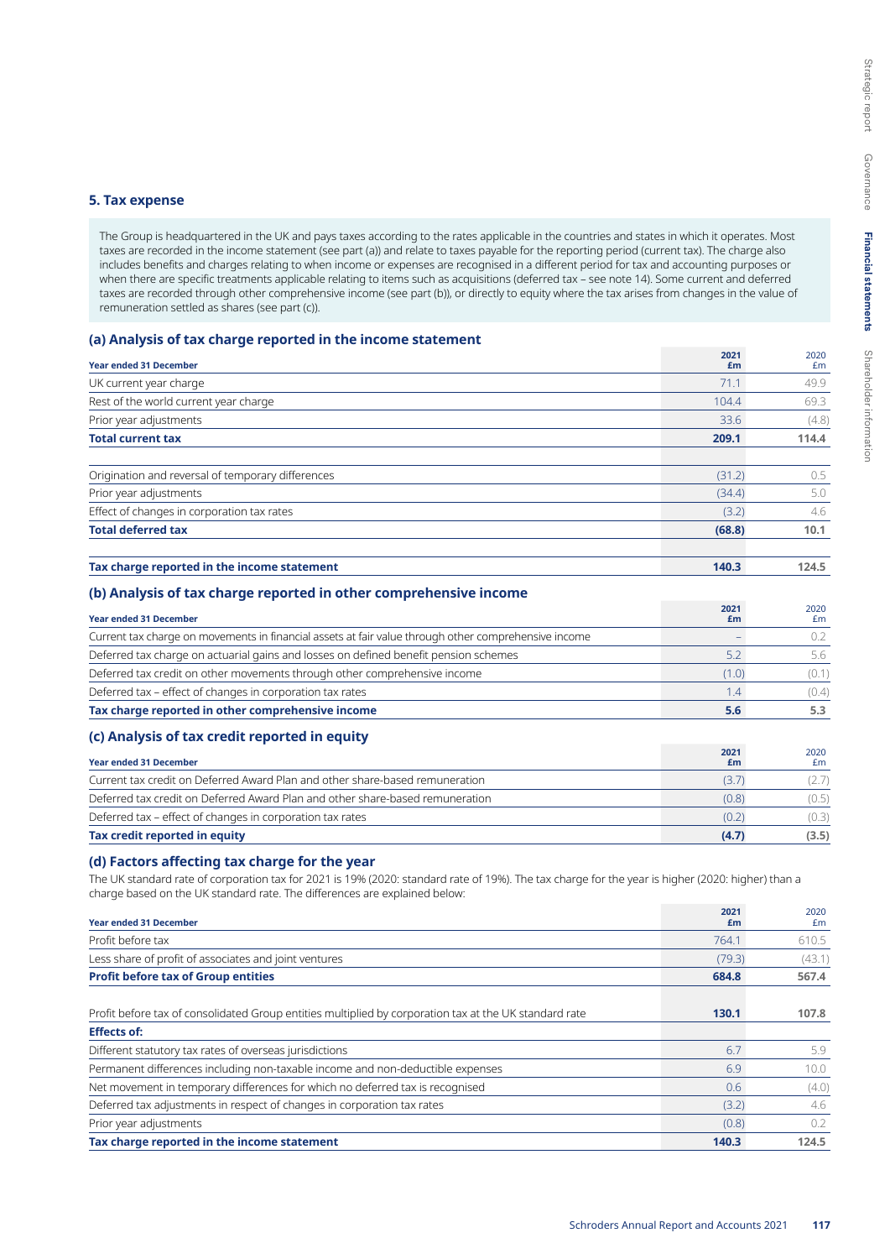### **5. Tax expense**

The Group is headquartered in the UK and pays taxes according to the rates applicable in the countries and states in which it operates. Most taxes are recorded in the income statement (see part (a)) and relate to taxes payable for the reporting period (current tax). The charge also includes benefits and charges relating to when income or expenses are recognised in a different period for tax and accounting purposes or when there are specific treatments applicable relating to items such as acquisitions (deferred tax – see note 14). Some current and deferred taxes are recorded through other comprehensive income (see part (b)), or directly to equity where the tax arises from changes in the value of remuneration settled as shares (see part (c)).

## **(a) Analysis of tax charge reported in the income statement**

|                                                   | 2021   | 2020  |
|---------------------------------------------------|--------|-------|
| <b>Year ended 31 December</b>                     | £m     | £m    |
| UK current year charge                            | 71.1   | 49.9  |
| Rest of the world current year charge             | 104.4  | 69.3  |
| Prior year adjustments                            | 33.6   | (4.8) |
| <b>Total current tax</b>                          | 209.1  | 114.4 |
| Origination and reversal of temporary differences | (31.2) | 0.5   |
| Prior year adjustments                            | (34.4) | 5.0   |
| Effect of changes in corporation tax rates        | (3.2)  | 4.6   |
| <b>Total deferred tax</b>                         | (68.8) | 10.1  |
| Tax charge reported in the income statement       | 140.3  | 124.5 |

## **(b) Analysis of tax charge reported in other comprehensive income**

| <b>Year ended 31 December</b>                                                                        | 2021<br>Em | 2020<br>£m |
|------------------------------------------------------------------------------------------------------|------------|------------|
| Current tax charge on movements in financial assets at fair value through other comprehensive income |            | 0.2        |
| Deferred tax charge on actuarial gains and losses on defined benefit pension schemes                 | 5.2        | 5.6        |
| Deferred tax credit on other movements through other comprehensive income                            | (1.0)      | (0.1)      |
| Deferred tax - effect of changes in corporation tax rates                                            | 1.4        | (0.4)      |
| Tax charge reported in other comprehensive income                                                    | 5.6        | 5.3        |
| (c) Analysis of tax credit reported in equity                                                        |            |            |
| <b>Year ended 31 December</b>                                                                        | 2021<br>£m | 2020<br>Em |
| Current tax credit on Deferred Award Plan and other share-based remuneration                         | (3.7)      | (2.7)      |
| Deferred tax credit on Deferred Award Plan and other share-based remuneration                        | (0.8)      | (0.5)      |

Deferred tax – effect of changes in corporation tax rates (0.2) (0.3) **Tax credit reported in equity (4.7) (3.5)**

### **(d) Factors affecting tax charge for the year**

The UK standard rate of corporation tax for 2021 is 19% (2020: standard rate of 19%). The tax charge for the year is higher (2020: higher) than a charge based on the UK standard rate. The differences are explained below:

| <b>Year ended 31 December</b>                                                                          | 2021<br>£m | 2020<br>Em |
|--------------------------------------------------------------------------------------------------------|------------|------------|
| Profit before tax                                                                                      | 764.1      | 610.5      |
| Less share of profit of associates and joint ventures                                                  | (79.3)     | (43.1)     |
| <b>Profit before tax of Group entities</b>                                                             | 684.8      | 567.4      |
| Profit before tax of consolidated Group entities multiplied by corporation tax at the UK standard rate | 130.1      | 107.8      |
| <b>Effects of:</b>                                                                                     |            |            |
| Different statutory tax rates of overseas jurisdictions                                                | 6.7        | 5.9        |
| Permanent differences including non-taxable income and non-deductible expenses                         | 6.9        | 10.0       |
| Net movement in temporary differences for which no deferred tax is recognised                          | 0.6        | (4.0)      |
| Deferred tax adjustments in respect of changes in corporation tax rates                                | (3.2)      | 4.6        |
| Prior year adjustments                                                                                 | (0.8)      | 0.2        |
| Tax charge reported in the income statement                                                            | 140.3      | 124.5      |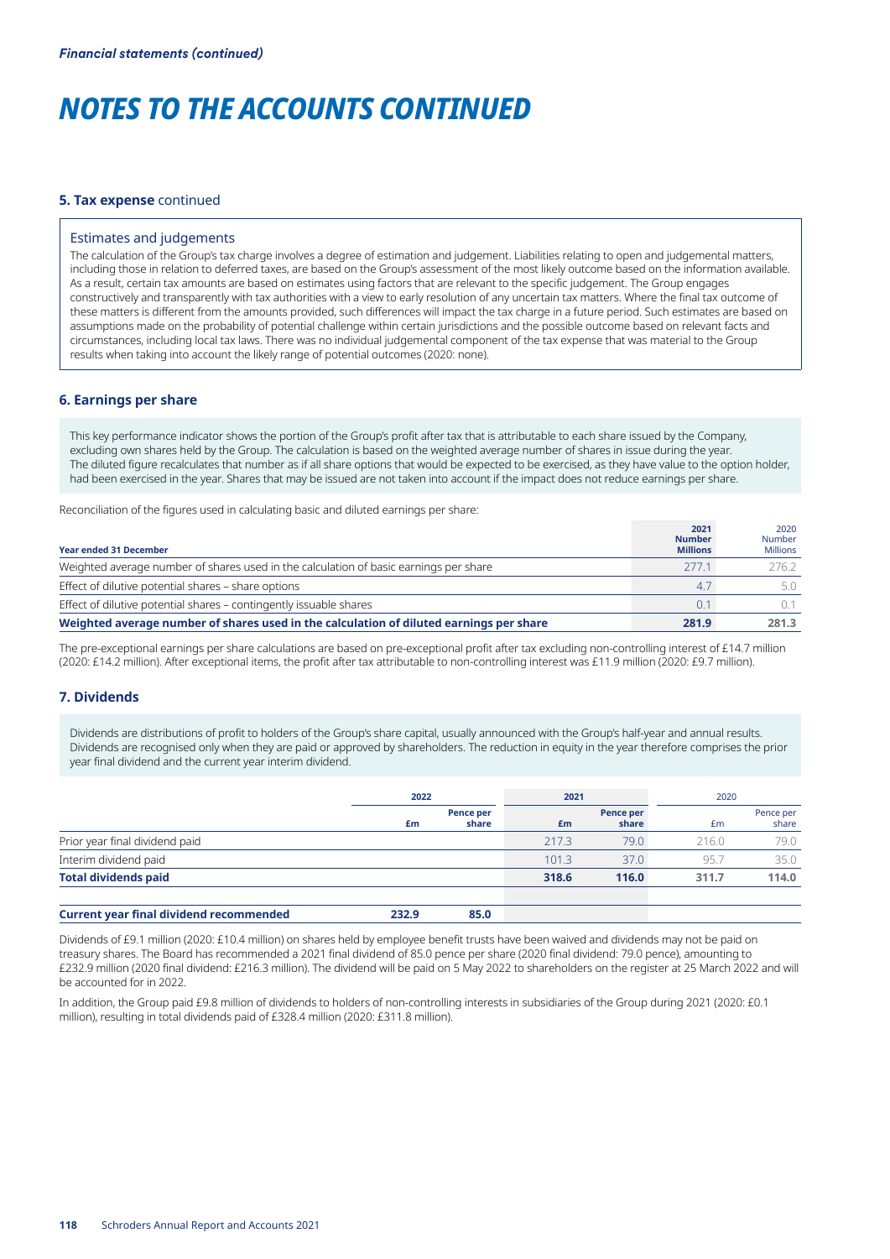#### **5. Tax expense** continued

#### Estimates and judgements

The calculation of the Group's tax charge involves a degree of estimation and judgement. Liabilities relating to open and judgemental matters, including those in relation to deferred taxes, are based on the Group's assessment of the most likely outcome based on the information available. As a result, certain tax amounts are based on estimates using factors that are relevant to the specific judgement. The Group engages constructively and transparently with tax authorities with a view to early resolution of any uncertain tax matters. Where the final tax outcome of these matters is different from the amounts provided, such differences will impact the tax charge in a future period. Such estimates are based on assumptions made on the probability of potential challenge within certain jurisdictions and the possible outcome based on relevant facts and circumstances, including local tax laws. There was no individual judgemental component of the tax expense that was material to the Group results when taking into account the likely range of potential outcomes (2020: none).

## **6. Earnings per share**

This key performance indicator shows the portion of the Group's profit after tax that is attributable to each share issued by the Company, excluding own shares held by the Group. The calculation is based on the weighted average number of shares in issue during the year. The diluted figure recalculates that number as if all share options that would be expected to be exercised, as they have value to the option holder, had been exercised in the year. Shares that may be issued are not taken into account if the impact does not reduce earnings per share.

Reconciliation of the figures used in calculating basic and diluted earnings per share:

| <b>Year ended 31 December</b>                                                           | 2021<br><b>Number</b><br><b>Millions</b> | 2020<br><b>Number</b><br><b>Millions</b> |
|-----------------------------------------------------------------------------------------|------------------------------------------|------------------------------------------|
| Weighted average number of shares used in the calculation of basic earnings per share   | 2771                                     | 276.2                                    |
| Effect of dilutive potential shares - share options                                     | 4.7                                      | 5.0                                      |
| Effect of dilutive potential shares - contingently issuable shares                      | 0.1                                      | O 1                                      |
| Weighted average number of shares used in the calculation of diluted earnings per share | 281.9                                    | 281.3                                    |

The pre-exceptional earnings per share calculations are based on pre-exceptional profit after tax excluding non-controlling interest of £14.7 million (2020: £14.2 million). After exceptional items, the profit after tax attributable to non-controlling interest was £11.9 million (2020: £9.7 million).

### **7. Dividends**

Dividends are distributions of profit to holders of the Group's share capital, usually announced with the Group's half-year and annual results. Dividends are recognised only when they are paid or approved by shareholders. The reduction in equity in the year therefore comprises the prior year final dividend and the current year interim dividend.

|                                                |       | 2022               |       | 2021               | 2020  |                    |  |
|------------------------------------------------|-------|--------------------|-------|--------------------|-------|--------------------|--|
|                                                | £m    | Pence per<br>share | £m    | Pence per<br>share | £m    | Pence per<br>share |  |
| Prior year final dividend paid                 |       |                    | 217.3 | 79.0               | 216.0 | 79.0               |  |
| Interim dividend paid                          |       |                    | 101.3 | 37.0               | 95.7  | 35.0               |  |
| <b>Total dividends paid</b>                    |       |                    | 318.6 | 116.0              | 311.7 | 114.0              |  |
| <b>Current year final dividend recommended</b> | 232.9 | 85.0               |       |                    |       |                    |  |

Dividends of £9.1 million (2020: £10.4 million) on shares held by employee benefit trusts have been waived and dividends may not be paid on treasury shares. The Board has recommended a 2021 final dividend of 85.0 pence per share (2020 final dividend: 79.0 pence), amounting to £232.9 million (2020 final dividend: £216.3 million). The dividend will be paid on 5 May 2022 to shareholders on the register at 25 March 2022 and will be accounted for in 2022.

In addition, the Group paid £9.8 million of dividends to holders of non-controlling interests in subsidiaries of the Group during 2021 (2020: £0.1 million), resulting in total dividends paid of £328.4 million (2020: £311.8 million).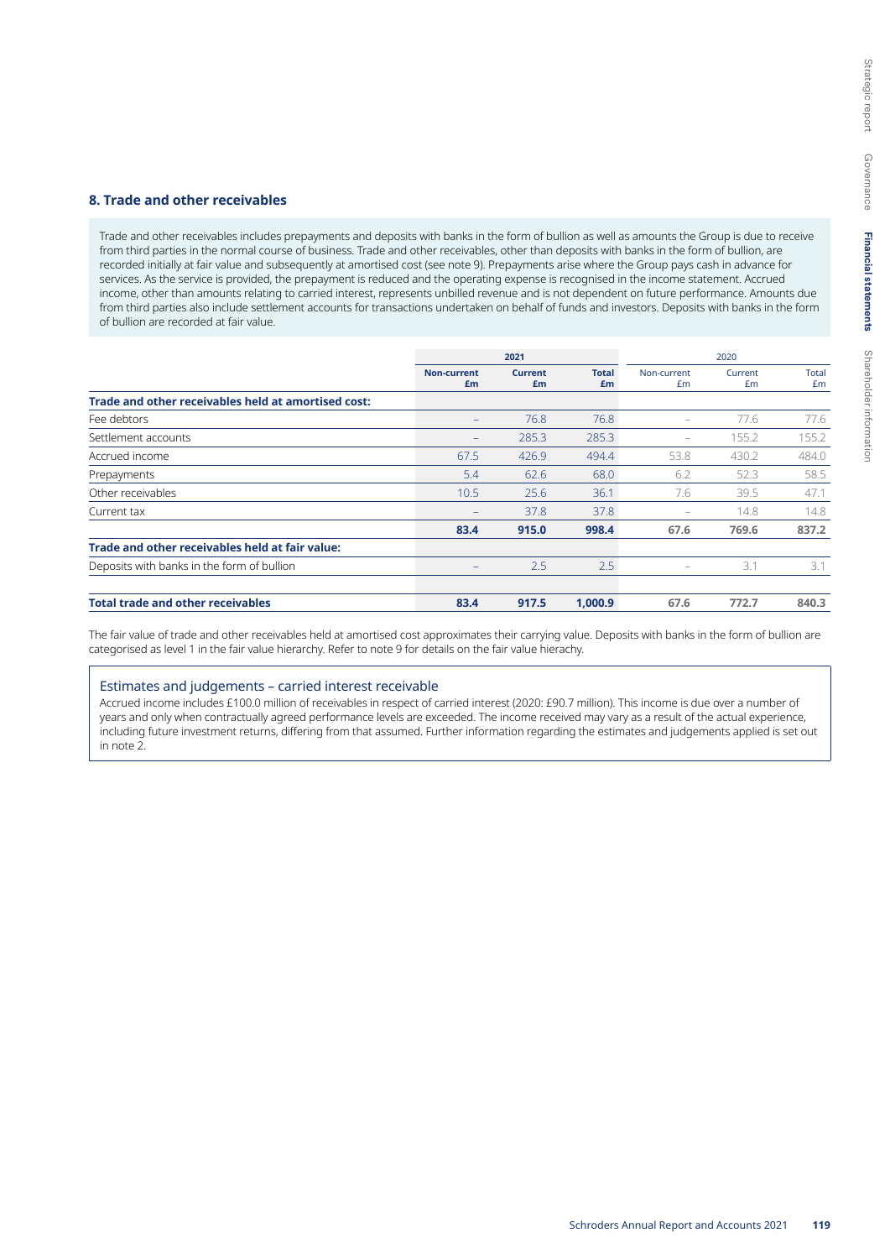### **8. Trade and other receivables**

Trade and other receivables includes prepayments and deposits with banks in the form of bullion as well as amounts the Group is due to receive from third parties in the normal course of business. Trade and other receivables, other than deposits with banks in the form of bullion, are recorded initially at fair value and subsequently at amortised cost (see note 9). Prepayments arise where the Group pays cash in advance for services. As the service is provided, the prepayment is reduced and the operating expense is recognised in the income statement. Accrued income, other than amounts relating to carried interest, represents unbilled revenue and is not dependent on future performance. Amounts due from third parties also include settlement accounts for transactions undertaken on behalf of funds and investors. Deposits with banks in the form of bullion are recorded at fair value.

|                                                     | 2021                     |                      |                    | 2020              |               |                    |  |
|-----------------------------------------------------|--------------------------|----------------------|--------------------|-------------------|---------------|--------------------|--|
|                                                     | <b>Non-current</b><br>£m | <b>Current</b><br>£m | <b>Total</b><br>£m | Non-current<br>Em | Current<br>Em | <b>Total</b><br>£m |  |
| Trade and other receivables held at amortised cost: |                          |                      |                    |                   |               |                    |  |
| Fee debtors                                         |                          | 76.8                 | 76.8               | $\qquad \qquad -$ | 77.6          | 77.6               |  |
| Settlement accounts                                 | $\qquad \qquad -$        | 285.3                | 285.3              | -                 | 155.2         | 155.2              |  |
| Accrued income                                      | 67.5                     | 426.9                | 494.4              | 53.8              | 430.2         | 484.0              |  |
| Prepayments                                         | 5.4                      | 62.6                 | 68.0               | 6.2               | 52.3          | 58.5               |  |
| Other receivables                                   | 10.5                     | 25.6                 | 36.1               | 7.6               | 39.5          | 47.1               |  |
| Current tax                                         |                          | 37.8                 | 37.8               | -                 | 14.8          | 14.8               |  |
|                                                     | 83.4                     | 915.0                | 998.4              | 67.6              | 769.6         | 837.2              |  |
| Trade and other receivables held at fair value:     |                          |                      |                    |                   |               |                    |  |
| Deposits with banks in the form of bullion          | -                        | 2.5                  | 2.5                | -                 | 3.1           | 3.1                |  |
| <b>Total trade and other receivables</b>            | 83.4                     | 917.5                | 1.000.9            | 67.6              | 772.7         | 840.3              |  |

The fair value of trade and other receivables held at amortised cost approximates their carrying value. Deposits with banks in the form of bullion are categorised as level 1 in the fair value hierarchy. Refer to note 9 for details on the fair value hierachy.

### Estimates and judgements – carried interest receivable

Accrued income includes £100.0 million of receivables in respect of carried interest (2020: £90.7 million). This income is due over a number of years and only when contractually agreed performance levels are exceeded. The income received may vary as a result of the actual experience, including future investment returns, differing from that assumed. Further information regarding the estimates and judgements applied is set out in note 2.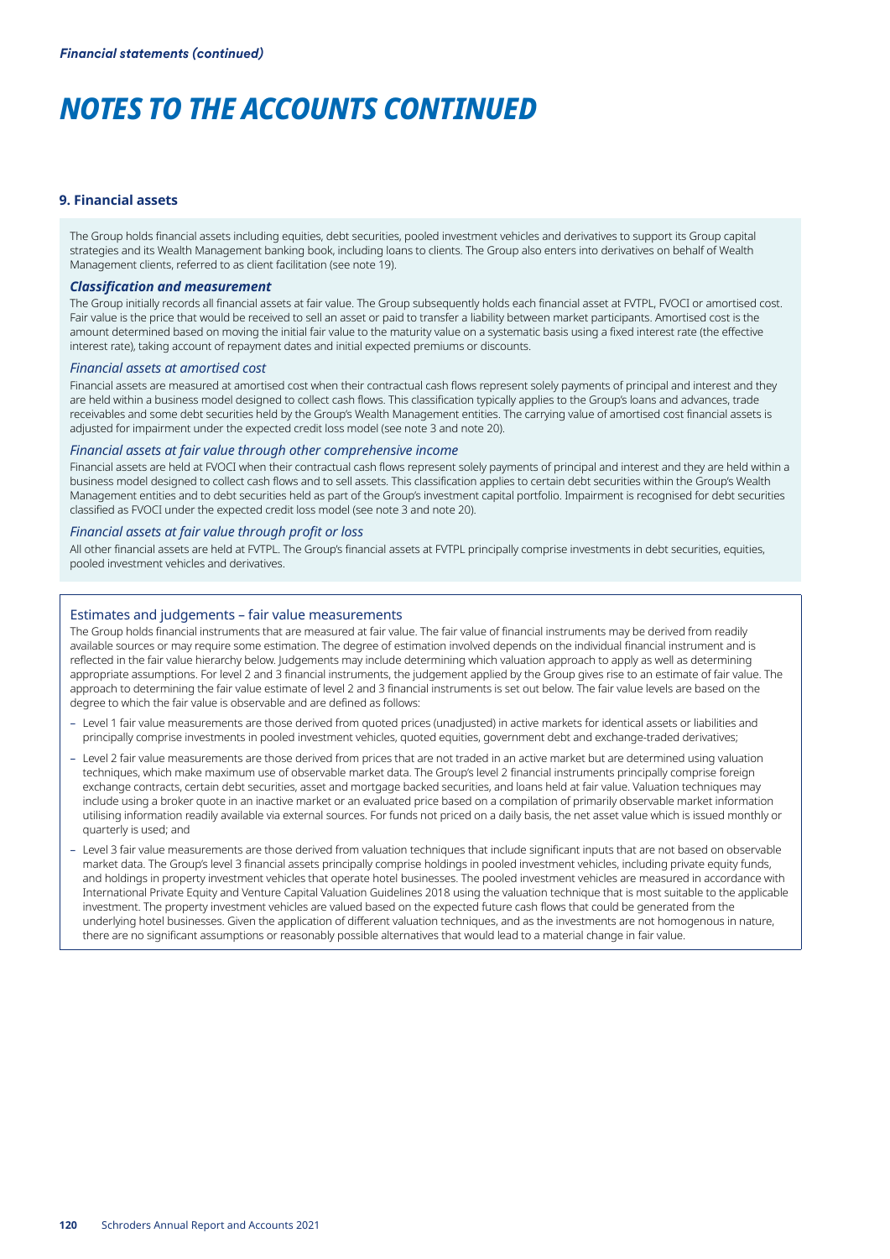#### **9. Financial assets**

The Group holds financial assets including equities, debt securities, pooled investment vehicles and derivatives to support its Group capital strategies and its Wealth Management banking book, including loans to clients. The Group also enters into derivatives on behalf of Wealth Management clients, referred to as client facilitation (see note 19).

#### *Classification and measurement*

The Group initially records all financial assets at fair value. The Group subsequently holds each financial asset at FVTPL, FVOCI or amortised cost. Fair value is the price that would be received to sell an asset or paid to transfer a liability between market participants. Amortised cost is the amount determined based on moving the initial fair value to the maturity value on a systematic basis using a fixed interest rate (the effective interest rate), taking account of repayment dates and initial expected premiums or discounts.

#### *Financial assets at amortised cost*

Financial assets are measured at amortised cost when their contractual cash flows represent solely payments of principal and interest and they are held within a business model designed to collect cash flows. This classification typically applies to the Group's loans and advances, trade receivables and some debt securities held by the Group's Wealth Management entities. The carrying value of amortised cost financial assets is adjusted for impairment under the expected credit loss model (see note 3 and note 20).

#### *Financial assets at fair value through other comprehensive income*

Financial assets are held at FVOCI when their contractual cash flows represent solely payments of principal and interest and they are held within a business model designed to collect cash flows and to sell assets. This classification applies to certain debt securities within the Group's Wealth Management entities and to debt securities held as part of the Group's investment capital portfolio. Impairment is recognised for debt securities classified as FVOCI under the expected credit loss model (see note 3 and note 20).

### *Financial assets at fair value through profit or loss*

All other financial assets are held at FVTPL. The Group's financial assets at FVTPL principally comprise investments in debt securities, equities, pooled investment vehicles and derivatives.

#### Estimates and judgements – fair value measurements

The Group holds financial instruments that are measured at fair value. The fair value of financial instruments may be derived from readily available sources or may require some estimation. The degree of estimation involved depends on the individual financial instrument and is reflected in the fair value hierarchy below. Judgements may include determining which valuation approach to apply as well as determining appropriate assumptions. For level 2 and 3 financial instruments, the judgement applied by the Group gives rise to an estimate of fair value. The approach to determining the fair value estimate of level 2 and 3 financial instruments is set out below. The fair value levels are based on the degree to which the fair value is observable and are defined as follows:

- Level 1 fair value measurements are those derived from quoted prices (unadjusted) in active markets for identical assets or liabilities and principally comprise investments in pooled investment vehicles, quoted equities, government debt and exchange-traded derivatives;
- Level 2 fair value measurements are those derived from prices that are not traded in an active market but are determined using valuation techniques, which make maximum use of observable market data. The Group's level 2 financial instruments principally comprise foreign exchange contracts, certain debt securities, asset and mortgage backed securities, and loans held at fair value. Valuation techniques may include using a broker quote in an inactive market or an evaluated price based on a compilation of primarily observable market information utilising information readily available via external sources. For funds not priced on a daily basis, the net asset value which is issued monthly or quarterly is used; and
- Level 3 fair value measurements are those derived from valuation techniques that include significant inputs that are not based on observable market data. The Group's level 3 financial assets principally comprise holdings in pooled investment vehicles, including private equity funds, and holdings in property investment vehicles that operate hotel businesses. The pooled investment vehicles are measured in accordance with International Private Equity and Venture Capital Valuation Guidelines 2018 using the valuation technique that is most suitable to the applicable investment. The property investment vehicles are valued based on the expected future cash flows that could be generated from the underlying hotel businesses. Given the application of different valuation techniques, and as the investments are not homogenous in nature, there are no significant assumptions or reasonably possible alternatives that would lead to a material change in fair value.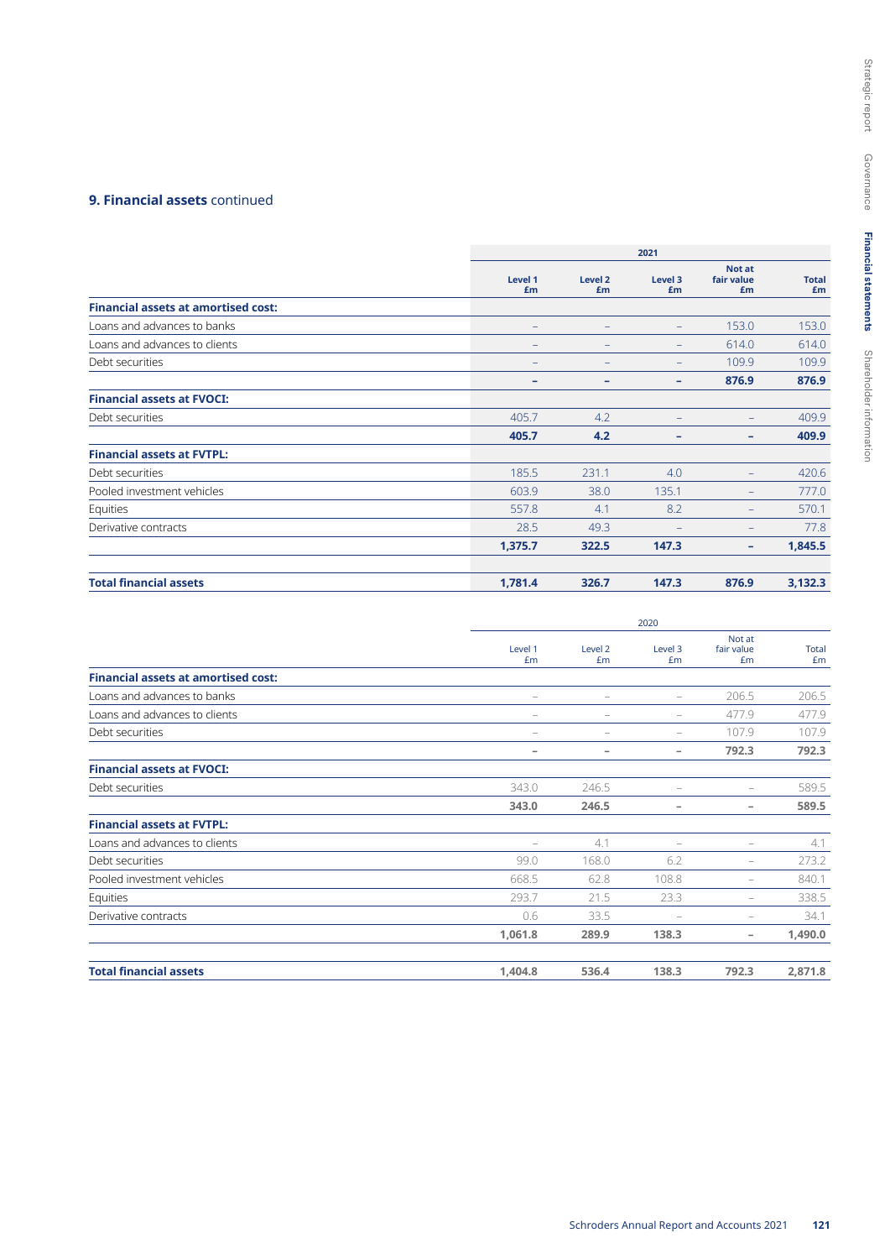## **9. Financial assets** continued

|                                            | 2021          |                          |                   |                            |                    |  |  |
|--------------------------------------------|---------------|--------------------------|-------------------|----------------------------|--------------------|--|--|
|                                            | Level 1<br>£m | Level <sub>2</sub><br>£m | Level 3<br>£m     | Not at<br>fair value<br>£m | <b>Total</b><br>£m |  |  |
| <b>Financial assets at amortised cost:</b> |               |                          |                   |                            |                    |  |  |
| Loans and advances to banks                |               |                          | ÷                 | 153.0                      | 153.0              |  |  |
| Loans and advances to clients              |               |                          | -                 | 614.0                      | 614.0              |  |  |
| Debt securities                            |               |                          | -                 | 109.9                      | 109.9              |  |  |
|                                            | -             | -                        | -                 | 876.9                      | 876.9              |  |  |
| <b>Financial assets at FVOCI:</b>          |               |                          |                   |                            |                    |  |  |
| Debt securities                            | 405.7         | 4.2                      | -                 | $\qquad \qquad -$          | 409.9              |  |  |
|                                            | 405.7         | 4.2                      | -                 | ۰                          | 409.9              |  |  |
| <b>Financial assets at FVTPL:</b>          |               |                          |                   |                            |                    |  |  |
| Debt securities                            | 185.5         | 231.1                    | 4.0               | $-$                        | 420.6              |  |  |
| Pooled investment vehicles                 | 603.9         | 38.0                     | 135.1             |                            | 777.0              |  |  |
| Equities                                   | 557.8         | 4.1                      | 8.2               | -                          | 570.1              |  |  |
| Derivative contracts                       | 28.5          | 49.3                     | $\qquad \qquad -$ | -                          | 77.8               |  |  |
|                                            | 1,375.7       | 322.5                    | 147.3             | ۰                          | 1,845.5            |  |  |
| <b>Total financial assets</b>              | 1,781.4       | 326.7                    | 147.3             | 876.9                      | 3,132.3            |  |  |

|                                            |                          | 2020                     |                          |                            |                    |  |  |  |  |
|--------------------------------------------|--------------------------|--------------------------|--------------------------|----------------------------|--------------------|--|--|--|--|
|                                            | Level 1<br>£m            | Level 2<br>£m            | Level 3<br>£m            | Not at<br>fair value<br>£m | <b>Total</b><br>£m |  |  |  |  |
| <b>Financial assets at amortised cost:</b> |                          |                          |                          |                            |                    |  |  |  |  |
| Loans and advances to banks                | $\overline{\phantom{m}}$ | $\overline{\phantom{m}}$ | $\overline{\phantom{m}}$ | 206.5                      | 206.5              |  |  |  |  |
| Loans and advances to clients              | $\overline{\phantom{m}}$ | $\overline{\phantom{m}}$ | $\overline{\phantom{m}}$ | 477.9                      | 477.9              |  |  |  |  |
| Debt securities                            | $\qquad \qquad -$        | $\qquad \qquad -$        | $\overline{\phantom{0}}$ | 107.9                      | 107.9              |  |  |  |  |
|                                            | -                        | -                        | -                        | 792.3                      | 792.3              |  |  |  |  |
| <b>Financial assets at FVOCI:</b>          |                          |                          |                          |                            |                    |  |  |  |  |
| Debt securities                            | 343.0                    | 246.5                    | $\overline{\phantom{0}}$ |                            | 589.5              |  |  |  |  |
|                                            | 343.0                    | 246.5                    | -                        | $\overline{\phantom{a}}$   | 589.5              |  |  |  |  |
| <b>Financial assets at FVTPL:</b>          |                          |                          |                          |                            |                    |  |  |  |  |
| Loans and advances to clients              |                          | 4.1                      | $\overline{\phantom{0}}$ | $\qquad \qquad -$          | 4.1                |  |  |  |  |
| Debt securities                            | 99.0                     | 168.0                    | 6.2                      | -                          | 273.2              |  |  |  |  |
| Pooled investment vehicles                 | 668.5                    | 62.8                     | 108.8                    |                            | 840.1              |  |  |  |  |
| Equities                                   | 293.7                    | 21.5                     | 23.3                     |                            | 338.5              |  |  |  |  |
| Derivative contracts                       | 0.6                      | 33.5                     | $\qquad \qquad -$        |                            | 34.1               |  |  |  |  |
|                                            | 1,061.8                  | 289.9                    | 138.3                    | $\overline{\phantom{a}}$   | 1,490.0            |  |  |  |  |
| <b>Total financial assets</b>              | 1,404.8                  | 536.4                    | 138.3                    | 792.3                      | 2,871.8            |  |  |  |  |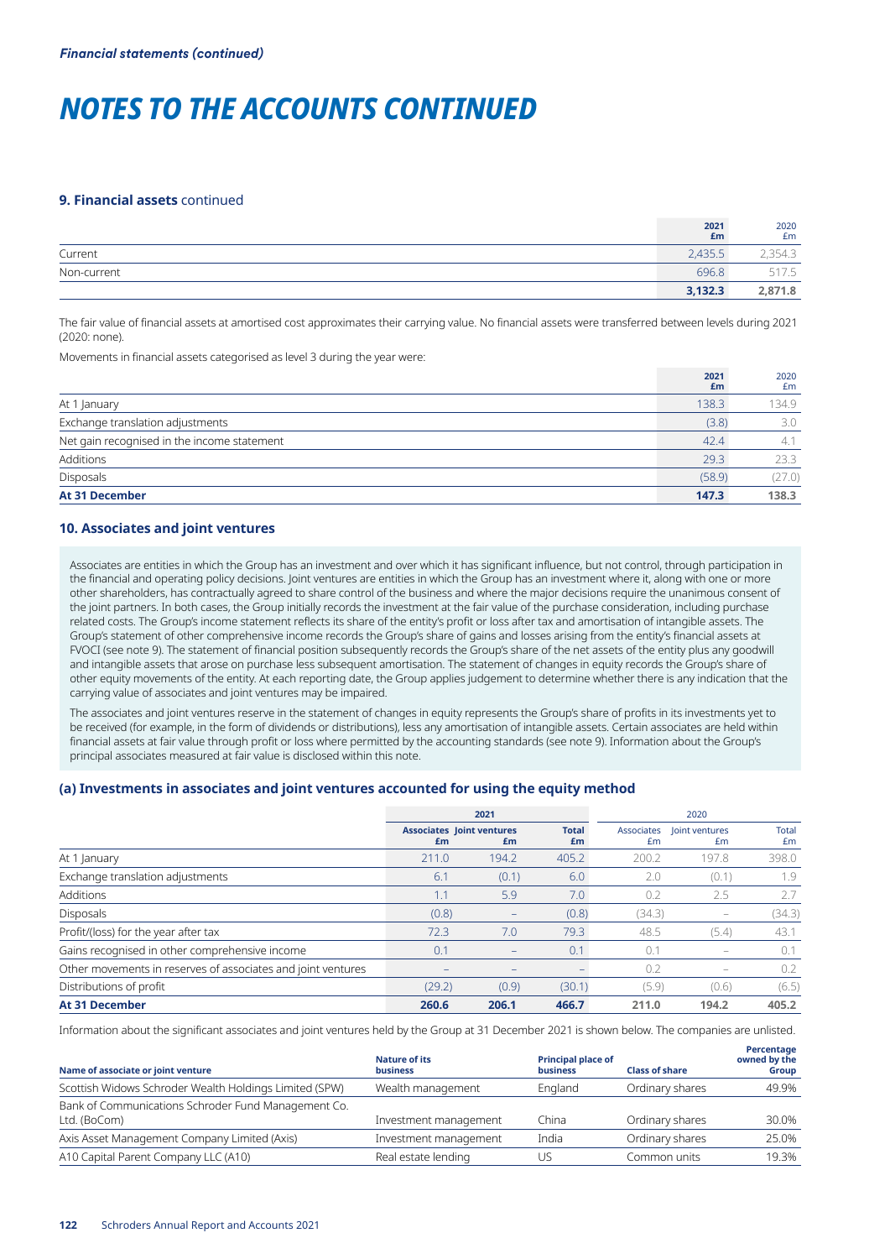#### **9. Financial assets** continued

|             | 2021<br>£m | 2020<br>£m |
|-------------|------------|------------|
| Current     | 2,435.5    | 2,354.3    |
| Non-current | 696.8      | 517.5      |
|             | 3,132.3    | 2,871.8    |

The fair value of financial assets at amortised cost approximates their carrying value. No financial assets were transferred between levels during 2021 (2020: none).

Movements in financial assets categorised as level 3 during the year were:

|                                             | 2021<br>£m | 2020<br>£m |
|---------------------------------------------|------------|------------|
| At 1 January                                | 138.3      | 134.9      |
| Exchange translation adjustments            | (3.8)      | 3.0        |
| Net gain recognised in the income statement | 42.4       | 4.1        |
| Additions                                   | 29.3       | 23.3       |
| Disposals                                   | (58.9)     | (27.0)     |
| <b>At 31 December</b>                       | 147.3      | 138.3      |

## **10. Associates and joint ventures**

Associates are entities in which the Group has an investment and over which it has significant influence, but not control, through participation in the financial and operating policy decisions. Joint ventures are entities in which the Group has an investment where it, along with one or more other shareholders, has contractually agreed to share control of the business and where the major decisions require the unanimous consent of the joint partners. In both cases, the Group initially records the investment at the fair value of the purchase consideration, including purchase related costs. The Group's income statement reflects its share of the entity's profit or loss after tax and amortisation of intangible assets. The Group's statement of other comprehensive income records the Group's share of gains and losses arising from the entity's financial assets at FVOCI (see note 9). The statement of financial position subsequently records the Group's share of the net assets of the entity plus any goodwill and intangible assets that arose on purchase less subsequent amortisation. The statement of changes in equity records the Group's share of other equity movements of the entity. At each reporting date, the Group applies judgement to determine whether there is any indication that the carrying value of associates and joint ventures may be impaired.

The associates and joint ventures reserve in the statement of changes in equity represents the Group's share of profits in its investments yet to be received (for example, in the form of dividends or distributions), less any amortisation of intangible assets. Certain associates are held within financial assets at fair value through profit or loss where permitted by the accounting standards (see note 9). Information about the Group's principal associates measured at fair value is disclosed within this note.

## **(a) Investments in associates and joint ventures accounted for using the equity method**

|                                                              |        | 2021                                   |                          | 2020   |                                   |             |  |
|--------------------------------------------------------------|--------|----------------------------------------|--------------------------|--------|-----------------------------------|-------------|--|
|                                                              | £m     | <b>Associates Joint ventures</b><br>£m | <b>Total</b><br>£m       | Em     | Associates   loint ventures<br>£m | Total<br>£m |  |
| At 1 January                                                 | 211.0  | 194.2                                  | 405.2                    | 200.2  | 197.8                             | 398.0       |  |
| Exchange translation adjustments                             | 6.1    | (0.1)                                  | 6.0                      | 2.0    | (0.1)                             | 1.9         |  |
| Additions                                                    | 1.1    | 5.9                                    | 7.0                      | 0.2    | 2.5                               | 2.7         |  |
| <b>Disposals</b>                                             | (0.8)  | $\qquad \qquad \blacksquare$           | (0.8)                    | (34.3) |                                   | (34.3)      |  |
| Profit/(loss) for the year after tax                         | 72.3   | 7.0                                    | 79.3                     | 48.5   | (5.4)                             | 43.1        |  |
| Gains recognised in other comprehensive income               | 0.1    |                                        | 0.1                      | 0.1    |                                   | 0.1         |  |
| Other movements in reserves of associates and joint ventures |        |                                        | $\overline{\phantom{0}}$ | 0.2    |                                   | 0.2         |  |
| Distributions of profit                                      | (29.2) | (0.9)                                  | (30.1)                   | (5.9)  | (0.6)                             | (6.5)       |  |
| <b>At 31 December</b>                                        | 260.6  | 206.1                                  | 466.7                    | 211.0  | 194.2                             | 405.2       |  |

Information about the significant associates and joint ventures held by the Group at 31 December 2021 is shown below. The companies are unlisted.

| Name of associate or joint venture                                  | <b>Nature of its</b><br><b>business</b> | <b>Principal place of</b><br><b>business</b> | <b>Class of share</b> | Percentage<br>owned by the<br>Group |
|---------------------------------------------------------------------|-----------------------------------------|----------------------------------------------|-----------------------|-------------------------------------|
| Scottish Widows Schroder Wealth Holdings Limited (SPW)              | Wealth management                       | England                                      | Ordinary shares       | 49.9%                               |
| Bank of Communications Schroder Fund Management Co.<br>Ltd. (BoCom) | Investment management                   | China                                        | Ordinary shares       | 30.0%                               |
| Axis Asset Management Company Limited (Axis)                        | Investment management                   | India                                        | Ordinary shares       | 25.0%                               |
| A10 Capital Parent Company LLC (A10)                                | Real estate lending                     | US.                                          | Common units          | 19.3%                               |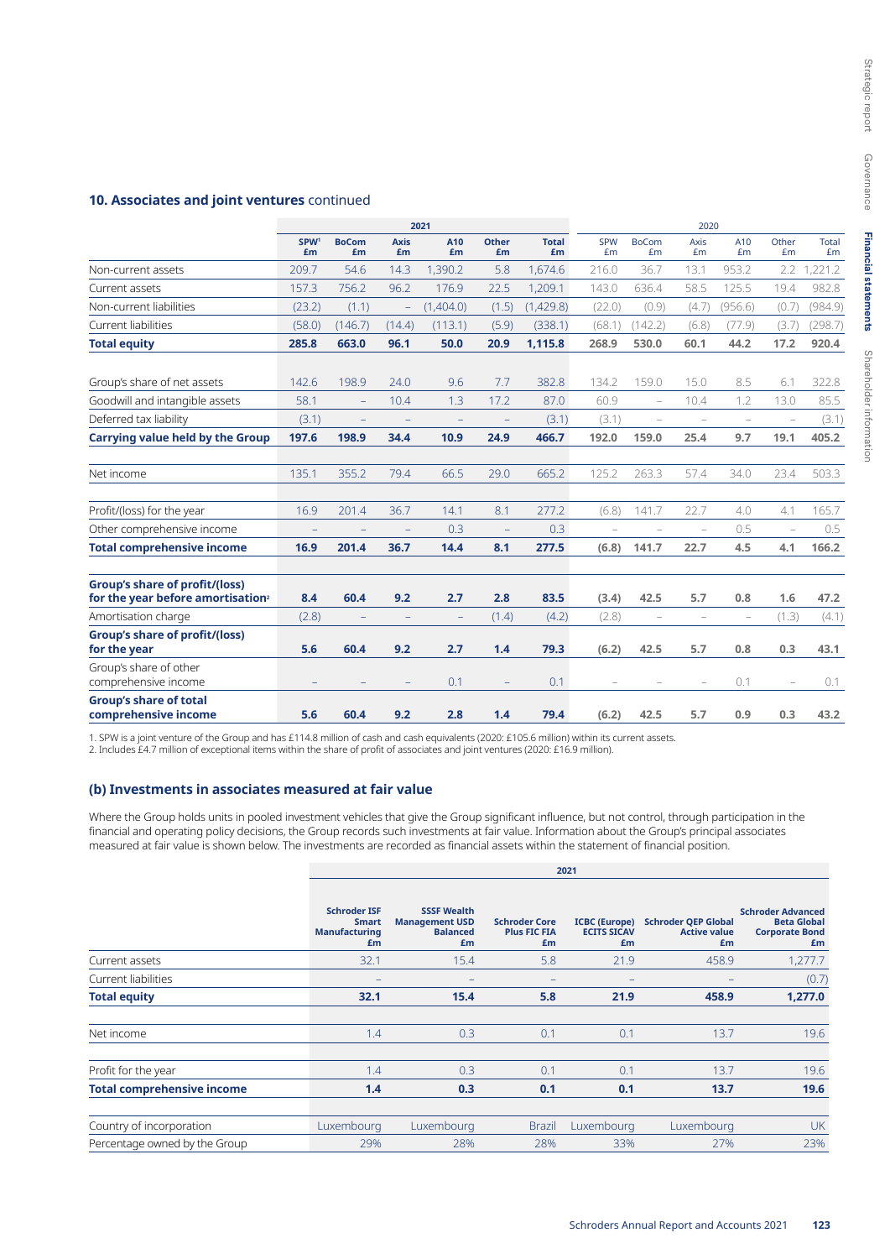## **10. Associates and joint ventures** continued

|                                                                                 | 2021                   |                          |                          |           |                    | 2020               |                          |                                   |                          |                          |                          |                    |
|---------------------------------------------------------------------------------|------------------------|--------------------------|--------------------------|-----------|--------------------|--------------------|--------------------------|-----------------------------------|--------------------------|--------------------------|--------------------------|--------------------|
|                                                                                 | SPW <sup>1</sup><br>£m | <b>BoCom</b><br>£m       | <b>Axis</b><br>£m        | A10<br>£m | <b>Other</b><br>£m | <b>Total</b><br>£m | <b>SPW</b><br>£m         | <b>BoCom</b><br>£m                | Axis<br>Em               | A10<br>£m                | Other<br>£m              | <b>Total</b><br>£m |
| Non-current assets                                                              | 209.7                  | 54.6                     | 14.3                     | 1,390.2   | 5.8                | 1,674.6            | 216.0                    | 36.7                              | 13.1                     | 953.2                    | 2.2                      | 1,221.2            |
| Current assets                                                                  | 157.3                  | 756.2                    | 96.2                     | 176.9     | 22.5               | 1,209.1            | 143.0                    | 636.4                             | 58.5                     | 125.5                    | 19.4                     | 982.8              |
| Non-current liabilities                                                         | (23.2)                 | (1.1)                    | $\overline{\phantom{m}}$ | (1,404.0) | (1.5)              | (1,429.8)          | (22.0)                   | (0.9)                             | (4.7)                    | (956.6)                  | (0.7)                    | (984.9)            |
| Current liabilities                                                             | (58.0)                 | (146.7)                  | (14.4)                   | (113.1)   | (5.9)              | (338.1)            | (68.1)                   | (142.2)                           | (6.8)                    | (77.9)                   | (3.7)                    | (298.7)            |
| <b>Total equity</b>                                                             | 285.8                  | 663.0                    | 96.1                     | 50.0      | 20.9               | 1,115.8            | 268.9                    | 530.0                             | 60.1                     | 44.2                     | 17.2                     | 920.4              |
| Group's share of net assets                                                     | 142.6                  | 198.9                    | 24.0                     | 9.6       | 7.7                | 382.8              | 134.2                    | 159.0                             | 15.0                     | 8.5                      | 6.1                      | 322.8              |
| Goodwill and intangible assets                                                  | 58.1                   | $\overline{\phantom{0}}$ | 10.4                     | 1.3       | 17.2               | 87.0               | 60.9                     | $\overline{\phantom{m}}$          | 10.4                     | 1.2                      | 13.0                     | 85.5               |
| Deferred tax liability                                                          | (3.1)                  | -                        |                          |           |                    | (3.1)              | (3.1)                    | $\overline{a}$                    | $\overline{\phantom{a}}$ | L,                       | ÷,                       | (3.1)              |
| <b>Carrying value held by the Group</b>                                         | 197.6                  | 198.9                    | 34.4                     | 10.9      | 24.9               | 466.7              | 192.0                    | 159.0                             | 25.4                     | 9.7                      | 19.1                     | 405.2              |
| Net income                                                                      | 135.1                  | 355.2                    | 79.4                     | 66.5      | 29.0               | 665.2              | 125.2                    | 263.3                             | 57.4                     | 34.0                     | 23.4                     | 503.3              |
| Profit/(loss) for the year                                                      | 16.9                   | 201.4                    | 36.7                     | 14.1      | 8.1                | 277.2              | (6.8)                    | 141.7                             | 22.7                     | 4.0                      | 4.1                      | 165.7              |
| Other comprehensive income                                                      | -                      | $\overline{\phantom{0}}$ | $\qquad \qquad -$        | 0.3       | ÷,                 | 0.3                | $\overline{\phantom{a}}$ | $\hspace{1.0cm} - \hspace{1.0cm}$ | $\overline{\phantom{a}}$ | 0.5                      | $\overline{\phantom{0}}$ | 0.5                |
| <b>Total comprehensive income</b>                                               | 16.9                   | 201.4                    | 36.7                     | 14.4      | 8.1                | 277.5              | (6.8)                    | 141.7                             | 22.7                     | 4.5                      | 4.1                      | 166.2              |
| Group's share of profit/(loss)<br>for the year before amortisation <sup>2</sup> | 8.4                    | 60.4                     | 9.2                      | 2.7       | 2.8                | 83.5               | (3.4)                    | 42.5                              | 5.7                      | 0.8                      | 1.6                      | 47.2               |
| Amortisation charge                                                             | (2.8)                  | -                        | $\qquad \qquad -$        | ÷,        | (1.4)              | (4.2)              | (2.8)                    | $\overline{\phantom{a}}$          | $\overline{\phantom{a}}$ | $\overline{\phantom{a}}$ | (1.3)                    | (4.1)              |
| <b>Group's share of profit/(loss)</b><br>for the year                           | 5.6                    | 60.4                     | 9.2                      | 2.7       | 1.4                | 79.3               | (6.2)                    | 42.5                              | 5.7                      | 0.8                      | 0.3                      | 43.1               |
| Group's share of other<br>comprehensive income                                  |                        |                          |                          | 0.1       |                    | 0.1                |                          |                                   | $\overline{\phantom{m}}$ | 0.1                      |                          | 0.1                |
| <b>Group's share of total</b><br>comprehensive income                           | 5.6                    | 60.4                     | 9.2                      | 2.8       | 1.4                | 79.4               | (6.2)                    | 42.5                              | 5.7                      | 0.9                      | 0.3                      | 43.2               |

1. SPW is a joint venture of the Group and has £114.8 million of cash and cash equivalents (2020: £105.6 million) within its current assets.

2. Includes £4.7 million of exceptional items within the share of profit of associates and joint ventures (2020: £16.9 million).

## **(b) Investments in associates measured at fair value**

Where the Group holds units in pooled investment vehicles that give the Group significant influence, but not control, through participation in the financial and operating policy decisions, the Group records such investments at fair value. Information about the Group's principal associates measured at fair value is shown below. The investments are recorded as financial assets within the statement of financial position.

|                                   |                                                                   | 2021                                                                 |                                                   |                                                  |                                                         |                                                                               |  |  |  |  |  |  |  |
|-----------------------------------|-------------------------------------------------------------------|----------------------------------------------------------------------|---------------------------------------------------|--------------------------------------------------|---------------------------------------------------------|-------------------------------------------------------------------------------|--|--|--|--|--|--|--|
|                                   | <b>Schroder ISF</b><br><b>Smart</b><br><b>Manufacturing</b><br>£m | <b>SSSF Wealth</b><br><b>Management USD</b><br><b>Balanced</b><br>£m | <b>Schroder Core</b><br><b>Plus FIC FIA</b><br>£m | <b>ICBC</b> (Europe)<br><b>ECITS SICAV</b><br>£m | <b>Schroder QEP Global</b><br><b>Active value</b><br>£m | <b>Schroder Advanced</b><br><b>Beta Global</b><br><b>Corporate Bond</b><br>£m |  |  |  |  |  |  |  |
| Current assets                    | 32.1                                                              | 15.4                                                                 | 5.8                                               | 21.9                                             | 458.9                                                   | 1,277.7                                                                       |  |  |  |  |  |  |  |
| Current liabilities               |                                                                   |                                                                      |                                                   |                                                  |                                                         | (0.7)                                                                         |  |  |  |  |  |  |  |
| <b>Total equity</b>               | 32.1                                                              | 15.4                                                                 | 5.8                                               | 21.9                                             | 458.9                                                   | 1,277.0                                                                       |  |  |  |  |  |  |  |
| Net income                        | 1.4                                                               | 0.3                                                                  | 0.1                                               | 0.1                                              | 13.7                                                    | 19.6                                                                          |  |  |  |  |  |  |  |
| Profit for the year               | 1.4                                                               | 0.3                                                                  | 0.1                                               | 0.1                                              | 13.7                                                    | 19.6                                                                          |  |  |  |  |  |  |  |
| <b>Total comprehensive income</b> | 1.4                                                               | 0.3                                                                  | 0.1                                               | 0.1                                              | 13.7                                                    | 19.6                                                                          |  |  |  |  |  |  |  |
| Country of incorporation          | Luxembourg                                                        | Luxembourg                                                           | <b>Brazil</b>                                     | Luxembourg                                       | Luxembourg                                              | <b>UK</b>                                                                     |  |  |  |  |  |  |  |
| Percentage owned by the Group     | 29%                                                               | 28%                                                                  | 28%                                               | 33%                                              | 27%                                                     | 23%                                                                           |  |  |  |  |  |  |  |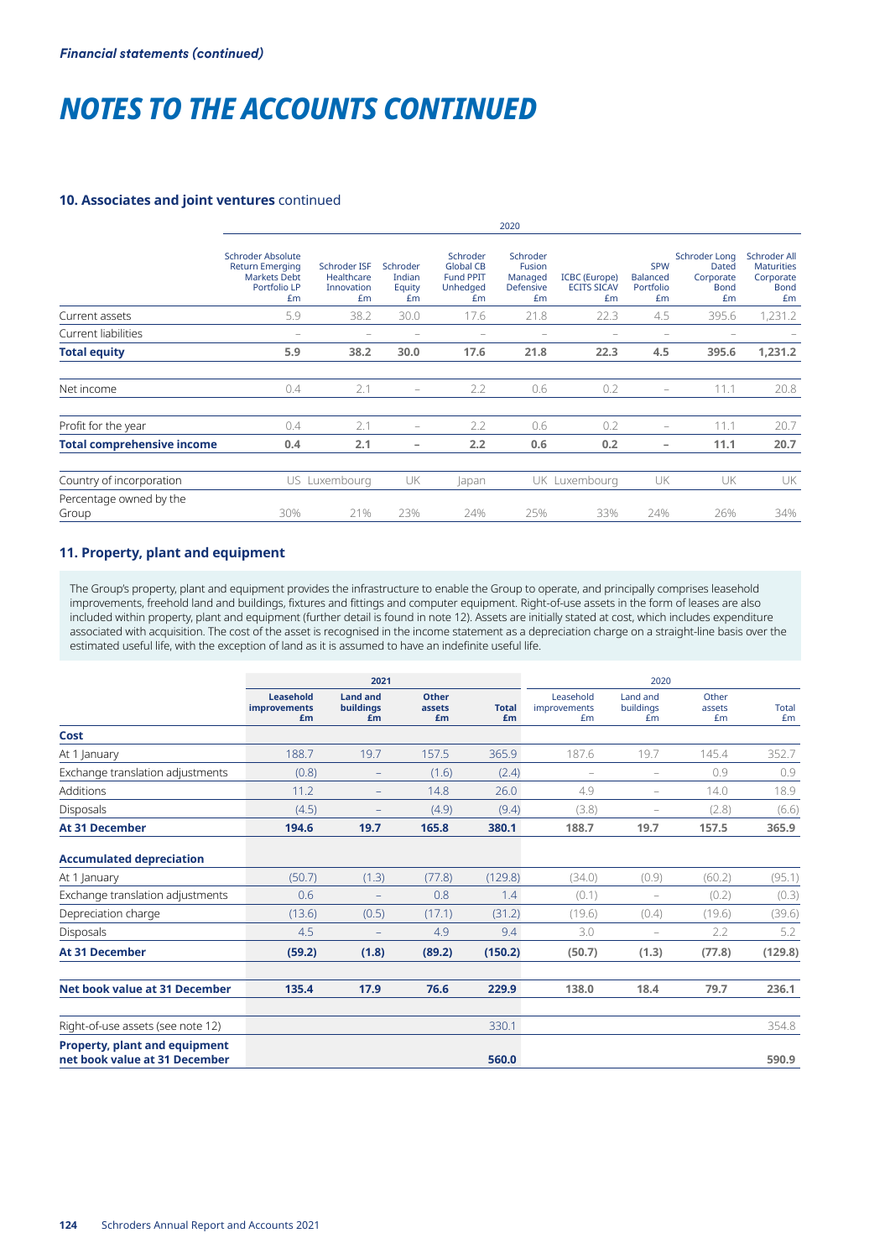## **10. Associates and joint ventures** continued

|                                   | 2020                                                                                     |                                                |                                    |                                                                    |                                                         |                                                  |                                                  |                                                                 |                                                                     |  |  |
|-----------------------------------|------------------------------------------------------------------------------------------|------------------------------------------------|------------------------------------|--------------------------------------------------------------------|---------------------------------------------------------|--------------------------------------------------|--------------------------------------------------|-----------------------------------------------------------------|---------------------------------------------------------------------|--|--|
|                                   | Schroder Absolute<br><b>Return Emerging</b><br><b>Markets Debt</b><br>Portfolio LP<br>£m | Schroder ISF<br>Healthcare<br>Innovation<br>£m | Schroder<br>Indian<br>Equity<br>Em | Schroder<br><b>Global CB</b><br><b>Fund PPIT</b><br>Unhedged<br>Em | Schroder<br>Fusion<br>Managed<br><b>Defensive</b><br>£m | <b>ICBC</b> (Europe)<br><b>ECITS SICAV</b><br>£m | <b>SPW</b><br><b>Balanced</b><br>Portfolio<br>£m | <b>Schroder Long</b><br>Dated<br>Corporate<br><b>Bond</b><br>£m | Schroder All<br><b>Maturities</b><br>Corporate<br><b>Bond</b><br>Em |  |  |
| Current assets                    | 5.9                                                                                      | 38.2                                           | 30.0                               | 17.6                                                               | 21.8                                                    | 22.3                                             | 4.5                                              | 395.6                                                           | 1,231.2                                                             |  |  |
| Current liabilities               | $\overline{\phantom{0}}$                                                                 |                                                |                                    |                                                                    |                                                         |                                                  |                                                  |                                                                 |                                                                     |  |  |
| <b>Total equity</b>               | 5.9                                                                                      | 38.2                                           | 30.0                               | 17.6                                                               | 21.8                                                    | 22.3                                             | 4.5                                              | 395.6                                                           | 1,231.2                                                             |  |  |
| Net income                        | 0.4                                                                                      | 2.1                                            | -                                  | 2.2                                                                | 0.6                                                     | 0.2                                              |                                                  | 11.1                                                            | 20.8                                                                |  |  |
| Profit for the year               | 0.4                                                                                      | 2.1                                            |                                    | 2.2                                                                | 0.6                                                     | 0.2                                              | -                                                | 11.1                                                            | 20.7                                                                |  |  |
| <b>Total comprehensive income</b> | 0.4                                                                                      | 2.1                                            | -                                  | 2.2                                                                | 0.6                                                     | 0.2                                              | -                                                | 11.1                                                            | 20.7                                                                |  |  |
| Country of incorporation          |                                                                                          | US Luxembourg                                  | UK                                 | lapan                                                              |                                                         | UK Luxembourg                                    | UK                                               | UK                                                              | UK                                                                  |  |  |
| Percentage owned by the<br>Group  | 30%                                                                                      | 21%                                            | 23%                                | 24%                                                                | 25%                                                     | 33%                                              | 24%                                              | 26%                                                             | 34%                                                                 |  |  |

## **11. Property, plant and equipment**

The Group's property, plant and equipment provides the infrastructure to enable the Group to operate, and principally comprises leasehold improvements, freehold land and buildings, fixtures and fittings and computer equipment. Right-of-use assets in the form of leases are also included within property, plant and equipment (further detail is found in note 12). Assets are initially stated at cost, which includes expenditure associated with acquisition. The cost of the asset is recognised in the income statement as a depreciation charge on a straight-line basis over the estimated useful life, with the exception of land as it is assumed to have an indefinite useful life.

|                                                                       |                                 | 2021                                      |                       | 2020               |                                 |                             |                       |                    |
|-----------------------------------------------------------------------|---------------------------------|-------------------------------------------|-----------------------|--------------------|---------------------------------|-----------------------------|-----------------------|--------------------|
|                                                                       | Leasehold<br>improvements<br>£m | <b>Land and</b><br><b>buildings</b><br>£m | Other<br>assets<br>£m | <b>Total</b><br>£m | Leasehold<br>improvements<br>£m | Land and<br>buildings<br>£m | Other<br>assets<br>£m | <b>Total</b><br>£m |
| Cost                                                                  |                                 |                                           |                       |                    |                                 |                             |                       |                    |
| At 1 January                                                          | 188.7                           | 19.7                                      | 157.5                 | 365.9              | 187.6                           | 19.7                        | 145.4                 | 352.7              |
| Exchange translation adjustments                                      | (0.8)                           | $\qquad \qquad -$                         | (1.6)                 | (2.4)              | ۰                               | ۳                           | 0.9                   | 0.9                |
| Additions                                                             | 11.2                            | -                                         | 14.8                  | 26.0               | 4.9                             | $\qquad \qquad -$           | 14.0                  | 18.9               |
| <b>Disposals</b>                                                      | (4.5)                           |                                           | (4.9)                 | (9.4)              | (3.8)                           | ۰                           | (2.8)                 | (6.6)              |
| <b>At 31 December</b>                                                 | 194.6                           | 19.7                                      | 165.8                 | 380.1              | 188.7                           | 19.7                        | 157.5                 | 365.9              |
| <b>Accumulated depreciation</b>                                       |                                 |                                           |                       |                    |                                 |                             |                       |                    |
| At 1 January                                                          | (50.7)                          | (1.3)                                     | (77.8)                | (129.8)            | (34.0)                          | (0.9)                       | (60.2)                | (95.1)             |
| Exchange translation adjustments                                      | 0.6                             | -                                         | 0.8                   | 1.4                | (0.1)                           | $\overline{\phantom{m}}$    | (0.2)                 | (0.3)              |
| Depreciation charge                                                   | (13.6)                          | (0.5)                                     | (17.1)                | (31.2)             | (19.6)                          | (0.4)                       | (19.6)                | (39.6)             |
| Disposals                                                             | 4.5                             |                                           | 4.9                   | 9.4                | 3.0                             | $\equiv$                    | 2.2                   | 5.2                |
| <b>At 31 December</b>                                                 | (59.2)                          | (1.8)                                     | (89.2)                | (150.2)            | (50.7)                          | (1.3)                       | (77.8)                | (129.8)            |
| Net book value at 31 December                                         | 135.4                           | 17.9                                      | 76.6                  | 229.9              | 138.0                           | 18.4                        | 79.7                  | 236.1              |
| Right-of-use assets (see note 12)                                     |                                 |                                           |                       | 330.1              |                                 |                             |                       | 354.8              |
| <b>Property, plant and equipment</b><br>net book value at 31 December |                                 |                                           |                       | 560.0              |                                 |                             |                       | 590.9              |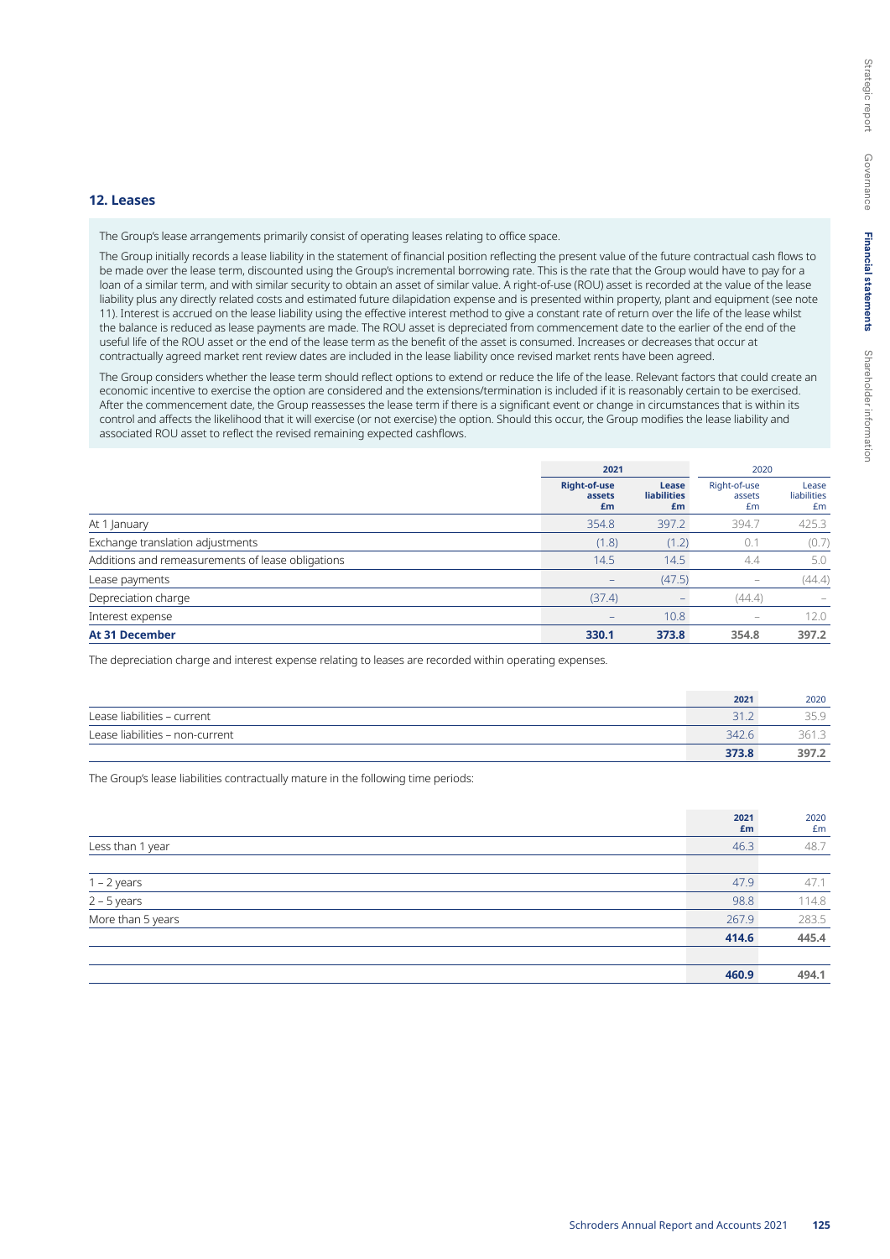#### **12. Leases**

The Group's lease arrangements primarily consist of operating leases relating to office space.

The Group initially records a lease liability in the statement of financial position reflecting the present value of the future contractual cash flows to be made over the lease term, discounted using the Group's incremental borrowing rate. This is the rate that the Group would have to pay for a loan of a similar term, and with similar security to obtain an asset of similar value. A right-of-use (ROU) asset is recorded at the value of the lease liability plus any directly related costs and estimated future dilapidation expense and is presented within property, plant and equipment (see note 11). Interest is accrued on the lease liability using the effective interest method to give a constant rate of return over the life of the lease whilst the balance is reduced as lease payments are made. The ROU asset is depreciated from commencement date to the earlier of the end of the useful life of the ROU asset or the end of the lease term as the benefit of the asset is consumed. Increases or decreases that occur at contractually agreed market rent review dates are included in the lease liability once revised market rents have been agreed.

The Group considers whether the lease term should reflect options to extend or reduce the life of the lease. Relevant factors that could create an economic incentive to exercise the option are considered and the extensions/termination is included if it is reasonably certain to be exercised. After the commencement date, the Group reassesses the lease term if there is a significant event or change in circumstances that is within its control and affects the likelihood that it will exercise (or not exercise) the option. Should this occur, the Group modifies the lease liability and associated ROU asset to reflect the revised remaining expected cashflows.

|                                                   | 2021                                |                                   | 2020                         |                            |  |
|---------------------------------------------------|-------------------------------------|-----------------------------------|------------------------------|----------------------------|--|
|                                                   | <b>Right-of-use</b><br>assets<br>£m | Lease<br><b>liabilities</b><br>£m | Right-of-use<br>assets<br>£m | Lease<br>liabilities<br>£m |  |
| At 1 January                                      | 354.8                               | 397.2                             | 394.7                        | 425.3                      |  |
| Exchange translation adjustments                  | (1.8)                               | (1.2)                             | 0.1                          | (0.7)                      |  |
| Additions and remeasurements of lease obligations | 14.5                                | 14.5                              | 4.4                          | 5.0                        |  |
| Lease payments                                    |                                     | (47.5)                            |                              | (44.4)                     |  |
| Depreciation charge                               | (37.4)                              | -                                 | (44.4)                       | $\overline{\phantom{0}}$   |  |
| Interest expense                                  | $\overline{\phantom{0}}$            | 10.8                              | $\overline{\phantom{a}}$     | 12.0                       |  |
| <b>At 31 December</b>                             | 330.1                               | 373.8                             | 354.8                        | 397.2                      |  |

The depreciation charge and interest expense relating to leases are recorded within operating expenses.

|                                 | 2021  | 2020  |
|---------------------------------|-------|-------|
| Lease liabilities - current     |       |       |
| Lease liabilities - non-current | 342.6 | 361.3 |
|                                 | 373.8 | 397.2 |

The Group's lease liabilities contractually mature in the following time periods:

|                                               | 2021<br>£m | 2020<br>£m |
|-----------------------------------------------|------------|------------|
| Less than 1 year                              | 46.3       | 48.7       |
|                                               |            |            |
|                                               | 47.9       | 47.1       |
| $\frac{1-2 \text{ years}}{2-5 \text{ years}}$ | 98.8       | 114.8      |
| More than 5 years                             | 267.9      | 283.5      |
|                                               | 414.6      | 445.4      |
|                                               |            |            |
|                                               | 460.9      | 494.1      |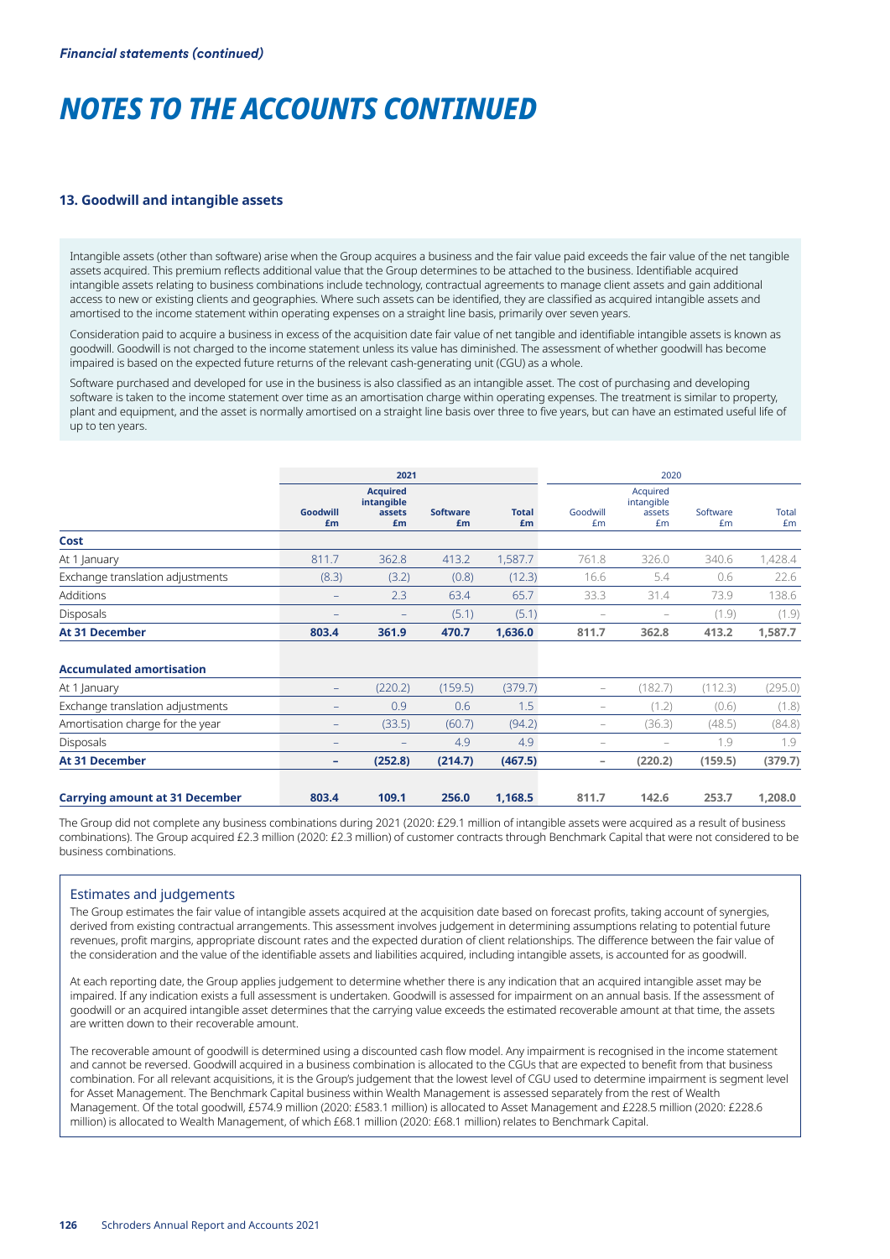### **13. Goodwill and intangible assets**

Intangible assets (other than software) arise when the Group acquires a business and the fair value paid exceeds the fair value of the net tangible assets acquired. This premium reflects additional value that the Group determines to be attached to the business. Identifiable acquired intangible assets relating to business combinations include technology, contractual agreements to manage client assets and gain additional access to new or existing clients and geographies. Where such assets can be identified, they are classified as acquired intangible assets and amortised to the income statement within operating expenses on a straight line basis, primarily over seven years.

Consideration paid to acquire a business in excess of the acquisition date fair value of net tangible and identifiable intangible assets is known as goodwill. Goodwill is not charged to the income statement unless its value has diminished. The assessment of whether goodwill has become impaired is based on the expected future returns of the relevant cash-generating unit (CGU) as a whole.

Software purchased and developed for use in the business is also classified as an intangible asset. The cost of purchasing and developing software is taken to the income statement over time as an amortisation charge within operating expenses. The treatment is similar to property, plant and equipment, and the asset is normally amortised on a straight line basis over three to five years, but can have an estimated useful life of up to ten years.

|                                       |                   | 2021                                          |                       |                    |                                                                           | 2020                                   |                |                    |  |
|---------------------------------------|-------------------|-----------------------------------------------|-----------------------|--------------------|---------------------------------------------------------------------------|----------------------------------------|----------------|--------------------|--|
|                                       | Goodwill<br>£m    | <b>Acquired</b><br>intangible<br>assets<br>£m | <b>Software</b><br>£m | <b>Total</b><br>£m | Goodwill<br>£m                                                            | Acquired<br>intangible<br>assets<br>£m | Software<br>£m | <b>Total</b><br>£m |  |
| Cost                                  |                   |                                               |                       |                    |                                                                           |                                        |                |                    |  |
| At 1 January                          | 811.7             | 362.8                                         | 413.2                 | 1,587.7            | 761.8                                                                     | 326.0                                  | 340.6          | 1,428.4            |  |
| Exchange translation adjustments      | (8.3)             | (3.2)                                         | (0.8)                 | (12.3)             | 16.6                                                                      | 5.4                                    | 0.6            | 22.6               |  |
| Additions                             |                   | 2.3                                           | 63.4                  | 65.7               | 33.3                                                                      | 31.4                                   | 73.9           | 138.6              |  |
| Disposals                             |                   | ۳                                             | (5.1)                 | (5.1)              |                                                                           |                                        | (1.9)          | (1.9)              |  |
| <b>At 31 December</b>                 | 803.4             | 361.9                                         | 470.7                 | 1,636.0            | 811.7                                                                     | 362.8                                  | 413.2          | 1,587.7            |  |
| <b>Accumulated amortisation</b>       |                   |                                               |                       |                    |                                                                           |                                        |                |                    |  |
| At 1 January                          | $\qquad \qquad -$ | (220.2)                                       | (159.5)               | (379.7)            | $\overline{\phantom{m}}$                                                  | (182.7)                                | (112.3)        | (295.0)            |  |
| Exchange translation adjustments      |                   | 0.9                                           | 0.6                   | 1.5                | $\hspace{1.0cm} \rule{1.5cm}{0.15cm} \hspace{1.0cm} \rule{1.5cm}{0.15cm}$ | (1.2)                                  | (0.6)          | (1.8)              |  |
| Amortisation charge for the year      |                   | (33.5)                                        | (60.7)                | (94.2)             | $\overline{\phantom{a}}$                                                  | (36.3)                                 | (48.5)         | (84.8)             |  |
| <b>Disposals</b>                      |                   |                                               | 4.9                   | 4.9                | ۰                                                                         | $\overline{\phantom{0}}$               | 1.9            | 1.9                |  |
| <b>At 31 December</b>                 | ٠                 | (252.8)                                       | (214.7)               | (467.5)            | -                                                                         | (220.2)                                | (159.5)        | (379.7)            |  |
| <b>Carrying amount at 31 December</b> | 803.4             | 109.1                                         | 256.0                 | 1,168.5            | 811.7                                                                     | 142.6                                  | 253.7          | 1,208.0            |  |

The Group did not complete any business combinations during 2021 (2020: £29.1 million of intangible assets were acquired as a result of business combinations). The Group acquired £2.3 million (2020: £2.3 million) of customer contracts through Benchmark Capital that were not considered to be business combinations.

## Estimates and judgements

The Group estimates the fair value of intangible assets acquired at the acquisition date based on forecast profits, taking account of synergies, derived from existing contractual arrangements. This assessment involves judgement in determining assumptions relating to potential future revenues, profit margins, appropriate discount rates and the expected duration of client relationships. The difference between the fair value of the consideration and the value of the identifiable assets and liabilities acquired, including intangible assets, is accounted for as goodwill.

At each reporting date, the Group applies judgement to determine whether there is any indication that an acquired intangible asset may be impaired. If any indication exists a full assessment is undertaken. Goodwill is assessed for impairment on an annual basis. If the assessment of goodwill or an acquired intangible asset determines that the carrying value exceeds the estimated recoverable amount at that time, the assets are written down to their recoverable amount.

The recoverable amount of goodwill is determined using a discounted cash flow model. Any impairment is recognised in the income statement and cannot be reversed. Goodwill acquired in a business combination is allocated to the CGUs that are expected to benefit from that business combination. For all relevant acquisitions, it is the Group's judgement that the lowest level of CGU used to determine impairment is segment level for Asset Management. The Benchmark Capital business within Wealth Management is assessed separately from the rest of Wealth Management. Of the total goodwill, £574.9 million (2020: £583.1 million) is allocated to Asset Management and £228.5 million (2020: £228.6 million) is allocated to Wealth Management, of which £68.1 million (2020: £68.1 million) relates to Benchmark Capital.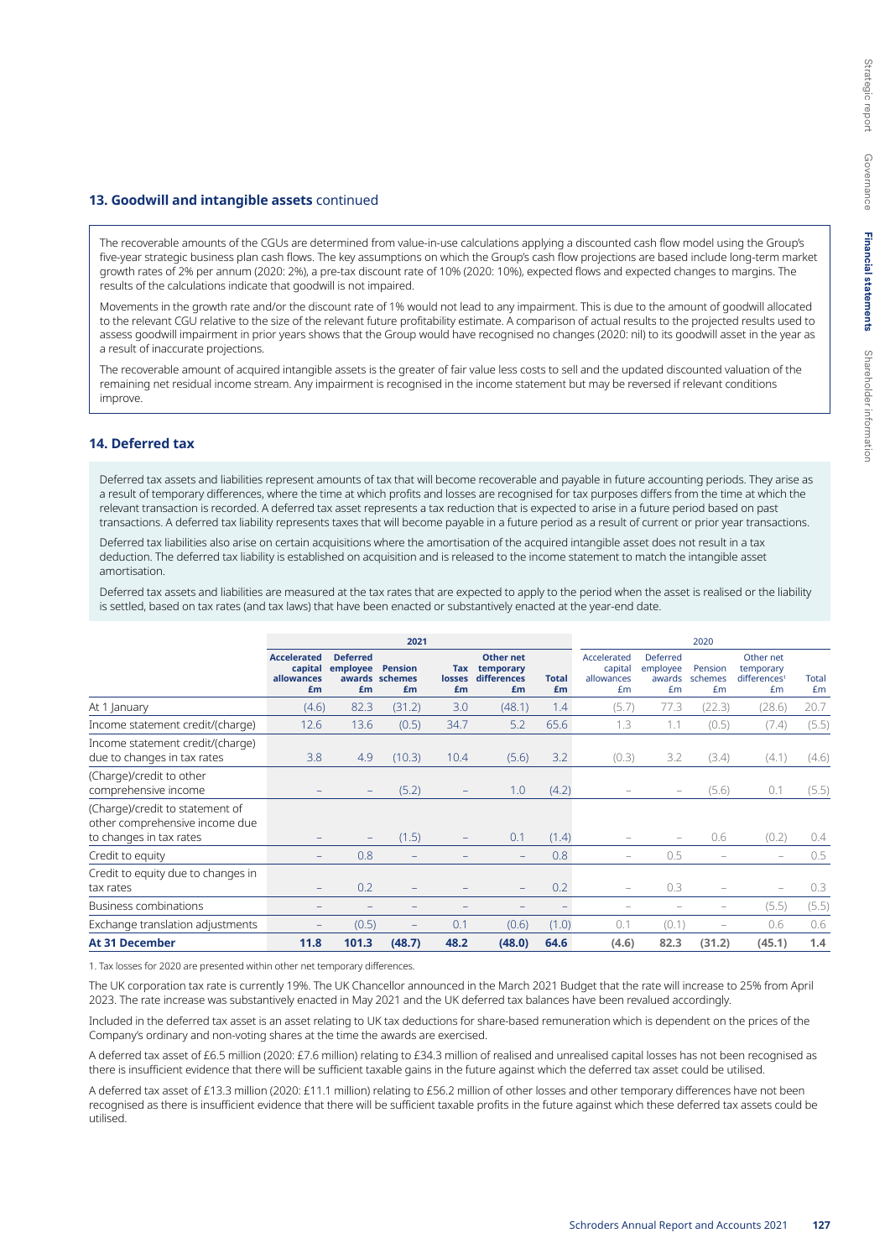### **13. Goodwill and intangible assets** continued

The recoverable amounts of the CGUs are determined from value-in-use calculations applying a discounted cash flow model using the Group's five-year strategic business plan cash flows. The key assumptions on which the Group's cash flow projections are based include long-term market growth rates of 2% per annum (2020: 2%), a pre-tax discount rate of 10% (2020: 10%), expected flows and expected changes to margins. The results of the calculations indicate that goodwill is not impaired.

Movements in the growth rate and/or the discount rate of 1% would not lead to any impairment. This is due to the amount of goodwill allocated to the relevant CGU relative to the size of the relevant future profitability estimate. A comparison of actual results to the projected results used to assess goodwill impairment in prior years shows that the Group would have recognised no changes (2020: nil) to its goodwill asset in the year as a result of inaccurate projections.

The recoverable amount of acquired intangible assets is the greater of fair value less costs to sell and the updated discounted valuation of the remaining net residual income stream. Any impairment is recognised in the income statement but may be reversed if relevant conditions improve.

## **14. Deferred tax**

Deferred tax assets and liabilities represent amounts of tax that will become recoverable and payable in future accounting periods. They arise as a result of temporary differences, where the time at which profits and losses are recognised for tax purposes differs from the time at which the relevant transaction is recorded. A deferred tax asset represents a tax reduction that is expected to arise in a future period based on past transactions. A deferred tax liability represents taxes that will become payable in a future period as a result of current or prior year transactions.

Deferred tax liabilities also arise on certain acquisitions where the amortisation of the acquired intangible asset does not result in a tax deduction. The deferred tax liability is established on acquisition and is released to the income statement to match the intangible asset amortisation.

Deferred tax assets and liabilities are measured at the tax rates that are expected to apply to the period when the asset is realised or the liability is settled, based on tax rates (and tax laws) that have been enacted or substantively enacted at the year-end date.

|                                                                                              | 2021                                              |                                   |                                        |                            |                                             |                    |                                            | 2020                                 |                          |                                                          |                    |
|----------------------------------------------------------------------------------------------|---------------------------------------------------|-----------------------------------|----------------------------------------|----------------------------|---------------------------------------------|--------------------|--------------------------------------------|--------------------------------------|--------------------------|----------------------------------------------------------|--------------------|
|                                                                                              | <b>Accelerated</b><br>capital<br>allowances<br>£m | <b>Deferred</b><br>employee<br>£m | <b>Pension</b><br>awards schemes<br>£m | Tax<br><b>losses</b><br>£m | Other net<br>temporary<br>differences<br>£m | <b>Total</b><br>£m | Accelerated<br>capital<br>allowances<br>£m | Deferred<br>employee<br>awards<br>£m | Pension<br>schemes<br>£m | Other net<br>temporary<br>differences <sup>1</sup><br>Em | <b>Total</b><br>£m |
| At 1 January                                                                                 | (4.6)                                             | 82.3                              | (31.2)                                 | 3.0                        | (48.1)                                      | 1.4                | (5.7)                                      | 77.3                                 | (22.3)                   | (28.6)                                                   | 20.7               |
| Income statement credit/(charge)                                                             | 12.6                                              | 13.6                              | (0.5)                                  | 34.7                       | 5.2                                         | 65.6               | 1.3                                        | 1.1                                  | (0.5)                    | (7.4)                                                    | (5.5)              |
| Income statement credit/(charge)<br>due to changes in tax rates                              | 3.8                                               | 4.9                               | (10.3)                                 | 10.4                       | (5.6)                                       | 3.2                | (0.3)                                      | 3.2                                  | (3.4)                    | (4.1)                                                    | (4.6)              |
| (Charge)/credit to other<br>comprehensive income                                             | -                                                 | -                                 | (5.2)                                  | $\qquad \qquad -$          | 1.0                                         | (4.2)              | -                                          | $\qquad \qquad -$                    | (5.6)                    | 0.1                                                      | (5.5)              |
| (Charge)/credit to statement of<br>other comprehensive income due<br>to changes in tax rates | -                                                 | $\qquad \qquad -$                 | (1.5)                                  |                            | 0.1                                         | (1.4)              |                                            |                                      | 0.6                      | (0.2)                                                    | 0.4                |
| Credit to equity                                                                             | -                                                 | 0.8                               | -                                      |                            | $\overline{\phantom{a}}$                    | 0.8                | $\overline{\phantom{m}}$                   | 0.5                                  |                          | $\overline{\phantom{m}}$                                 | 0.5                |
| Credit to equity due to changes in<br>tax rates                                              | $\qquad \qquad -$                                 | 0.2                               |                                        |                            |                                             | 0.2                | $\qquad \qquad -$                          | 0.3                                  |                          |                                                          | 0.3                |
| <b>Business combinations</b>                                                                 |                                                   |                                   |                                        |                            |                                             |                    |                                            |                                      |                          | (5.5)                                                    | (5.5)              |
| Exchange translation adjustments                                                             |                                                   | (0.5)                             |                                        | 0.1                        | (0.6)                                       | (1.0)              | 0.1                                        | (0.1)                                | -                        | 0.6                                                      | 0.6                |
| <b>At 31 December</b>                                                                        | 11.8                                              | 101.3                             | (48.7)                                 | 48.2                       | (48.0)                                      | 64.6               | (4.6)                                      | 82.3                                 | (31.2)                   | (45.1)                                                   | 1.4                |

1. Tax losses for 2020 are presented within other net temporary differences.

The UK corporation tax rate is currently 19%. The UK Chancellor announced in the March 2021 Budget that the rate will increase to 25% from April 2023. The rate increase was substantively enacted in May 2021 and the UK deferred tax balances have been revalued accordingly.

Included in the deferred tax asset is an asset relating to UK tax deductions for share-based remuneration which is dependent on the prices of the Company's ordinary and non-voting shares at the time the awards are exercised.

A deferred tax asset of £6.5 million (2020: £7.6 million) relating to £34.3 million of realised and unrealised capital losses has not been recognised as there is insufficient evidence that there will be sufficient taxable gains in the future against which the deferred tax asset could be utilised.

A deferred tax asset of £13.3 million (2020: £11.1 million) relating to £56.2 million of other losses and other temporary differences have not been recognised as there is insufficient evidence that there will be sufficient taxable profits in the future against which these deferred tax assets could be utilised.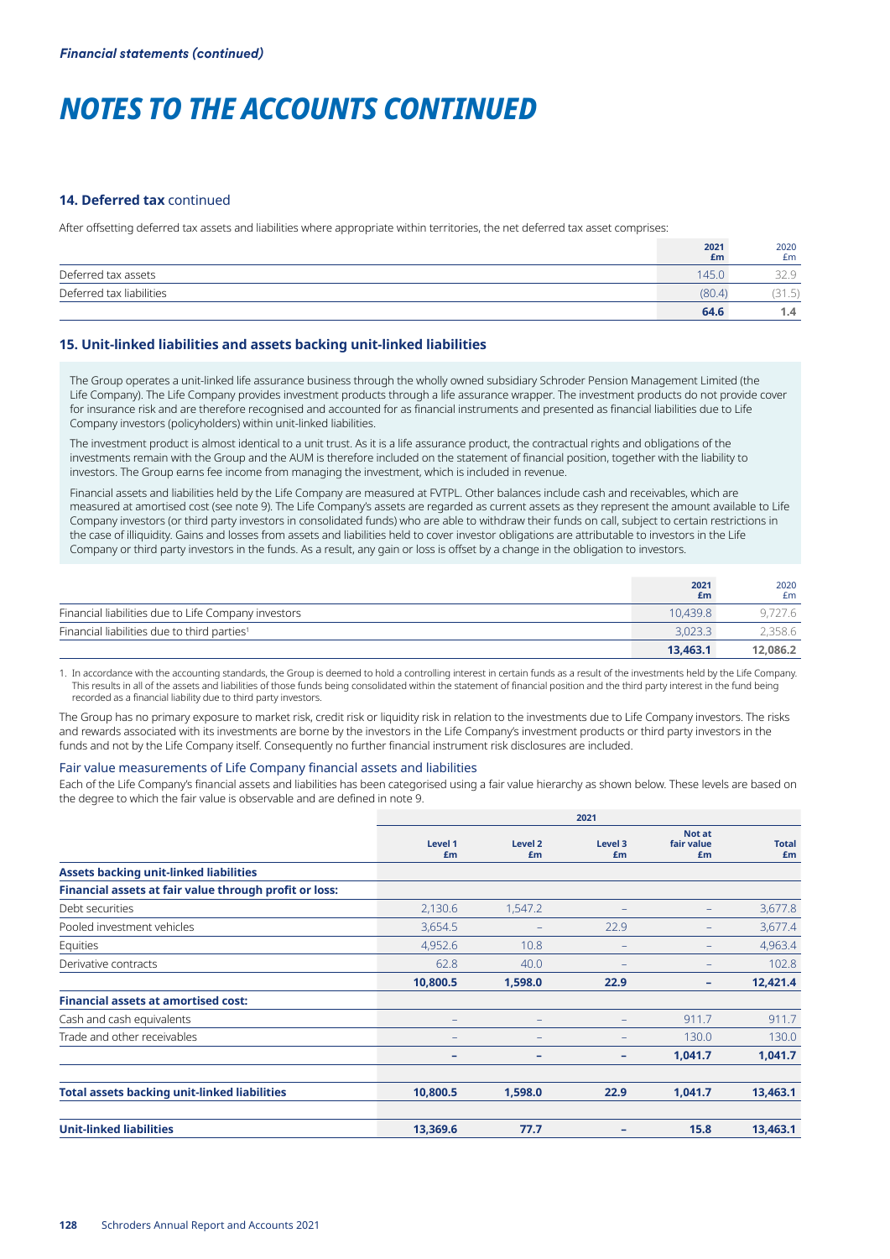#### **14. Deferred tax** continued

After offsetting deferred tax assets and liabilities where appropriate within territories, the net deferred tax asset comprises:

|                          | 2021<br>£m | 2020<br>£m           |
|--------------------------|------------|----------------------|
| Deferred tax assets      | 145.0      |                      |
| Deferred tax liabilities | (80.4)     | the contract of<br>. |
|                          | 64.6       | 1.4                  |

## **15. Unit-linked liabilities and assets backing unit-linked liabilities**

The Group operates a unit-linked life assurance business through the wholly owned subsidiary Schroder Pension Management Limited (the Life Company). The Life Company provides investment products through a life assurance wrapper. The investment products do not provide cover for insurance risk and are therefore recognised and accounted for as financial instruments and presented as financial liabilities due to Life Company investors (policyholders) within unit-linked liabilities.

The investment product is almost identical to a unit trust. As it is a life assurance product, the contractual rights and obligations of the investments remain with the Group and the AUM is therefore included on the statement of financial position, together with the liability to investors. The Group earns fee income from managing the investment, which is included in revenue.

Financial assets and liabilities held by the Life Company are measured at FVTPL. Other balances include cash and receivables, which are measured at amortised cost (see note 9). The Life Company's assets are regarded as current assets as they represent the amount available to Life Company investors (or third party investors in consolidated funds) who are able to withdraw their funds on call, subject to certain restrictions in the case of illiquidity. Gains and losses from assets and liabilities held to cover investor obligations are attributable to investors in the Life Company or third party investors in the funds. As a result, any gain or loss is offset by a change in the obligation to investors.

|                                                         | 2021<br>£m | 2020<br>£m |
|---------------------------------------------------------|------------|------------|
| Financial liabilities due to Life Company investors     | 10.439.8   | 9,727.6    |
| Financial liabilities due to third parties <sup>1</sup> | 3.023.3    | 2,358.6    |
|                                                         | 13.463.1   | 12.086.2   |

1. In accordance with the accounting standards, the Group is deemed to hold a controlling interest in certain funds as a result of the investments held by the Life Company. This results in all of the assets and liabilities of those funds being consolidated within the statement of financial position and the third party interest in the fund being recorded as a financial liability due to third party investors.

The Group has no primary exposure to market risk, credit risk or liquidity risk in relation to the investments due to Life Company investors. The risks and rewards associated with its investments are borne by the investors in the Life Company's investment products or third party investors in the funds and not by the Life Company itself. Consequently no further financial instrument risk disclosures are included.

#### Fair value measurements of Life Company financial assets and liabilities

Each of the Life Company's financial assets and liabilities has been categorised using a fair value hierarchy as shown below. These levels are based on the degree to which the fair value is observable and are defined in note 9.

|                                                        | 2021          |                   |               |                            |                    |  |  |
|--------------------------------------------------------|---------------|-------------------|---------------|----------------------------|--------------------|--|--|
|                                                        | Level 1<br>£m | Level 2<br>£m     | Level 3<br>£m | Not at<br>fair value<br>£m | <b>Total</b><br>£m |  |  |
| <b>Assets backing unit-linked liabilities</b>          |               |                   |               |                            |                    |  |  |
| Financial assets at fair value through profit or loss: |               |                   |               |                            |                    |  |  |
| Debt securities                                        | 2,130.6       | 1,547.2           | ۰             | $\qquad \qquad -$          | 3,677.8            |  |  |
| Pooled investment vehicles                             | 3,654.5       | $\qquad \qquad -$ | 22.9          | $\qquad \qquad -$          | 3,677.4            |  |  |
| Equities                                               | 4,952.6       | 10.8              |               | $\qquad \qquad -$          | 4,963.4            |  |  |
| Derivative contracts                                   | 62.8          | 40.0              |               |                            | 102.8              |  |  |
|                                                        | 10,800.5      | 1,598.0           | 22.9          | -                          | 12,421.4           |  |  |
| <b>Financial assets at amortised cost:</b>             |               |                   |               |                            |                    |  |  |
| Cash and cash equivalents                              | -             | $\qquad \qquad -$ |               | 911.7                      | 911.7              |  |  |
| Trade and other receivables                            |               | ۳                 |               | 130.0                      | 130.0              |  |  |
|                                                        | -             | -                 | ۰             | 1,041.7                    | 1,041.7            |  |  |
| <b>Total assets backing unit-linked liabilities</b>    | 10,800.5      | 1,598.0           | 22.9          | 1,041.7                    | 13,463.1           |  |  |
| <b>Unit-linked liabilities</b>                         | 13,369.6      | 77.7              |               | 15.8                       | 13,463.1           |  |  |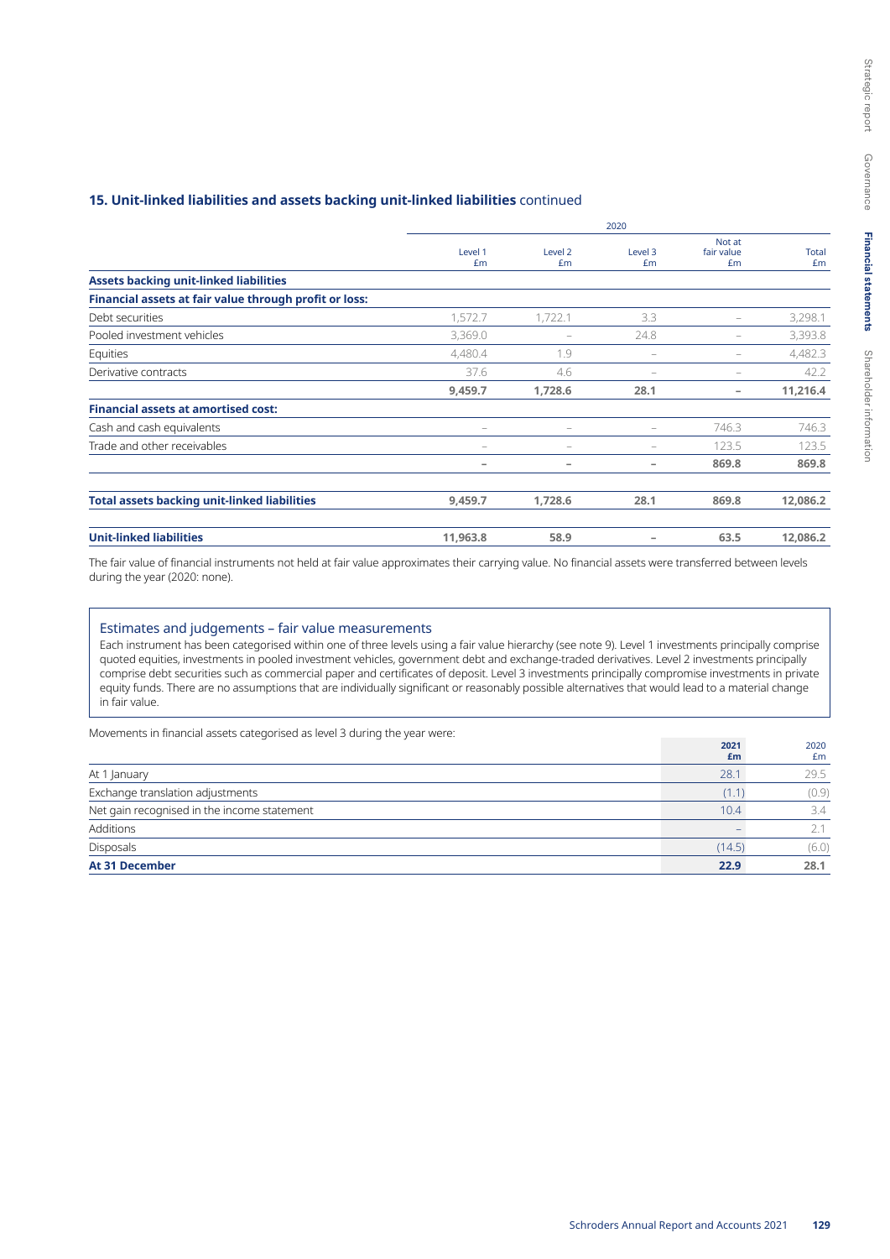## **15. Unit-linked liabilities and assets backing unit-linked liabilities** continued

|                                                        | Level 1<br>£m | Level <sub>2</sub><br>£m | Level 3<br>£m | Not at<br>fair value<br>£m | <b>Total</b><br>£m |
|--------------------------------------------------------|---------------|--------------------------|---------------|----------------------------|--------------------|
| <b>Assets backing unit-linked liabilities</b>          |               |                          |               |                            |                    |
| Financial assets at fair value through profit or loss: |               |                          |               |                            |                    |
| Debt securities                                        | 1,572.7       | 1,722.1                  | 3.3           | $\overline{\phantom{0}}$   | 3,298.1            |
| Pooled investment vehicles                             | 3,369.0       | $\qquad \qquad -$        | 24.8          | $\overline{\phantom{0}}$   | 3,393.8            |
| Equities                                               | 4,480.4       | 1.9                      |               | $\overline{\phantom{m}}$   | 4,482.3            |
| Derivative contracts                                   | 37.6          | 4.6                      |               |                            | 42.2               |
|                                                        | 9,459.7       | 1,728.6                  | 28.1          | -                          | 11,216.4           |
| <b>Financial assets at amortised cost:</b>             |               |                          |               |                            |                    |
| Cash and cash equivalents                              |               | $\qquad \qquad -$        |               | 746.3                      | 746.3              |
| Trade and other receivables                            |               | $\qquad \qquad -$        |               | 123.5                      | 123.5              |
|                                                        |               | -                        | -             | 869.8                      | 869.8              |
| <b>Total assets backing unit-linked liabilities</b>    | 9,459.7       | 1,728.6                  | 28.1          | 869.8                      | 12,086.2           |
| <b>Unit-linked liabilities</b>                         | 11,963.8      | 58.9                     |               | 63.5                       | 12,086.2           |

2020

The fair value of financial instruments not held at fair value approximates their carrying value. No financial assets were transferred between levels during the year (2020: none).

## Estimates and judgements – fair value measurements

Each instrument has been categorised within one of three levels using a fair value hierarchy (see note 9). Level 1 investments principally comprise quoted equities, investments in pooled investment vehicles, government debt and exchange-traded derivatives. Level 2 investments principally comprise debt securities such as commercial paper and certificates of deposit. Level 3 investments principally compromise investments in private equity funds. There are no assumptions that are individually significant or reasonably possible alternatives that would lead to a material change in fair value.

Movements in financial assets categorised as level 3 during the year were:

| 28.1<br>At 1 January<br>Exchange translation adjustments<br>Net gain recognised in the income statement<br>Additions<br><b>Disposals</b><br>(14.5) |            |               |
|----------------------------------------------------------------------------------------------------------------------------------------------------|------------|---------------|
|                                                                                                                                                    | 2021<br>£m | 2020<br>£m    |
|                                                                                                                                                    |            | 29.5          |
|                                                                                                                                                    | (1.1)      | (0.9)         |
|                                                                                                                                                    | 10.4       | $3.4^{\circ}$ |
|                                                                                                                                                    |            | 2.1           |
|                                                                                                                                                    |            | (6.0)         |
| <b>At 31 December</b>                                                                                                                              | 22.9       | 28.1          |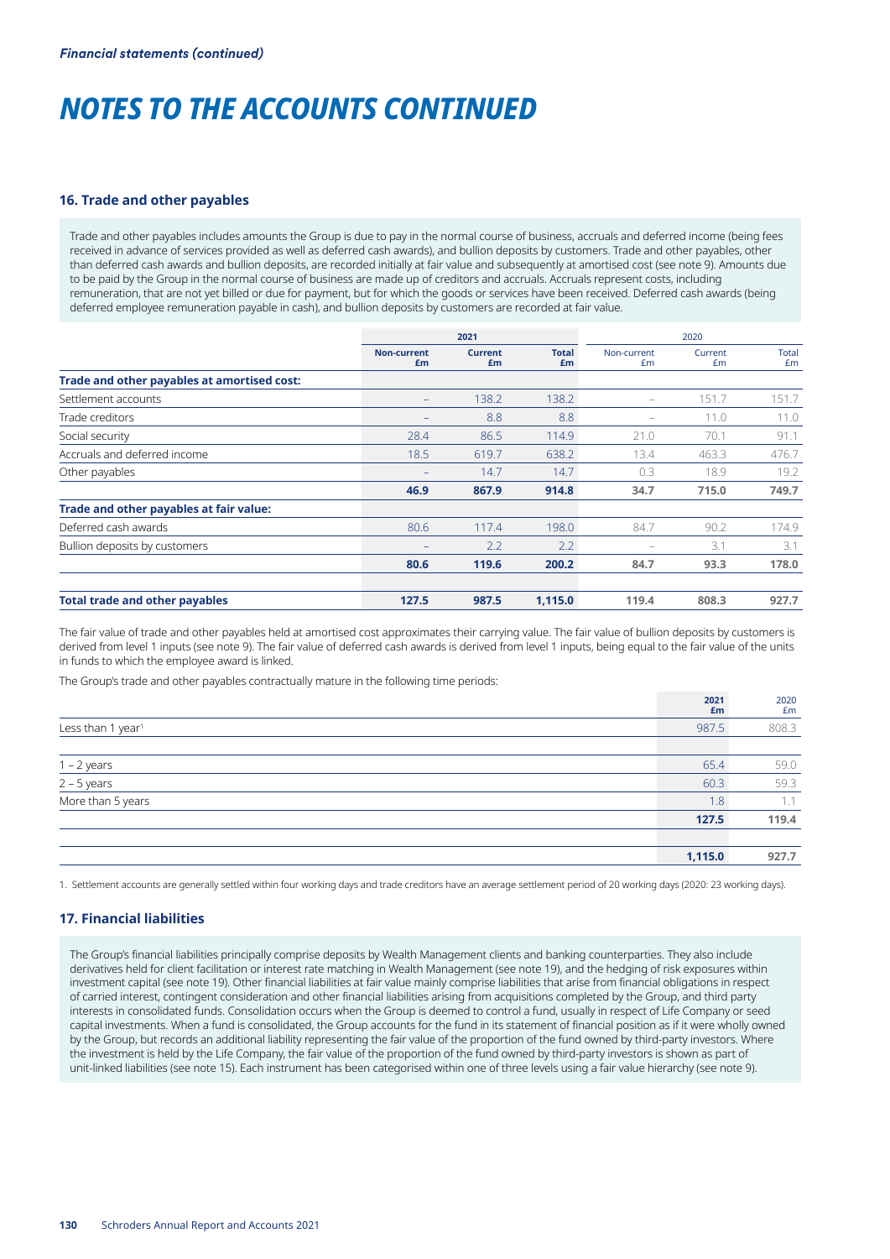#### **16. Trade and other payables**

Trade and other payables includes amounts the Group is due to pay in the normal course of business, accruals and deferred income (being fees received in advance of services provided as well as deferred cash awards), and bullion deposits by customers. Trade and other payables, other than deferred cash awards and bullion deposits, are recorded initially at fair value and subsequently at amortised cost (see note 9). Amounts due to be paid by the Group in the normal course of business are made up of creditors and accruals. Accruals represent costs, including remuneration, that are not yet billed or due for payment, but for which the goods or services have been received. Deferred cash awards (being deferred employee remuneration payable in cash), and bullion deposits by customers are recorded at fair value.

|                                             | 2021                     |                      |                    | 2020                     |               |             |
|---------------------------------------------|--------------------------|----------------------|--------------------|--------------------------|---------------|-------------|
|                                             | <b>Non-current</b><br>£m | <b>Current</b><br>£m | <b>Total</b><br>£m | Non-current<br>£m        | Current<br>£m | Total<br>£m |
| Trade and other payables at amortised cost: |                          |                      |                    |                          |               |             |
| Settlement accounts                         | $-$                      | 138.2                | 138.2              | $\qquad \qquad -$        | 151.7         | 151.7       |
| Trade creditors                             |                          | 8.8                  | 8.8                | $\overline{\phantom{0}}$ | 11.0          | 11.0        |
| Social security                             | 28.4                     | 86.5                 | 114.9              | 21.0                     | 70.1          | 91.1        |
| Accruals and deferred income                | 18.5                     | 619.7                | 638.2              | 13.4                     | 463.3         | 476.7       |
| Other payables                              |                          | 14.7                 | 14.7               | 0.3                      | 18.9          | 19.2        |
|                                             | 46.9                     | 867.9                | 914.8              | 34.7                     | 715.0         | 749.7       |
| Trade and other payables at fair value:     |                          |                      |                    |                          |               |             |
| Deferred cash awards                        | 80.6                     | 117.4                | 198.0              | 84.7                     | 90.2          | 174.9       |
| Bullion deposits by customers               |                          | 2.2                  | 2.2                | -                        | 3.1           | 3.1         |
|                                             | 80.6                     | 119.6                | 200.2              | 84.7                     | 93.3          | 178.0       |
| <b>Total trade and other payables</b>       | 127.5                    | 987.5                | 1,115.0            | 119.4                    | 808.3         | 927.7       |

The fair value of trade and other payables held at amortised cost approximates their carrying value. The fair value of bullion deposits by customers is derived from level 1 inputs (see note 9). The fair value of deferred cash awards is derived from level 1 inputs, being equal to the fair value of the units in funds to which the employee award is linked.

The Group's trade and other payables contractually mature in the following time periods:

|                               | 2021<br>£m | 2020<br>£m |
|-------------------------------|------------|------------|
| Less than 1 year <sup>1</sup> | 987.5      | 808.3      |
|                               |            |            |
| $1 - 2$ years                 | 65.4       | 59.0       |
| $2 - 5$ years                 | 60.3       | 59.3       |
| More than 5 years             | 1.8        | 1.1        |
|                               | 127.5      | 119.4      |
|                               |            |            |
|                               | 1,115.0    | 927.7      |

1. Settlement accounts are generally settled within four working days and trade creditors have an average settlement period of 20 working days (2020: 23 working days).

## **17. Financial liabilities**

The Group's financial liabilities principally comprise deposits by Wealth Management clients and banking counterparties. They also include derivatives held for client facilitation or interest rate matching in Wealth Management (see note 19), and the hedging of risk exposures within investment capital (see note 19). Other financial liabilities at fair value mainly comprise liabilities that arise from financial obligations in respect of carried interest, contingent consideration and other financial liabilities arising from acquisitions completed by the Group, and third party interests in consolidated funds. Consolidation occurs when the Group is deemed to control a fund, usually in respect of Life Company or seed capital investments. When a fund is consolidated, the Group accounts for the fund in its statement of financial position as if it were wholly owned by the Group, but records an additional liability representing the fair value of the proportion of the fund owned by third-party investors. Where the investment is held by the Life Company, the fair value of the proportion of the fund owned by third-party investors is shown as part of unit-linked liabilities (see note 15). Each instrument has been categorised within one of three levels using a fair value hierarchy (see note 9).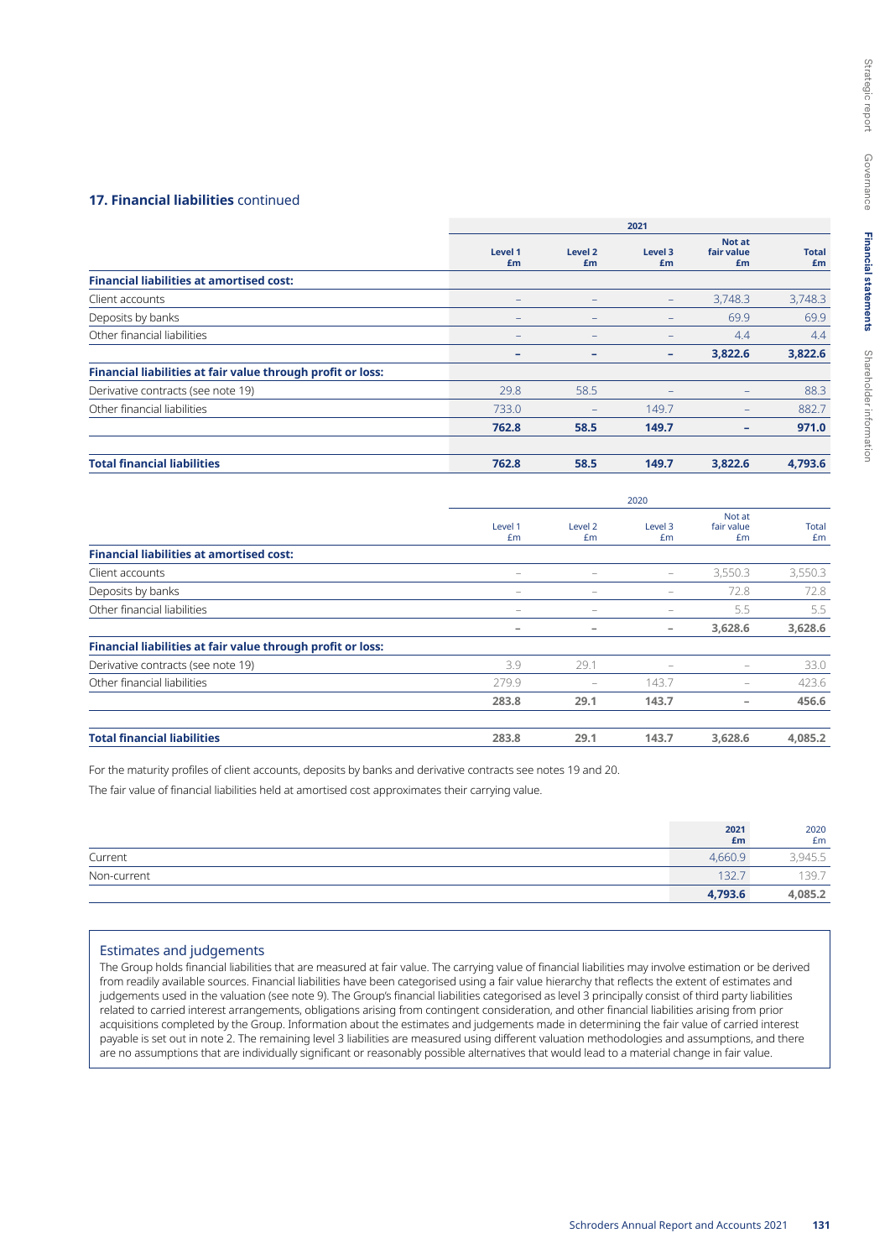### **17. Financial liabilities** continued

|                                                             |                              | 2021              |                              |                            |                    |  |
|-------------------------------------------------------------|------------------------------|-------------------|------------------------------|----------------------------|--------------------|--|
|                                                             | Level 1<br>£m                | Level 2<br>£m     | Level 3<br>£m                | Not at<br>fair value<br>£m | <b>Total</b><br>£m |  |
| <b>Financial liabilities at amortised cost:</b>             |                              |                   |                              |                            |                    |  |
| Client accounts                                             | $\qquad \qquad -$            | -                 | $\qquad \qquad -$            | 3,748.3                    | 3,748.3            |  |
| Deposits by banks                                           | $\qquad \qquad \blacksquare$ | $\qquad \qquad -$ | $\qquad \qquad \blacksquare$ | 69.9                       | 69.9               |  |
| Other financial liabilities                                 | $\overline{\phantom{0}}$     | -                 |                              | 4.4                        | 4.4                |  |
|                                                             | ۰                            | ۰                 | ۰                            | 3,822.6                    | 3,822.6            |  |
| Financial liabilities at fair value through profit or loss: |                              |                   |                              |                            |                    |  |
| Derivative contracts (see note 19)                          | 29.8                         | 58.5              |                              | $\qquad \qquad -$          | 88.3               |  |
| Other financial liabilities                                 | 733.0                        |                   | 149.7                        | -                          | 882.7              |  |
|                                                             | 762.8                        | 58.5              | 149.7                        | -                          | 971.0              |  |
| <b>Total financial liabilities</b>                          | 762.8                        | 58.5              | 149.7                        | 3,822.6                    | 4,793.6            |  |

|                                                             | 2020                     |                          |                              |                            |                    |  |
|-------------------------------------------------------------|--------------------------|--------------------------|------------------------------|----------------------------|--------------------|--|
|                                                             | Level 1<br>£m            | Level 2<br>Em            | Level 3<br>£m                | Not at<br>fair value<br>Em | <b>Total</b><br>£m |  |
| <b>Financial liabilities at amortised cost:</b>             |                          |                          |                              |                            |                    |  |
| Client accounts                                             | -                        | -                        | -                            | 3,550.3                    | 3,550.3            |  |
| Deposits by banks                                           | $\overline{\phantom{0}}$ | -                        | $\overline{\phantom{0}}$     | 72.8                       | 72.8               |  |
| Other financial liabilities                                 | -                        | -                        | -                            | 5.5                        | 5.5                |  |
|                                                             | $\overline{\phantom{a}}$ | $\overline{\phantom{a}}$ | $\qquad \qquad \blacksquare$ | 3,628.6                    | 3,628.6            |  |
| Financial liabilities at fair value through profit or loss: |                          |                          |                              |                            |                    |  |
| Derivative contracts (see note 19)                          | 3.9                      | 29.1                     | $\overline{\phantom{0}}$     | $\overline{\phantom{a}}$   | 33.0               |  |
| Other financial liabilities                                 | 279.9                    |                          | 143.7                        | $\overline{\phantom{0}}$   | 423.6              |  |
|                                                             | 283.8                    | 29.1                     | 143.7                        | $\overline{\phantom{a}}$   | 456.6              |  |
| <b>Total financial liabilities</b>                          | 283.8                    | 29.1                     | 143.7                        | 3,628.6                    | 4,085.2            |  |

For the maturity profiles of client accounts, deposits by banks and derivative contracts see notes 19 and 20.

The fair value of financial liabilities held at amortised cost approximates their carrying value.

|             | 2021<br>£m | 2020<br>£m |
|-------------|------------|------------|
| Current     | 4.660.9    | 3,945.5    |
| Non-current | 132.7      | 1397       |
|             | 4,793.6    | 4,085.2    |

### Estimates and judgements

The Group holds financial liabilities that are measured at fair value. The carrying value of financial liabilities may involve estimation or be derived from readily available sources. Financial liabilities have been categorised using a fair value hierarchy that reflects the extent of estimates and judgements used in the valuation (see note 9). The Group's financial liabilities categorised as level 3 principally consist of third party liabilities related to carried interest arrangements, obligations arising from contingent consideration, and other financial liabilities arising from prior acquisitions completed by the Group. Information about the estimates and judgements made in determining the fair value of carried interest payable is set out in note 2. The remaining level 3 liabilities are measured using different valuation methodologies and assumptions, and there are no assumptions that are individually significant or reasonably possible alternatives that would lead to a material change in fair value.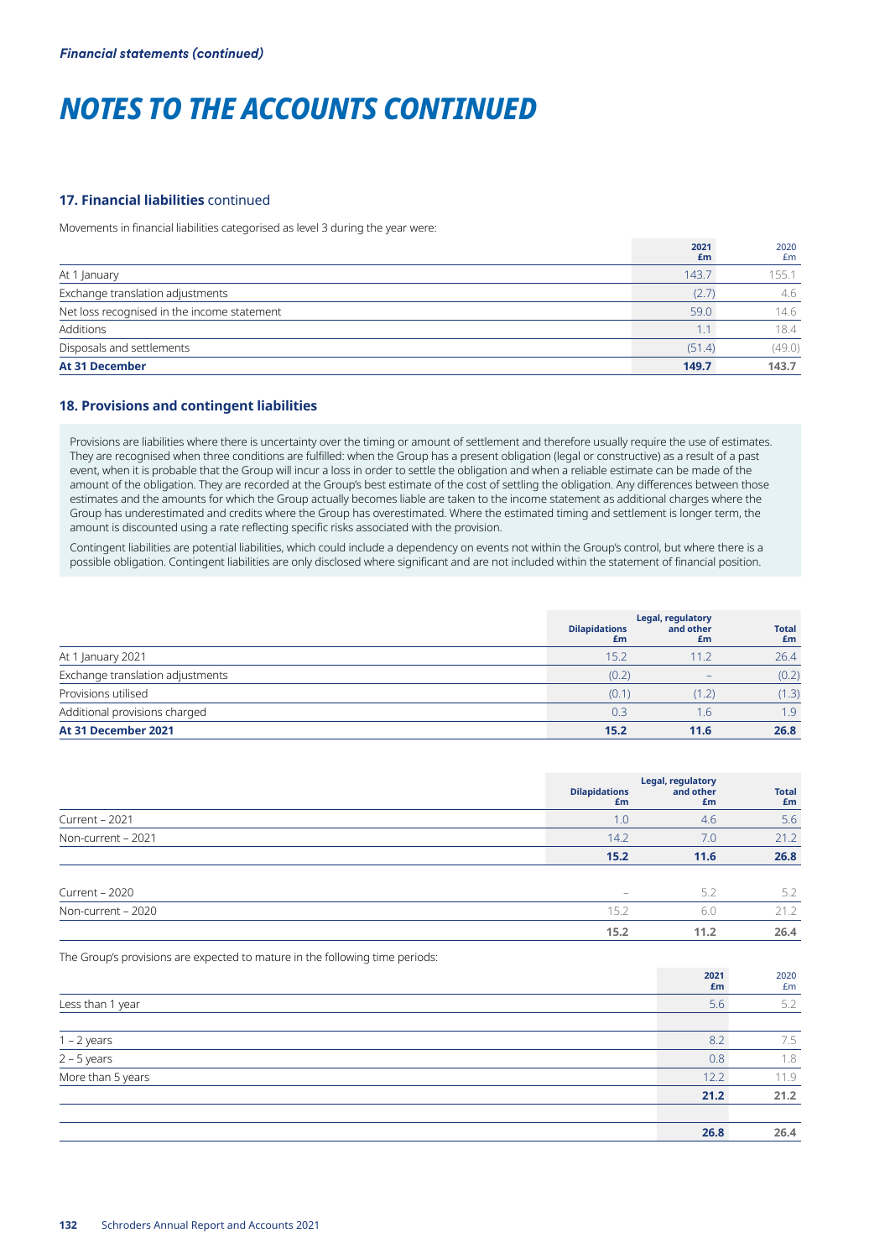## **17. Financial liabilities** continued

Movements in financial liabilities categorised as level 3 during the year were:

|                                             | 2021<br>£m | 2020<br>£m |
|---------------------------------------------|------------|------------|
| At 1 January                                | 143.7      | 155.1      |
| Exchange translation adjustments            | (2.7)      | 4.6        |
| Net loss recognised in the income statement | 59.0       | 14.6       |
| Additions                                   | 1.1        | 18.4       |
| Disposals and settlements                   | (51.4)     | (49.0)     |
| <b>At 31 December</b>                       | 149.7      | 143.7      |

## **18. Provisions and contingent liabilities**

Provisions are liabilities where there is uncertainty over the timing or amount of settlement and therefore usually require the use of estimates. They are recognised when three conditions are fulfilled: when the Group has a present obligation (legal or constructive) as a result of a past event, when it is probable that the Group will incur a loss in order to settle the obligation and when a reliable estimate can be made of the amount of the obligation. They are recorded at the Group's best estimate of the cost of settling the obligation. Any differences between those estimates and the amounts for which the Group actually becomes liable are taken to the income statement as additional charges where the Group has underestimated and credits where the Group has overestimated. Where the estimated timing and settlement is longer term, the amount is discounted using a rate reflecting specific risks associated with the provision.

Contingent liabilities are potential liabilities, which could include a dependency on events not within the Group's control, but where there is a possible obligation. Contingent liabilities are only disclosed where significant and are not included within the statement of financial position.

|                                  | Legal, regulatory          |                          |                    |
|----------------------------------|----------------------------|--------------------------|--------------------|
|                                  | <b>Dilapidations</b><br>£m | and other<br>£m          | <b>Total</b><br>£m |
| At 1 January 2021                | 15.2                       | 11.2                     | 26.4               |
| Exchange translation adjustments | (0.2)                      | $\overline{\phantom{a}}$ | (0.2)              |
| Provisions utilised              | (0.1)                      | (1, 2)                   | (1.3)              |
| Additional provisions charged    | 0.3                        | 1.6                      | 1.9                |
| At 31 December 2021              | 15.2                       | 11.6                     | 26.8               |

|                    | <b>Dilapidations</b><br>£m | Legal, regulatory<br>and other<br>£m | <b>Total</b><br>£m |
|--------------------|----------------------------|--------------------------------------|--------------------|
| Current - 2021     | 1.0                        | 4.6                                  | 5.6                |
| Non-current - 2021 | 14.2                       | 7.0                                  | 21.2               |
|                    | 15.2                       | 11.6                                 | 26.8               |
| Current - 2020     | -                          | 5.2                                  | 5.2                |
| Non-current - 2020 | 15.2                       | 6.0                                  | 21.2               |
|                    | 15.2                       | 11.2                                 | 26.4               |

The Group's provisions are expected to mature in the following time periods:

|                                               | 2021<br>£m | 2020<br>£m |
|-----------------------------------------------|------------|------------|
| Less than 1 year                              | 5.6        | 5.2        |
|                                               |            |            |
|                                               | 8.2        | 7.5        |
| $\frac{1-2 \text{ years}}{2-5 \text{ years}}$ | 0.8        | 1.8        |
| More than 5 years                             | 12.2       | 11.9       |
|                                               | 21.2       | 21.2       |
|                                               |            |            |
|                                               | 26.8       | 26.4       |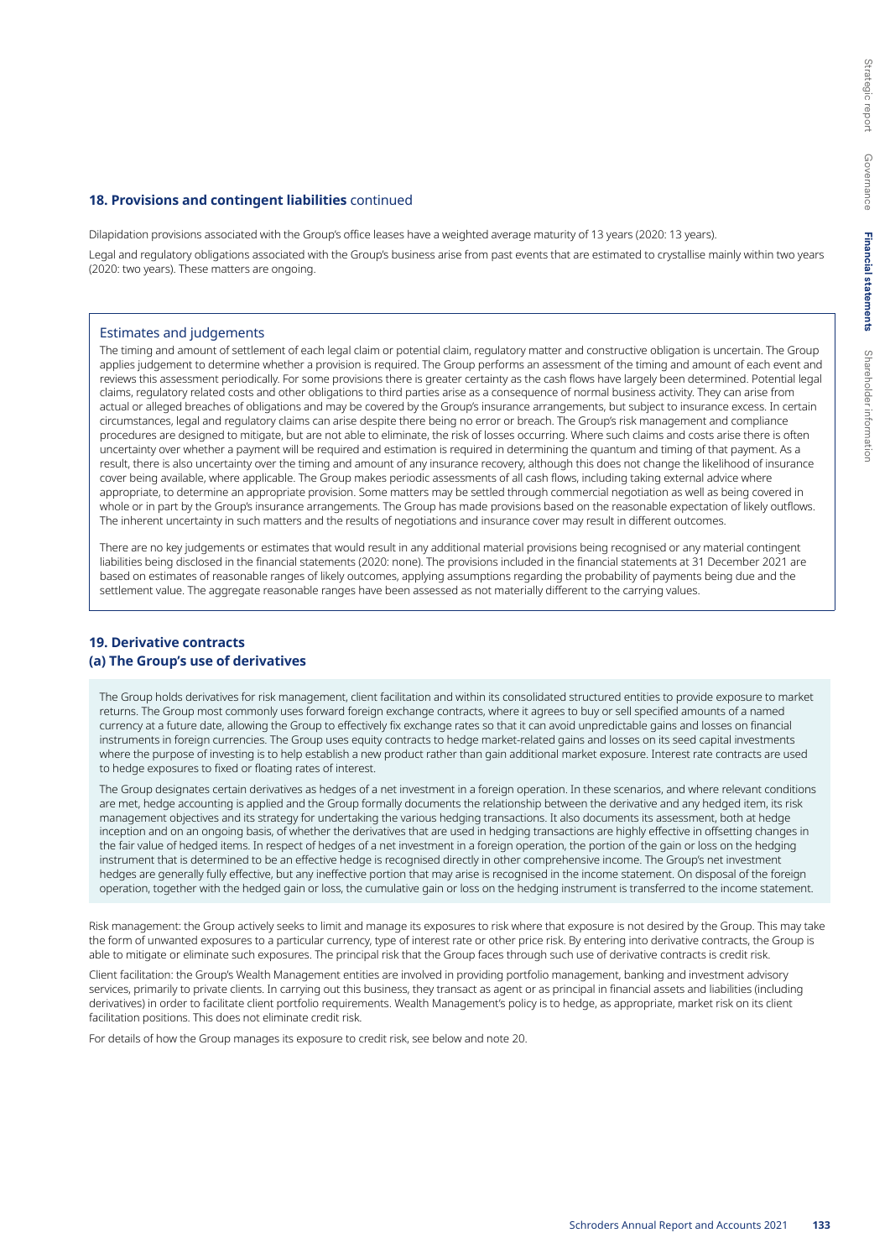### **18. Provisions and contingent liabilities** continued

Dilapidation provisions associated with the Group's office leases have a weighted average maturity of 13 years (2020: 13 years).

Legal and regulatory obligations associated with the Group's business arise from past events that are estimated to crystallise mainly within two years (2020: two years). These matters are ongoing.

### Estimates and judgements

The timing and amount of settlement of each legal claim or potential claim, regulatory matter and constructive obligation is uncertain. The Group applies judgement to determine whether a provision is required. The Group performs an assessment of the timing and amount of each event and reviews this assessment periodically. For some provisions there is greater certainty as the cash flows have largely been determined. Potential legal claims, regulatory related costs and other obligations to third parties arise as a consequence of normal business activity. They can arise from actual or alleged breaches of obligations and may be covered by the Group's insurance arrangements, but subject to insurance excess. In certain circumstances, legal and regulatory claims can arise despite there being no error or breach. The Group's risk management and compliance procedures are designed to mitigate, but are not able to eliminate, the risk of losses occurring. Where such claims and costs arise there is often uncertainty over whether a payment will be required and estimation is required in determining the quantum and timing of that payment. As a result, there is also uncertainty over the timing and amount of any insurance recovery, although this does not change the likelihood of insurance cover being available, where applicable. The Group makes periodic assessments of all cash flows, including taking external advice where appropriate, to determine an appropriate provision. Some matters may be settled through commercial negotiation as well as being covered in whole or in part by the Group's insurance arrangements. The Group has made provisions based on the reasonable expectation of likely outflows. The inherent uncertainty in such matters and the results of negotiations and insurance cover may result in different outcomes.

There are no key judgements or estimates that would result in any additional material provisions being recognised or any material contingent liabilities being disclosed in the financial statements (2020: none). The provisions included in the financial statements at 31 December 2021 are based on estimates of reasonable ranges of likely outcomes, applying assumptions regarding the probability of payments being due and the settlement value. The aggregate reasonable ranges have been assessed as not materially different to the carrying values.

## **19. Derivative contracts (a) The Group's use of derivatives**

The Group holds derivatives for risk management, client facilitation and within its consolidated structured entities to provide exposure to market returns. The Group most commonly uses forward foreign exchange contracts, where it agrees to buy or sell specified amounts of a named currency at a future date, allowing the Group to effectively fix exchange rates so that it can avoid unpredictable gains and losses on financial instruments in foreign currencies. The Group uses equity contracts to hedge market-related gains and losses on its seed capital investments where the purpose of investing is to help establish a new product rather than gain additional market exposure. Interest rate contracts are used to hedge exposures to fixed or floating rates of interest.

The Group designates certain derivatives as hedges of a net investment in a foreign operation. In these scenarios, and where relevant conditions are met, hedge accounting is applied and the Group formally documents the relationship between the derivative and any hedged item, its risk management objectives and its strategy for undertaking the various hedging transactions. It also documents its assessment, both at hedge inception and on an ongoing basis, of whether the derivatives that are used in hedging transactions are highly effective in offsetting changes in the fair value of hedged items. In respect of hedges of a net investment in a foreign operation, the portion of the gain or loss on the hedging instrument that is determined to be an effective hedge is recognised directly in other comprehensive income. The Group's net investment hedges are generally fully effective, but any ineffective portion that may arise is recognised in the income statement. On disposal of the foreign operation, together with the hedged gain or loss, the cumulative gain or loss on the hedging instrument is transferred to the income statement.

Risk management: the Group actively seeks to limit and manage its exposures to risk where that exposure is not desired by the Group. This may take the form of unwanted exposures to a particular currency, type of interest rate or other price risk. By entering into derivative contracts, the Group is able to mitigate or eliminate such exposures. The principal risk that the Group faces through such use of derivative contracts is credit risk.

Client facilitation: the Group's Wealth Management entities are involved in providing portfolio management, banking and investment advisory services, primarily to private clients. In carrying out this business, they transact as agent or as principal in financial assets and liabilities (including derivatives) in order to facilitate client portfolio requirements. Wealth Management's policy is to hedge, as appropriate, market risk on its client facilitation positions. This does not eliminate credit risk.

For details of how the Group manages its exposure to credit risk, see below and note 20.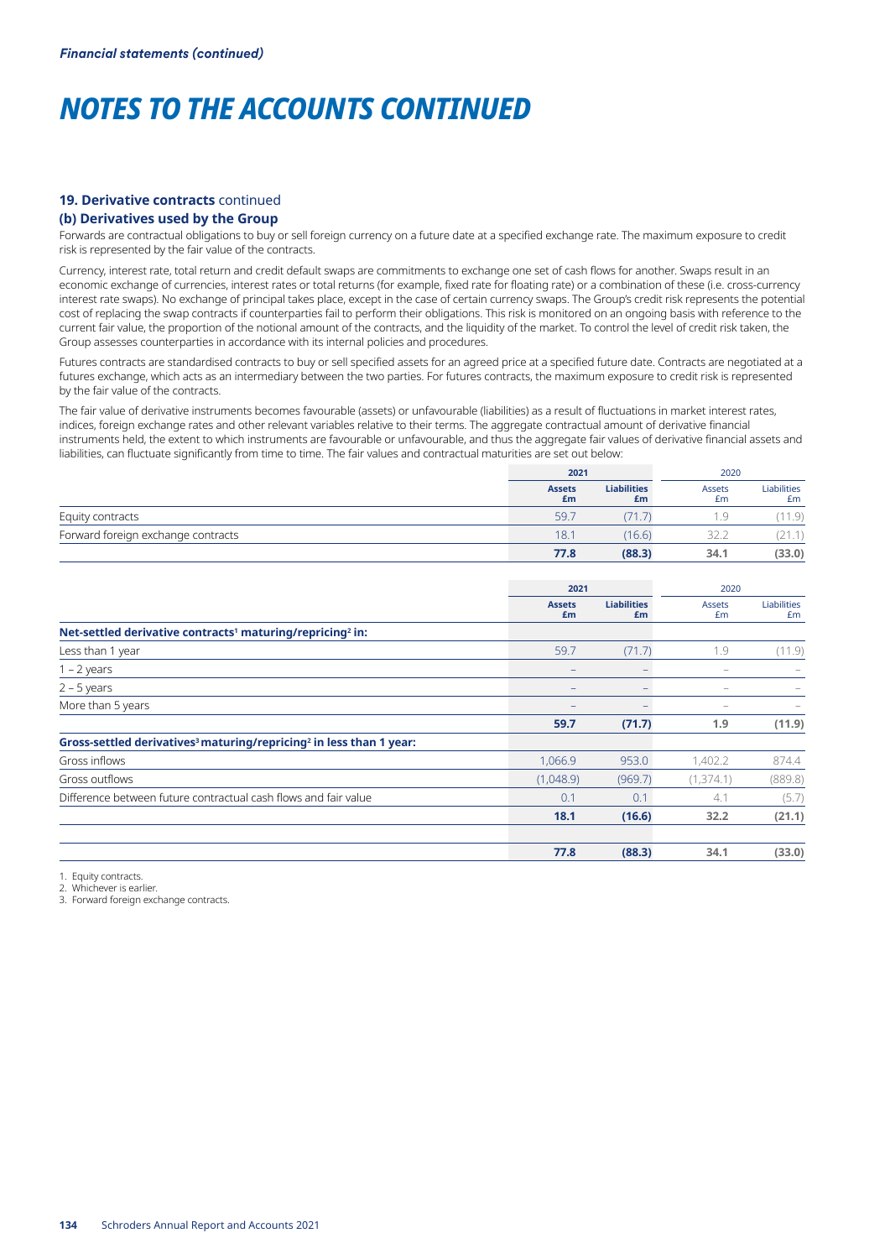## **19. Derivative contracts** continued

## **(b) Derivatives used by the Group**

Forwards are contractual obligations to buy or sell foreign currency on a future date at a specified exchange rate. The maximum exposure to credit risk is represented by the fair value of the contracts.

Currency, interest rate, total return and credit default swaps are commitments to exchange one set of cash flows for another. Swaps result in an economic exchange of currencies, interest rates or total returns (for example, fixed rate for floating rate) or a combination of these (i.e. cross-currency interest rate swaps). No exchange of principal takes place, except in the case of certain currency swaps. The Group's credit risk represents the potential cost of replacing the swap contracts if counterparties fail to perform their obligations. This risk is monitored on an ongoing basis with reference to the current fair value, the proportion of the notional amount of the contracts, and the liquidity of the market. To control the level of credit risk taken, the Group assesses counterparties in accordance with its internal policies and procedures.

Futures contracts are standardised contracts to buy or sell specified assets for an agreed price at a specified future date. Contracts are negotiated at a futures exchange, which acts as an intermediary between the two parties. For futures contracts, the maximum exposure to credit risk is represented by the fair value of the contracts.

The fair value of derivative instruments becomes favourable (assets) or unfavourable (liabilities) as a result of fluctuations in market interest rates, indices, foreign exchange rates and other relevant variables relative to their terms. The aggregate contractual amount of derivative financial instruments held, the extent to which instruments are favourable or unfavourable, and thus the aggregate fair values of derivative financial assets and liabilities, can fluctuate significantly from time to time. The fair values and contractual maturities are set out below:

|                                    |                     | 2021                     |                              | 2020              |  |
|------------------------------------|---------------------|--------------------------|------------------------------|-------------------|--|
|                                    | <b>Assets</b><br>£m | <b>Liabilities</b><br>£m | Assets<br>£m                 | Liabilities<br>£m |  |
| Equity contracts                   | 59.                 | 71.7                     |                              | 11.9)             |  |
| Forward foreign exchange contracts | 18.7                | (16.6)                   | $\sim$ $\sim$ $\sim$<br>32.Z |                   |  |
|                                    | 77.8                | (88.3)                   | 34.1                         | (33.0)            |  |

|                                                                                             | 2021                |                          | 2020                |                          |
|---------------------------------------------------------------------------------------------|---------------------|--------------------------|---------------------|--------------------------|
|                                                                                             | <b>Assets</b><br>£m | <b>Liabilities</b><br>£m | <b>Assets</b><br>£m | <b>Liabilities</b><br>£m |
| Net-settled derivative contracts <sup>1</sup> maturing/repricing <sup>2</sup> in:           |                     |                          |                     |                          |
| Less than 1 year                                                                            | 59.7                | (71.7)                   | 1.9                 | (11.9)                   |
| $1 - 2$ years                                                                               | $\qquad \qquad -$   |                          | $\qquad \qquad -$   |                          |
| $2 - 5$ years                                                                               |                     |                          |                     |                          |
| More than 5 years                                                                           |                     |                          |                     |                          |
|                                                                                             | 59.7                | (71.7)                   | 1.9                 | (11.9)                   |
| Gross-settled derivatives <sup>3</sup> maturing/repricing <sup>2</sup> in less than 1 year: |                     |                          |                     |                          |
| Gross inflows                                                                               | 1,066.9             | 953.0                    | 1,402.2             | 874.4                    |
| Gross outflows                                                                              | (1,048.9)           | (969.7)                  | (1,374.1)           | (889.8)                  |
| Difference between future contractual cash flows and fair value                             | 0.1                 | 0.1                      | 4.1                 | (5.7)                    |
|                                                                                             | 18.1                | (16.6)                   | 32.2                | (21.1)                   |
|                                                                                             | 77.8                | (88.3)                   | 34.1                | (33.0)                   |

1. Equity contracts.

2. Whichever is earlier.

3. Forward foreign exchange contracts.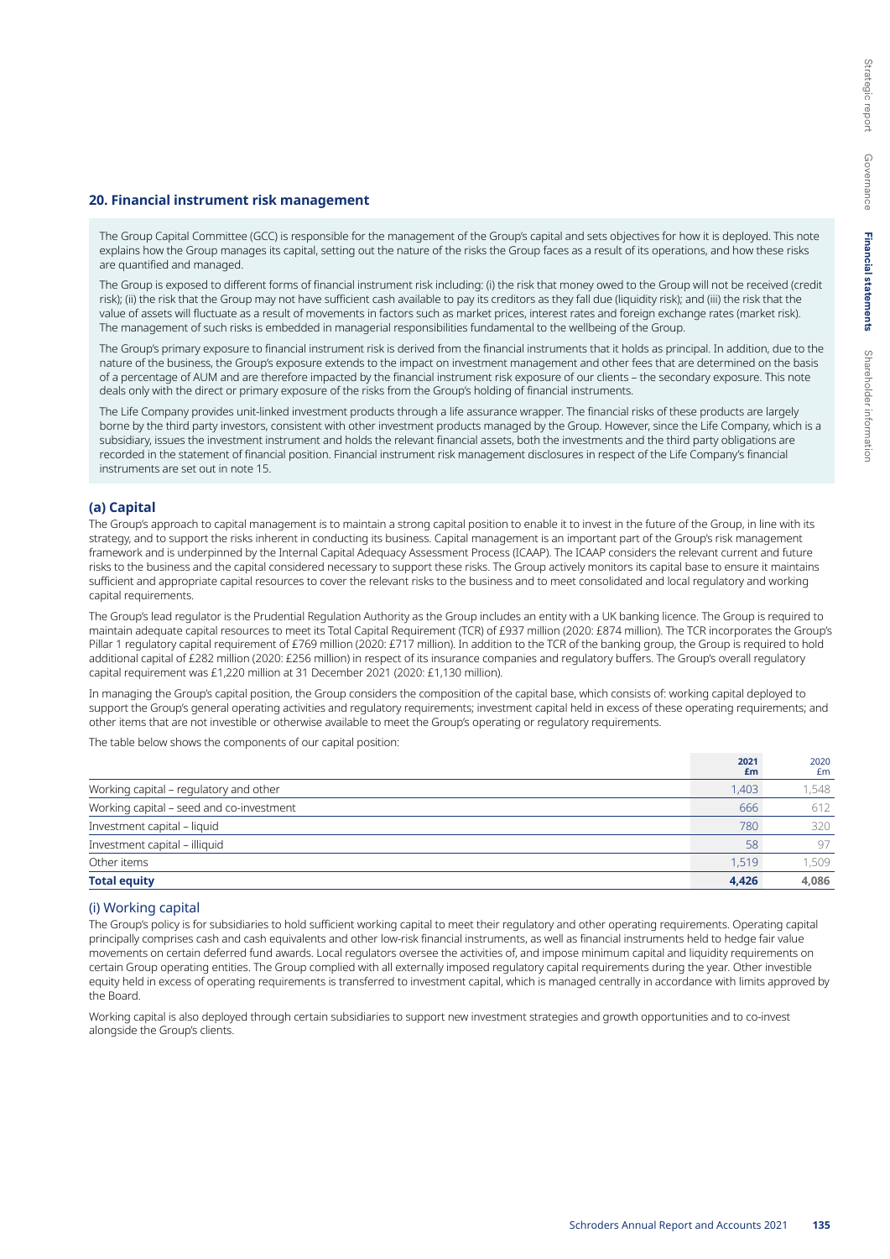#### **20. Financial instrument risk management**

The Group Capital Committee (GCC) is responsible for the management of the Group's capital and sets objectives for how it is deployed. This note explains how the Group manages its capital, setting out the nature of the risks the Group faces as a result of its operations, and how these risks are quantified and managed.

The Group is exposed to different forms of financial instrument risk including: (i) the risk that money owed to the Group will not be received (credit risk); (ii) the risk that the Group may not have sufficient cash available to pay its creditors as they fall due (liquidity risk); and (iii) the risk that the value of assets will fluctuate as a result of movements in factors such as market prices, interest rates and foreign exchange rates (market risk). The management of such risks is embedded in managerial responsibilities fundamental to the wellbeing of the Group.

The Group's primary exposure to financial instrument risk is derived from the financial instruments that it holds as principal. In addition, due to the nature of the business, the Group's exposure extends to the impact on investment management and other fees that are determined on the basis of a percentage of AUM and are therefore impacted by the financial instrument risk exposure of our clients – the secondary exposure. This note deals only with the direct or primary exposure of the risks from the Group's holding of financial instruments.

The Life Company provides unit-linked investment products through a life assurance wrapper. The financial risks of these products are largely borne by the third party investors, consistent with other investment products managed by the Group. However, since the Life Company, which is a subsidiary, issues the investment instrument and holds the relevant financial assets, both the investments and the third party obligations are recorded in the statement of financial position. Financial instrument risk management disclosures in respect of the Life Company's financial instruments are set out in note 15.

### **(a) Capital**

The Group's approach to capital management is to maintain a strong capital position to enable it to invest in the future of the Group, in line with its strategy, and to support the risks inherent in conducting its business. Capital management is an important part of the Group's risk management framework and is underpinned by the Internal Capital Adequacy Assessment Process (ICAAP). The ICAAP considers the relevant current and future risks to the business and the capital considered necessary to support these risks. The Group actively monitors its capital base to ensure it maintains sufficient and appropriate capital resources to cover the relevant risks to the business and to meet consolidated and local regulatory and working capital requirements.

The Group's lead regulator is the Prudential Regulation Authority as the Group includes an entity with a UK banking licence. The Group is required to maintain adequate capital resources to meet its Total Capital Requirement (TCR) of £937 million (2020: £874 million). The TCR incorporates the Group's Pillar 1 regulatory capital requirement of £769 million (2020: £717 million). In addition to the TCR of the banking group, the Group is required to hold additional capital of £282 million (2020: £256 million) in respect of its insurance companies and regulatory buffers. The Group's overall regulatory capital requirement was £1,220 million at 31 December 2021 (2020: £1,130 million).

In managing the Group's capital position, the Group considers the composition of the capital base, which consists of: working capital deployed to support the Group's general operating activities and regulatory requirements; investment capital held in excess of these operating requirements; and other items that are not investible or otherwise available to meet the Group's operating or regulatory requirements.

The table below shows the components of our capital position:

|                                          | 2021<br>£m | 2020<br>£m |
|------------------------------------------|------------|------------|
| Working capital – regulatory and other   | 1.403      | 1,548      |
| Working capital - seed and co-investment | 666        | 612        |
| Investment capital - liquid              | 780        | 320        |
| Investment capital - illiquid            | 58         | 97         |
| Other items                              | 1.519      | 1,509      |
| <b>Total equity</b>                      | 4,426      | 4.086      |

### (i) Working capital

The Group's policy is for subsidiaries to hold sufficient working capital to meet their regulatory and other operating requirements. Operating capital principally comprises cash and cash equivalents and other low-risk financial instruments, as well as financial instruments held to hedge fair value movements on certain deferred fund awards. Local regulators oversee the activities of, and impose minimum capital and liquidity requirements on certain Group operating entities. The Group complied with all externally imposed regulatory capital requirements during the year. Other investible equity held in excess of operating requirements is transferred to investment capital, which is managed centrally in accordance with limits approved by the Board.

Working capital is also deployed through certain subsidiaries to support new investment strategies and growth opportunities and to co-invest alongside the Group's clients.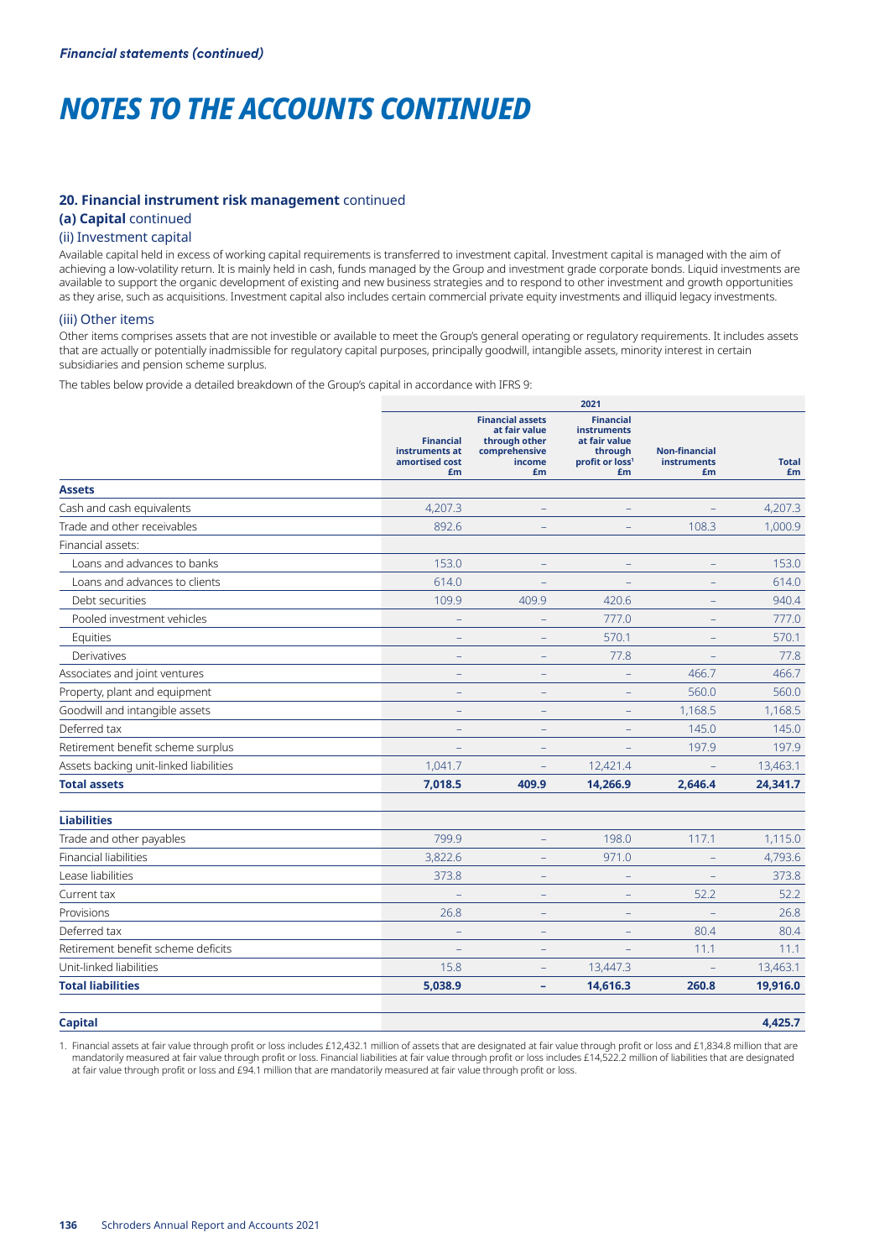### **20. Financial instrument risk management** continued

## **(a) Capital** continued

### (ii) Investment capital

Available capital held in excess of working capital requirements is transferred to investment capital. Investment capital is managed with the aim of achieving a low-volatility return. It is mainly held in cash, funds managed by the Group and investment grade corporate bonds. Liquid investments are available to support the organic development of existing and new business strategies and to respond to other investment and growth opportunities as they arise, such as acquisitions. Investment capital also includes certain commercial private equity investments and illiquid legacy investments.

## (iii) Other items

Other items comprises assets that are not investible or available to meet the Group's general operating or regulatory requirements. It includes assets that are actually or potentially inadmissible for regulatory capital purposes, principally goodwill, intangible assets, minority interest in certain subsidiaries and pension scheme surplus.

The tables below provide a detailed breakdown of the Group's capital in accordance with IFRS 9:

|                                        |                                                            |                                                                                            | 2021                                                                                                    |                                                  |                    |
|----------------------------------------|------------------------------------------------------------|--------------------------------------------------------------------------------------------|---------------------------------------------------------------------------------------------------------|--------------------------------------------------|--------------------|
|                                        | <b>Financial</b><br>instruments at<br>amortised cost<br>£m | <b>Financial assets</b><br>at fair value<br>through other<br>comprehensive<br>income<br>£m | <b>Financial</b><br><b>instruments</b><br>at fair value<br>through<br>profit or loss <sup>1</sup><br>£m | <b>Non-financial</b><br><b>instruments</b><br>£m | <b>Total</b><br>£m |
| <b>Assets</b>                          |                                                            |                                                                                            |                                                                                                         |                                                  |                    |
| Cash and cash equivalents              | 4,207.3                                                    |                                                                                            |                                                                                                         |                                                  | 4,207.3            |
| Trade and other receivables            | 892.6                                                      |                                                                                            |                                                                                                         | 108.3                                            | 1,000.9            |
| Financial assets:                      |                                                            |                                                                                            |                                                                                                         |                                                  |                    |
| Loans and advances to banks            | 153.0                                                      | $\equiv$                                                                                   |                                                                                                         | $\equiv$                                         | 153.0              |
| Loans and advances to clients          | 614.0                                                      |                                                                                            |                                                                                                         |                                                  | 614.0              |
| Debt securities                        | 109.9                                                      | 409.9                                                                                      | 420.6                                                                                                   |                                                  | 940.4              |
| Pooled investment vehicles             |                                                            |                                                                                            | 777.0                                                                                                   |                                                  | 777.0              |
| Equities                               |                                                            | L.                                                                                         | 570.1                                                                                                   |                                                  | 570.1              |
| Derivatives                            | $\equiv$                                                   | $\qquad \qquad -$                                                                          | 77.8                                                                                                    | $\equiv$                                         | 77.8               |
| Associates and joint ventures          |                                                            |                                                                                            |                                                                                                         | 466.7                                            | 466.7              |
| Property, plant and equipment          |                                                            |                                                                                            |                                                                                                         | 560.0                                            | 560.0              |
| Goodwill and intangible assets         |                                                            |                                                                                            |                                                                                                         | 1,168.5                                          | 1,168.5            |
| Deferred tax                           |                                                            |                                                                                            |                                                                                                         | 145.0                                            | 145.0              |
| Retirement benefit scheme surplus      |                                                            | $\overline{\phantom{0}}$                                                                   |                                                                                                         | 197.9                                            | 197.9              |
| Assets backing unit-linked liabilities | 1,041.7                                                    | $\qquad \qquad -$                                                                          | 12,421.4                                                                                                | $\equiv$                                         | 13,463.1           |
| <b>Total assets</b>                    | 7,018.5                                                    | 409.9                                                                                      | 14,266.9                                                                                                | 2,646.4                                          | 24,341.7           |
| <b>Liabilities</b>                     |                                                            |                                                                                            |                                                                                                         |                                                  |                    |
| Trade and other payables               | 799.9                                                      | ÷                                                                                          | 198.0                                                                                                   | 117.1                                            | 1,115.0            |
| Financial liabilities                  | 3,822.6                                                    | $\equiv$                                                                                   | 971.0                                                                                                   | $\qquad \qquad -$                                | 4,793.6            |
| Lease liabilities                      | 373.8                                                      |                                                                                            |                                                                                                         |                                                  | 373.8              |
| Current tax                            |                                                            |                                                                                            |                                                                                                         | 52.2                                             | 52.2               |
| Provisions                             | 26.8                                                       | $\overline{\phantom{0}}$                                                                   |                                                                                                         |                                                  | 26.8               |
| Deferred tax                           |                                                            | $\overline{\phantom{0}}$                                                                   |                                                                                                         | 80.4                                             | 80.4               |
| Retirement benefit scheme deficits     | $\equiv$                                                   | $\qquad \qquad -$                                                                          | $\qquad \qquad -$                                                                                       | 11.1                                             | 11.1               |
| Unit-linked liabilities                | 15.8                                                       |                                                                                            | 13,447.3                                                                                                | $\overline{a}$                                   | 13,463.1           |
| <b>Total liabilities</b>               | 5,038.9                                                    | ۰                                                                                          | 14,616.3                                                                                                | 260.8                                            | 19,916.0           |
| <b>Capital</b>                         |                                                            |                                                                                            |                                                                                                         |                                                  | 4.425.7            |

1. Financial assets at fair value through profit or loss includes £12,432.1 million of assets that are designated at fair value through profit or loss and £1,834.8 million that are mandatorily measured at fair value through profit or loss. Financial liabilities at fair value through profit or loss includes £14,522.2 million of liabilities that are designated at fair value through profit or loss and £94.1 million that are mandatorily measured at fair value through profit or loss.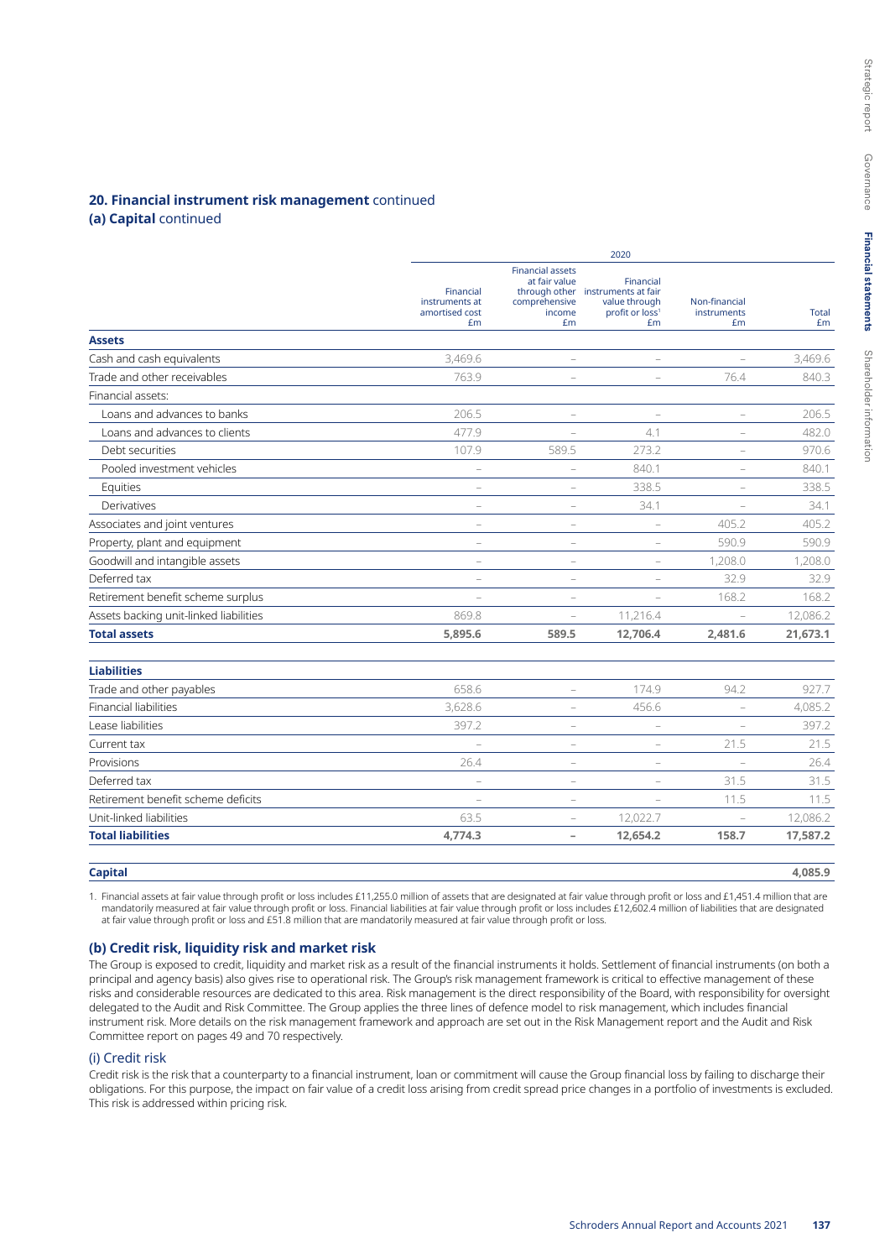### **20. Financial instrument risk management** continued

## **(a) Capital** continued

|                                        |                                                     | 2020                                                                                       |                                                                                        |                                    |             |  |  |  |
|----------------------------------------|-----------------------------------------------------|--------------------------------------------------------------------------------------------|----------------------------------------------------------------------------------------|------------------------------------|-------------|--|--|--|
|                                        | Financial<br>instruments at<br>amortised cost<br>£m | <b>Financial assets</b><br>at fair value<br>through other<br>comprehensive<br>income<br>£m | Financial<br>instruments at fair<br>value through<br>profit or loss <sup>1</sup><br>£m | Non-financial<br>instruments<br>£m | Total<br>£m |  |  |  |
| <b>Assets</b>                          |                                                     |                                                                                            |                                                                                        |                                    |             |  |  |  |
| Cash and cash equivalents              | 3.469.6                                             | $\overline{\phantom{0}}$                                                                   |                                                                                        |                                    | 3,469.6     |  |  |  |
| Trade and other receivables            | 763.9                                               | $\overline{\phantom{0}}$                                                                   |                                                                                        | 76.4                               | 840.3       |  |  |  |
| Financial assets:                      |                                                     |                                                                                            |                                                                                        |                                    |             |  |  |  |
| Loans and advances to banks            | 206.5                                               | L,                                                                                         | $\overline{\phantom{0}}$                                                               | $\equiv$                           | 206.5       |  |  |  |
| Loans and advances to clients          | 477.9                                               |                                                                                            | 4.1                                                                                    |                                    | 482.0       |  |  |  |
| Debt securities                        | 107.9                                               | 589.5                                                                                      | 273.2                                                                                  |                                    | 970.6       |  |  |  |
| Pooled investment vehicles             | $\qquad \qquad -$                                   | $\qquad \qquad -$                                                                          | 840.1                                                                                  | $\qquad \qquad -$                  | 840.1       |  |  |  |
| Equities                               |                                                     |                                                                                            | 338.5                                                                                  |                                    | 338.5       |  |  |  |
| Derivatives                            |                                                     | ÷                                                                                          | 34.1                                                                                   |                                    | 34.1        |  |  |  |
| Associates and joint ventures          |                                                     | $\overline{\phantom{0}}$                                                                   |                                                                                        | 405.2                              | 405.2       |  |  |  |
| Property, plant and equipment          |                                                     | $\overline{\phantom{0}}$                                                                   |                                                                                        | 590.9                              | 590.9       |  |  |  |
| Goodwill and intangible assets         | ۰                                                   | $\overline{\phantom{0}}$                                                                   |                                                                                        | 1,208.0                            | 1,208.0     |  |  |  |
| Deferred tax                           |                                                     |                                                                                            |                                                                                        | 32.9                               | 32.9        |  |  |  |
| Retirement benefit scheme surplus      |                                                     | L.                                                                                         |                                                                                        | 168.2                              | 168.2       |  |  |  |
| Assets backing unit-linked liabilities | 869.8                                               | ÷                                                                                          | 11,216.4                                                                               | $\overline{\phantom{a}}$           | 12,086.2    |  |  |  |
| <b>Total assets</b>                    | 5,895.6                                             | 589.5                                                                                      | 12,706.4                                                                               | 2,481.6                            | 21,673.1    |  |  |  |
| <b>Liabilities</b>                     |                                                     |                                                                                            |                                                                                        |                                    |             |  |  |  |
| Trade and other payables               | 658.6                                               | -                                                                                          | 174.9                                                                                  | 94.2                               | 927.7       |  |  |  |
| <b>Financial liabilities</b>           | 3,628.6                                             | ÷                                                                                          | 456.6                                                                                  | $\overline{\phantom{a}}$           | 4.085.2     |  |  |  |
| Lease liabilities                      | 397.2                                               | L.                                                                                         |                                                                                        |                                    | 397.2       |  |  |  |
| Current tax                            | $\equiv$                                            | L,                                                                                         | $\equiv$                                                                               | 21.5                               | 21.5        |  |  |  |
| Provisions                             | 26.4                                                | L,                                                                                         | L.                                                                                     |                                    | 26.4        |  |  |  |
| Deferred tax                           | $\qquad \qquad -$                                   | $\equiv$                                                                                   | $\equiv$                                                                               | 31.5                               | 31.5        |  |  |  |
| Retirement benefit scheme deficits     |                                                     | $\overline{\phantom{0}}$                                                                   |                                                                                        | 11.5                               | 11.5        |  |  |  |
| Unit-linked liabilities                | 63.5                                                | $\overline{\phantom{0}}$                                                                   | 12,022.7                                                                               | $\equiv$                           | 12,086.2    |  |  |  |
| <b>Total liabilities</b>               | 4,774.3                                             | $\overline{\phantom{a}}$                                                                   | 12,654.2                                                                               | 158.7                              | 17,587.2    |  |  |  |

#### **Capital 4,085.9**

1. Financial assets at fair value through profit or loss includes £11,255.0 million of assets that are designated at fair value through profit or loss and £1,451.4 million that are mandatorily measured at fair value through profit or loss. Financial liabilities at fair value through profit or loss includes £12,602.4 million of liabilities that are designated at fair value through profit or loss and £51.8 million that are mandatorily measured at fair value through profit or loss.

#### **(b) Credit risk, liquidity risk and market risk**

The Group is exposed to credit, liquidity and market risk as a result of the financial instruments it holds. Settlement of financial instruments (on both a principal and agency basis) also gives rise to operational risk. The Group's risk management framework is critical to effective management of these risks and considerable resources are dedicated to this area. Risk management is the direct responsibility of the Board, with responsibility for oversight delegated to the Audit and Risk Committee. The Group applies the three lines of defence model to risk management, which includes financial instrument risk. More details on the risk management framework and approach are set out in the Risk Management report and the Audit and Risk Committee report on pages 49 and 70 respectively.

## (i) Credit risk

Credit risk is the risk that a counterparty to a financial instrument, loan or commitment will cause the Group financial loss by failing to discharge their obligations. For this purpose, the impact on fair value of a credit loss arising from credit spread price changes in a portfolio of investments is excluded. This risk is addressed within pricing risk.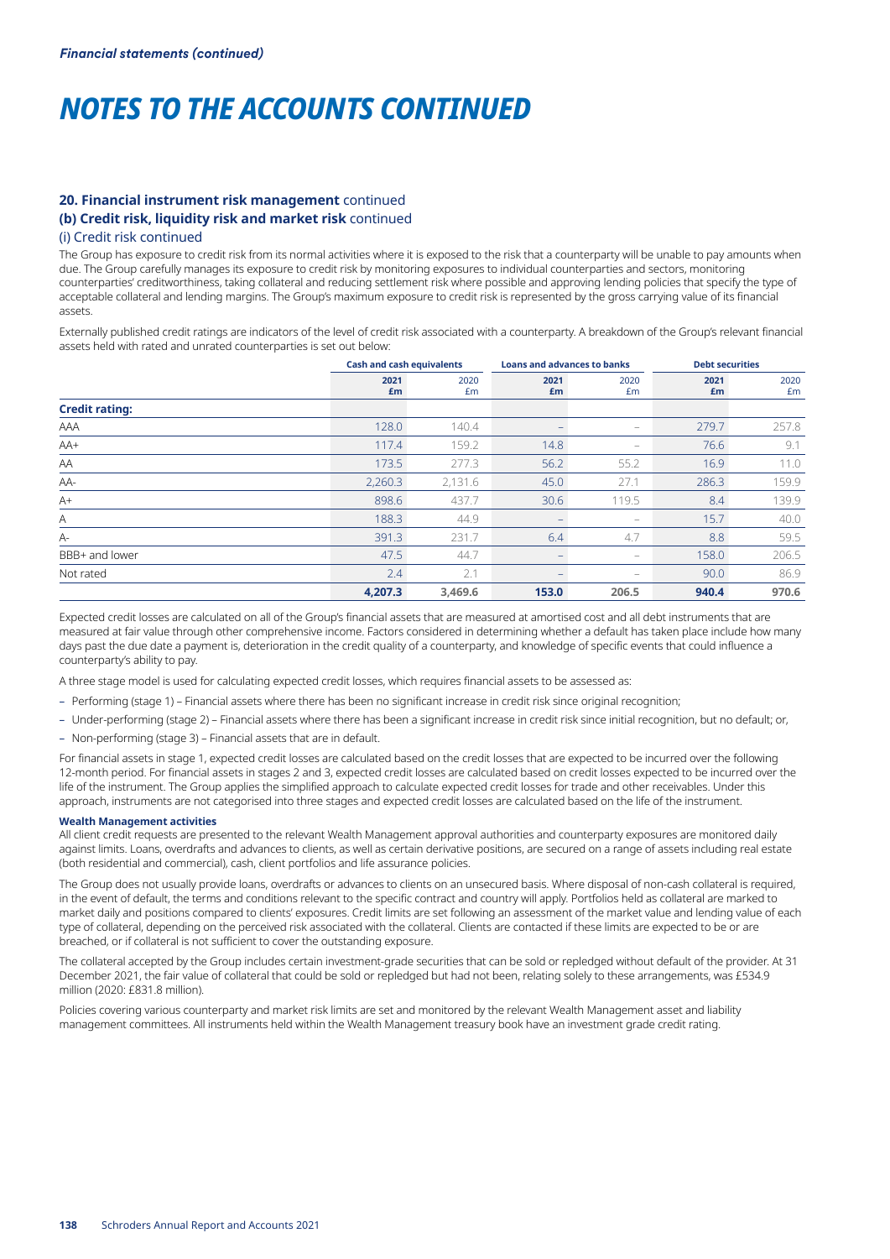## **20. Financial instrument risk management** continued **(b) Credit risk, liquidity risk and market risk** continued

#### (i) Credit risk continued

The Group has exposure to credit risk from its normal activities where it is exposed to the risk that a counterparty will be unable to pay amounts when due. The Group carefully manages its exposure to credit risk by monitoring exposures to individual counterparties and sectors, monitoring counterparties' creditworthiness, taking collateral and reducing settlement risk where possible and approving lending policies that specify the type of acceptable collateral and lending margins. The Group's maximum exposure to credit risk is represented by the gross carrying value of its financial assets.

Externally published credit ratings are indicators of the level of credit risk associated with a counterparty. A breakdown of the Group's relevant financial assets held with rated and unrated counterparties is set out below:

|                       | <b>Cash and cash equivalents</b> |            | <b>Loans and advances to banks</b> |                          | <b>Debt securities</b> |            |
|-----------------------|----------------------------------|------------|------------------------------------|--------------------------|------------------------|------------|
|                       | 2021<br>£m                       | 2020<br>£m | 2021<br>£m                         | 2020<br>£m               | 2021<br>£m             | 2020<br>£m |
| <b>Credit rating:</b> |                                  |            |                                    |                          |                        |            |
| AAA                   | 128.0                            | 140.4      |                                    | $\qquad \qquad -$        | 279.7                  | 257.8      |
| AA+                   | 117.4                            | 159.2      | 14.8                               | $\overline{\phantom{0}}$ | 76.6                   | 9.1        |
| AA                    | 173.5                            | 277.3      | 56.2                               | 55.2                     | 16.9                   | 11.0       |
| AA-                   | 2,260.3                          | 2,131.6    | 45.0                               | 27.1                     | 286.3                  | 159.9      |
| $A+$                  | 898.6                            | 437.7      | 30.6                               | 119.5                    | 8.4                    | 139.9      |
| Α                     | 188.3                            | 44.9       | $\qquad \qquad -$                  | $\qquad \qquad -$        | 15.7                   | 40.0       |
| $A-$                  | 391.3                            | 231.7      | 6.4                                | 4.7                      | 8.8                    | 59.5       |
| BBB+ and lower        | 47.5                             | 44.7       | -                                  | $\qquad \qquad -$        | 158.0                  | 206.5      |
| Not rated             | 2.4                              | 2.1        | $\overline{\phantom{0}}$           | $\qquad \qquad -$        | 90.0                   | 86.9       |
|                       | 4,207.3                          | 3.469.6    | 153.0                              | 206.5                    | 940.4                  | 970.6      |

Expected credit losses are calculated on all of the Group's financial assets that are measured at amortised cost and all debt instruments that are measured at fair value through other comprehensive income. Factors considered in determining whether a default has taken place include how many days past the due date a payment is, deterioration in the credit quality of a counterparty, and knowledge of specific events that could influence a counterparty's ability to pay.

A three stage model is used for calculating expected credit losses, which requires financial assets to be assessed as:

- Performing (stage 1) Financial assets where there has been no significant increase in credit risk since original recognition;
- Under-performing (stage 2) Financial assets where there has been a significant increase in credit risk since initial recognition, but no default; or,
- Non-performing (stage 3) Financial assets that are in default.

For financial assets in stage 1, expected credit losses are calculated based on the credit losses that are expected to be incurred over the following 12-month period. For financial assets in stages 2 and 3, expected credit losses are calculated based on credit losses expected to be incurred over the life of the instrument. The Group applies the simplified approach to calculate expected credit losses for trade and other receivables. Under this approach, instruments are not categorised into three stages and expected credit losses are calculated based on the life of the instrument.

#### **Wealth Management activities**

All client credit requests are presented to the relevant Wealth Management approval authorities and counterparty exposures are monitored daily against limits. Loans, overdrafts and advances to clients, as well as certain derivative positions, are secured on a range of assets including real estate (both residential and commercial), cash, client portfolios and life assurance policies.

The Group does not usually provide loans, overdrafts or advances to clients on an unsecured basis. Where disposal of non-cash collateral is required, in the event of default, the terms and conditions relevant to the specific contract and country will apply. Portfolios held as collateral are marked to market daily and positions compared to clients' exposures. Credit limits are set following an assessment of the market value and lending value of each type of collateral, depending on the perceived risk associated with the collateral. Clients are contacted if these limits are expected to be or are breached, or if collateral is not sufficient to cover the outstanding exposure.

The collateral accepted by the Group includes certain investment-grade securities that can be sold or repledged without default of the provider. At 31 December 2021, the fair value of collateral that could be sold or repledged but had not been, relating solely to these arrangements, was £534.9 million (2020: £831.8 million).

Policies covering various counterparty and market risk limits are set and monitored by the relevant Wealth Management asset and liability management committees. All instruments held within the Wealth Management treasury book have an investment grade credit rating.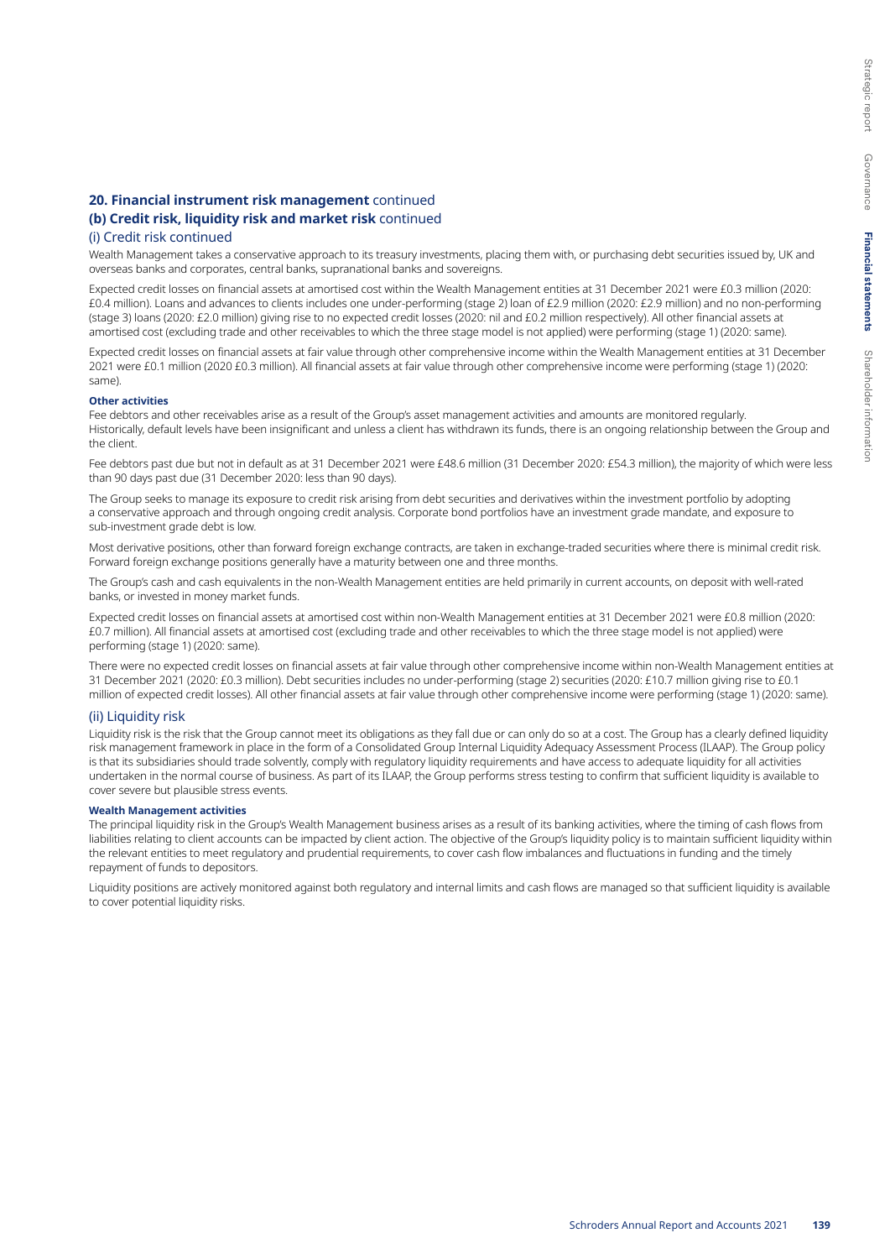## **20. Financial instrument risk management** continued

## **(b) Credit risk, liquidity risk and market risk** continued

## (i) Credit risk continued

Wealth Management takes a conservative approach to its treasury investments, placing them with, or purchasing debt securities issued by, UK and overseas banks and corporates, central banks, supranational banks and sovereigns.

Expected credit losses on financial assets at amortised cost within the Wealth Management entities at 31 December 2021 were £0.3 million (2020: £0.4 million). Loans and advances to clients includes one under-performing (stage 2) loan of £2.9 million (2020: £2.9 million) and no non-performing (stage 3) loans (2020: £2.0 million) giving rise to no expected credit losses (2020: nil and £0.2 million respectively). All other financial assets at amortised cost (excluding trade and other receivables to which the three stage model is not applied) were performing (stage 1) (2020: same).

Expected credit losses on financial assets at fair value through other comprehensive income within the Wealth Management entities at 31 December 2021 were £0.1 million (2020 £0.3 million). All financial assets at fair value through other comprehensive income were performing (stage 1) (2020: same).

#### **Other activities**

Fee debtors and other receivables arise as a result of the Group's asset management activities and amounts are monitored regularly. Historically, default levels have been insignificant and unless a client has withdrawn its funds, there is an ongoing relationship between the Group and the client.

Fee debtors past due but not in default as at 31 December 2021 were £48.6 million (31 December 2020: £54.3 million), the majority of which were less than 90 days past due (31 December 2020: less than 90 days).

The Group seeks to manage its exposure to credit risk arising from debt securities and derivatives within the investment portfolio by adopting a conservative approach and through ongoing credit analysis. Corporate bond portfolios have an investment grade mandate, and exposure to sub-investment grade debt is low.

Most derivative positions, other than forward foreign exchange contracts, are taken in exchange-traded securities where there is minimal credit risk. Forward foreign exchange positions generally have a maturity between one and three months.

The Group's cash and cash equivalents in the non-Wealth Management entities are held primarily in current accounts, on deposit with well-rated banks, or invested in money market funds.

Expected credit losses on financial assets at amortised cost within non-Wealth Management entities at 31 December 2021 were £0.8 million (2020: £0.7 million). All financial assets at amortised cost (excluding trade and other receivables to which the three stage model is not applied) were performing (stage 1) (2020: same).

There were no expected credit losses on financial assets at fair value through other comprehensive income within non-Wealth Management entities at 31 December 2021 (2020: £0.3 million). Debt securities includes no under-performing (stage 2) securities (2020: £10.7 million giving rise to £0.1 million of expected credit losses). All other financial assets at fair value through other comprehensive income were performing (stage 1) (2020: same).

#### (ii) Liquidity risk

Liquidity risk is the risk that the Group cannot meet its obligations as they fall due or can only do so at a cost. The Group has a clearly defined liquidity risk management framework in place in the form of a Consolidated Group Internal Liquidity Adequacy Assessment Process (ILAAP). The Group policy is that its subsidiaries should trade solvently, comply with regulatory liquidity requirements and have access to adequate liquidity for all activities undertaken in the normal course of business. As part of its ILAAP, the Group performs stress testing to confirm that sufficient liquidity is available to cover severe but plausible stress events.

#### **Wealth Management activities**

The principal liquidity risk in the Group's Wealth Management business arises as a result of its banking activities, where the timing of cash flows from liabilities relating to client accounts can be impacted by client action. The objective of the Group's liquidity policy is to maintain sufficient liquidity within the relevant entities to meet regulatory and prudential requirements, to cover cash flow imbalances and fluctuations in funding and the timely repayment of funds to depositors.

Liquidity positions are actively monitored against both regulatory and internal limits and cash flows are managed so that sufficient liquidity is available to cover potential liquidity risks.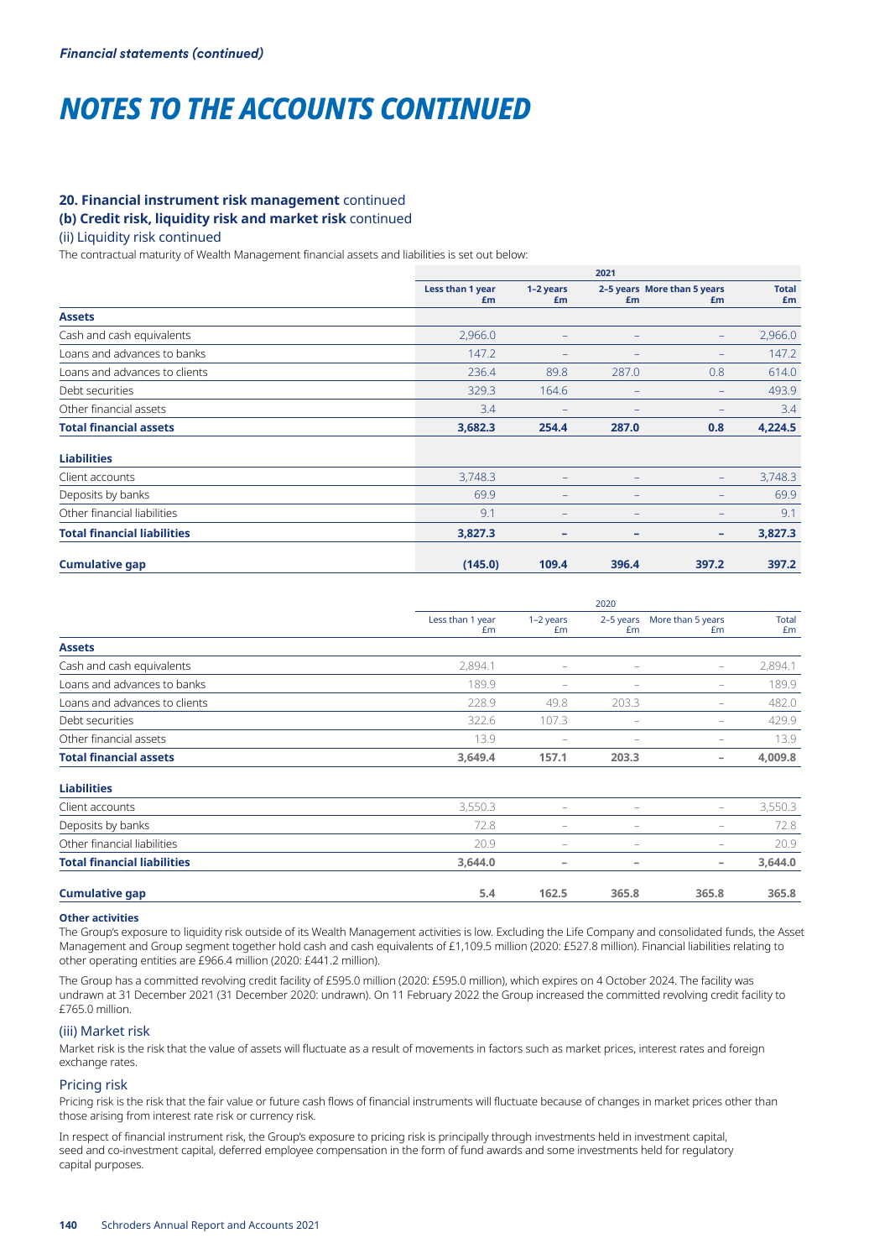# **20. Financial instrument risk management** continued

# **(b) Credit risk, liquidity risk and market risk** continued

# (ii) Liquidity risk continued

The contractual maturity of Wealth Management financial assets and liabilities is set out below:

|                                    | 2021                   |                   |                   |                                   |                    |  |
|------------------------------------|------------------------|-------------------|-------------------|-----------------------------------|--------------------|--|
|                                    | Less than 1 year<br>£m | 1-2 years<br>£m   | £m                | 2-5 years More than 5 years<br>£m | <b>Total</b><br>£m |  |
| <b>Assets</b>                      |                        |                   |                   |                                   |                    |  |
| Cash and cash equivalents          | 2,966.0                | $\qquad \qquad -$ | $\qquad \qquad -$ | $\qquad \qquad -$                 | 2,966.0            |  |
| Loans and advances to banks        | 147.2                  | -                 | -                 | $\qquad \qquad -$                 | 147.2              |  |
| Loans and advances to clients      | 236.4                  | 89.8              | 287.0             | 0.8                               | 614.0              |  |
| Debt securities                    | 329.3                  | 164.6             | $\qquad \qquad -$ | $\qquad \qquad -$                 | 493.9              |  |
| Other financial assets             | 3.4                    | -                 | -                 |                                   | 3.4                |  |
| <b>Total financial assets</b>      | 3,682.3                | 254.4             | 287.0             | 0.8                               | 4,224.5            |  |
| <b>Liabilities</b>                 |                        |                   |                   |                                   |                    |  |
| Client accounts                    | 3,748.3                |                   | -                 | $\qquad \qquad -$                 | 3,748.3            |  |
| Deposits by banks                  | 69.9                   | -                 | $\qquad \qquad -$ |                                   | 69.9               |  |
| Other financial liabilities        | 9.1                    | -                 | $\qquad \qquad -$ |                                   | 9.1                |  |
| <b>Total financial liabilities</b> | 3,827.3                | ۰                 | -                 | -                                 | 3,827.3            |  |
| <b>Cumulative gap</b>              | (145.0)                | 109.4             | 396.4             | 397.2                             | 397.2              |  |

|                                    |                        | 2020                     |                          |                          |                    |  |  |
|------------------------------------|------------------------|--------------------------|--------------------------|--------------------------|--------------------|--|--|
|                                    | Less than 1 year<br>Em | $1-2$ years<br>£m        | 2-5 years<br>Em          | More than 5 years<br>Em  | <b>Total</b><br>£m |  |  |
| <b>Assets</b>                      |                        |                          |                          |                          |                    |  |  |
| Cash and cash equivalents          | 2,894.1                | $\overline{\phantom{0}}$ | $\qquad \qquad -$        | $\overline{\phantom{m}}$ | 2,894.1            |  |  |
| Loans and advances to banks        | 189.9                  | $\overline{\phantom{0}}$ | $\overline{\phantom{0}}$ | $\qquad \qquad -$        | 189.9              |  |  |
| Loans and advances to clients      | 228.9                  | 49.8                     | 203.3                    | -                        | 482.0              |  |  |
| Debt securities                    | 322.6                  | 107.3                    | -                        | $\qquad \qquad -$        | 429.9              |  |  |
| Other financial assets             | 13.9                   | $\overline{\phantom{0}}$ | $\overline{\phantom{0}}$ | $\overline{\phantom{0}}$ | 13.9               |  |  |
| <b>Total financial assets</b>      | 3,649.4                | 157.1                    | 203.3                    | $\overline{\phantom{a}}$ | 4,009.8            |  |  |
| <b>Liabilities</b>                 |                        |                          |                          |                          |                    |  |  |
| Client accounts                    | 3,550.3                | -                        | -                        | $\overline{\phantom{m}}$ | 3,550.3            |  |  |
| Deposits by banks                  | 72.8                   | $\overline{\phantom{0}}$ | $\overline{\phantom{0}}$ | -                        | 72.8               |  |  |
| Other financial liabilities        | 20.9                   | -                        | -                        | -                        | 20.9               |  |  |
| <b>Total financial liabilities</b> | 3,644.0                | -                        | -                        | $\overline{\phantom{a}}$ | 3,644.0            |  |  |
| <b>Cumulative gap</b>              | 5.4                    | 162.5                    | 365.8                    | 365.8                    | 365.8              |  |  |

#### **Other activities**

The Group's exposure to liquidity risk outside of its Wealth Management activities is low. Excluding the Life Company and consolidated funds, the Asset Management and Group segment together hold cash and cash equivalents of £1,109.5 million (2020: £527.8 million). Financial liabilities relating to other operating entities are £966.4 million (2020: £441.2 million).

The Group has a committed revolving credit facility of £595.0 million (2020: £595.0 million), which expires on 4 October 2024. The facility was undrawn at 31 December 2021 (31 December 2020: undrawn). On 11 February 2022 the Group increased the committed revolving credit facility to £765.0 million.

#### (iii) Market risk

Market risk is the risk that the value of assets will fluctuate as a result of movements in factors such as market prices, interest rates and foreign exchange rates.

#### Pricing risk

Pricing risk is the risk that the fair value or future cash flows of financial instruments will fluctuate because of changes in market prices other than those arising from interest rate risk or currency risk.

In respect of financial instrument risk, the Group's exposure to pricing risk is principally through investments held in investment capital, seed and co-investment capital, deferred employee compensation in the form of fund awards and some investments held for regulatory capital purposes.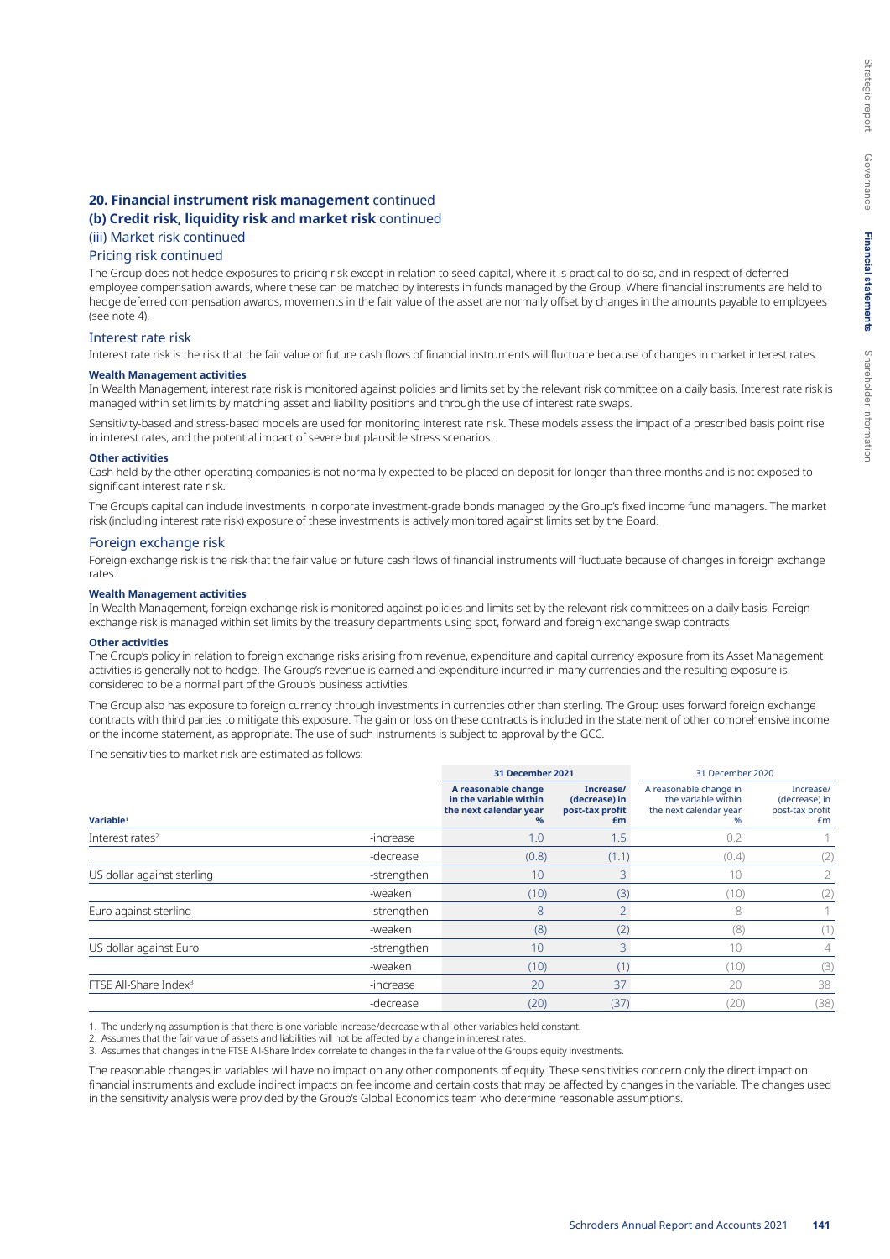# **20. Financial instrument risk management** continued

# **(b) Credit risk, liquidity risk and market risk** continued

# (iii) Market risk continued

#### Pricing risk continued

The Group does not hedge exposures to pricing risk except in relation to seed capital, where it is practical to do so, and in respect of deferred employee compensation awards, where these can be matched by interests in funds managed by the Group. Where financial instruments are held to hedge deferred compensation awards, movements in the fair value of the asset are normally offset by changes in the amounts payable to employees (see note 4).

#### Interest rate risk

Interest rate risk is the risk that the fair value or future cash flows of financial instruments will fluctuate because of changes in market interest rates.

#### **Wealth Management activities**

In Wealth Management, interest rate risk is monitored against policies and limits set by the relevant risk committee on a daily basis. Interest rate risk is managed within set limits by matching asset and liability positions and through the use of interest rate swaps.

Sensitivity-based and stress-based models are used for monitoring interest rate risk. These models assess the impact of a prescribed basis point rise in interest rates, and the potential impact of severe but plausible stress scenarios.

#### **Other activities**

Cash held by the other operating companies is not normally expected to be placed on deposit for longer than three months and is not exposed to significant interest rate risk.

The Group's capital can include investments in corporate investment-grade bonds managed by the Group's fixed income fund managers. The market risk (including interest rate risk) exposure of these investments is actively monitored against limits set by the Board.

#### Foreign exchange risk

Foreign exchange risk is the risk that the fair value or future cash flows of financial instruments will fluctuate because of changes in foreign exchange rates.

#### **Wealth Management activities**

In Wealth Management, foreign exchange risk is monitored against policies and limits set by the relevant risk committees on a daily basis. Foreign exchange risk is managed within set limits by the treasury departments using spot, forward and foreign exchange swap contracts.

#### **Other activities**

The Group's policy in relation to foreign exchange risks arising from revenue, expenditure and capital currency exposure from its Asset Management activities is generally not to hedge. The Group's revenue is earned and expenditure incurred in many currencies and the resulting exposure is considered to be a normal part of the Group's business activities.

The Group also has exposure to foreign currency through investments in currencies other than sterling. The Group uses forward foreign exchange contracts with third parties to mitigate this exposure. The gain or loss on these contracts is included in the statement of other comprehensive income or the income statement, as appropriate. The use of such instruments is subject to approval by the GCC.

The sensitivities to market risk are estimated as follows:

|                                   |             | 31 December 2021                                                             |                                                     | 31 December 2020                                                             |                                                     |
|-----------------------------------|-------------|------------------------------------------------------------------------------|-----------------------------------------------------|------------------------------------------------------------------------------|-----------------------------------------------------|
| Variable <sup>1</sup>             |             | A reasonable change<br>in the variable within<br>the next calendar year<br>% | Increase/<br>(decrease) in<br>post-tax profit<br>£m | A reasonable change in<br>the variable within<br>the next calendar year<br>% | Increase/<br>(decrease) in<br>post-tax profit<br>£m |
| Interest rates $2$                | -increase   | 1.0                                                                          | 1.5                                                 | 0.2                                                                          |                                                     |
|                                   | -decrease   | (0.8)                                                                        | (1.1)                                               | (0.4)                                                                        | (2)                                                 |
| US dollar against sterling        | -strengthen | 10                                                                           |                                                     | 10                                                                           |                                                     |
|                                   | -weaken     | (10)                                                                         | (3)                                                 | (10)                                                                         | (2)                                                 |
| Euro against sterling             | -strengthen | 8                                                                            |                                                     | 8                                                                            |                                                     |
|                                   | -weaken     | (8)                                                                          | (2)                                                 | (8)                                                                          | (1)                                                 |
| US dollar against Euro            | -strengthen | 10                                                                           | 3                                                   | 10                                                                           |                                                     |
|                                   | -weaken     | (10)                                                                         |                                                     | (10)                                                                         | (3)                                                 |
| FTSE All-Share Index <sup>3</sup> | -increase   | 20                                                                           | 37                                                  | 20                                                                           | 38                                                  |
|                                   | -decrease   | (20)                                                                         | (37)                                                | (20)                                                                         | (38)                                                |

1. The underlying assumption is that there is one variable increase/decrease with all other variables held constant.

2. Assumes that the fair value of assets and liabilities will not be affected by a change in interest rates.

3. Assumes that changes in the FTSE All-Share Index correlate to changes in the fair value of the Group's equity investments.

The reasonable changes in variables will have no impact on any other components of equity. These sensitivities concern only the direct impact on financial instruments and exclude indirect impacts on fee income and certain costs that may be affected by changes in the variable. The changes used in the sensitivity analysis were provided by the Group's Global Economics team who determine reasonable assumptions.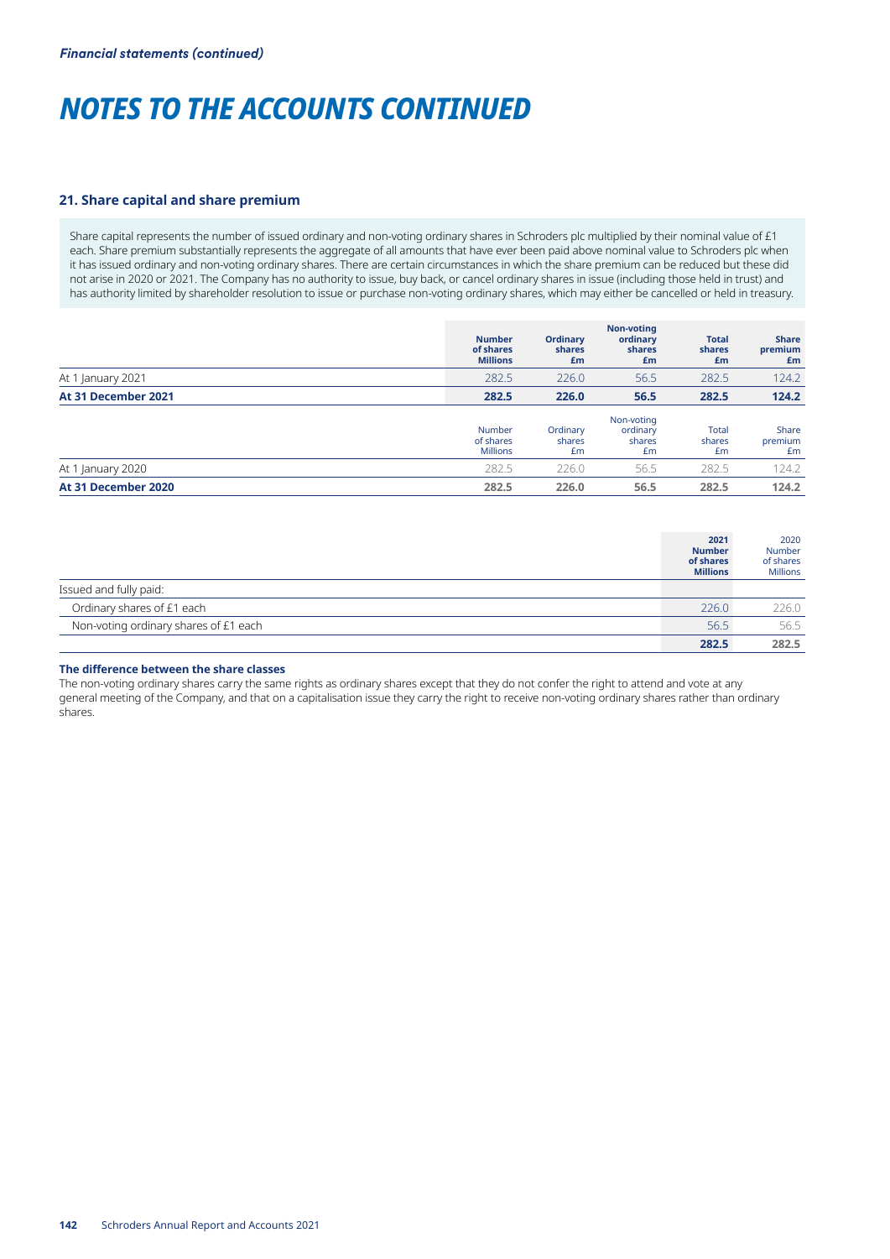#### **21. Share capital and share premium**

Share capital represents the number of issued ordinary and non-voting ordinary shares in Schroders plc multiplied by their nominal value of £1 each. Share premium substantially represents the aggregate of all amounts that have ever been paid above nominal value to Schroders plc when it has issued ordinary and non-voting ordinary shares. There are certain circumstances in which the share premium can be reduced but these did not arise in 2020 or 2021. The Company has no authority to issue, buy back, or cancel ordinary shares in issue (including those held in trust) and has authority limited by shareholder resolution to issue or purchase non-voting ordinary shares, which may either be cancelled or held in treasury.

|                     | <b>Number</b><br>of shares<br><b>Millions</b> | <b>Ordinary</b><br>shares<br>£m | <b>Non-voting</b><br>ordinary<br>shares<br>£m | <b>Total</b><br>shares<br>£m | <b>Share</b><br>premium<br>£m |
|---------------------|-----------------------------------------------|---------------------------------|-----------------------------------------------|------------------------------|-------------------------------|
| At 1 January 2021   | 282.5                                         | 226.0                           | 56.5                                          | 282.5                        | 124.2                         |
| At 31 December 2021 | 282.5                                         | 226.0                           | 56.5                                          | 282.5                        | 124.2                         |
|                     | Number<br>of shares<br><b>Millions</b>        | Ordinary<br>shares<br>Em        | Non-voting<br>ordinary<br>shares<br>£m        | Total<br>shares<br>Em        | Share<br>premium<br>£m        |
| At 1 January 2020   | 282.5                                         | 226.0                           | 56.5                                          | 282.5                        | 124.2                         |
| At 31 December 2020 | 282.5                                         | 226.0                           | 56.5                                          | 282.5                        | 124.2                         |

|                                       | 2021<br><b>Number</b><br>of shares<br><b>Millions</b> | 2020<br>Number<br>of shares<br><b>Millions</b> |
|---------------------------------------|-------------------------------------------------------|------------------------------------------------|
| Issued and fully paid:                |                                                       |                                                |
| Ordinary shares of £1 each            | 226.0                                                 | 226.0                                          |
| Non-voting ordinary shares of £1 each | 56.5                                                  | 56.5                                           |
|                                       | 282.5                                                 | 282.5                                          |

#### **The difference between the share classes**

The non-voting ordinary shares carry the same rights as ordinary shares except that they do not confer the right to attend and vote at any general meeting of the Company, and that on a capitalisation issue they carry the right to receive non-voting ordinary shares rather than ordinary shares.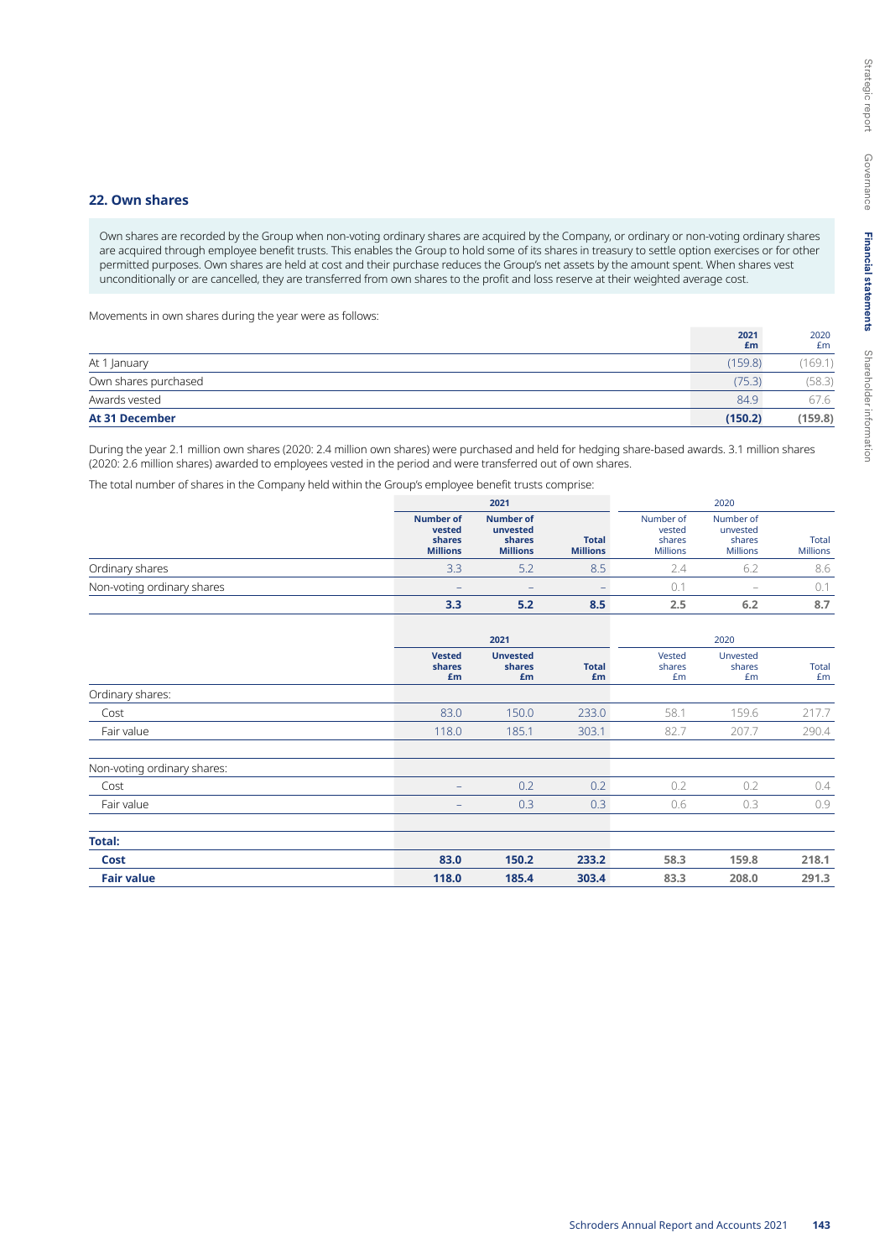#### **22. Own shares**

Own shares are recorded by the Group when non-voting ordinary shares are acquired by the Company, or ordinary or non-voting ordinary shares are acquired through employee benefit trusts. This enables the Group to hold some of its shares in treasury to settle option exercises or for other permitted purposes. Own shares are held at cost and their purchase reduces the Group's net assets by the amount spent. When shares vest unconditionally or are cancelled, they are transferred from own shares to the profit and loss reserve at their weighted average cost.

Movements in own shares during the year were as follows:

|                       | 2021<br>£m | 2020<br>£m |
|-----------------------|------------|------------|
| At 1 January          | (159.8)    | (169.1)    |
| Own shares purchased  | (75.3)     | (58.3)     |
| Awards vested         | 84.9       | 67.6       |
| <b>At 31 December</b> | (150.2)    | (159.8)    |

During the year 2.1 million own shares (2020: 2.4 million own shares) were purchased and held for hedging share-based awards. 3.1 million shares (2020: 2.6 million shares) awarded to employees vested in the period and were transferred out of own shares.

The total number of shares in the Company held within the Group's employee benefit trusts comprise:

|                            | 2021                                                    |                                                           | 2020                            |                                                  |                                                    |                          |
|----------------------------|---------------------------------------------------------|-----------------------------------------------------------|---------------------------------|--------------------------------------------------|----------------------------------------------------|--------------------------|
|                            | <b>Number of</b><br>vested<br>shares<br><b>Millions</b> | <b>Number of</b><br>unvested<br>shares<br><b>Millions</b> | <b>Total</b><br><b>Millions</b> | Number of<br>vested<br>shares<br><b>Millions</b> | Number of<br>unvested<br>shares<br><b>Millions</b> | Total<br><b>Millions</b> |
| Ordinary shares            | 3.3                                                     | 5.2                                                       | 8.5                             |                                                  |                                                    | 8.6                      |
| Non-voting ordinary shares |                                                         |                                                           |                                 |                                                  | $\overline{\phantom{a}}$                           | 0.1                      |
|                            | 3.3                                                     | 5.2                                                       | 8.5                             | 2.5                                              | 6.2                                                | 8.7                      |

|                             |                               | 2021                            |                    | 2020                   |                          |             |  |
|-----------------------------|-------------------------------|---------------------------------|--------------------|------------------------|--------------------------|-------------|--|
|                             | <b>Vested</b><br>shares<br>£m | <b>Unvested</b><br>shares<br>£m | <b>Total</b><br>£m | Vested<br>shares<br>£m | Unvested<br>shares<br>£m | Total<br>£m |  |
| Ordinary shares:            |                               |                                 |                    |                        |                          |             |  |
| Cost                        | 83.0                          | 150.0                           | 233.0              | 58.1                   | 159.6                    | 217.7       |  |
| Fair value                  | 118.0                         | 185.1                           | 303.1              | 82.7                   | 207.7                    | 290.4       |  |
| Non-voting ordinary shares: |                               |                                 |                    |                        |                          |             |  |
| Cost                        | $\qquad \qquad -$             | 0.2                             | 0.2                | 0.2                    | 0.2                      | 0.4         |  |
| Fair value                  | $\qquad \qquad -$             | 0.3                             | 0.3                | 0.6                    | 0.3                      | 0.9         |  |
| <b>Total:</b>               |                               |                                 |                    |                        |                          |             |  |
| Cost                        | 83.0                          | 150.2                           | 233.2              | 58.3                   | 159.8                    | 218.1       |  |
| <b>Fair value</b>           | 118.0                         | 185.4                           | 303.4              | 83.3                   | 208.0                    | 291.3       |  |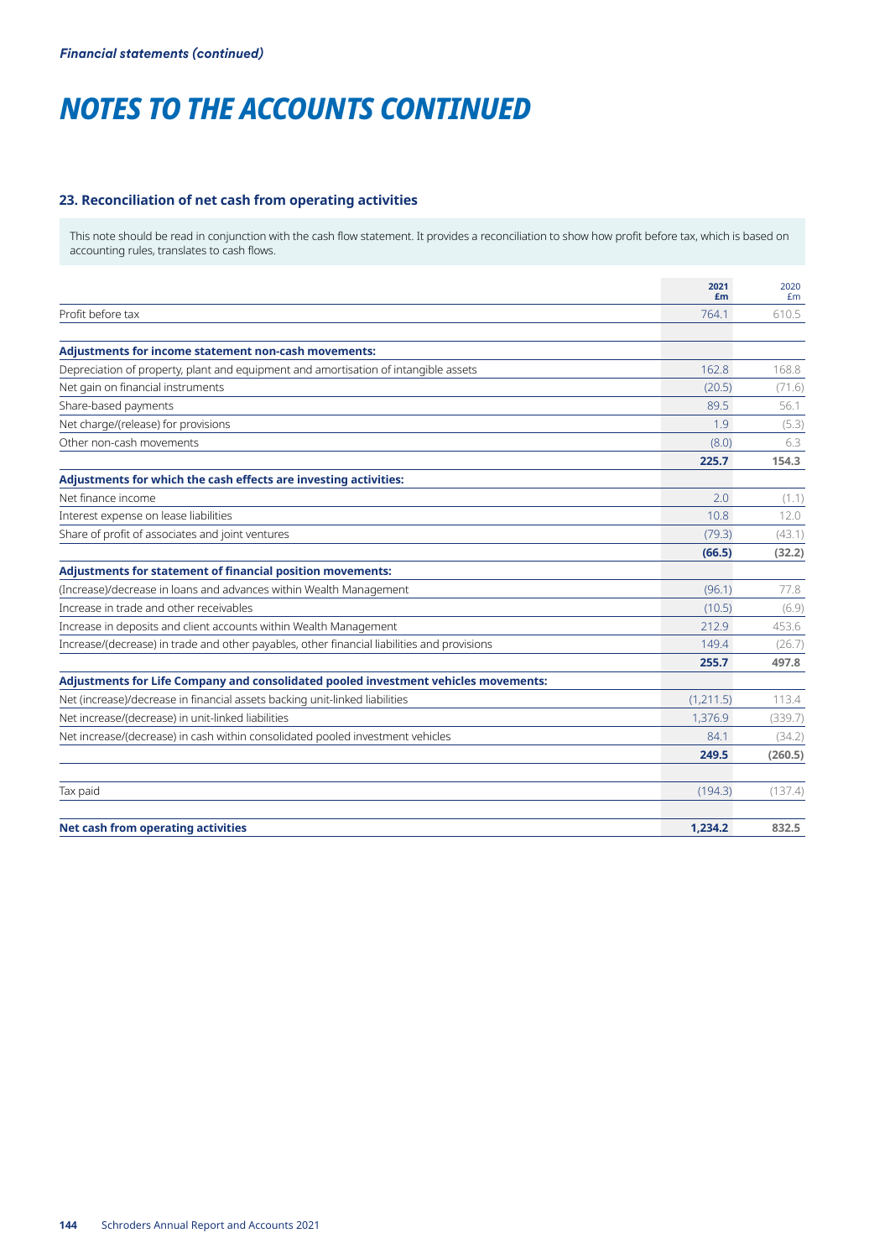# **23. Reconciliation of net cash from operating activities**

This note should be read in conjunction with the cash flow statement. It provides a reconciliation to show how profit before tax, which is based on accounting rules, translates to cash flows.

|                                                                                             | 2021<br>£m | 2020<br>Em |
|---------------------------------------------------------------------------------------------|------------|------------|
| Profit before tax                                                                           | 764.1      | 610.5      |
| <b>Adjustments for income statement non-cash movements:</b>                                 |            |            |
| Depreciation of property, plant and equipment and amortisation of intangible assets         | 162.8      | 168.8      |
| Net gain on financial instruments                                                           | (20.5)     |            |
|                                                                                             | 895        | (71.6)     |
| Share-based payments                                                                        |            | 56.1       |
| Net charge/(release) for provisions                                                         | 1.9        | (5.3)      |
| Other non-cash movements                                                                    | (8.0)      | 6.3        |
|                                                                                             | 225.7      | 154.3      |
| Adjustments for which the cash effects are investing activities:                            |            |            |
| Net finance income                                                                          | 2.0        | (1.1)      |
| Interest expense on lease liabilities                                                       | 10.8       | 12.0       |
| Share of profit of associates and joint ventures                                            | (79.3)     | (43.1)     |
|                                                                                             | (66.5)     | (32.2)     |
| <b>Adjustments for statement of financial position movements:</b>                           |            |            |
| (Increase)/decrease in loans and advances within Wealth Management                          | (96.1)     | 77.8       |
| Increase in trade and other receivables                                                     | (10.5)     | (6.9)      |
| Increase in deposits and client accounts within Wealth Management                           | 212.9      | 453.6      |
| Increase/(decrease) in trade and other payables, other financial liabilities and provisions | 149.4      | (26.7)     |
|                                                                                             | 255.7      | 497.8      |
| Adjustments for Life Company and consolidated pooled investment vehicles movements:         |            |            |
| Net (increase)/decrease in financial assets backing unit-linked liabilities                 | (1,211.5)  | 113.4      |
| Net increase/(decrease) in unit-linked liabilities                                          | 1,376.9    | (339.7)    |
| Net increase/(decrease) in cash within consolidated pooled investment vehicles              | 84.1       | (34.2)     |
|                                                                                             | 249.5      | (260.5)    |
| Tax paid                                                                                    | (194.3)    | (137.4)    |
| <b>Net cash from operating activities</b>                                                   | 1.234.2    | 832.5      |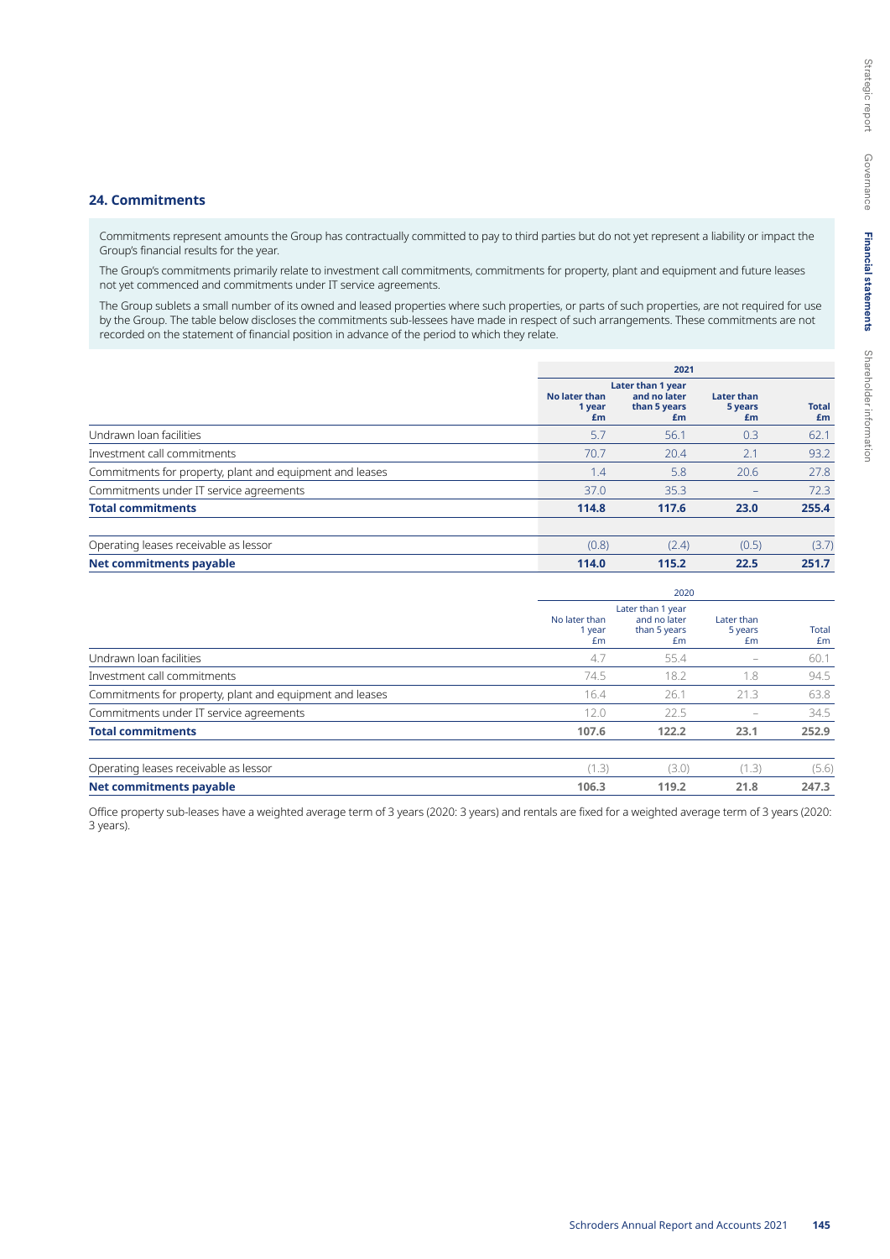#### **24. Commitments**

Commitments represent amounts the Group has contractually committed to pay to third parties but do not yet represent a liability or impact the Group's financial results for the year.

The Group's commitments primarily relate to investment call commitments, commitments for property, plant and equipment and future leases not yet commenced and commitments under IT service agreements.

The Group sublets a small number of its owned and leased properties where such properties, or parts of such properties, are not required for use by the Group. The table below discloses the commitments sub-lessees have made in respect of such arrangements. These commitments are not recorded on the statement of financial position in advance of the period to which they relate.

|                                                          |                               | 2021                                                    |                                    |                    |
|----------------------------------------------------------|-------------------------------|---------------------------------------------------------|------------------------------------|--------------------|
|                                                          | No later than<br>1 year<br>£m | Later than 1 year<br>and no later<br>than 5 years<br>£m | <b>Later than</b><br>5 years<br>£m | <b>Total</b><br>£m |
| Undrawn Ioan facilities                                  | 5.7                           | 56.1                                                    | 0.3                                | 62.1               |
| Investment call commitments                              | 70.7                          | 20.4                                                    | 2.1                                | 93.2               |
| Commitments for property, plant and equipment and leases | 1.4                           | 5.8                                                     | 20.6                               | 27.8               |
| Commitments under IT service agreements                  | 37.0                          | 35.3                                                    | $\overline{\phantom{0}}$           | 72.3               |
| <b>Total commitments</b>                                 | 114.8                         | 117.6                                                   | 23.0                               | 255.4              |
| Operating leases receivable as lessor                    | (0.8)                         | (2.4)                                                   | (0.5)                              | (3.7)              |
| <b>Net commitments payable</b>                           | 114.0                         | 115.2                                                   | 22.5                               | 251.7              |

|                                                          |                               | 2020                                                    |                             |             |  |  |
|----------------------------------------------------------|-------------------------------|---------------------------------------------------------|-----------------------------|-------------|--|--|
|                                                          | No later than<br>1 year<br>£m | Later than 1 year<br>and no later<br>than 5 years<br>£m | Later than<br>5 years<br>£m | Total<br>£m |  |  |
| Undrawn Ioan facilities                                  | 4.7                           | 55.4                                                    |                             | 60.1        |  |  |
| Investment call commitments                              | 74.5                          | 18.2                                                    | 1.8                         | 94.5        |  |  |
| Commitments for property, plant and equipment and leases | 16.4                          | 26.1                                                    | 21.3                        | 63.8        |  |  |
| Commitments under IT service agreements                  | 12.0                          | 22.5                                                    |                             | 34.5        |  |  |
| <b>Total commitments</b>                                 | 107.6                         | 122.2                                                   | 23.1                        | 252.9       |  |  |
| Operating leases receivable as lessor                    | (1.3)                         | (3.0)                                                   | (1.3)                       | (5.6)       |  |  |
| <b>Net commitments payable</b>                           | 106.3                         | 119.2                                                   | 21.8                        | 247.3       |  |  |

Office property sub-leases have a weighted average term of 3 years (2020: 3 years) and rentals are fixed for a weighted average term of 3 years (2020: 3 years).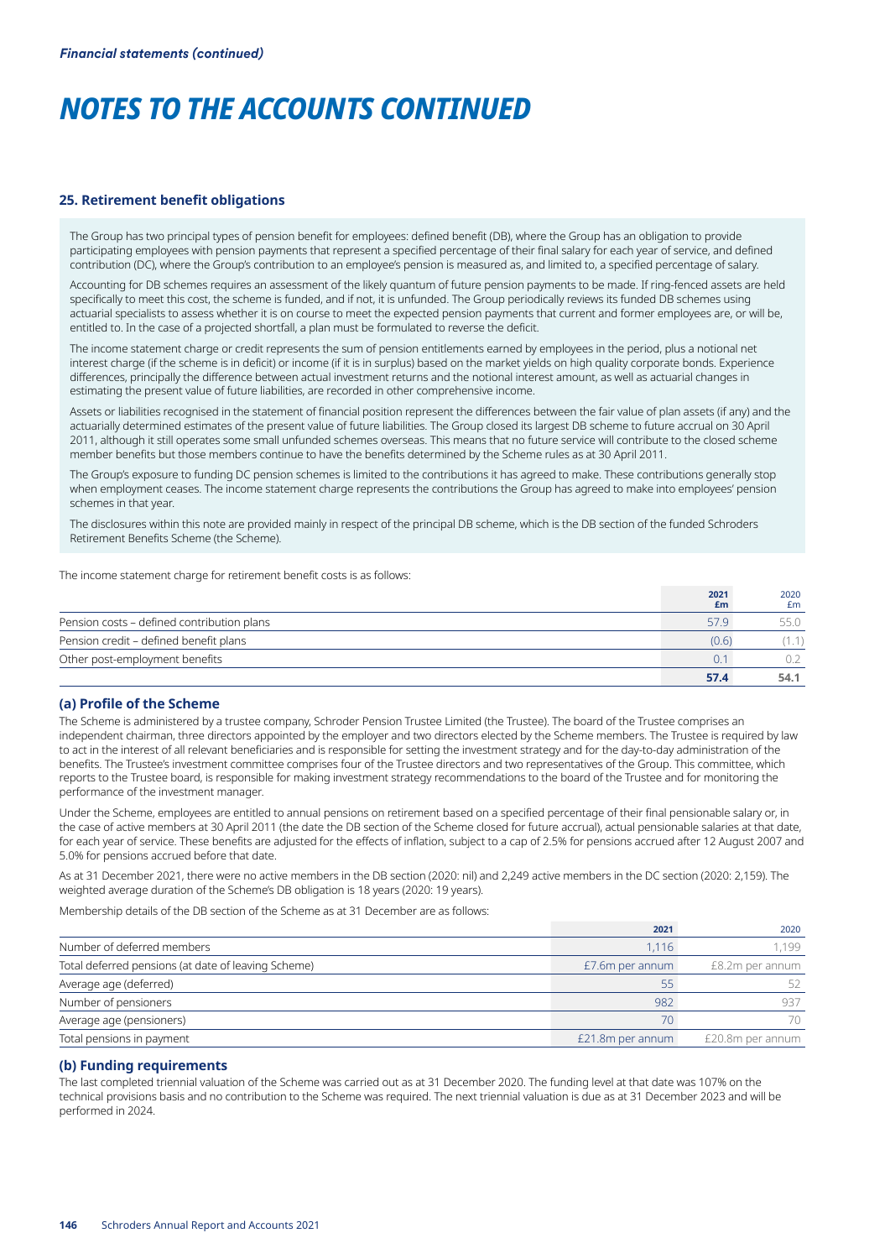#### **25. Retirement benefit obligations**

The Group has two principal types of pension benefit for employees: defined benefit (DB), where the Group has an obligation to provide participating employees with pension payments that represent a specified percentage of their final salary for each year of service, and defined contribution (DC), where the Group's contribution to an employee's pension is measured as, and limited to, a specified percentage of salary.

Accounting for DB schemes requires an assessment of the likely quantum of future pension payments to be made. If ring-fenced assets are held specifically to meet this cost, the scheme is funded, and if not, it is unfunded. The Group periodically reviews its funded DB schemes using actuarial specialists to assess whether it is on course to meet the expected pension payments that current and former employees are, or will be, entitled to. In the case of a projected shortfall, a plan must be formulated to reverse the deficit.

The income statement charge or credit represents the sum of pension entitlements earned by employees in the period, plus a notional net interest charge (if the scheme is in deficit) or income (if it is in surplus) based on the market yields on high quality corporate bonds. Experience differences, principally the difference between actual investment returns and the notional interest amount, as well as actuarial changes in estimating the present value of future liabilities, are recorded in other comprehensive income.

Assets or liabilities recognised in the statement of financial position represent the differences between the fair value of plan assets (if any) and the actuarially determined estimates of the present value of future liabilities. The Group closed its largest DB scheme to future accrual on 30 April 2011, although it still operates some small unfunded schemes overseas. This means that no future service will contribute to the closed scheme member benefits but those members continue to have the benefits determined by the Scheme rules as at 30 April 2011.

The Group's exposure to funding DC pension schemes is limited to the contributions it has agreed to make. These contributions generally stop when employment ceases. The income statement charge represents the contributions the Group has agreed to make into employees' pension schemes in that year.

The disclosures within this note are provided mainly in respect of the principal DB scheme, which is the DB section of the funded Schroders Retirement Benefits Scheme (the Scheme).

The income statement charge for retirement benefit costs is as follows:

|                                            | 2021<br>£m | 2020<br>£m |
|--------------------------------------------|------------|------------|
| Pension costs - defined contribution plans | 57.9       |            |
| Pension credit – defined benefit plans     | (0.6)      |            |
| Other post-employment benefits             | 0.1        |            |
|                                            | 57.4       | 54.1       |

### **(a) Profile of the Scheme**

The Scheme is administered by a trustee company, Schroder Pension Trustee Limited (the Trustee). The board of the Trustee comprises an independent chairman, three directors appointed by the employer and two directors elected by the Scheme members. The Trustee is required by law to act in the interest of all relevant beneficiaries and is responsible for setting the investment strategy and for the day-to-day administration of the benefits. The Trustee's investment committee comprises four of the Trustee directors and two representatives of the Group. This committee, which reports to the Trustee board, is responsible for making investment strategy recommendations to the board of the Trustee and for monitoring the performance of the investment manager.

Under the Scheme, employees are entitled to annual pensions on retirement based on a specified percentage of their final pensionable salary or, in the case of active members at 30 April 2011 (the date the DB section of the Scheme closed for future accrual), actual pensionable salaries at that date, for each year of service. These benefits are adjusted for the effects of inflation, subject to a cap of 2.5% for pensions accrued after 12 August 2007 and 5.0% for pensions accrued before that date.

As at 31 December 2021, there were no active members in the DB section (2020: nil) and 2,249 active members in the DC section (2020: 2,159). The weighted average duration of the Scheme's DB obligation is 18 years (2020: 19 years).

Membership details of the DB section of the Scheme as at 31 December are as follows:

|                                                     | 2021             | 2020             |
|-----------------------------------------------------|------------------|------------------|
| Number of deferred members                          | 1.116            | 1.199            |
| Total deferred pensions (at date of leaving Scheme) | £7.6m per annum  | £8.2m per annum  |
| Average age (deferred)                              | 55               |                  |
| Number of pensioners                                | 982              | 937              |
| Average age (pensioners)                            | $70^{\circ}$     | 70               |
| Total pensions in payment                           | £21.8m per annum | £20.8m per annum |

#### **(b) Funding requirements**

The last completed triennial valuation of the Scheme was carried out as at 31 December 2020. The funding level at that date was 107% on the technical provisions basis and no contribution to the Scheme was required. The next triennial valuation is due as at 31 December 2023 and will be performed in 2024.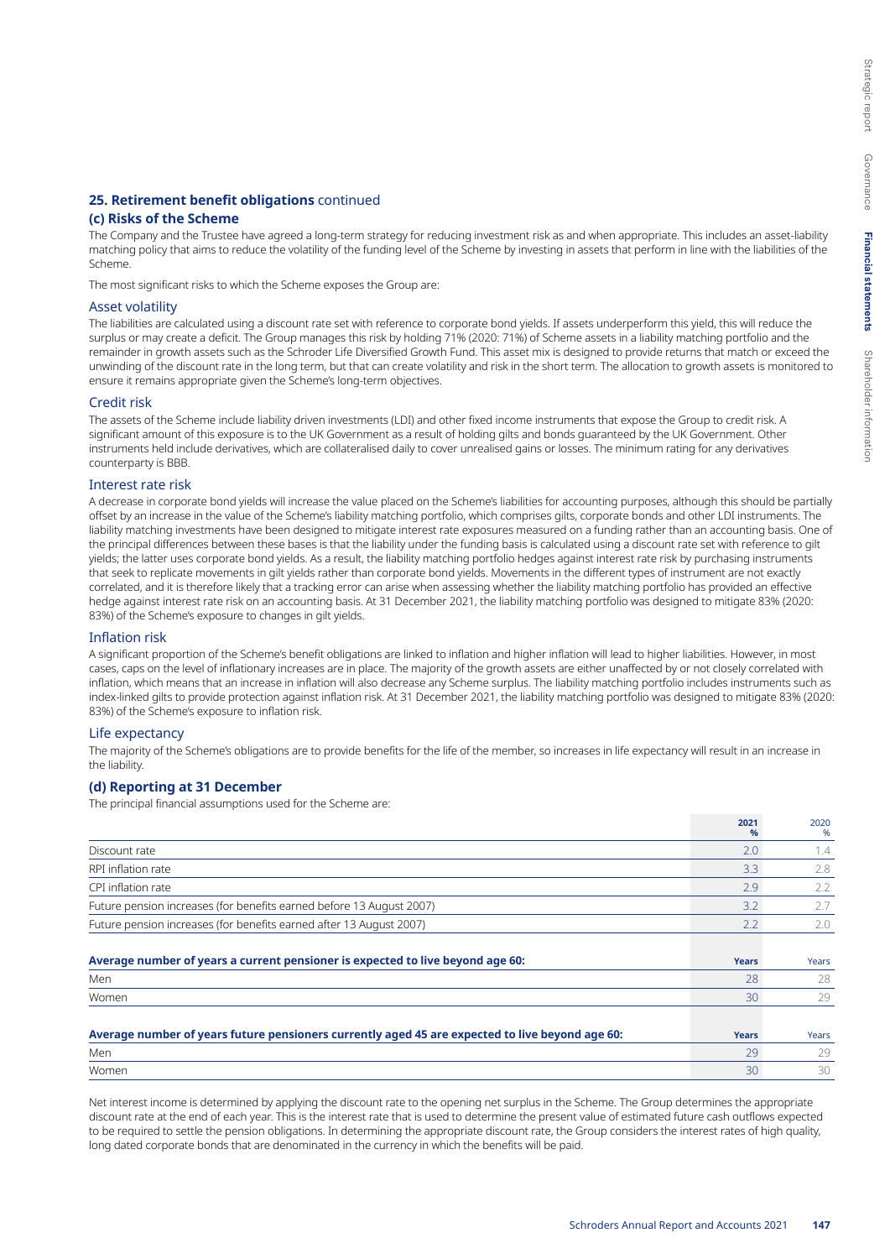### **25. Retirement benefit obligations** continued

# **(c) Risks of the Scheme**

The Company and the Trustee have agreed a long-term strategy for reducing investment risk as and when appropriate. This includes an asset-liability matching policy that aims to reduce the volatility of the funding level of the Scheme by investing in assets that perform in line with the liabilities of the Scheme.

The most significant risks to which the Scheme exposes the Group are:

#### Asset volatility

The liabilities are calculated using a discount rate set with reference to corporate bond yields. If assets underperform this yield, this will reduce the surplus or may create a deficit. The Group manages this risk by holding 71% (2020: 71%) of Scheme assets in a liability matching portfolio and the remainder in growth assets such as the Schroder Life Diversified Growth Fund. This asset mix is designed to provide returns that match or exceed the unwinding of the discount rate in the long term, but that can create volatility and risk in the short term. The allocation to growth assets is monitored to ensure it remains appropriate given the Scheme's long-term objectives.

#### Credit risk

The assets of the Scheme include liability driven investments (LDI) and other fixed income instruments that expose the Group to credit risk. A significant amount of this exposure is to the UK Government as a result of holding gilts and bonds guaranteed by the UK Government. Other instruments held include derivatives, which are collateralised daily to cover unrealised gains or losses. The minimum rating for any derivatives counterparty is BBB.

#### Interest rate risk

A decrease in corporate bond yields will increase the value placed on the Scheme's liabilities for accounting purposes, although this should be partially offset by an increase in the value of the Scheme's liability matching portfolio, which comprises gilts, corporate bonds and other LDI instruments. The liability matching investments have been designed to mitigate interest rate exposures measured on a funding rather than an accounting basis. One of the principal differences between these bases is that the liability under the funding basis is calculated using a discount rate set with reference to gilt yields; the latter uses corporate bond yields. As a result, the liability matching portfolio hedges against interest rate risk by purchasing instruments that seek to replicate movements in gilt yields rather than corporate bond yields. Movements in the different types of instrument are not exactly correlated, and it is therefore likely that a tracking error can arise when assessing whether the liability matching portfolio has provided an effective hedge against interest rate risk on an accounting basis. At 31 December 2021, the liability matching portfolio was designed to mitigate 83% (2020: 83%) of the Scheme's exposure to changes in gilt yields.

#### Inflation risk

A significant proportion of the Scheme's benefit obligations are linked to inflation and higher inflation will lead to higher liabilities. However, in most cases, caps on the level of inflationary increases are in place. The majority of the growth assets are either unaffected by or not closely correlated with inflation, which means that an increase in inflation will also decrease any Scheme surplus. The liability matching portfolio includes instruments such as index-linked gilts to provide protection against inflation risk. At 31 December 2021, the liability matching portfolio was designed to mitigate 83% (2020: 83%) of the Scheme's exposure to inflation risk.

#### Life expectancy

The majority of the Scheme's obligations are to provide benefits for the life of the member, so increases in life expectancy will result in an increase in the liability.

#### **(d) Reporting at 31 December**

The principal financial assumptions used for the Scheme are:

|                                                                                                 | 2021<br>%    | 2020<br>% |
|-------------------------------------------------------------------------------------------------|--------------|-----------|
| Discount rate                                                                                   | 2.0          | 1.4       |
| RPI inflation rate                                                                              | 3.3          | 2.8       |
| CPI inflation rate                                                                              | 2.9          | 2.2       |
| Future pension increases (for benefits earned before 13 August 2007)                            | 3.2          | 2.7       |
| Future pension increases (for benefits earned after 13 August 2007)                             | 2.2          | 2.0       |
|                                                                                                 |              |           |
|                                                                                                 |              |           |
|                                                                                                 | Years        | Years     |
| Average number of years a current pensioner is expected to live beyond age 60:<br>Men           | 28           | 28        |
| Women                                                                                           | 30           | 29        |
|                                                                                                 |              |           |
| Average number of years future pensioners currently aged 45 are expected to live beyond age 60: | <b>Years</b> | Years     |
| Men                                                                                             | 29           | 29        |

Net interest income is determined by applying the discount rate to the opening net surplus in the Scheme. The Group determines the appropriate discount rate at the end of each year. This is the interest rate that is used to determine the present value of estimated future cash outflows expected to be required to settle the pension obligations. In determining the appropriate discount rate, the Group considers the interest rates of high quality, long dated corporate bonds that are denominated in the currency in which the benefits will be paid.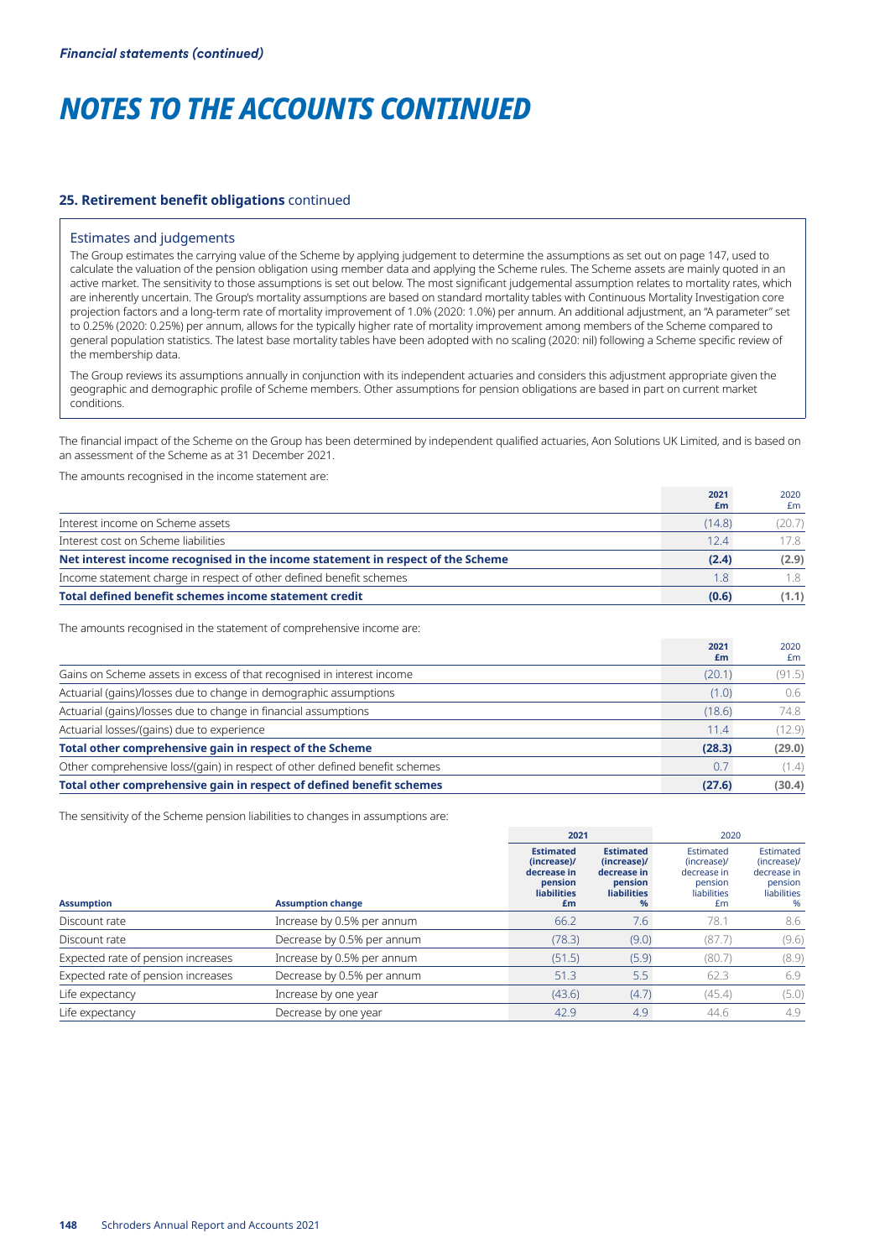#### **25. Retirement benefit obligations** continued

#### Estimates and judgements

The Group estimates the carrying value of the Scheme by applying judgement to determine the assumptions as set out on page 147, used to calculate the valuation of the pension obligation using member data and applying the Scheme rules. The Scheme assets are mainly quoted in an active market. The sensitivity to those assumptions is set out below. The most significant judgemental assumption relates to mortality rates, which are inherently uncertain. The Group's mortality assumptions are based on standard mortality tables with Continuous Mortality Investigation core projection factors and a long-term rate of mortality improvement of 1.0% (2020: 1.0%) per annum. An additional adjustment, an "A parameter" set to 0.25% (2020: 0.25%) per annum, allows for the typically higher rate of mortality improvement among members of the Scheme compared to general population statistics. The latest base mortality tables have been adopted with no scaling (2020: nil) following a Scheme specific review of the membership data.

The Group reviews its assumptions annually in conjunction with its independent actuaries and considers this adjustment appropriate given the geographic and demographic profile of Scheme members. Other assumptions for pension obligations are based in part on current market conditions.

The financial impact of the Scheme on the Group has been determined by independent qualified actuaries, Aon Solutions UK Limited, and is based on an assessment of the Scheme as at 31 December 2021.

The amounts recognised in the income statement are:

|                                                                                 | 2021<br>£m | 2020<br>£m |
|---------------------------------------------------------------------------------|------------|------------|
| Interest income on Scheme assets                                                | (14.8)     | (20.7)     |
| Interest cost on Scheme liabilities                                             | 12.4       | 178        |
| Net interest income recognised in the income statement in respect of the Scheme | (2.4)      | (2.9)      |
| Income statement charge in respect of other defined benefit schemes             | 1.8        | 1.8        |
| Total defined benefit schemes income statement credit                           | (0.6)      | (1.1)      |

The amounts recognised in the statement of comprehensive income are:

|                                                                             | 2021<br>£m | 2020<br>£m |
|-----------------------------------------------------------------------------|------------|------------|
| Gains on Scheme assets in excess of that recognised in interest income      | (20.1)     | (91.5)     |
| Actuarial (gains)/losses due to change in demographic assumptions           | (1.0)      | 0.6        |
| Actuarial (gains)/losses due to change in financial assumptions             | (18.6)     | 74.8       |
| Actuarial losses/(gains) due to experience                                  | 11.4       | (12.9)     |
| Total other comprehensive gain in respect of the Scheme                     | (28.3)     | (29.0)     |
| Other comprehensive loss/(gain) in respect of other defined benefit schemes | 0.7        | (1.4)      |
| Total other comprehensive gain in respect of defined benefit schemes        | (27.6)     | (30.4)     |

The sensitivity of the Scheme pension liabilities to changes in assumptions are:

|                                    |                            |                                                                                       | 2021                                                                                             |                                                                         | 2020                                                                   |
|------------------------------------|----------------------------|---------------------------------------------------------------------------------------|--------------------------------------------------------------------------------------------------|-------------------------------------------------------------------------|------------------------------------------------------------------------|
| <b>Assumption</b>                  | <b>Assumption change</b>   | <b>Estimated</b><br>(increase)/<br>decrease in<br>pension<br><b>liabilities</b><br>£m | <b>Estimated</b><br>(increase)/<br>decrease in<br>pension<br><b>liabilities</b><br>$\frac{9}{6}$ | Estimated<br>(increase)/<br>decrease in<br>pension<br>liabilities<br>£m | Estimated<br>(increase)/<br>decrease in<br>pension<br>liabilities<br>% |
| Discount rate                      | Increase by 0.5% per annum | 66.2                                                                                  | 7.6                                                                                              | 78.1                                                                    | 8.6                                                                    |
| Discount rate                      | Decrease by 0.5% per annum | (78.3)                                                                                | (9.0)                                                                                            | (87.7)                                                                  | (9.6)                                                                  |
| Expected rate of pension increases | Increase by 0.5% per annum | (51.5)                                                                                | (5.9)                                                                                            | (80.7)                                                                  | (8.9)                                                                  |
| Expected rate of pension increases | Decrease by 0.5% per annum | 51.3                                                                                  | 5.5                                                                                              | 62.3                                                                    | 6.9                                                                    |
| Life expectancy                    | Increase by one year       | (43.6)                                                                                | (4.7)                                                                                            | (45.4)                                                                  | (5.0)                                                                  |
| Life expectancy                    | Decrease by one year       | 42.9                                                                                  | 4.9                                                                                              | 44.6                                                                    | 4.9                                                                    |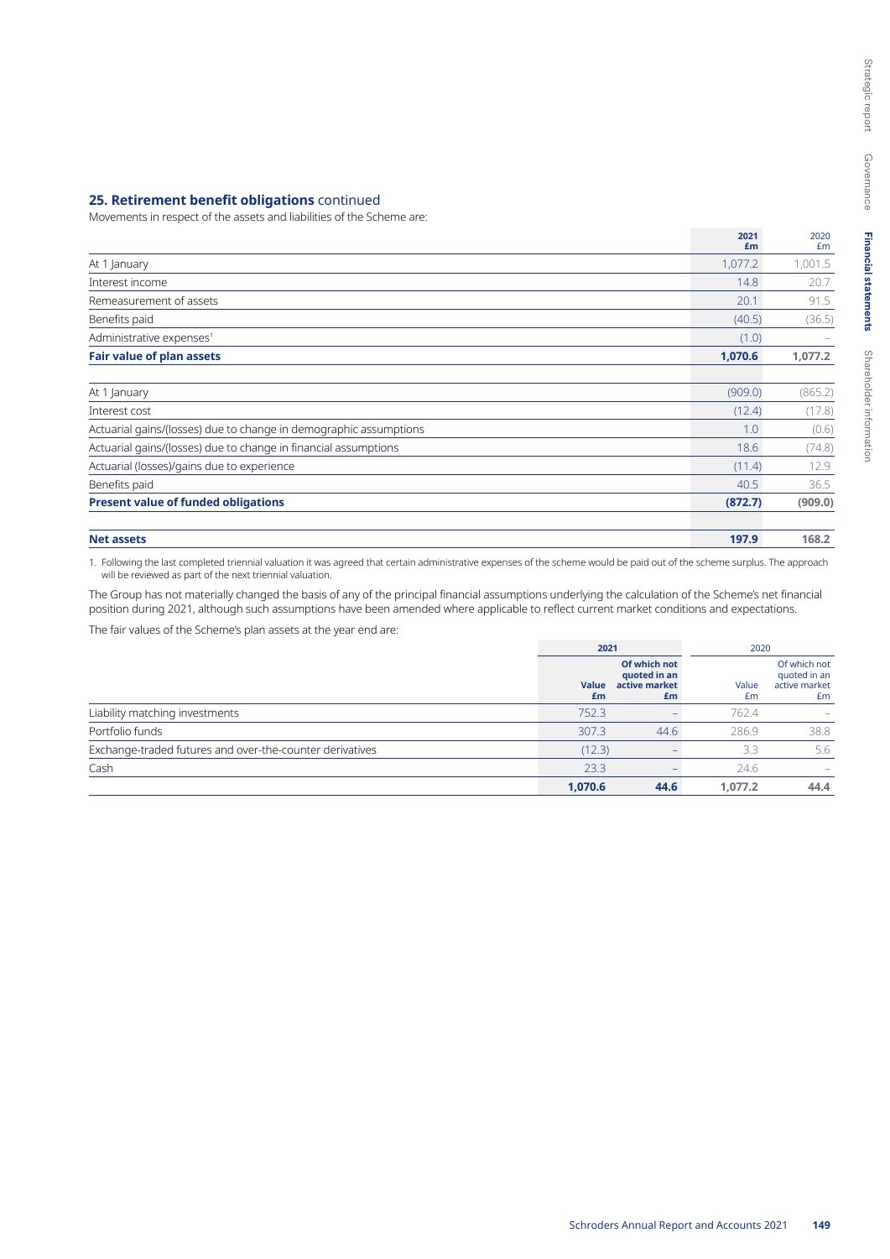#### **25. Retirement benefit obligations** continued

Movements in respect of the assets and liabilities of the Scheme are:

|                                                                   | 2021<br>£m | 2020<br>£m |
|-------------------------------------------------------------------|------------|------------|
| At 1 January                                                      | 1,077.2    | 1,001.5    |
| Interest income                                                   | 14.8       | 20.7       |
| Remeasurement of assets                                           | 20.1       | 91.5       |
| Benefits paid                                                     | (40.5)     | (36.5)     |
| Administrative expenses <sup>1</sup>                              | (1.0)      |            |
| <b>Fair value of plan assets</b>                                  | 1,070.6    | 1,077.2    |
| At 1 January                                                      | (909.0)    | (865.2)    |
| Interest cost                                                     | (12.4)     | (17.8)     |
| Actuarial gains/(losses) due to change in demographic assumptions | 1.0        | (0.6)      |
| Actuarial gains/(losses) due to change in financial assumptions   | 18.6       | (74.8)     |
| Actuarial (losses)/gains due to experience                        | (11.4)     | 12.9       |
| Benefits paid                                                     | 40.5       | 36.5       |
| <b>Present value of funded obligations</b>                        | (872.7)    | (909.0)    |
| <b>Net assets</b>                                                 | 197.9      | 168.2      |

1. Following the last completed triennial valuation it was agreed that certain administrative expenses of the scheme would be paid out of the scheme surplus. The approach will be reviewed as part of the next triennial valuation.

The Group has not materially changed the basis of any of the principal financial assumptions underlying the calculation of the Scheme's net financial position during 2021, although such assumptions have been amended where applicable to reflect current market conditions and expectations. The fair values of the Scheme's plan assets at the year end are:

|                                                          | 2021               |                                                     | 2020        |                                                     |
|----------------------------------------------------------|--------------------|-----------------------------------------------------|-------------|-----------------------------------------------------|
|                                                          | <b>Value</b><br>£m | Of which not<br>quoted in an<br>active market<br>£m | Value<br>Em | Of which not<br>quoted in an<br>active market<br>£m |
| Liability matching investments                           | 752.3              |                                                     | 762.4       |                                                     |
| Portfolio funds                                          | 307.3              | 44.6                                                | 286.9       | 38.8                                                |
| Exchange-traded futures and over-the-counter derivatives | (12.3)             |                                                     | 3.3         | 5.6                                                 |
| Cash                                                     | 23.3               |                                                     | 24.6        |                                                     |
|                                                          | 1,070.6            | 44.6                                                | 1,077.2     | 44.4                                                |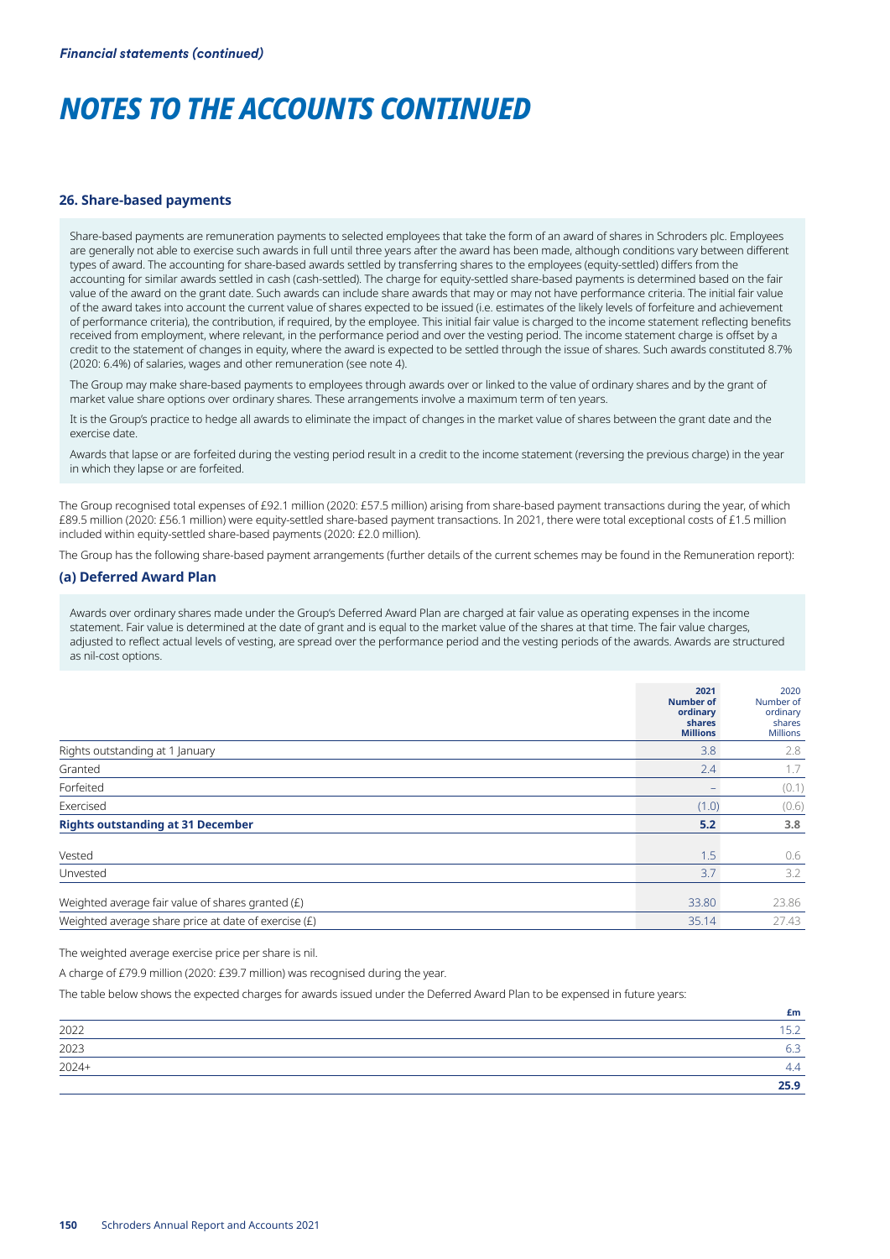#### **26. Share-based payments**

Share-based payments are remuneration payments to selected employees that take the form of an award of shares in Schroders plc. Employees are generally not able to exercise such awards in full until three years after the award has been made, although conditions vary between different types of award. The accounting for share-based awards settled by transferring shares to the employees (equity-settled) differs from the accounting for similar awards settled in cash (cash-settled). The charge for equity-settled share-based payments is determined based on the fair value of the award on the grant date. Such awards can include share awards that may or may not have performance criteria. The initial fair value of the award takes into account the current value of shares expected to be issued (i.e. estimates of the likely levels of forfeiture and achievement of performance criteria), the contribution, if required, by the employee. This initial fair value is charged to the income statement reflecting benefits received from employment, where relevant, in the performance period and over the vesting period. The income statement charge is offset by a credit to the statement of changes in equity, where the award is expected to be settled through the issue of shares. Such awards constituted 8.7% (2020: 6.4%) of salaries, wages and other remuneration (see note 4).

The Group may make share-based payments to employees through awards over or linked to the value of ordinary shares and by the grant of market value share options over ordinary shares. These arrangements involve a maximum term of ten years.

It is the Group's practice to hedge all awards to eliminate the impact of changes in the market value of shares between the grant date and the exercise date.

Awards that lapse or are forfeited during the vesting period result in a credit to the income statement (reversing the previous charge) in the year in which they lapse or are forfeited.

The Group recognised total expenses of £92.1 million (2020: £57.5 million) arising from share-based payment transactions during the year, of which £89.5 million (2020: £56.1 million) were equity-settled share-based payment transactions. In 2021, there were total exceptional costs of £1.5 million included within equity-settled share-based payments (2020: £2.0 million).

The Group has the following share-based payment arrangements (further details of the current schemes may be found in the Remuneration report):

#### **(a) Deferred Award Plan**

Awards over ordinary shares made under the Group's Deferred Award Plan are charged at fair value as operating expenses in the income statement. Fair value is determined at the date of grant and is equal to the market value of the shares at that time. The fair value charges, adjusted to reflect actual levels of vesting, are spread over the performance period and the vesting periods of the awards. Awards are structured as nil-cost options.

|                                                        | 2021<br><b>Number of</b><br>ordinary<br>shares<br><b>Millions</b> | 2020<br>Number of<br>ordinary<br>shares<br><b>Millions</b> |
|--------------------------------------------------------|-------------------------------------------------------------------|------------------------------------------------------------|
| Rights outstanding at 1 January                        | 3.8                                                               | 2.8                                                        |
| Granted                                                | 2.4                                                               | 1.7                                                        |
| Forfeited                                              |                                                                   | (0.1)                                                      |
| Exercised                                              | (1.0)                                                             | (0.6)                                                      |
| <b>Rights outstanding at 31 December</b>               | 5.2                                                               | 3.8                                                        |
| Vested                                                 | 1.5                                                               | 0.6                                                        |
| Unvested                                               | 3.7                                                               | 3.2                                                        |
| Weighted average fair value of shares granted (£)      | 33.80                                                             | 23.86                                                      |
| Weighted average share price at date of exercise $(E)$ | 35.14                                                             | 27.43                                                      |

The weighted average exercise price per share is nil.

A charge of £79.9 million (2020: £39.7 million) was recognised during the year.

The table below shows the expected charges for awards issued under the Deferred Award Plan to be expensed in future years:

|         | £m           |
|---------|--------------|
| 2022    | 1521<br>ے. ب |
| 2023    | 6.3          |
| $2024+$ | 4.4          |
|         | 25.9         |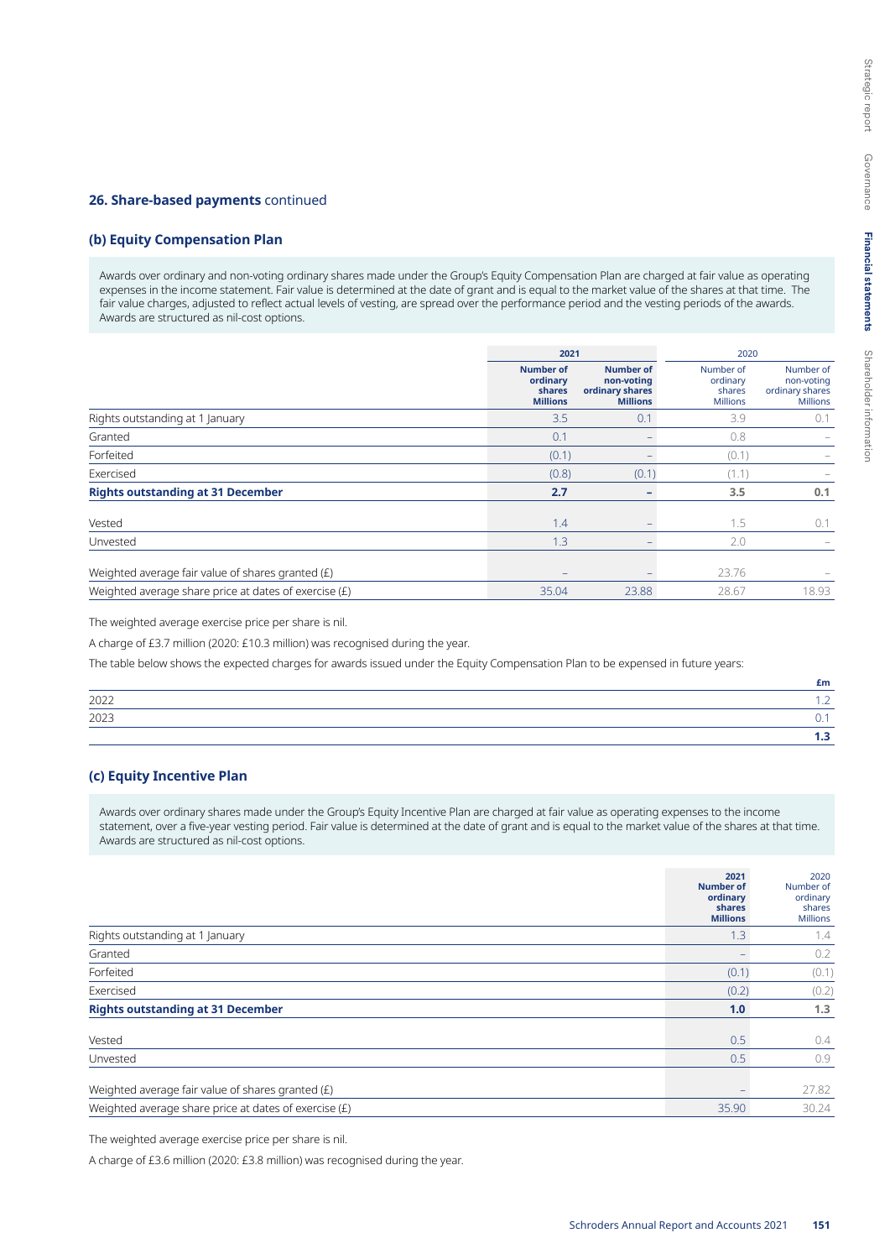#### **26. Share-based payments** continued

# **(b) Equity Compensation Plan**

Awards over ordinary and non-voting ordinary shares made under the Group's Equity Compensation Plan are charged at fair value as operating expenses in the income statement. Fair value is determined at the date of grant and is equal to the market value of the shares at that time. The fair value charges, adjusted to reflect actual levels of vesting, are spread over the performance period and the vesting periods of the awards. Awards are structured as nil-cost options.

|                                                       | 2021                                                      |                                                                      | 2020                                               |                                                               |
|-------------------------------------------------------|-----------------------------------------------------------|----------------------------------------------------------------------|----------------------------------------------------|---------------------------------------------------------------|
|                                                       | <b>Number of</b><br>ordinary<br>shares<br><b>Millions</b> | <b>Number of</b><br>non-voting<br>ordinary shares<br><b>Millions</b> | Number of<br>ordinary<br>shares<br><b>Millions</b> | Number of<br>non-voting<br>ordinary shares<br><b>Millions</b> |
| Rights outstanding at 1 January                       | 3.5                                                       | 0.1                                                                  | 3.9                                                | 0.1                                                           |
| Granted                                               | 0.1                                                       |                                                                      | 0.8                                                |                                                               |
| Forfeited                                             | (0.1)                                                     |                                                                      | (0.1)                                              |                                                               |
| Exercised                                             | (0.8)                                                     | (0.1)                                                                | (1.1)                                              |                                                               |
| <b>Rights outstanding at 31 December</b>              | 2.7                                                       | $\overline{\phantom{0}}$                                             | 3.5                                                | 0.1                                                           |
| Vested                                                | 1.4                                                       |                                                                      | 1.5                                                | 0.1                                                           |
| Unvested                                              | 1.3                                                       | $\qquad \qquad -$                                                    | 2.0                                                |                                                               |
| Weighted average fair value of shares granted (£)     | $\overline{\phantom{a}}$                                  |                                                                      | 23.76                                              |                                                               |
| Weighted average share price at dates of exercise (£) | 35.04                                                     | 23.88                                                                | 28.67                                              | 18.93                                                         |

The weighted average exercise price per share is nil.

A charge of £3.7 million (2020: £10.3 million) was recognised during the year.

The table below shows the expected charges for awards issued under the Equity Compensation Plan to be expensed in future years:

|      | £m |
|------|----|
| 2022 |    |
| 2023 |    |
|      |    |

# **(c) Equity Incentive Plan**

Awards over ordinary shares made under the Group's Equity Incentive Plan are charged at fair value as operating expenses to the income statement, over a five-year vesting period. Fair value is determined at the date of grant and is equal to the market value of the shares at that time. Awards are structured as nil-cost options.

|                                                         | 2021<br><b>Number of</b><br>ordinary<br>shares<br><b>Millions</b> | 2020<br>Number of<br>ordinary<br>shares<br><b>Millions</b> |
|---------------------------------------------------------|-------------------------------------------------------------------|------------------------------------------------------------|
| Rights outstanding at 1 January                         | 1.3                                                               | 1.4                                                        |
| Granted                                                 |                                                                   | 0.2                                                        |
| Forfeited                                               | (0.1)                                                             | (0.1)                                                      |
| Exercised                                               | (0.2)                                                             | (0.2)                                                      |
| <b>Rights outstanding at 31 December</b>                | 1.0                                                               | 1.3                                                        |
| Vested                                                  | 0.5                                                               | 0.4                                                        |
| Unvested                                                | 0.5                                                               | 0.9                                                        |
| Weighted average fair value of shares granted (£)       |                                                                   | 27.82                                                      |
| Weighted average share price at dates of exercise $(E)$ | 35.90                                                             | 30.24                                                      |

The weighted average exercise price per share is nil.

A charge of £3.6 million (2020: £3.8 million) was recognised during the year.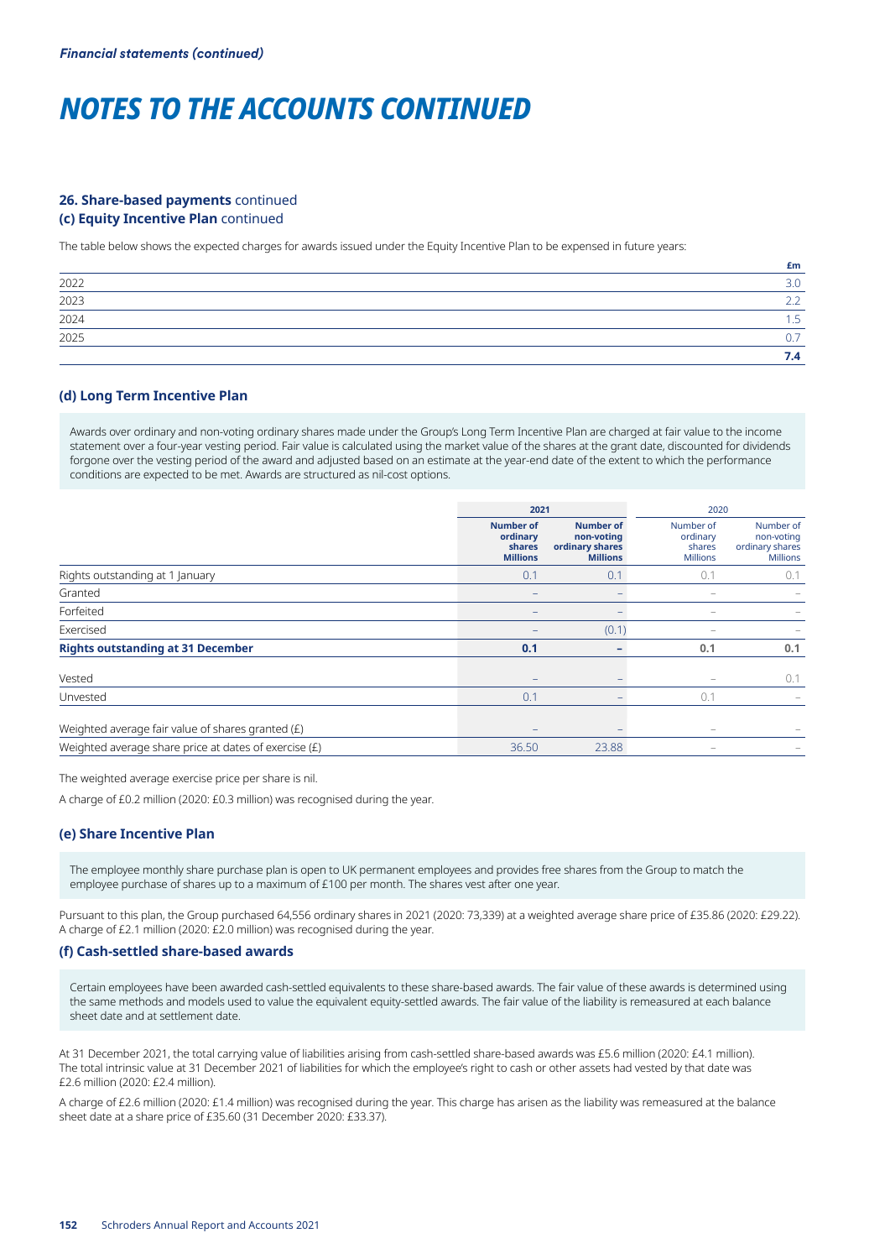# **26. Share-based payments** continued **(c) Equity Incentive Plan** continued

The table below shows the expected charges for awards issued under the Equity Incentive Plan to be expensed in future years:

|      | £m  |
|------|-----|
| 2022 | 3.0 |
| 2023 |     |
| 2024 | -   |
| 2025 | -   |
|      | 7.4 |

### **(d) Long Term Incentive Plan**

Awards over ordinary and non-voting ordinary shares made under the Group's Long Term Incentive Plan are charged at fair value to the income statement over a four-year vesting period. Fair value is calculated using the market value of the shares at the grant date, discounted for dividends forgone over the vesting period of the award and adjusted based on an estimate at the year-end date of the extent to which the performance conditions are expected to be met. Awards are structured as nil-cost options.

|                                                         | 2021                                                      |                                                                      | 2020                                               |                                                               |
|---------------------------------------------------------|-----------------------------------------------------------|----------------------------------------------------------------------|----------------------------------------------------|---------------------------------------------------------------|
|                                                         | <b>Number of</b><br>ordinary<br>shares<br><b>Millions</b> | <b>Number of</b><br>non-voting<br>ordinary shares<br><b>Millions</b> | Number of<br>ordinary<br>shares<br><b>Millions</b> | Number of<br>non-voting<br>ordinary shares<br><b>Millions</b> |
| Rights outstanding at 1 January                         | 0.1                                                       | 0.1                                                                  | 0.1                                                | 0.1                                                           |
| Granted                                                 |                                                           |                                                                      | -                                                  |                                                               |
| Forfeited                                               |                                                           |                                                                      | -                                                  |                                                               |
| Exercised                                               |                                                           | (0.1)                                                                | -                                                  |                                                               |
| <b>Rights outstanding at 31 December</b>                | 0.1                                                       | -                                                                    | 0.1                                                | 0.1                                                           |
| Vested                                                  |                                                           | -                                                                    |                                                    | 0.1                                                           |
| Unvested                                                | 0.1                                                       |                                                                      | 0.1                                                |                                                               |
| Weighted average fair value of shares granted (£)       | $\overline{\phantom{0}}$                                  |                                                                      | -                                                  |                                                               |
| Weighted average share price at dates of exercise $(E)$ | 36.50                                                     | 23.88                                                                |                                                    |                                                               |

The weighted average exercise price per share is nil.

A charge of £0.2 million (2020: £0.3 million) was recognised during the year.

### **(e) Share Incentive Plan**

The employee monthly share purchase plan is open to UK permanent employees and provides free shares from the Group to match the employee purchase of shares up to a maximum of £100 per month. The shares vest after one year.

Pursuant to this plan, the Group purchased 64,556 ordinary shares in 2021 (2020: 73,339) at a weighted average share price of £35.86 (2020: £29.22). A charge of £2.1 million (2020: £2.0 million) was recognised during the year.

#### **(f) Cash-settled share-based awards**

Certain employees have been awarded cash-settled equivalents to these share-based awards. The fair value of these awards is determined using the same methods and models used to value the equivalent equity-settled awards. The fair value of the liability is remeasured at each balance sheet date and at settlement date.

At 31 December 2021, the total carrying value of liabilities arising from cash-settled share-based awards was £5.6 million (2020: £4.1 million). The total intrinsic value at 31 December 2021 of liabilities for which the employee's right to cash or other assets had vested by that date was £2.6 million (2020: £2.4 million).

A charge of £2.6 million (2020: £1.4 million) was recognised during the year. This charge has arisen as the liability was remeasured at the balance sheet date at a share price of £35.60 (31 December 2020: £33.37).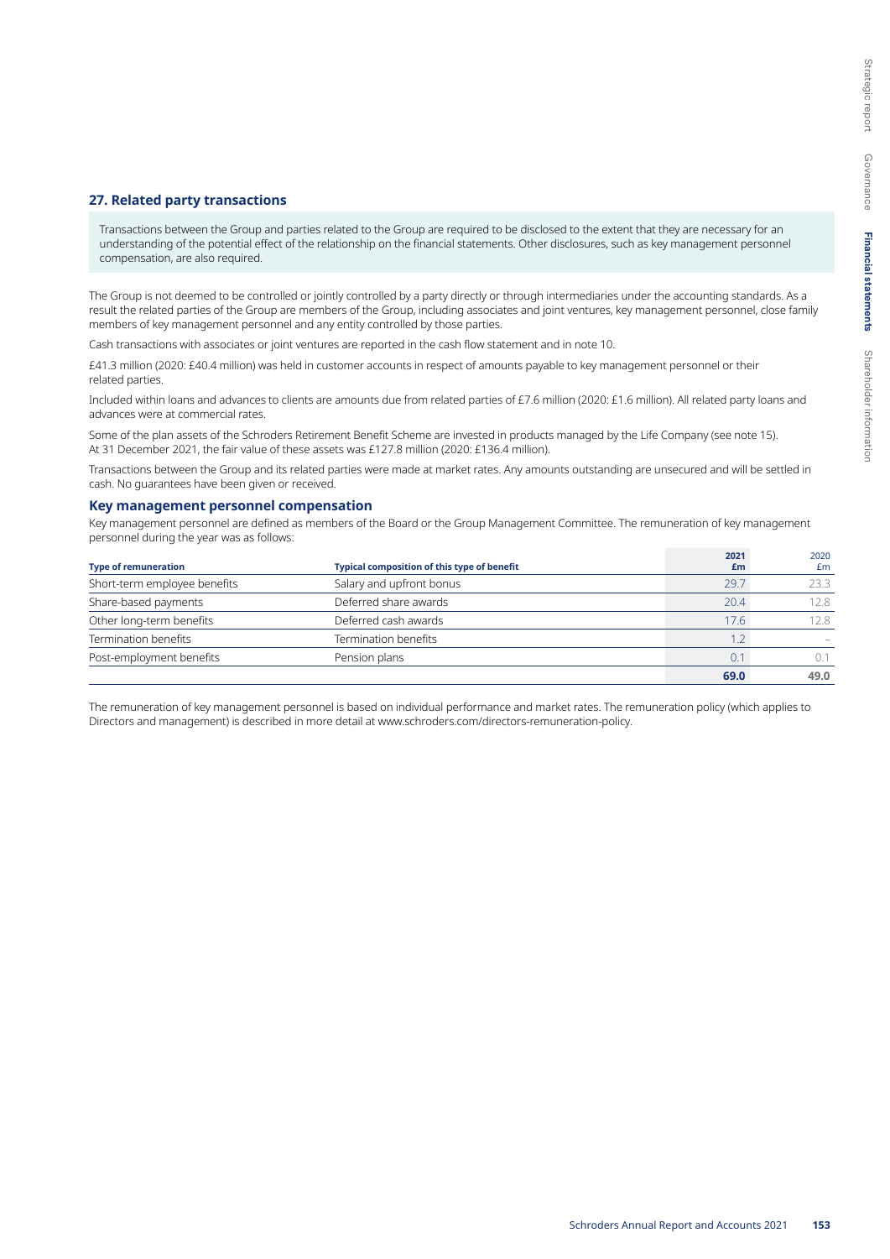#### **27. Related party transactions**

Transactions between the Group and parties related to the Group are required to be disclosed to the extent that they are necessary for an understanding of the potential effect of the relationship on the financial statements. Other disclosures, such as key management personnel compensation, are also required.

The Group is not deemed to be controlled or jointly controlled by a party directly or through intermediaries under the accounting standards. As a result the related parties of the Group are members of the Group, including associates and joint ventures, key management personnel, close family members of key management personnel and any entity controlled by those parties.

Cash transactions with associates or joint ventures are reported in the cash flow statement and in note 10.

£41.3 million (2020: £40.4 million) was held in customer accounts in respect of amounts payable to key management personnel or their related parties.

Included within loans and advances to clients are amounts due from related parties of £7.6 million (2020: £1.6 million). All related party loans and advances were at commercial rates.

Some of the plan assets of the Schroders Retirement Benefit Scheme are invested in products managed by the Life Company (see note 15). At 31 December 2021, the fair value of these assets was £127.8 million (2020: £136.4 million).

Transactions between the Group and its related parties were made at market rates. Any amounts outstanding are unsecured and will be settled in cash. No guarantees have been given or received.

#### **Key management personnel compensation**

Key management personnel are defined as members of the Board or the Group Management Committee. The remuneration of key management personnel during the year was as follows:

| <b>Type of remuneration</b>                  | Typical composition of this type of benefit | 2021<br>£m | 2020<br>£m |
|----------------------------------------------|---------------------------------------------|------------|------------|
| Short-term employee benefits                 | Salary and upfront bonus                    | 29.7       | 23.3       |
| Share-based payments                         | Deferred share awards                       | 20.4       | 12.8       |
| Other long-term benefits                     | Deferred cash awards                        | 17.6       | 12.8       |
| Termination benefits<br>Termination benefits |                                             | 1.2        |            |
| Post-employment benefits                     | Pension plans                               | 0.1        |            |
|                                              |                                             | 69.0       | 49.0       |

The remuneration of key management personnel is based on individual performance and market rates. The remuneration policy (which applies to Directors and management) is described in more detail at www.schroders.com/directors-remuneration-policy.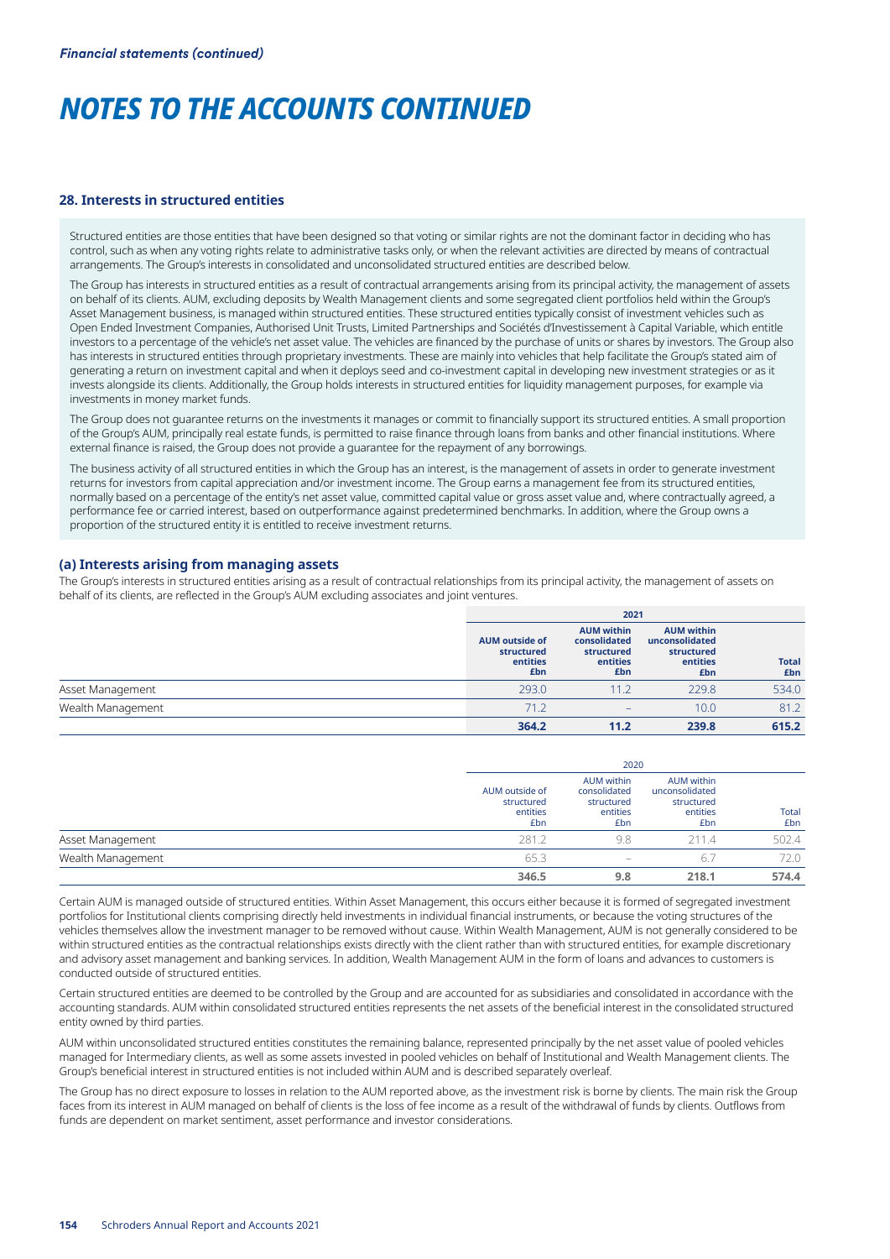#### **28. Interests in structured entities**

Structured entities are those entities that have been designed so that voting or similar rights are not the dominant factor in deciding who has control, such as when any voting rights relate to administrative tasks only, or when the relevant activities are directed by means of contractual arrangements. The Group's interests in consolidated and unconsolidated structured entities are described below.

The Group has interests in structured entities as a result of contractual arrangements arising from its principal activity, the management of assets on behalf of its clients. AUM, excluding deposits by Wealth Management clients and some segregated client portfolios held within the Group's Asset Management business, is managed within structured entities. These structured entities typically consist of investment vehicles such as Open Ended Investment Companies, Authorised Unit Trusts, Limited Partnerships and Sociétés d'Investissement à Capital Variable, which entitle investors to a percentage of the vehicle's net asset value. The vehicles are financed by the purchase of units or shares by investors. The Group also has interests in structured entities through proprietary investments. These are mainly into vehicles that help facilitate the Group's stated aim of generating a return on investment capital and when it deploys seed and co-investment capital in developing new investment strategies or as it invests alongside its clients. Additionally, the Group holds interests in structured entities for liquidity management purposes, for example via investments in money market funds.

The Group does not guarantee returns on the investments it manages or commit to financially support its structured entities. A small proportion of the Group's AUM, principally real estate funds, is permitted to raise finance through loans from banks and other financial institutions. Where external finance is raised, the Group does not provide a guarantee for the repayment of any borrowings.

The business activity of all structured entities in which the Group has an interest, is the management of assets in order to generate investment returns for investors from capital appreciation and/or investment income. The Group earns a management fee from its structured entities, normally based on a percentage of the entity's net asset value, committed capital value or gross asset value and, where contractually agreed, a performance fee or carried interest, based on outperformance against predetermined benchmarks. In addition, where the Group owns a proportion of the structured entity it is entitled to receive investment returns.

#### **(a) Interests arising from managing assets**

The Group's interests in structured entities arising as a result of contractual relationships from its principal activity, the management of assets on behalf of its clients, are reflected in the Group's AUM excluding associates and joint ventures.

|                   |                                                        | 2021                                                               |                                                                      |                     |  |  |
|-------------------|--------------------------------------------------------|--------------------------------------------------------------------|----------------------------------------------------------------------|---------------------|--|--|
|                   | <b>AUM outside of</b><br>structured<br>entities<br>£bn | <b>AUM within</b><br>consolidated<br>structured<br>entities<br>£bn | <b>AUM within</b><br>unconsolidated<br>structured<br>entities<br>£bn | <b>Total</b><br>£bn |  |  |
| Asset Management  | 293.0                                                  | 11.2                                                               | 229.8                                                                | 534.0               |  |  |
| Wealth Management | 71.2                                                   | -                                                                  | 10.0                                                                 | 81.2                |  |  |
|                   | 364.2                                                  | 11.2                                                               | 239.8                                                                | 615.2               |  |  |

|                   |                                                 | 2020                                                               |                                                                      |              |  |  |
|-------------------|-------------------------------------------------|--------------------------------------------------------------------|----------------------------------------------------------------------|--------------|--|--|
|                   | AUM outside of<br>structured<br>entities<br>£bn | <b>AUM</b> within<br>consolidated<br>structured<br>entities<br>£bn | <b>AUM</b> within<br>unconsolidated<br>structured<br>entities<br>£bn | Total<br>£bn |  |  |
| Asset Management  | 281.2                                           | 9.8                                                                | 211.4                                                                | 502.4        |  |  |
| Wealth Management | 65.3                                            | $\hspace{1.0cm} \rule{1.5cm}{0.15cm}$                              | 6.7                                                                  | 72.0         |  |  |
|                   | 346.5                                           | 9.8                                                                | 218.1                                                                | 574.4        |  |  |

Certain AUM is managed outside of structured entities. Within Asset Management, this occurs either because it is formed of segregated investment portfolios for Institutional clients comprising directly held investments in individual financial instruments, or because the voting structures of the vehicles themselves allow the investment manager to be removed without cause. Within Wealth Management, AUM is not generally considered to be within structured entities as the contractual relationships exists directly with the client rather than with structured entities, for example discretionary and advisory asset management and banking services. In addition, Wealth Management AUM in the form of loans and advances to customers is conducted outside of structured entities.

Certain structured entities are deemed to be controlled by the Group and are accounted for as subsidiaries and consolidated in accordance with the accounting standards. AUM within consolidated structured entities represents the net assets of the beneficial interest in the consolidated structured entity owned by third parties.

AUM within unconsolidated structured entities constitutes the remaining balance, represented principally by the net asset value of pooled vehicles managed for Intermediary clients, as well as some assets invested in pooled vehicles on behalf of Institutional and Wealth Management clients. The Group's beneficial interest in structured entities is not included within AUM and is described separately overleaf.

The Group has no direct exposure to losses in relation to the AUM reported above, as the investment risk is borne by clients. The main risk the Group faces from its interest in AUM managed on behalf of clients is the loss of fee income as a result of the withdrawal of funds by clients. Outflows from funds are dependent on market sentiment, asset performance and investor considerations.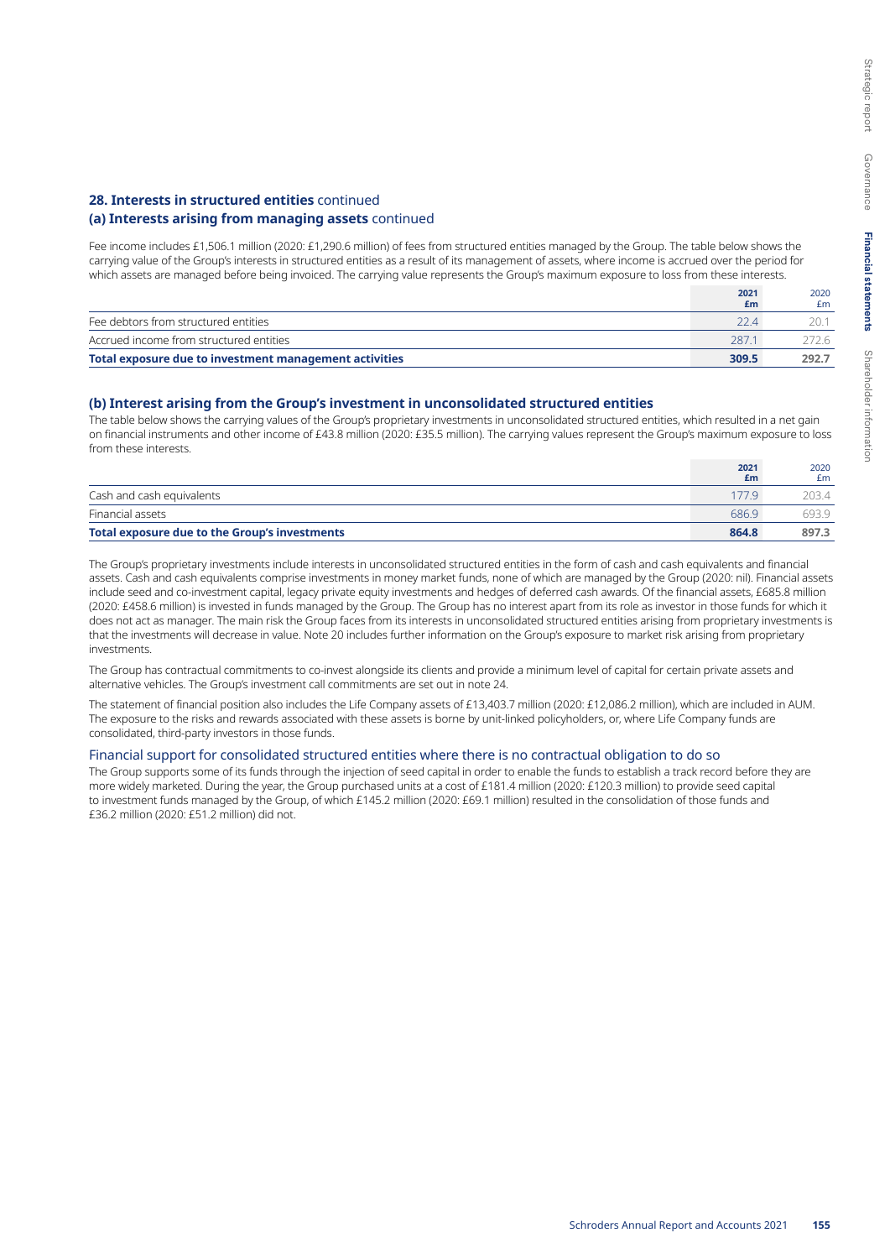### **28. Interests in structured entities** continued

# **(a) Interests arising from managing assets** continued

Fee income includes £1,506.1 million (2020: £1,290.6 million) of fees from structured entities managed by the Group. The table below shows the carrying value of the Group's interests in structured entities as a result of its management of assets, where income is accrued over the period for which assets are managed before being invoiced. The carrying value represents the Group's maximum exposure to loss from these interests.

|                                                        | 2021<br>£m | 2020<br>£m |
|--------------------------------------------------------|------------|------------|
| Fee debtors from structured entities                   | 22 A       |            |
| Accrued income from structured entities                | 2871       | 72.6       |
| Total exposure due to investment management activities | 309.5      | 292.7      |

# **(b) Interest arising from the Group's investment in unconsolidated structured entities**

The table below shows the carrying values of the Group's proprietary investments in unconsolidated structured entities, which resulted in a net gain on financial instruments and other income of £43.8 million (2020: £35.5 million). The carrying values represent the Group's maximum exposure to loss from these interests.

|                                               | 2021<br>£m | 2020<br>£m |
|-----------------------------------------------|------------|------------|
| Cash and cash equivalents                     | 1779       | 203.4      |
| Financial assets                              | 686.9      | 6939       |
| Total exposure due to the Group's investments | 864.8      | 897.3      |

The Group's proprietary investments include interests in unconsolidated structured entities in the form of cash and cash equivalents and financial assets. Cash and cash equivalents comprise investments in money market funds, none of which are managed by the Group (2020: nil). Financial assets include seed and co-investment capital, legacy private equity investments and hedges of deferred cash awards. Of the financial assets, £685.8 million (2020: £458.6 million) is invested in funds managed by the Group. The Group has no interest apart from its role as investor in those funds for which it does not act as manager. The main risk the Group faces from its interests in unconsolidated structured entities arising from proprietary investments is that the investments will decrease in value. Note 20 includes further information on the Group's exposure to market risk arising from proprietary investments.

The Group has contractual commitments to co-invest alongside its clients and provide a minimum level of capital for certain private assets and alternative vehicles. The Group's investment call commitments are set out in note 24.

The statement of financial position also includes the Life Company assets of £13,403.7 million (2020: £12,086.2 million), which are included in AUM. The exposure to the risks and rewards associated with these assets is borne by unit-linked policyholders, or, where Life Company funds are consolidated, third-party investors in those funds.

#### Financial support for consolidated structured entities where there is no contractual obligation to do so

The Group supports some of its funds through the injection of seed capital in order to enable the funds to establish a track record before they are more widely marketed. During the year, the Group purchased units at a cost of £181.4 million (2020: £120.3 million) to provide seed capital to investment funds managed by the Group, of which £145.2 million (2020: £69.1 million) resulted in the consolidation of those funds and £36.2 million (2020: £51.2 million) did not.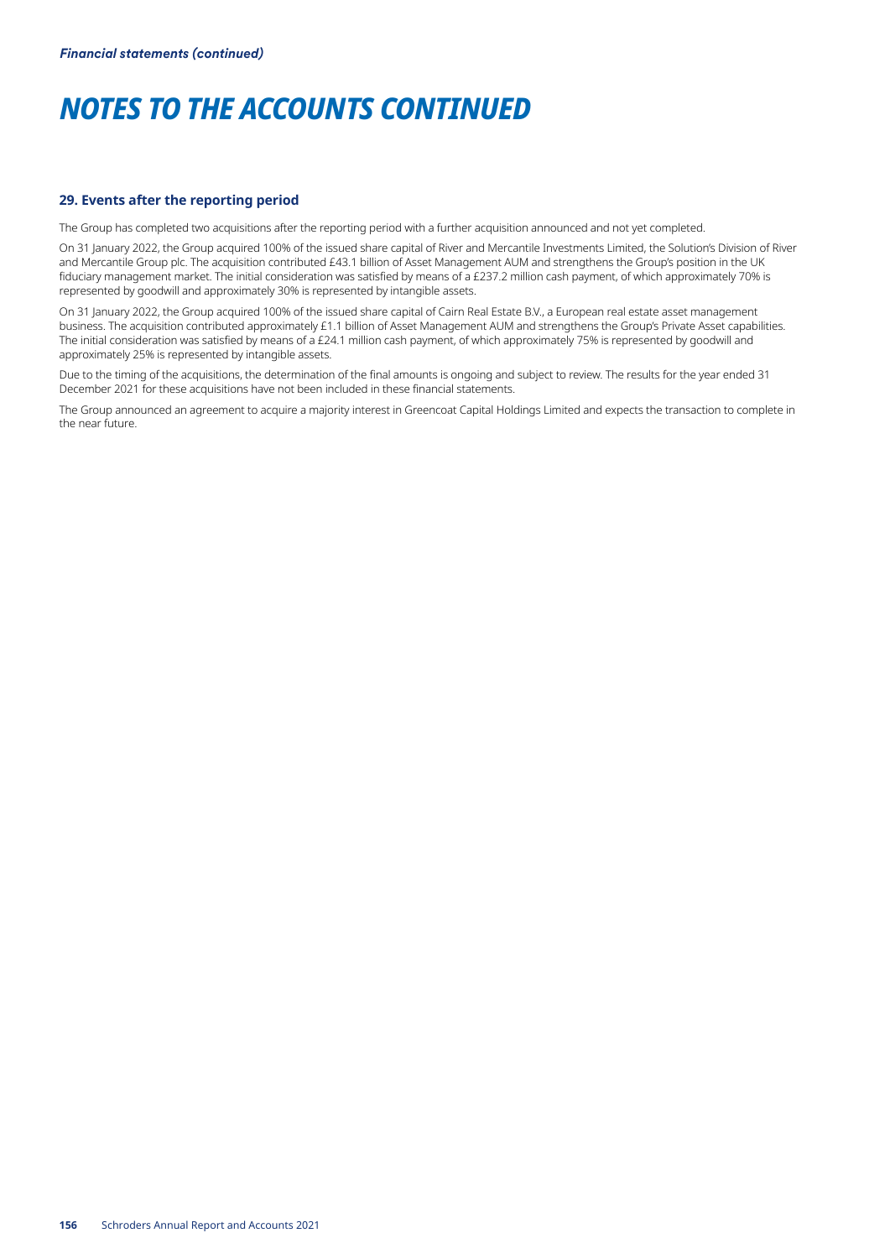#### **29. Events after the reporting period**

The Group has completed two acquisitions after the reporting period with a further acquisition announced and not yet completed.

On 31 January 2022, the Group acquired 100% of the issued share capital of River and Mercantile Investments Limited, the Solution's Division of River and Mercantile Group plc. The acquisition contributed £43.1 billion of Asset Management AUM and strengthens the Group's position in the UK fiduciary management market. The initial consideration was satisfied by means of a £237.2 million cash payment, of which approximately 70% is represented by goodwill and approximately 30% is represented by intangible assets.

On 31 January 2022, the Group acquired 100% of the issued share capital of Cairn Real Estate B.V., a European real estate asset management business. The acquisition contributed approximately £1.1 billion of Asset Management AUM and strengthens the Group's Private Asset capabilities. The initial consideration was satisfied by means of a £24.1 million cash payment, of which approximately 75% is represented by goodwill and approximately 25% is represented by intangible assets.

Due to the timing of the acquisitions, the determination of the final amounts is ongoing and subject to review. The results for the year ended 31 December 2021 for these acquisitions have not been included in these financial statements.

The Group announced an agreement to acquire a majority interest in Greencoat Capital Holdings Limited and expects the transaction to complete in the near future.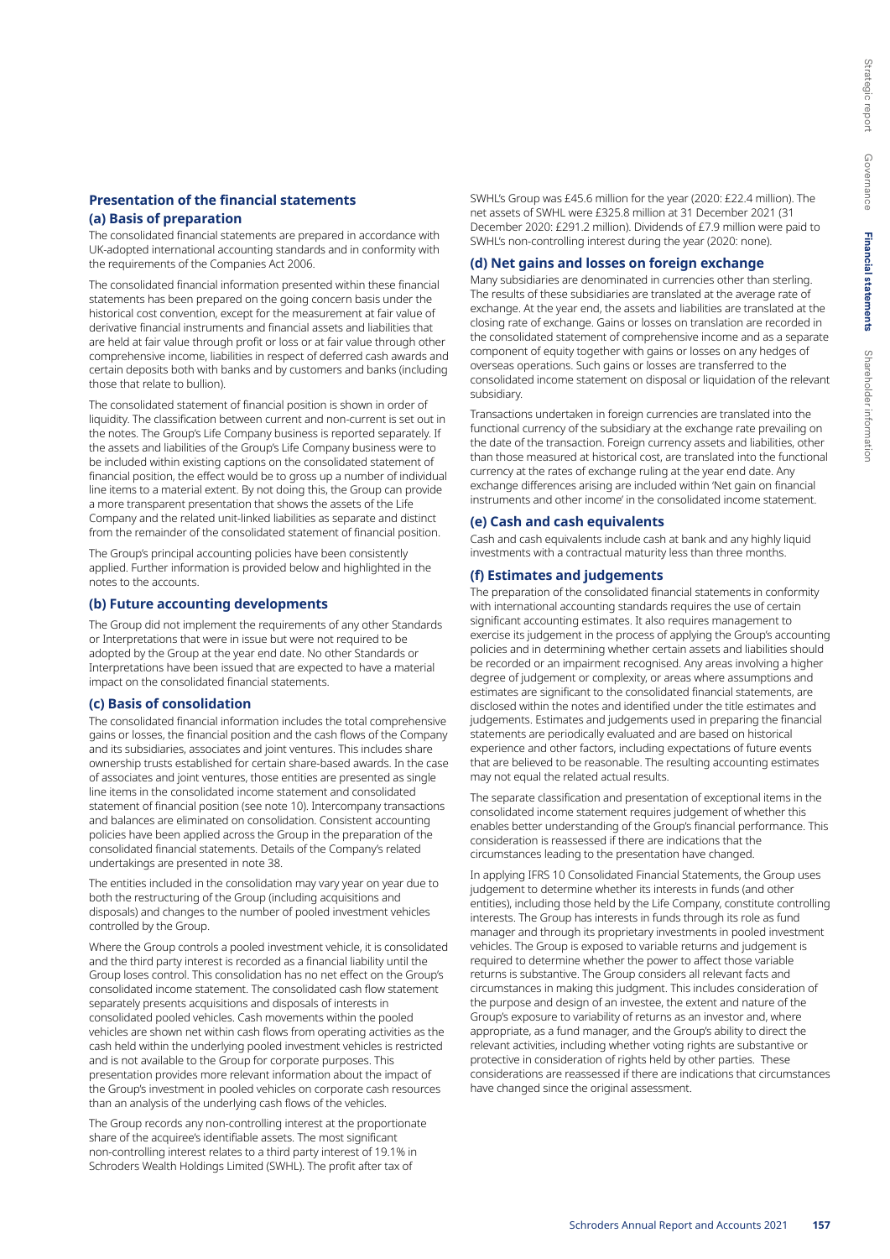### **Presentation of the financial statements**

# **(a) Basis of preparation**

The consolidated financial statements are prepared in accordance with UK-adopted international accounting standards and in conformity with the requirements of the Companies Act 2006.

The consolidated financial information presented within these financial statements has been prepared on the going concern basis under the historical cost convention, except for the measurement at fair value of derivative financial instruments and financial assets and liabilities that are held at fair value through profit or loss or at fair value through other comprehensive income, liabilities in respect of deferred cash awards and certain deposits both with banks and by customers and banks (including those that relate to bullion).

The consolidated statement of financial position is shown in order of liquidity. The classification between current and non-current is set out in the notes. The Group's Life Company business is reported separately. If the assets and liabilities of the Group's Life Company business were to be included within existing captions on the consolidated statement of financial position, the effect would be to gross up a number of individual line items to a material extent. By not doing this, the Group can provide a more transparent presentation that shows the assets of the Life Company and the related unit-linked liabilities as separate and distinct from the remainder of the consolidated statement of financial position.

The Group's principal accounting policies have been consistently applied. Further information is provided below and highlighted in the notes to the accounts.

#### **(b) Future accounting developments**

The Group did not implement the requirements of any other Standards or Interpretations that were in issue but were not required to be adopted by the Group at the year end date. No other Standards or Interpretations have been issued that are expected to have a material impact on the consolidated financial statements.

#### **(c) Basis of consolidation**

The consolidated financial information includes the total comprehensive gains or losses, the financial position and the cash flows of the Company and its subsidiaries, associates and joint ventures. This includes share ownership trusts established for certain share-based awards. In the case of associates and joint ventures, those entities are presented as single line items in the consolidated income statement and consolidated statement of financial position (see note 10). Intercompany transactions and balances are eliminated on consolidation. Consistent accounting policies have been applied across the Group in the preparation of the consolidated financial statements. Details of the Company's related undertakings are presented in note 38.

The entities included in the consolidation may vary year on year due to both the restructuring of the Group (including acquisitions and disposals) and changes to the number of pooled investment vehicles controlled by the Group.

Where the Group controls a pooled investment vehicle, it is consolidated and the third party interest is recorded as a financial liability until the Group loses control. This consolidation has no net effect on the Group's consolidated income statement. The consolidated cash flow statement separately presents acquisitions and disposals of interests in consolidated pooled vehicles. Cash movements within the pooled vehicles are shown net within cash flows from operating activities as the cash held within the underlying pooled investment vehicles is restricted and is not available to the Group for corporate purposes. This presentation provides more relevant information about the impact of the Group's investment in pooled vehicles on corporate cash resources than an analysis of the underlying cash flows of the vehicles.

The Group records any non-controlling interest at the proportionate share of the acquiree's identifiable assets. The most significant non-controlling interest relates to a third party interest of 19.1% in Schroders Wealth Holdings Limited (SWHL). The profit after tax of

SWHL's Group was £45.6 million for the year (2020: £22.4 million). The net assets of SWHL were £325.8 million at 31 December 2021 (31 December 2020: £291.2 million). Dividends of £7.9 million were paid to SWHL's non-controlling interest during the year (2020: none).

#### **(d) Net gains and losses on foreign exchange**

Many subsidiaries are denominated in currencies other than sterling. The results of these subsidiaries are translated at the average rate of exchange. At the year end, the assets and liabilities are translated at the closing rate of exchange. Gains or losses on translation are recorded in the consolidated statement of comprehensive income and as a separate component of equity together with gains or losses on any hedges of overseas operations. Such gains or losses are transferred to the consolidated income statement on disposal or liquidation of the relevant subsidiary.

Transactions undertaken in foreign currencies are translated into the functional currency of the subsidiary at the exchange rate prevailing on the date of the transaction. Foreign currency assets and liabilities, other than those measured at historical cost, are translated into the functional currency at the rates of exchange ruling at the year end date. Any exchange differences arising are included within 'Net gain on financial instruments and other income' in the consolidated income statement.

#### **(e) Cash and cash equivalents**

Cash and cash equivalents include cash at bank and any highly liquid investments with a contractual maturity less than three months.

#### **(f) Estimates and judgements**

The preparation of the consolidated financial statements in conformity with international accounting standards requires the use of certain significant accounting estimates. It also requires management to exercise its judgement in the process of applying the Group's accounting policies and in determining whether certain assets and liabilities should be recorded or an impairment recognised. Any areas involving a higher degree of judgement or complexity, or areas where assumptions and estimates are significant to the consolidated financial statements, are disclosed within the notes and identified under the title estimates and judgements. Estimates and judgements used in preparing the financial statements are periodically evaluated and are based on historical experience and other factors, including expectations of future events that are believed to be reasonable. The resulting accounting estimates may not equal the related actual results.

The separate classification and presentation of exceptional items in the consolidated income statement requires judgement of whether this enables better understanding of the Group's financial performance. This consideration is reassessed if there are indications that the circumstances leading to the presentation have changed.

In applying IFRS 10 Consolidated Financial Statements, the Group uses judgement to determine whether its interests in funds (and other entities), including those held by the Life Company, constitute controlling interests. The Group has interests in funds through its role as fund manager and through its proprietary investments in pooled investment vehicles. The Group is exposed to variable returns and judgement is required to determine whether the power to affect those variable returns is substantive. The Group considers all relevant facts and circumstances in making this judgment. This includes consideration of the purpose and design of an investee, the extent and nature of the Group's exposure to variability of returns as an investor and, where appropriate, as a fund manager, and the Group's ability to direct the relevant activities, including whether voting rights are substantive or protective in consideration of rights held by other parties. These considerations are reassessed if there are indications that circumstances have changed since the original assessment.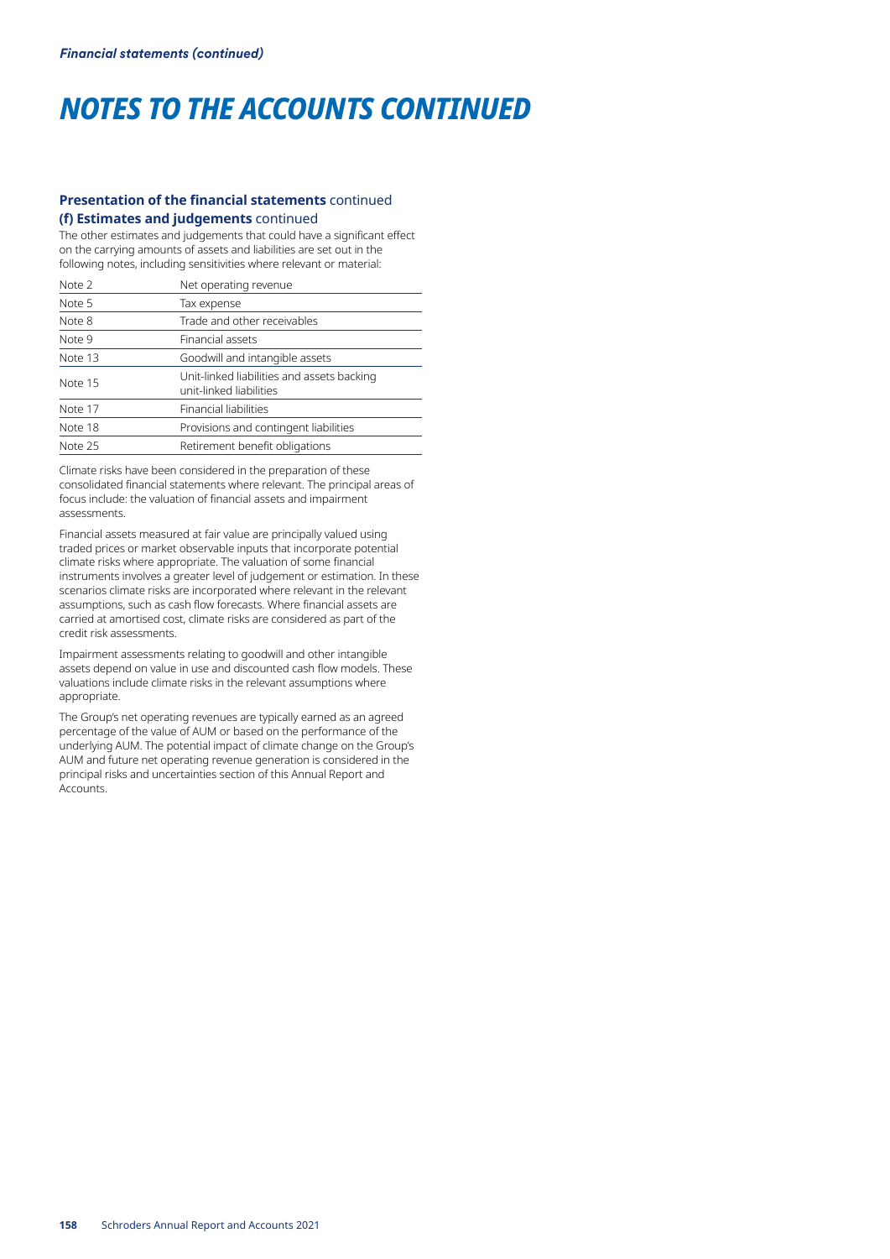# **Presentation of the financial statements** continued **(f) Estimates and judgements** continued

The other estimates and judgements that could have a significant effect on the carrying amounts of assets and liabilities are set out in the following notes, including sensitivities where relevant or material:

| Note 2  | Net operating revenue                                                 |
|---------|-----------------------------------------------------------------------|
| Note 5  | Tax expense                                                           |
| Note 8  | Trade and other receivables                                           |
| Note 9  | Financial assets                                                      |
| Note 13 | Goodwill and intangible assets                                        |
| Note 15 | Unit-linked liabilities and assets backing<br>unit-linked liabilities |
| Note 17 | Financial liabilities                                                 |
| Note 18 | Provisions and contingent liabilities                                 |
| Note 25 | Retirement benefit obligations                                        |

Climate risks have been considered in the preparation of these consolidated financial statements where relevant. The principal areas of focus include: the valuation of financial assets and impairment assessments.

Financial assets measured at fair value are principally valued using traded prices or market observable inputs that incorporate potential climate risks where appropriate. The valuation of some financial instruments involves a greater level of judgement or estimation. In these scenarios climate risks are incorporated where relevant in the relevant assumptions, such as cash flow forecasts. Where financial assets are carried at amortised cost, climate risks are considered as part of the credit risk assessments.

Impairment assessments relating to goodwill and other intangible assets depend on value in use and discounted cash flow models. These valuations include climate risks in the relevant assumptions where appropriate.

The Group's net operating revenues are typically earned as an agreed percentage of the value of AUM or based on the performance of the underlying AUM. The potential impact of climate change on the Group's AUM and future net operating revenue generation is considered in the principal risks and uncertainties section of this Annual Report and Accounts.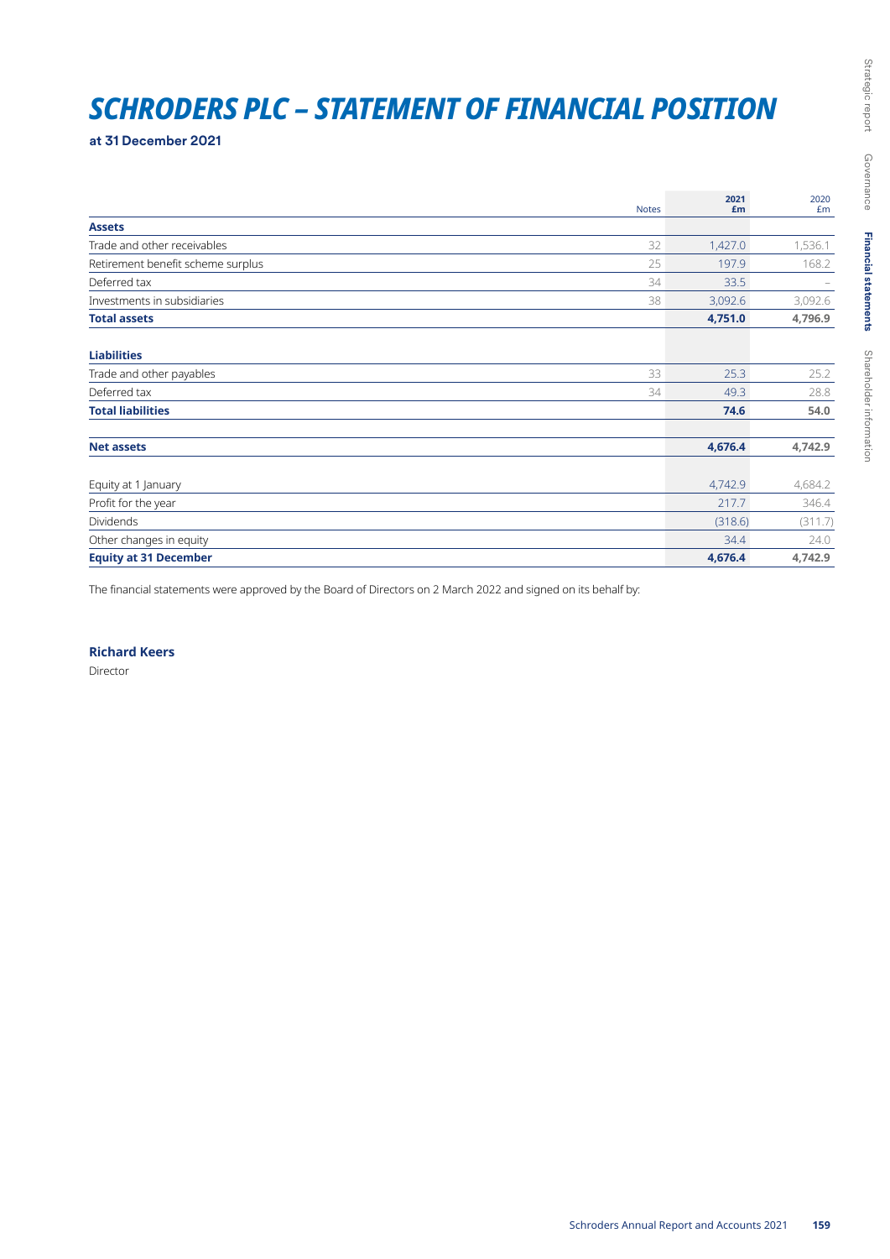# *SCHRODERS PLC – STATEMENT OF FINANCIAL POSITION*

**at 31 December 2021**

|                                   | <b>Notes</b> | 2021<br>£m | 2020<br>£m |
|-----------------------------------|--------------|------------|------------|
| <b>Assets</b>                     |              |            |            |
| Trade and other receivables       | 32           | 1,427.0    | 1,536.1    |
| Retirement benefit scheme surplus | 25           | 197.9      | 168.2      |
| Deferred tax                      | 34           | 33.5       |            |
| Investments in subsidiaries       | 38           | 3,092.6    | 3,092.6    |
| <b>Total assets</b>               |              | 4,751.0    | 4,796.9    |
| <b>Liabilities</b>                |              |            |            |
| Trade and other payables          | 33           | 25.3       | 25.2       |
| Deferred tax                      | 34           | 49.3       | 28.8       |
| <b>Total liabilities</b>          |              | 74.6       | 54.0       |
| <b>Net assets</b>                 |              | 4,676.4    | 4,742.9    |
| Equity at 1 January               |              | 4,742.9    | 4,684.2    |
| Profit for the year               |              | 217.7      | 346.4      |
| <b>Dividends</b>                  |              | (318.6)    | (311.7)    |
| Other changes in equity           |              | 34.4       | 24.0       |
| <b>Equity at 31 December</b>      |              | 4,676.4    | 4,742.9    |

The financial statements were approved by the Board of Directors on 2 March 2022 and signed on its behalf by:

**Richard Keers**

Director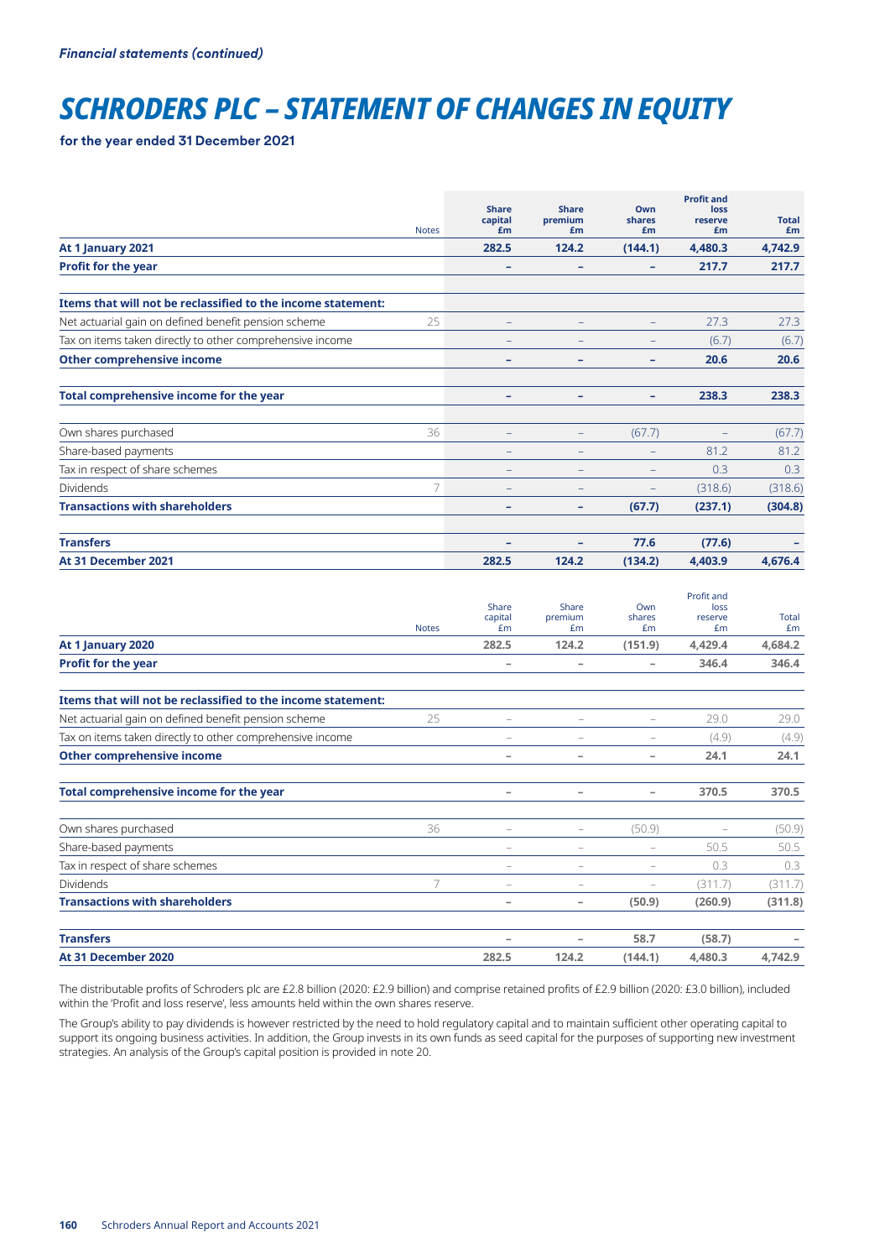# *SCHRODERS PLC – STATEMENT OF CHANGES IN EQUITY*

**for the year ended 31 December 2021**

|                                                              | <b>Notes</b> | <b>Share</b><br>capital<br>£m | <b>Share</b><br>premium<br>£m | Own<br>shares<br>£m      | <b>Profit and</b><br>loss<br>reserve<br>£m | <b>Total</b><br>£m |
|--------------------------------------------------------------|--------------|-------------------------------|-------------------------------|--------------------------|--------------------------------------------|--------------------|
| At 1 January 2021                                            |              | 282.5                         | 124.2                         | (144.1)                  | 4,480.3                                    | 4,742.9            |
| <b>Profit for the year</b>                                   |              | -                             | ۰                             | -                        | 217.7                                      | 217.7              |
| Items that will not be reclassified to the income statement: |              |                               |                               |                          |                                            |                    |
| Net actuarial gain on defined benefit pension scheme         | 25           | $\qquad \qquad -$             |                               | $\overline{\phantom{0}}$ | 27.3                                       | 27.3               |
| Tax on items taken directly to other comprehensive income    |              |                               |                               |                          | (6.7)                                      | (6.7)              |
| <b>Other comprehensive income</b>                            |              | -                             | -                             | -                        | 20.6                                       | 20.6               |
| Total comprehensive income for the year                      |              | -                             | ۰                             | ٠                        | 238.3                                      | 238.3              |
| Own shares purchased                                         | 36           | $\qquad \qquad -$             | $\qquad \qquad -$             | (67.7)                   |                                            | (67.7)             |
| Share-based payments                                         |              | -                             |                               |                          | 81.2                                       | 81.2               |
| Tax in respect of share schemes                              |              | $\qquad \qquad -$             | $\overline{\phantom{0}}$      | -                        | 0.3                                        | 0.3                |
| <b>Dividends</b>                                             |              |                               |                               |                          | (318.6)                                    | (318.6)            |
| <b>Transactions with shareholders</b>                        |              | ۰                             | ۰                             | (67.7)                   | (237.1)                                    | (304.8)            |
| <b>Transfers</b>                                             |              | -                             |                               | 77.6                     | (77.6)                                     |                    |
| At 31 December 2021                                          |              | 282.5                         | 124.2                         | (134.2)                  | 4,403.9                                    | 4,676.4            |

|                                                              | <b>Notes</b> | Share<br>capital<br>£m   | Share<br>premium<br>Em   | Own<br>shares<br>£m      | Profit and<br>loss<br>reserve<br>£m | <b>Total</b><br>Em |
|--------------------------------------------------------------|--------------|--------------------------|--------------------------|--------------------------|-------------------------------------|--------------------|
| At 1 January 2020                                            |              | 282.5                    | 124.2                    | (151.9)                  | 4,429.4                             | 4,684.2            |
| <b>Profit for the year</b>                                   |              | $\overline{\phantom{0}}$ | $\overline{\phantom{a}}$ | $\overline{\phantom{a}}$ | 346.4                               | 346.4              |
| Items that will not be reclassified to the income statement: |              |                          |                          |                          |                                     |                    |
| Net actuarial gain on defined benefit pension scheme         | 25           |                          | $\overline{\phantom{0}}$ | $\overline{\phantom{0}}$ | 29.0                                | 29.0               |
| Tax on items taken directly to other comprehensive income    |              |                          |                          |                          | (4.9)                               | (4.9)              |
| <b>Other comprehensive income</b>                            |              | $\overline{\phantom{0}}$ | $\overline{\phantom{a}}$ | $\overline{\phantom{a}}$ | 24.1                                | 24.1               |
| Total comprehensive income for the year                      |              | $\overline{\phantom{0}}$ | $\overline{\phantom{a}}$ | $\overline{\phantom{0}}$ | 370.5                               | 370.5              |
| Own shares purchased                                         | 36           |                          |                          | (50.9)                   |                                     | (50.9)             |
| Share-based payments                                         |              |                          | $\overline{\phantom{0}}$ |                          | 50.5                                | 50.5               |
| Tax in respect of share schemes                              |              | -                        | $\overline{\phantom{m}}$ | $\overline{\phantom{m}}$ | 0.3                                 | 0.3                |
| <b>Dividends</b>                                             | 7            | $\overline{\phantom{0}}$ | $\qquad \qquad -$        | ÷                        | (311.7)                             | (311.7)            |
| <b>Transactions with shareholders</b>                        |              | -                        | $\overline{\phantom{a}}$ | (50.9)                   | (260.9)                             | (311.8)            |
| <b>Transfers</b>                                             |              | -                        | -                        | 58.7                     | (58.7)                              |                    |
| At 31 December 2020                                          |              | 282.5                    | 124.2                    | (144.1)                  | 4,480.3                             | 4,742.9            |

The distributable profits of Schroders plc are £2.8 billion (2020: £2.9 billion) and comprise retained profits of £2.9 billion (2020: £3.0 billion), included within the 'Profit and loss reserve', less amounts held within the own shares reserve.

The Group's ability to pay dividends is however restricted by the need to hold regulatory capital and to maintain sufficient other operating capital to support its ongoing business activities. In addition, the Group invests in its own funds as seed capital for the purposes of supporting new investment strategies. An analysis of the Group's capital position is provided in note 20.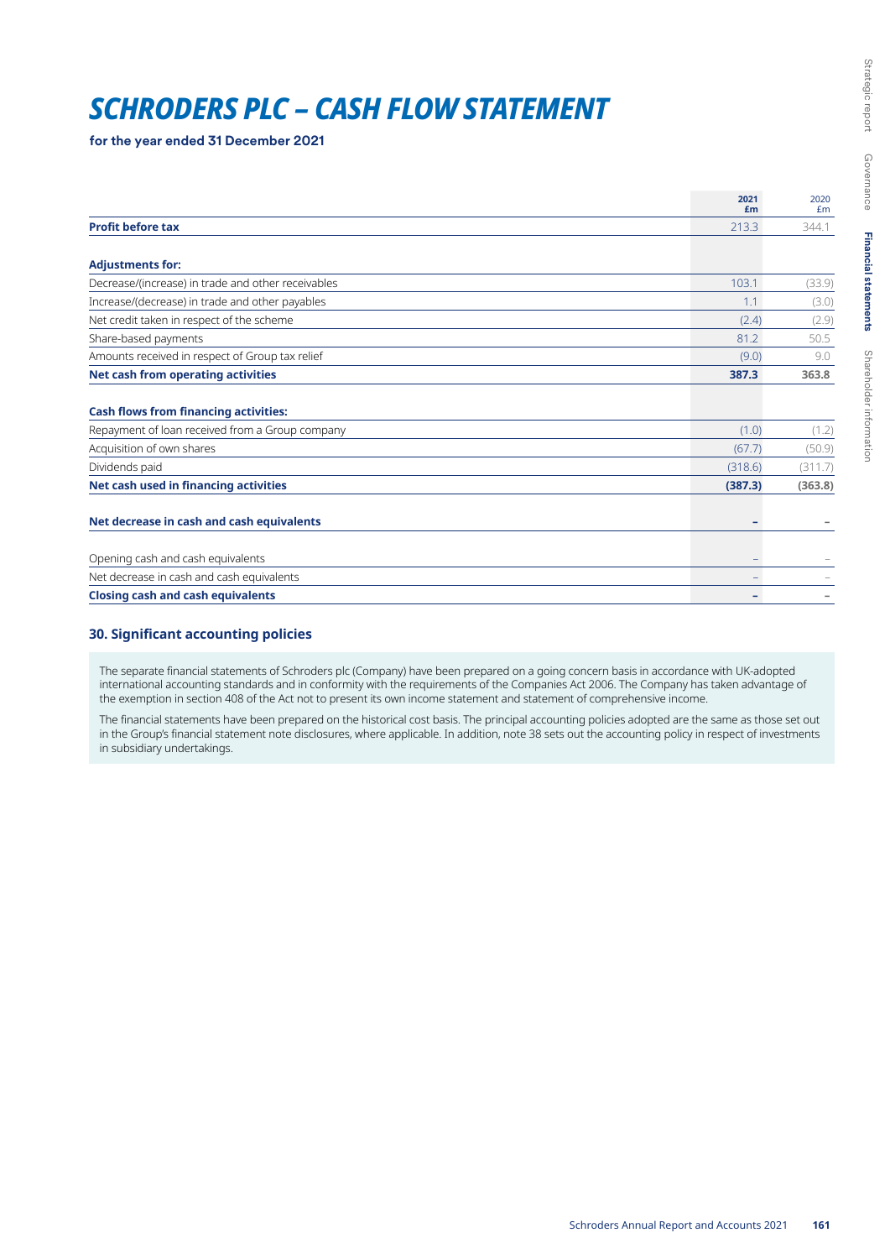# *SCHRODERS PLC – CASH FLOW STATEMENT*

**for the year ended 31 December 2021**

|                                                                                                 | 2021<br>£m               | 2020<br>Em |
|-------------------------------------------------------------------------------------------------|--------------------------|------------|
| <b>Profit before tax</b>                                                                        | 213.3                    | 344.1      |
|                                                                                                 |                          |            |
| <b>Adjustments for:</b>                                                                         |                          |            |
| Decrease/(increase) in trade and other receivables                                              | 103.1                    | (33.9)     |
| Increase/(decrease) in trade and other payables                                                 | 1.1                      | (3.0)      |
| Net credit taken in respect of the scheme                                                       | (2.4)                    | (2.9)      |
| Share-based payments                                                                            | 81.2                     | 50.5       |
| Amounts received in respect of Group tax relief                                                 | (9.0)                    | 9.0        |
| <b>Net cash from operating activities</b>                                                       | 387.3                    | 363.8      |
| <b>Cash flows from financing activities:</b><br>Repayment of loan received from a Group company | (1.0)                    | (1.2)      |
| Acquisition of own shares                                                                       | (67.7)                   | (50.9)     |
| Dividends paid                                                                                  | (318.6)                  | (311.7)    |
| Net cash used in financing activities                                                           | (387.3)                  | (363.8)    |
| Net decrease in cash and cash equivalents                                                       |                          |            |
| Opening cash and cash equivalents                                                               |                          |            |
| Net decrease in cash and cash equivalents                                                       | -                        |            |
| <b>Closing cash and cash equivalents</b>                                                        | $\overline{\phantom{a}}$ |            |

# **30. Significant accounting policies**

The separate financial statements of Schroders plc (Company) have been prepared on a going concern basis in accordance with UK-adopted international accounting standards and in conformity with the requirements of the Companies Act 2006. The Company has taken advantage of the exemption in section 408 of the Act not to present its own income statement and statement of comprehensive income.

The financial statements have been prepared on the historical cost basis. The principal accounting policies adopted are the same as those set out in the Group's financial statement note disclosures, where applicable. In addition, note 38 sets out the accounting policy in respect of investments in subsidiary undertakings.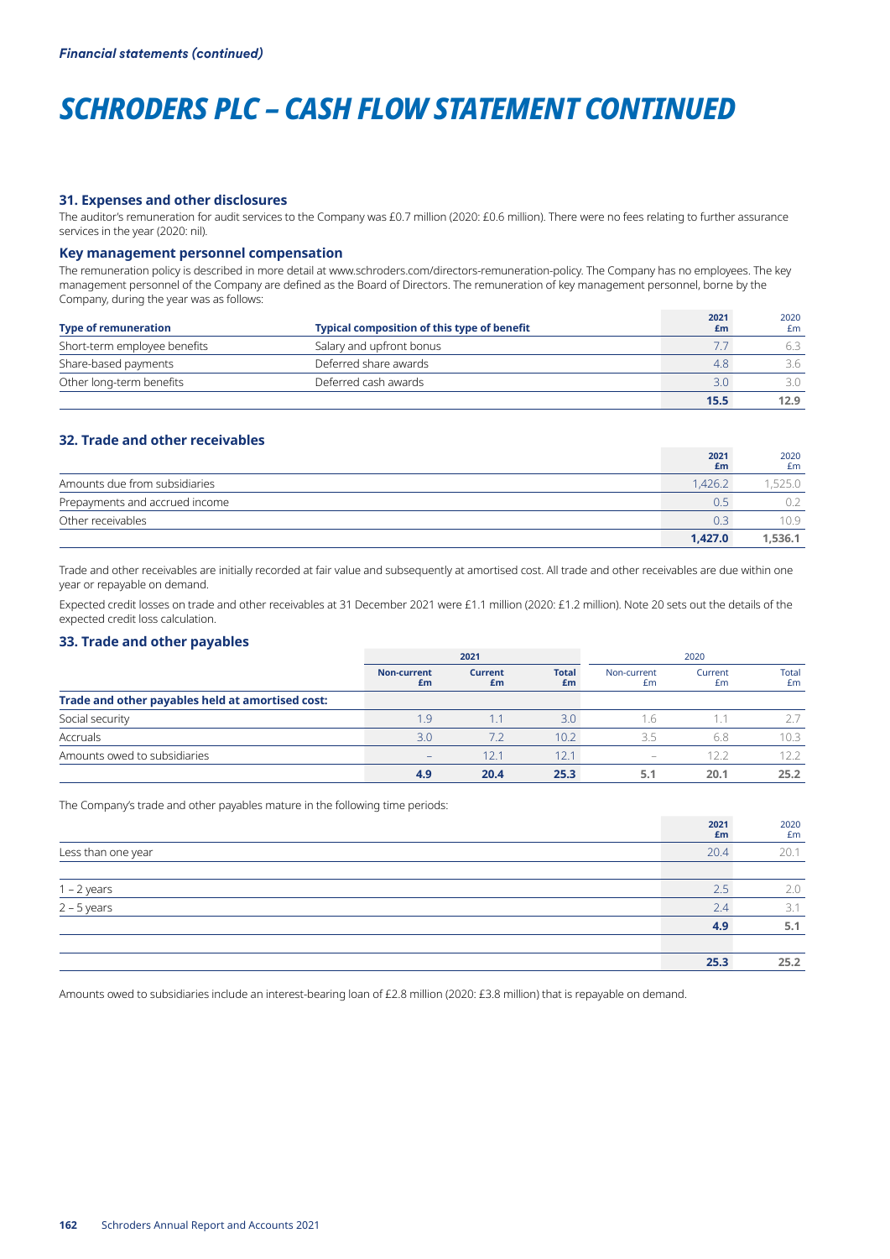# *SCHRODERS PLC – CASH FLOW STATEMENT CONTINUED*

#### **31. Expenses and other disclosures**

The auditor's remuneration for audit services to the Company was £0.7 million (2020: £0.6 million). There were no fees relating to further assurance services in the year (2020: nil).

#### **Key management personnel compensation**

The remuneration policy is described in more detail at www.schroders.com/directors-remuneration-policy. The Company has no employees. The key management personnel of the Company are defined as the Board of Directors. The remuneration of key management personnel, borne by the Company, during the year was as follows:

| <b>Type of remuneration</b>  | <b>Typical composition of this type of benefit</b> | 2021<br>£m    | 2020<br>£m |
|------------------------------|----------------------------------------------------|---------------|------------|
| Short-term employee benefits | Salary and upfront bonus                           |               |            |
| Share-based payments         | Deferred share awards                              | 4.8           | 3.6        |
| Other long-term benefits     | Deferred cash awards                               | $3.0^{\circ}$ | 3 O        |
|                              |                                                    | 15.5          | 12.9       |

# **32. Trade and other receivables**

|                                | 2021<br>£m | 2020<br>£m |
|--------------------------------|------------|------------|
| Amounts due from subsidiaries  | 1.426.2    | .525.0     |
| Prepayments and accrued income | 0.5        |            |
| Other receivables              | 0.3        | 10.9       |
|                                | 1.427.0    | 1.536.1    |

Trade and other receivables are initially recorded at fair value and subsequently at amortised cost. All trade and other receivables are due within one year or repayable on demand.

Expected credit losses on trade and other receivables at 31 December 2021 were £1.1 million (2020: £1.2 million). Note 20 sets out the details of the expected credit loss calculation.

### **33. Trade and other payables**

|                                                  | 2021                     |                      |                    |                          | 2020          |             |
|--------------------------------------------------|--------------------------|----------------------|--------------------|--------------------------|---------------|-------------|
|                                                  | <b>Non-current</b><br>£m | <b>Current</b><br>£m | <b>Total</b><br>£m | Non-current<br>£m        | Current<br>£m | Total<br>£m |
| Trade and other payables held at amortised cost: |                          |                      |                    |                          |               |             |
| Social security                                  | 1.9                      |                      | 3.0                | $\cdot$                  |               |             |
| Accruals                                         | 3.0                      | 7.2                  | 10.2 <sup>2</sup>  | 35                       | 6.8           | 10.3        |
| Amounts owed to subsidiaries                     | -                        | 12.1                 | 12.1               | $\overline{\phantom{0}}$ | 12.2          | 12.2        |
|                                                  | 4.9                      | 20.4                 | 25.3               |                          | 20.1          | 25.2        |

The Company's trade and other payables mature in the following time periods:

|                                               | 2021<br>£m | 2020<br>£m |
|-----------------------------------------------|------------|------------|
| Less than one year                            | 20.4       | 20.1       |
|                                               |            |            |
|                                               | 2.5        | 2.0        |
| $\frac{1-2 \text{ years}}{2-5 \text{ years}}$ | 2.4        | 3.1        |
|                                               | 4.9        | 5.1        |
|                                               |            |            |
|                                               | 25.3       | 25.2       |

Amounts owed to subsidiaries include an interest-bearing loan of £2.8 million (2020: £3.8 million) that is repayable on demand.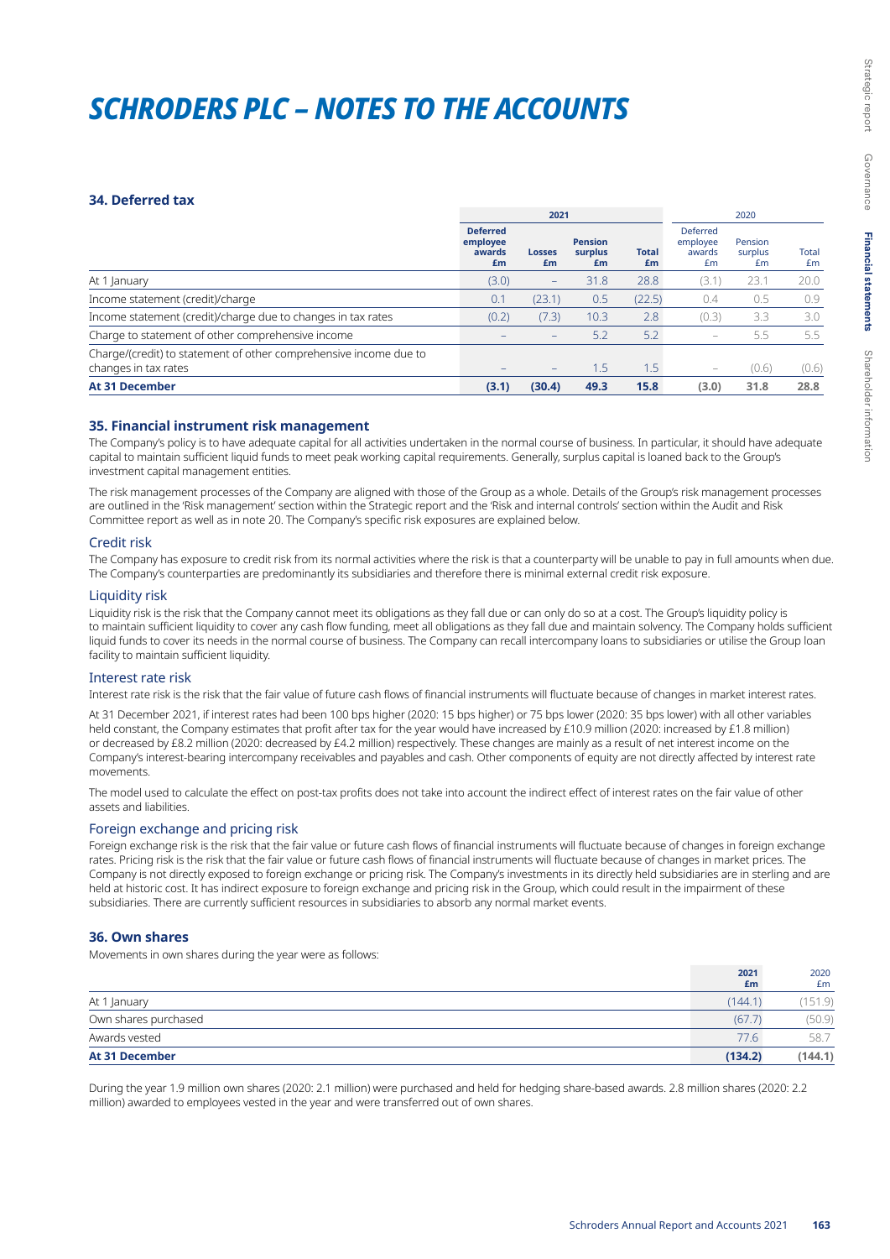# *SCHRODERS PLC – NOTES TO THE ACCOUNTS*

#### **34. Deferred tax**

|                                                                                           |                                             | 2021                     |                                 |                    | 2020                                 |                          |             |
|-------------------------------------------------------------------------------------------|---------------------------------------------|--------------------------|---------------------------------|--------------------|--------------------------------------|--------------------------|-------------|
|                                                                                           | <b>Deferred</b><br>employee<br>awards<br>£m | <b>Losses</b><br>£m      | <b>Pension</b><br>surplus<br>£m | <b>Total</b><br>£m | Deferred<br>employee<br>awards<br>£m | Pension<br>surplus<br>Em | Total<br>Em |
| At 1 January                                                                              | (3.0)                                       | $\overline{\phantom{m}}$ | 31.8                            | 28.8               | (3.1                                 | 23.1                     | 20.0        |
| Income statement (credit)/charge                                                          | 0.1                                         | (23.1)                   | 0.5                             | (22.5)             | 0.4                                  | 0.5                      | 0.9         |
| Income statement (credit)/charge due to changes in tax rates                              | (0.2)                                       | (7.3)                    | 10.3                            | 2.8                | (0.3)                                | 3.3                      | 3.0         |
| Charge to statement of other comprehensive income                                         |                                             | $\overline{\phantom{m}}$ | 5.2                             | 5.2                | -                                    | 5.5                      | 5.5         |
| Charge/(credit) to statement of other comprehensive income due to<br>changes in tax rates |                                             | $\overline{\phantom{m}}$ | 1.5                             | .5                 | $\overline{\phantom{0}}$             | (0.6)                    | (0.6)       |
| <b>At 31 December</b>                                                                     | (3.1)                                       | (30.4)                   | 49.3                            | 15.8               | (3.0)                                | 31.8                     | 28.8        |

### **35. Financial instrument risk management**

The Company's policy is to have adequate capital for all activities undertaken in the normal course of business. In particular, it should have adequate capital to maintain sufficient liquid funds to meet peak working capital requirements. Generally, surplus capital is loaned back to the Group's investment capital management entities.

The risk management processes of the Company are aligned with those of the Group as a whole. Details of the Group's risk management processes are outlined in the 'Risk management' section within the Strategic report and the 'Risk and internal controls' section within the Audit and Risk Committee report as well as in note 20. The Company's specific risk exposures are explained below.

#### Credit risk

The Company has exposure to credit risk from its normal activities where the risk is that a counterparty will be unable to pay in full amounts when due. The Company's counterparties are predominantly its subsidiaries and therefore there is minimal external credit risk exposure.

#### Liquidity risk

Liquidity risk is the risk that the Company cannot meet its obligations as they fall due or can only do so at a cost. The Group's liquidity policy is to maintain sufficient liquidity to cover any cash flow funding, meet all obligations as they fall due and maintain solvency. The Company holds sufficient liquid funds to cover its needs in the normal course of business. The Company can recall intercompany loans to subsidiaries or utilise the Group loan facility to maintain sufficient liquidity.

### Interest rate risk

Interest rate risk is the risk that the fair value of future cash flows of financial instruments will fluctuate because of changes in market interest rates.

At 31 December 2021, if interest rates had been 100 bps higher (2020: 15 bps higher) or 75 bps lower (2020: 35 bps lower) with all other variables held constant, the Company estimates that profit after tax for the year would have increased by £10.9 million (2020: increased by £1.8 million) or decreased by £8.2 million (2020: decreased by £4.2 million) respectively. These changes are mainly as a result of net interest income on the Company's interest-bearing intercompany receivables and payables and cash. Other components of equity are not directly affected by interest rate movements.

The model used to calculate the effect on post-tax profits does not take into account the indirect effect of interest rates on the fair value of other assets and liabilities.

### Foreign exchange and pricing risk

Foreign exchange risk is the risk that the fair value or future cash flows of financial instruments will fluctuate because of changes in foreign exchange rates. Pricing risk is the risk that the fair value or future cash flows of financial instruments will fluctuate because of changes in market prices. The Company is not directly exposed to foreign exchange or pricing risk. The Company's investments in its directly held subsidiaries are in sterling and are held at historic cost. It has indirect exposure to foreign exchange and pricing risk in the Group, which could result in the impairment of these subsidiaries. There are currently sufficient resources in subsidiaries to absorb any normal market events.

#### **36. Own shares**

Movements in own shares during the year were as follows:

|                       | 2021<br>£m | 2020<br>£m |
|-----------------------|------------|------------|
| At 1 January          | (144.1)    | 151.9      |
| Own shares purchased  | (67.7)     | (50.9)     |
| Awards vested         | 77.6       | 58.7       |
| <b>At 31 December</b> | (134.2)    | (144.1)    |

During the year 1.9 million own shares (2020: 2.1 million) were purchased and held for hedging share-based awards. 2.8 million shares (2020: 2.2 million) awarded to employees vested in the year and were transferred out of own shares.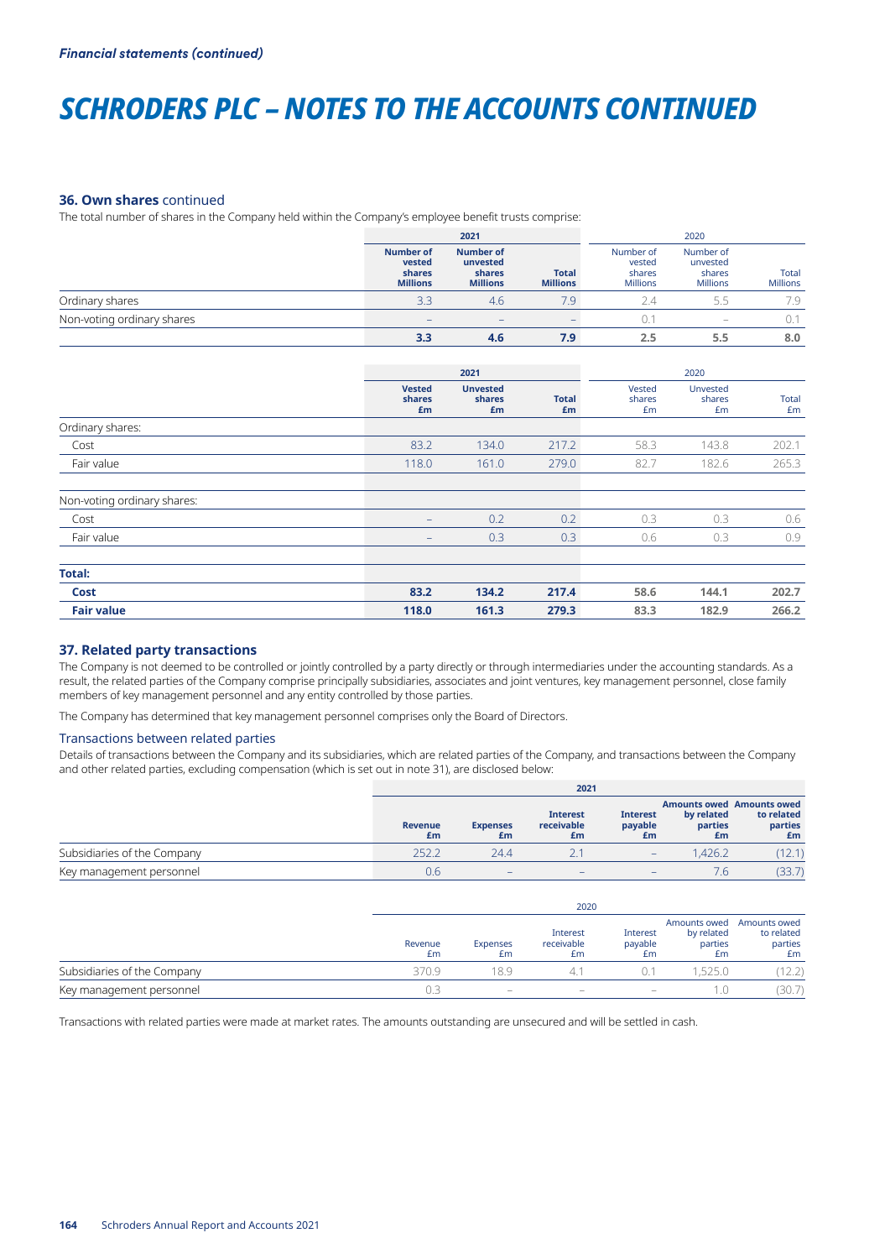# *SCHRODERS PLC – NOTES TO THE ACCOUNTS CONTINUED*

#### **36. Own shares** continued

The total number of shares in the Company held within the Company's employee benefit trusts comprise:

|                            |                                                         | 2021                                                      |                                 |                                                  | 2020                                                                      |                          |
|----------------------------|---------------------------------------------------------|-----------------------------------------------------------|---------------------------------|--------------------------------------------------|---------------------------------------------------------------------------|--------------------------|
|                            | <b>Number of</b><br>vested<br>shares<br><b>Millions</b> | <b>Number of</b><br>unvested<br>shares<br><b>Millions</b> | <b>Total</b><br><b>Millions</b> | Number of<br>vested<br>shares<br><b>Millions</b> | Number of<br>unvested<br>shares<br><b>Millions</b>                        | Total<br><b>Millions</b> |
| Ordinary shares            | 3.3                                                     | 4.6                                                       | 7.9                             |                                                  | 5.5                                                                       | 7.9                      |
| Non-voting ordinary shares | $\overline{\phantom{0}}$                                | $\overline{\phantom{0}}$                                  |                                 |                                                  | $\hspace{1.0cm} \rule{1.5cm}{0.15cm} \hspace{1.0cm} \rule{1.5cm}{0.15cm}$ | 0.1                      |
|                            | 3.3                                                     | 4.6                                                       | 7.9                             | 2.5                                              | 5.5                                                                       | 8.0                      |

|                             |                               | 2021                            |                    |                        | 2020                     |             |
|-----------------------------|-------------------------------|---------------------------------|--------------------|------------------------|--------------------------|-------------|
|                             | <b>Vested</b><br>shares<br>£m | <b>Unvested</b><br>shares<br>£m | <b>Total</b><br>£m | Vested<br>shares<br>Em | Unvested<br>shares<br>£m | Total<br>£m |
| Ordinary shares:            |                               |                                 |                    |                        |                          |             |
| Cost                        | 83.2                          | 134.0                           | 217.2              | 58.3                   | 143.8                    | 202.1       |
| Fair value                  | 118.0                         | 161.0                           | 279.0              | 82.7                   | 182.6                    | 265.3       |
| Non-voting ordinary shares: |                               |                                 |                    |                        |                          |             |
| Cost                        | -                             | 0.2                             | 0.2                | 0.3                    | 0.3                      | 0.6         |
| Fair value                  | $\qquad \qquad -$             | 0.3                             | 0.3                | 0.6                    | 0.3                      | 0.9         |
| <b>Total:</b>               |                               |                                 |                    |                        |                          |             |
| Cost                        | 83.2                          | 134.2                           | 217.4              | 58.6                   | 144.1                    | 202.7       |
| <b>Fair value</b>           | 118.0                         | 161.3                           | 279.3              | 83.3                   | 182.9                    | 266.2       |

### **37. Related party transactions**

The Company is not deemed to be controlled or jointly controlled by a party directly or through intermediaries under the accounting standards. As a result, the related parties of the Company comprise principally subsidiaries, associates and joint ventures, key management personnel, close family members of key management personnel and any entity controlled by those parties.

The Company has determined that key management personnel comprises only the Board of Directors.

#### Transactions between related parties

Details of transactions between the Company and its subsidiaries, which are related parties of the Company, and transactions between the Company and other related parties, excluding compensation (which is set out in note 31), are disclosed below:

|                             | 2021                 |                          |                                     |                                  |                             |                                                                 |
|-----------------------------|----------------------|--------------------------|-------------------------------------|----------------------------------|-----------------------------|-----------------------------------------------------------------|
|                             | <b>Revenue</b><br>£m | <b>Expenses</b><br>£m    | <b>Interest</b><br>receivable<br>£m | <b>Interest</b><br>payable<br>£m | by related<br>parties<br>£m | <b>Amounts owed Amounts owed</b><br>to related<br>parties<br>£m |
| Subsidiaries of the Company | 252.2                | 24.4                     |                                     | $\overline{\phantom{0}}$         | 1.426.2                     | (12.1)                                                          |
| Key management personnel    | 0.6                  | $\overline{\phantom{0}}$ | $\qquad \qquad \blacksquare$        | $\overline{\phantom{0}}$         | 7.6                         |                                                                 |

|                             |               | 2020                     |                                                                           |                           |                                             |                                             |  |  |
|-----------------------------|---------------|--------------------------|---------------------------------------------------------------------------|---------------------------|---------------------------------------------|---------------------------------------------|--|--|
|                             | Revenue<br>£m | Expenses<br>£m           | Interest<br>receivable<br>£m                                              | Interest<br>payable<br>£m | Amounts owed<br>by related<br>parties<br>£m | Amounts owed<br>to related<br>parties<br>£m |  |  |
| Subsidiaries of the Company | 370.9         | 189                      |                                                                           |                           | .5250                                       | 2.2                                         |  |  |
| Key management personnel    |               | $\overline{\phantom{a}}$ | $\hspace{1.0cm} \rule{1.5cm}{0.15cm} \hspace{1.0cm} \rule{1.5cm}{0.15cm}$ | $\overline{\phantom{a}}$  |                                             | 30.7                                        |  |  |

Transactions with related parties were made at market rates. The amounts outstanding are unsecured and will be settled in cash.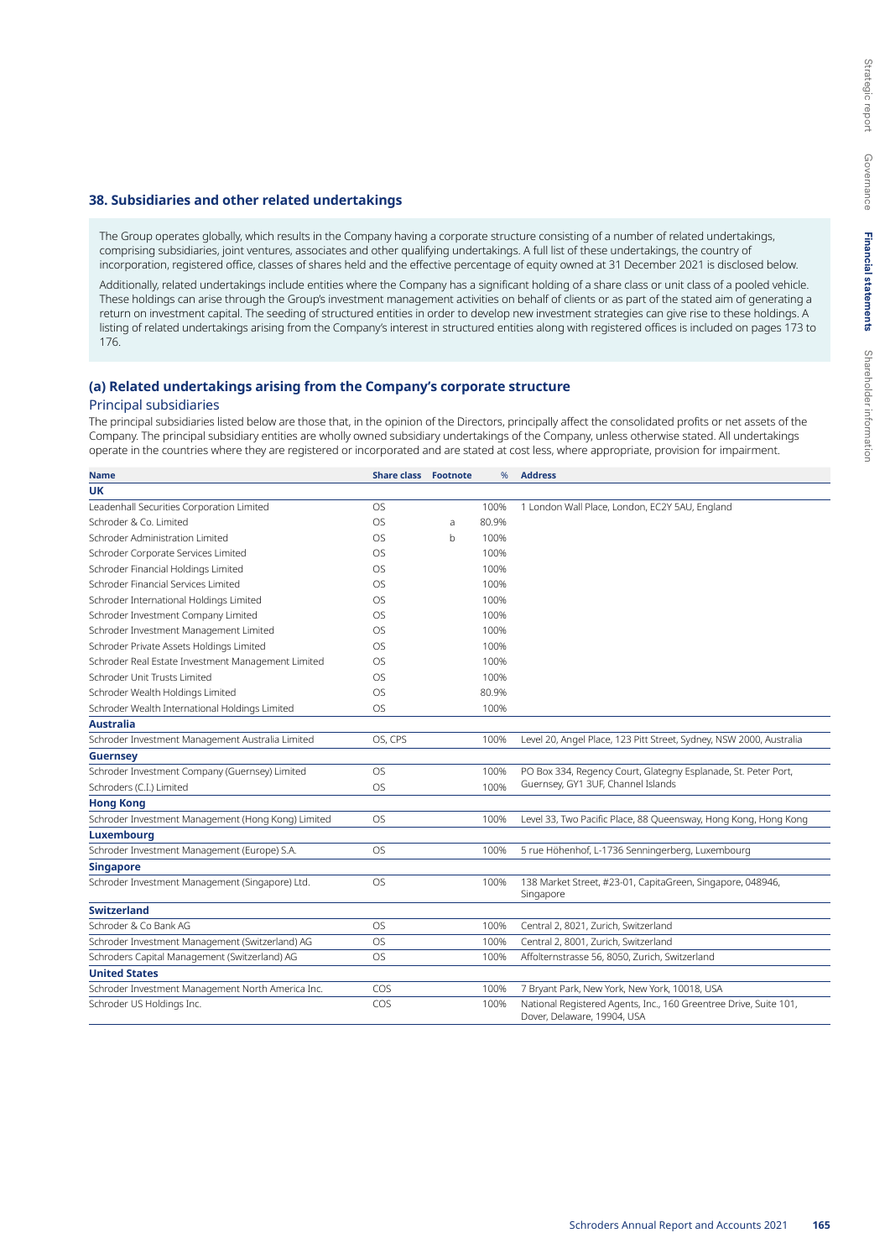#### **38. Subsidiaries and other related undertakings**

The Group operates globally, which results in the Company having a corporate structure consisting of a number of related undertakings, comprising subsidiaries, joint ventures, associates and other qualifying undertakings. A full list of these undertakings, the country of incorporation, registered office, classes of shares held and the effective percentage of equity owned at 31 December 2021 is disclosed below.

Additionally, related undertakings include entities where the Company has a significant holding of a share class or unit class of a pooled vehicle. These holdings can arise through the Group's investment management activities on behalf of clients or as part of the stated aim of generating a return on investment capital. The seeding of structured entities in order to develop new investment strategies can give rise to these holdings. A listing of related undertakings arising from the Company's interest in structured entities along with registered offices is included on pages 173 to 176.

# **(a) Related undertakings arising from the Company's corporate structure**

#### Principal subsidiaries

The principal subsidiaries listed below are those that, in the opinion of the Directors, principally affect the consolidated profits or net assets of the Company. The principal subsidiary entities are wholly owned subsidiary undertakings of the Company, unless otherwise stated. All undertakings operate in the countries where they are registered or incorporated and are stated at cost less, where appropriate, provision for impairment.

| <b>Name</b>                                        | <b>Share class Footnote</b> |              | %     | <b>Address</b>                                                                                   |
|----------------------------------------------------|-----------------------------|--------------|-------|--------------------------------------------------------------------------------------------------|
| UK                                                 |                             |              |       |                                                                                                  |
| Leadenhall Securities Corporation Limited          | <b>OS</b>                   |              | 100%  | 1 London Wall Place, London, EC2Y 5AU, England                                                   |
| Schroder & Co. Limited                             | <b>OS</b>                   | a            | 80.9% |                                                                                                  |
| Schroder Administration Limited                    | <b>OS</b>                   | <sub>b</sub> | 100%  |                                                                                                  |
| Schroder Corporate Services Limited                | <b>OS</b>                   |              | 100%  |                                                                                                  |
| Schroder Financial Holdings Limited                | OS                          |              | 100%  |                                                                                                  |
| Schroder Financial Services Limited                | <b>OS</b>                   |              | 100%  |                                                                                                  |
| Schroder International Holdings Limited            | <b>OS</b>                   |              | 100%  |                                                                                                  |
| Schroder Investment Company Limited                | OS                          |              | 100%  |                                                                                                  |
| Schroder Investment Management Limited             | OS                          |              | 100%  |                                                                                                  |
| Schroder Private Assets Holdings Limited           | <b>OS</b>                   |              | 100%  |                                                                                                  |
| Schroder Real Estate Investment Management Limited | OS                          |              | 100%  |                                                                                                  |
| Schroder Unit Trusts Limited                       | OS                          |              | 100%  |                                                                                                  |
| Schroder Wealth Holdings Limited                   | OS                          |              | 80.9% |                                                                                                  |
| Schroder Wealth International Holdings Limited     | OS                          |              | 100%  |                                                                                                  |
| <b>Australia</b>                                   |                             |              |       |                                                                                                  |
| Schroder Investment Management Australia Limited   | OS, CPS                     |              | 100%  | Level 20, Angel Place, 123 Pitt Street, Sydney, NSW 2000, Australia                              |
| <b>Guernsey</b>                                    |                             |              |       |                                                                                                  |
| Schroder Investment Company (Guernsey) Limited     | <b>OS</b>                   |              | 100%  | PO Box 334, Regency Court, Glategny Esplanade, St. Peter Port,                                   |
| Schroders (C.I.) Limited                           | <b>OS</b>                   |              | 100%  | Guernsey, GY1 3UF, Channel Islands                                                               |
| <b>Hong Kong</b>                                   |                             |              |       |                                                                                                  |
| Schroder Investment Management (Hong Kong) Limited | <b>OS</b>                   |              | 100%  | Level 33, Two Pacific Place, 88 Queensway, Hong Kong, Hong Kong                                  |
| Luxembourg                                         |                             |              |       |                                                                                                  |
| Schroder Investment Management (Europe) S.A.       | <b>OS</b>                   |              | 100%  | 5 rue Höhenhof, L-1736 Senningerberg, Luxembourg                                                 |
| <b>Singapore</b>                                   |                             |              |       |                                                                                                  |
| Schroder Investment Management (Singapore) Ltd.    | <b>OS</b>                   |              | 100%  | 138 Market Street, #23-01, CapitaGreen, Singapore, 048946,<br>Singapore                          |
| <b>Switzerland</b>                                 |                             |              |       |                                                                                                  |
| Schroder & Co Bank AG                              | <b>OS</b>                   |              | 100%  | Central 2, 8021, Zurich, Switzerland                                                             |
| Schroder Investment Management (Switzerland) AG    | <b>OS</b>                   |              | 100%  | Central 2, 8001, Zurich, Switzerland                                                             |
| Schroders Capital Management (Switzerland) AG      | <b>OS</b>                   |              | 100%  | Affolternstrasse 56, 8050, Zurich, Switzerland                                                   |
| <b>United States</b>                               |                             |              |       |                                                                                                  |
| Schroder Investment Management North America Inc.  | COS                         |              | 100%  | 7 Bryant Park, New York, New York, 10018, USA                                                    |
| Schroder US Holdings Inc.                          | COS                         |              | 100%  | National Registered Agents, Inc., 160 Greentree Drive, Suite 101,<br>Dover, Delaware, 19904, USA |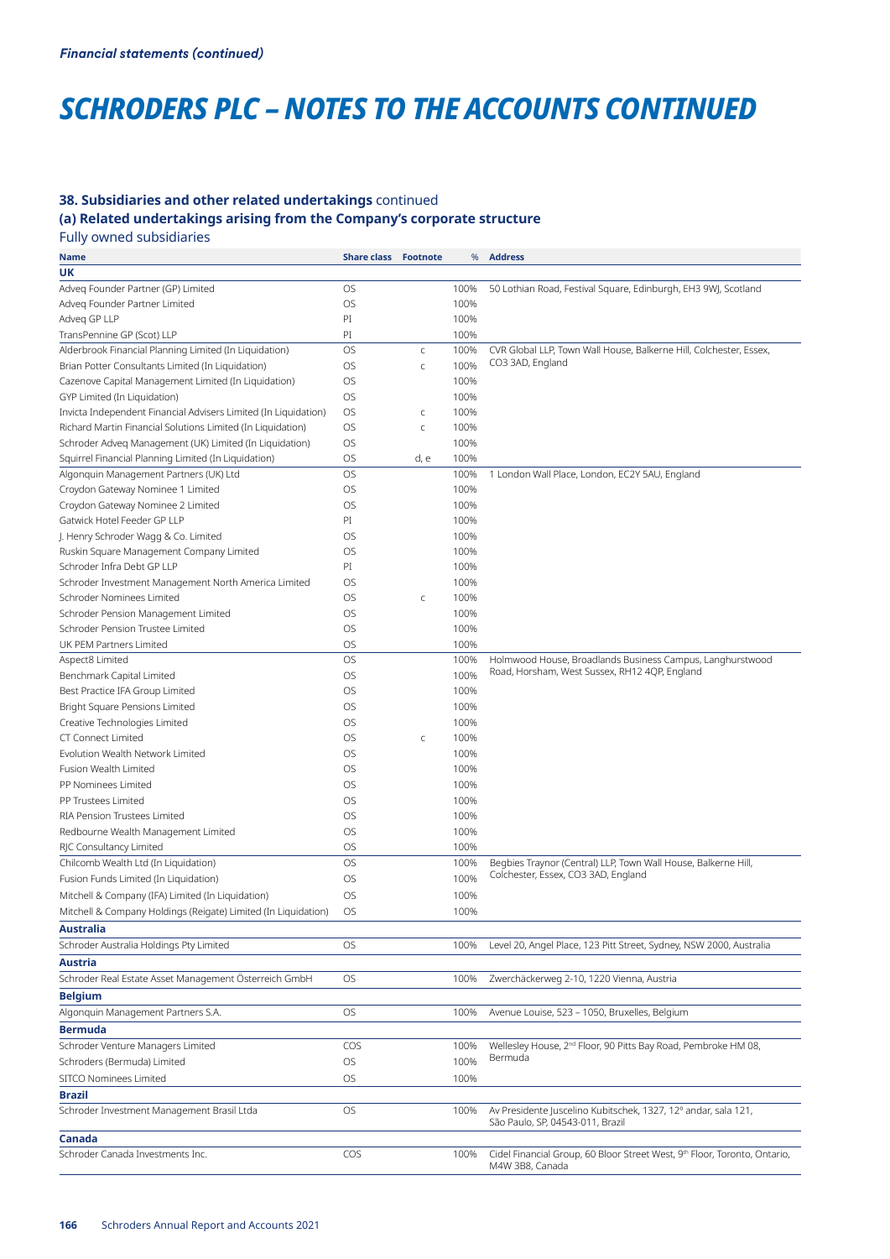# *SCHRODERS PLC – NOTES TO THE ACCOUNTS CONTINUED*

# **38. Subsidiaries and other related undertakings** continued

**(a) Related undertakings arising from the Company's corporate structure** 

Fully owned subsidiaries

| <b>Name</b>                                                                       | <b>Share class Footnote</b> |             | %    | <b>Address</b>                                                                                             |
|-----------------------------------------------------------------------------------|-----------------------------|-------------|------|------------------------------------------------------------------------------------------------------------|
| UK                                                                                |                             |             |      |                                                                                                            |
| Adveg Founder Partner (GP) Limited                                                | <b>OS</b>                   |             | 100% | 50 Lothian Road, Festival Square, Edinburgh, EH3 9WJ, Scotland                                             |
| Adveg Founder Partner Limited                                                     | OS                          |             | 100% |                                                                                                            |
| Adveg GP LLP                                                                      | PI                          |             | 100% |                                                                                                            |
| TransPennine GP (Scot) LLP                                                        | PI                          |             | 100% |                                                                                                            |
| Alderbrook Financial Planning Limited (In Liquidation)                            | OS                          | $\mathsf C$ | 100% | CVR Global LLP, Town Wall House, Balkerne Hill, Colchester, Essex,                                         |
| Brian Potter Consultants Limited (In Liquidation)                                 | OS.                         | $\mathsf C$ | 100% | CO3 3AD, England                                                                                           |
| Cazenove Capital Management Limited (In Liquidation)                              | OS.                         |             | 100% |                                                                                                            |
| GYP Limited (In Liquidation)                                                      | OS.                         |             | 100% |                                                                                                            |
| Invicta Independent Financial Advisers Limited (In Liquidation)                   | OS.                         | $\mathsf C$ | 100% |                                                                                                            |
| Richard Martin Financial Solutions Limited (In Liquidation)                       | OS                          | $\mathsf C$ | 100% |                                                                                                            |
| Schroder Adveq Management (UK) Limited (In Liquidation)                           | OS                          |             | 100% |                                                                                                            |
| Squirrel Financial Planning Limited (In Liquidation)                              | OS.                         | d, e        | 100% |                                                                                                            |
| Algonquin Management Partners (UK) Ltd                                            | <b>OS</b>                   |             | 100% | 1 London Wall Place, London, EC2Y 5AU, England                                                             |
| Croydon Gateway Nominee 1 Limited                                                 | OS                          |             | 100% |                                                                                                            |
| Croydon Gateway Nominee 2 Limited                                                 | <b>OS</b>                   |             | 100% |                                                                                                            |
| Gatwick Hotel Feeder GP LLP                                                       | PI                          |             | 100% |                                                                                                            |
| J. Henry Schroder Wagg & Co. Limited                                              | <b>OS</b>                   |             | 100% |                                                                                                            |
| Ruskin Square Management Company Limited                                          | OS                          |             | 100% |                                                                                                            |
| Schroder Infra Debt GP LLP                                                        | PI                          |             | 100% |                                                                                                            |
|                                                                                   | OS                          |             | 100% |                                                                                                            |
| Schroder Investment Management North America Limited<br>Schroder Nominees Limited | OS                          |             | 100% |                                                                                                            |
|                                                                                   |                             | $\mathsf C$ |      |                                                                                                            |
| Schroder Pension Management Limited                                               | OS                          |             | 100% |                                                                                                            |
| Schroder Pension Trustee Limited                                                  | OS                          |             | 100% |                                                                                                            |
| UK PEM Partners Limited                                                           | OS                          |             | 100% |                                                                                                            |
| Aspect8 Limited                                                                   | OS                          |             | 100% | Holmwood House, Broadlands Business Campus, Langhurstwood<br>Road, Horsham, West Sussex, RH12 4QP, England |
| Benchmark Capital Limited                                                         | OS                          |             | 100% |                                                                                                            |
| Best Practice IFA Group Limited                                                   | OS                          |             | 100% |                                                                                                            |
| Bright Square Pensions Limited                                                    | OS                          |             | 100% |                                                                                                            |
| Creative Technologies Limited                                                     | OS                          |             | 100% |                                                                                                            |
| <b>CT Connect Limited</b>                                                         | OS.                         | $\mathsf C$ | 100% |                                                                                                            |
| Evolution Wealth Network Limited                                                  | <b>OS</b>                   |             | 100% |                                                                                                            |
| Fusion Wealth Limited                                                             | OS.                         |             | 100% |                                                                                                            |
| PP Nominees Limited                                                               | OS.                         |             | 100% |                                                                                                            |
| PP Trustees Limited                                                               | OS.                         |             | 100% |                                                                                                            |
| RIA Pension Trustees Limited                                                      | OS.                         |             | 100% |                                                                                                            |
| Redbourne Wealth Management Limited                                               | <b>OS</b>                   |             | 100% |                                                                                                            |
| RJC Consultancy Limited                                                           | <b>OS</b>                   |             | 100% |                                                                                                            |
| Chilcomb Wealth Ltd (In Liquidation)                                              | <b>OS</b>                   |             | 100% | Begbies Traynor (Central) LLP, Town Wall House, Balkerne Hill,                                             |
| Fusion Funds Limited (In Liquidation)                                             | OS                          |             | 100% | Colchester, Essex, CO3 3AD, England                                                                        |
| Mitchell & Company (IFA) Limited (In Liquidation)                                 | OS                          |             | 100% |                                                                                                            |
| Mitchell & Company Holdings (Reigate) Limited (In Liquidation)                    | OS                          |             | 100% |                                                                                                            |
| <b>Australia</b>                                                                  |                             |             |      |                                                                                                            |
| Schroder Australia Holdings Pty Limited                                           | OS                          |             | 100% | Level 20, Angel Place, 123 Pitt Street, Sydney, NSW 2000, Australia                                        |
| Austria                                                                           |                             |             |      |                                                                                                            |
| Schroder Real Estate Asset Management Österreich GmbH                             | OS                          |             | 100% | Zwerchäckerweg 2-10, 1220 Vienna, Austria                                                                  |
| <b>Belgium</b>                                                                    |                             |             |      |                                                                                                            |
| Algonquin Management Partners S.A.                                                | OS.                         |             | 100% | Avenue Louise, 523 - 1050, Bruxelles, Belgium                                                              |
| <b>Bermuda</b>                                                                    |                             |             |      |                                                                                                            |
| Schroder Venture Managers Limited                                                 | COS                         |             | 100% | Wellesley House, 2 <sup>nd</sup> Floor, 90 Pitts Bay Road, Pembroke HM 08,                                 |
| Schroders (Bermuda) Limited                                                       | OS                          |             | 100% | Bermuda                                                                                                    |
| SITCO Nominees Limited                                                            | OS                          |             | 100% |                                                                                                            |
| <b>Brazil</b>                                                                     |                             |             |      |                                                                                                            |
| Schroder Investment Management Brasil Ltda                                        | OS                          |             | 100% | Av Presidente Juscelino Kubitschek, 1327, 12° andar, sala 121,                                             |
|                                                                                   |                             |             |      | São Paulo, SP, 04543-011, Brazil                                                                           |
| Canada                                                                            |                             |             |      |                                                                                                            |
| Schroder Canada Investments Inc.                                                  | <b>COS</b>                  |             | 100% | Cidel Financial Group, 60 Bloor Street West, 9th Floor, Toronto, Ontario,<br>M4W 3B8, Canada               |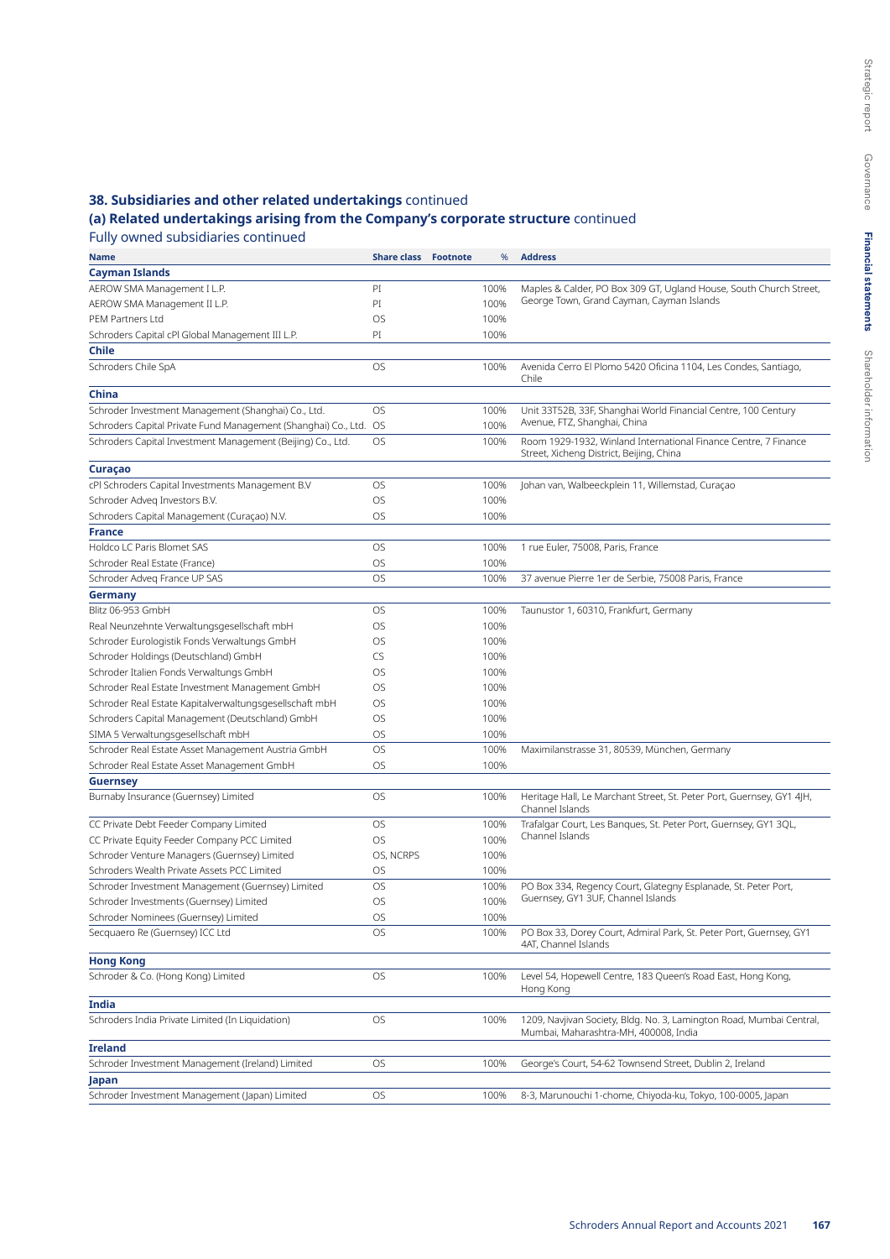# **38. Subsidiaries and other related undertakings** continued

# **(a) Related undertakings arising from the Company's corporate structure** continued

Fully owned subsidiaries continued

| Name                                                              | <b>Share class Footnote</b> | %    | <b>Address</b>                                                                                                |
|-------------------------------------------------------------------|-----------------------------|------|---------------------------------------------------------------------------------------------------------------|
| Cayman Islands                                                    |                             |      |                                                                                                               |
| AEROW SMA Management I L.P.                                       | PI                          | 100% | Maples & Calder, PO Box 309 GT, Ugland House, South Church Street,                                            |
| AEROW SMA Management II L.P.                                      | PI                          | 100% | George Town, Grand Cayman, Cayman Islands                                                                     |
| PEM Partners Ltd                                                  | OS                          | 100% |                                                                                                               |
| Schroders Capital cPI Global Management III L.P.                  | PI                          | 100% |                                                                                                               |
| <b>Chile</b>                                                      |                             |      |                                                                                                               |
| Schroders Chile SpA                                               | OS                          | 100% | Avenida Cerro El Plomo 5420 Oficina 1104, Les Condes, Santiago,                                               |
|                                                                   |                             |      | Chile                                                                                                         |
| China                                                             |                             |      |                                                                                                               |
| Schroder Investment Management (Shanghai) Co., Ltd.               | OS                          | 100% | Unit 33T52B, 33F, Shanghai World Financial Centre, 100 Century                                                |
| Schroders Capital Private Fund Management (Shanghai) Co., Ltd. OS |                             | 100% | Avenue, FTZ, Shanghai, China                                                                                  |
| Schroders Capital Investment Management (Beijing) Co., Ltd.       | OS                          | 100% | Room 1929-1932, Winland International Finance Centre, 7 Finance                                               |
|                                                                   |                             |      | Street, Xicheng District, Beijing, China                                                                      |
| Curaçao                                                           |                             |      |                                                                                                               |
| cPI Schroders Capital Investments Management B.V                  | OS                          | 100% | Johan van, Walbeeckplein 11, Willemstad, Curaçao                                                              |
| Schroder Adveg Investors B.V.                                     | OS                          | 100% |                                                                                                               |
| Schroders Capital Management (Curaçao) N.V.                       | OS                          | 100% |                                                                                                               |
| <b>France</b>                                                     |                             |      |                                                                                                               |
| Holdco LC Paris Blomet SAS                                        | OS                          | 100% | 1 rue Euler, 75008, Paris, France                                                                             |
| Schroder Real Estate (France)                                     | OS                          | 100% |                                                                                                               |
| Schroder Adveg France UP SAS                                      | OS                          | 100% | 37 avenue Pierre 1er de Serbie, 75008 Paris, France                                                           |
| <b>Germany</b>                                                    |                             |      |                                                                                                               |
| Blitz 06-953 GmbH                                                 | OS                          | 100% | Taunustor 1, 60310, Frankfurt, Germany                                                                        |
| Real Neunzehnte Verwaltungsgesellschaft mbH                       | OS                          | 100% |                                                                                                               |
| Schroder Eurologistik Fonds Verwaltungs GmbH                      | OS                          | 100% |                                                                                                               |
| Schroder Holdings (Deutschland) GmbH                              | CS                          | 100% |                                                                                                               |
| Schroder Italien Fonds Verwaltungs GmbH                           | OS                          | 100% |                                                                                                               |
| Schroder Real Estate Investment Management GmbH                   | OS                          | 100% |                                                                                                               |
| Schroder Real Estate Kapitalverwaltungsgesellschaft mbH           | OS                          | 100% |                                                                                                               |
| Schroders Capital Management (Deutschland) GmbH                   | OS                          | 100% |                                                                                                               |
| SIMA 5 Verwaltungsgesellschaft mbH                                | OS                          | 100% |                                                                                                               |
| Schroder Real Estate Asset Management Austria GmbH                | OS                          | 100% | Maximilanstrasse 31, 80539, München, Germany                                                                  |
| Schroder Real Estate Asset Management GmbH                        | OS                          | 100% |                                                                                                               |
| <b>Guernsey</b>                                                   |                             |      |                                                                                                               |
| Burnaby Insurance (Guernsey) Limited                              | OS                          | 100% | Heritage Hall, Le Marchant Street, St. Peter Port, Guernsey, GY1 4JH,<br>Channel Islands                      |
| CC Private Debt Feeder Company Limited                            | OS                          | 100% | Trafalgar Court, Les Banques, St. Peter Port, Guernsey, GY1 3QL,                                              |
| CC Private Equity Feeder Company PCC Limited                      | OS                          | 100% | Channel Islands                                                                                               |
| Schroder Venture Managers (Guernsey) Limited                      | OS, NCRPS                   | 100% |                                                                                                               |
| Schroders Wealth Private Assets PCC Limited                       | OS                          | 100% |                                                                                                               |
| Schroder Investment Management (Guernsey) Limited                 | OS                          | 100% | PO Box 334, Regency Court, Glategny Esplanade, St. Peter Port,                                                |
| Schroder Investments (Guernsey) Limited                           | OS                          | 100% | Guernsey, GY1 3UF, Channel Islands                                                                            |
| Schroder Nominees (Guernsey) Limited                              | OS                          | 100% |                                                                                                               |
| Secquaero Re (Guernsey) ICC Ltd                                   | OS                          | 100% | PO Box 33, Dorey Court, Admiral Park, St. Peter Port, Guernsey, GY1                                           |
|                                                                   |                             |      | 4AT, Channel Islands                                                                                          |
| <b>Hong Kong</b>                                                  |                             |      |                                                                                                               |
| Schroder & Co. (Hong Kong) Limited                                | OS                          | 100% | Level 54, Hopewell Centre, 183 Queen's Road East, Hong Kong,<br>Hong Kong                                     |
| <b>India</b>                                                      |                             |      |                                                                                                               |
| Schroders India Private Limited (In Liquidation)                  | OS                          | 100% | 1209, Navjivan Society, Bldg. No. 3, Lamington Road, Mumbai Central,<br>Mumbai, Maharashtra-MH, 400008, India |
| <b>Ireland</b>                                                    |                             |      |                                                                                                               |
| Schroder Investment Management (Ireland) Limited                  | OS                          | 100% | George's Court, 54-62 Townsend Street, Dublin 2, Ireland                                                      |
| Japan                                                             |                             |      |                                                                                                               |
| Schroder Investment Management (Japan) Limited                    | OS                          | 100% | 8-3, Marunouchi 1-chome, Chiyoda-ku, Tokyo, 100-0005, Japan                                                   |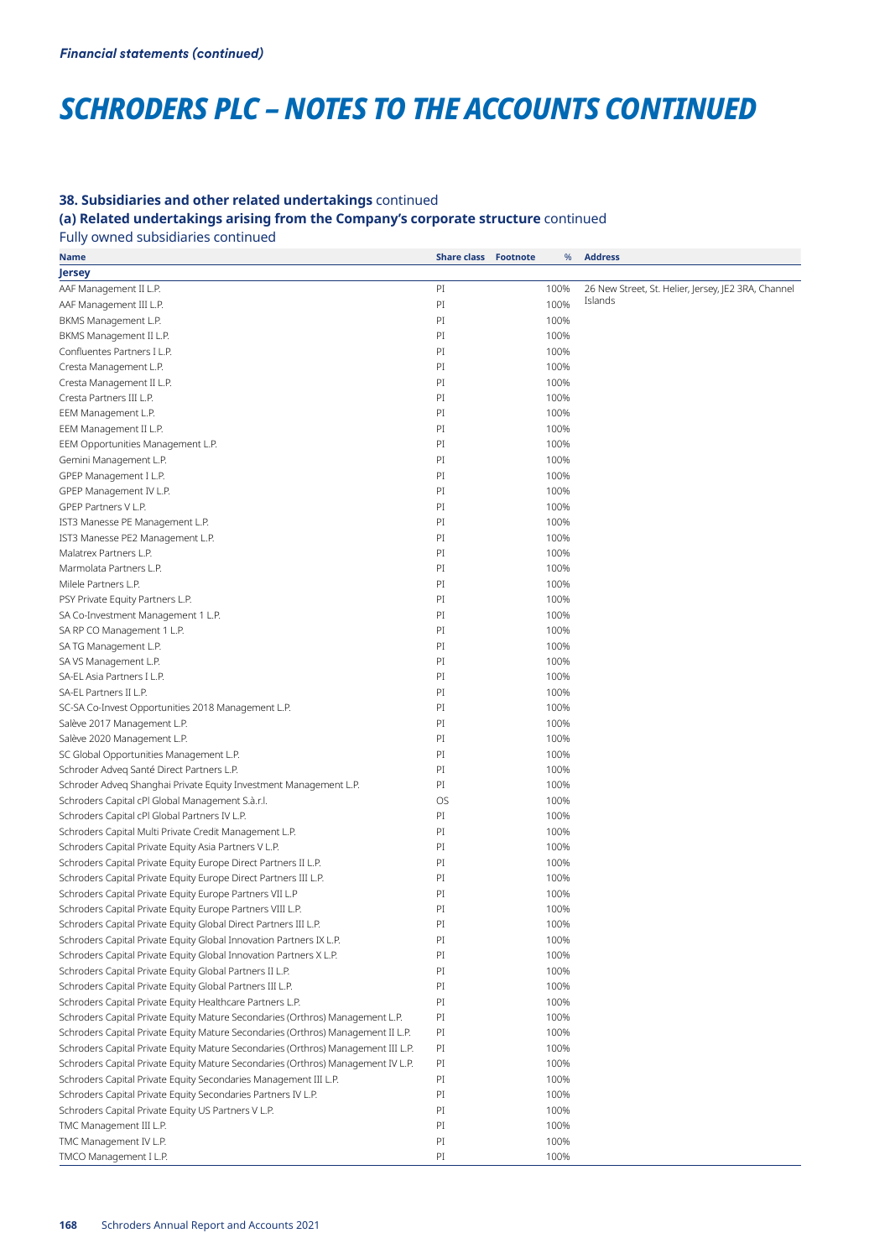# *SCHRODERS PLC – NOTES TO THE ACCOUNTS CONTINUED*

### **38. Subsidiaries and other related undertakings** continued

**(a) Related undertakings arising from the Company's corporate structure** continued

Fully owned subsidiaries continued

| Name                                                                              | <b>Share class Footnote</b> | %    | <b>Address</b>                                      |
|-----------------------------------------------------------------------------------|-----------------------------|------|-----------------------------------------------------|
| Jersey                                                                            |                             |      |                                                     |
| AAF Management II L.P.                                                            | PI                          | 100% | 26 New Street, St. Helier, Jersey, JE2 3RA, Channel |
| AAF Management III L.P.                                                           | PI                          | 100% | Islands                                             |
| BKMS Management L.P.                                                              | PI                          | 100% |                                                     |
| BKMS Management II L.P.                                                           | PI                          | 100% |                                                     |
| Confluentes Partners I L.P.                                                       | PI                          | 100% |                                                     |
| Cresta Management L.P.                                                            | PI                          | 100% |                                                     |
| Cresta Management II L.P.                                                         | PI                          | 100% |                                                     |
| Cresta Partners III L.P.                                                          | PI                          | 100% |                                                     |
| EEM Management L.P.                                                               | PI                          | 100% |                                                     |
| EEM Management II L.P.                                                            | PI                          | 100% |                                                     |
| EEM Opportunities Management L.P.                                                 | PI                          | 100% |                                                     |
| Gemini Management L.P.                                                            | PI                          | 100% |                                                     |
| GPEP Management I L.P.                                                            | PI                          | 100% |                                                     |
|                                                                                   | PI                          | 100% |                                                     |
| GPEP Management IV L.P.                                                           |                             |      |                                                     |
| GPEP Partners V L.P.                                                              | PI                          | 100% |                                                     |
| IST3 Manesse PE Management L.P.                                                   | PI                          | 100% |                                                     |
| IST3 Manesse PE2 Management L.P.                                                  | PI                          | 100% |                                                     |
| Malatrex Partners L.P.                                                            | PI                          | 100% |                                                     |
| Marmolata Partners L.P.                                                           | PI                          | 100% |                                                     |
| Milele Partners L.P.                                                              | PI                          | 100% |                                                     |
| PSY Private Equity Partners L.P.                                                  | PI                          | 100% |                                                     |
| SA Co-Investment Management 1 L.P.                                                | PI                          | 100% |                                                     |
| SA RP CO Management 1 L.P.                                                        | PI                          | 100% |                                                     |
| SA TG Management L.P.                                                             | PI                          | 100% |                                                     |
| SA VS Management L.P.                                                             | PI                          | 100% |                                                     |
| SA-EL Asia Partners I L.P.                                                        | PI                          | 100% |                                                     |
| SA-EL Partners II L.P.                                                            | PI                          | 100% |                                                     |
| SC-SA Co-Invest Opportunities 2018 Management L.P.                                | PI                          | 100% |                                                     |
| Salève 2017 Management L.P.                                                       | PI                          | 100% |                                                     |
| Salève 2020 Management L.P.                                                       | PI                          | 100% |                                                     |
| SC Global Opportunities Management L.P.                                           | PI                          | 100% |                                                     |
| Schroder Adveg Santé Direct Partners L.P.                                         | PI                          | 100% |                                                     |
| Schroder Adveq Shanghai Private Equity Investment Management L.P.                 | PI                          | 100% |                                                     |
| Schroders Capital cPI Global Management S.à.r.l.                                  | <b>OS</b>                   | 100% |                                                     |
| Schroders Capital cPI Global Partners IV L.P.                                     | PI                          | 100% |                                                     |
| Schroders Capital Multi Private Credit Management L.P.                            | PI                          | 100% |                                                     |
| Schroders Capital Private Equity Asia Partners V L.P.                             | PI                          | 100% |                                                     |
| Schroders Capital Private Equity Europe Direct Partners II L.P.                   | PI                          | 100% |                                                     |
| Schroders Capital Private Equity Europe Direct Partners III L.P.                  | PI                          | 100% |                                                     |
| Schroders Capital Private Equity Europe Partners VII L.P                          | PI                          | 100% |                                                     |
| Schroders Capital Private Equity Europe Partners VIII L.P.                        | PI                          | 100% |                                                     |
| Schroders Capital Private Equity Global Direct Partners III L.P.                  | PI                          | 100% |                                                     |
| Schroders Capital Private Equity Global Innovation Partners IX L.P.               | PI                          | 100% |                                                     |
| Schroders Capital Private Equity Global Innovation Partners X L.P.                | PI                          | 100% |                                                     |
| Schroders Capital Private Equity Global Partners II L.P.                          | PI                          | 100% |                                                     |
| Schroders Capital Private Equity Global Partners III L.P.                         | PI                          | 100% |                                                     |
| Schroders Capital Private Equity Healthcare Partners L.P.                         | PI                          | 100% |                                                     |
| Schroders Capital Private Equity Mature Secondaries (Orthros) Management L.P.     | PI                          | 100% |                                                     |
| Schroders Capital Private Equity Mature Secondaries (Orthros) Management II L.P.  | PI                          | 100% |                                                     |
| Schroders Capital Private Equity Mature Secondaries (Orthros) Management III L.P. | PI                          | 100% |                                                     |
| Schroders Capital Private Equity Mature Secondaries (Orthros) Management IV L.P.  | PI                          | 100% |                                                     |
| Schroders Capital Private Equity Secondaries Management III L.P.                  | PI                          | 100% |                                                     |
| Schroders Capital Private Equity Secondaries Partners IV L.P.                     | PI                          | 100% |                                                     |
| Schroders Capital Private Equity US Partners V L.P.                               | PI                          | 100% |                                                     |
| TMC Management III L.P.                                                           | PI                          | 100% |                                                     |
| TMC Management IV L.P.                                                            | PI                          | 100% |                                                     |
| TMCO Management I L.P.                                                            | PI                          | 100% |                                                     |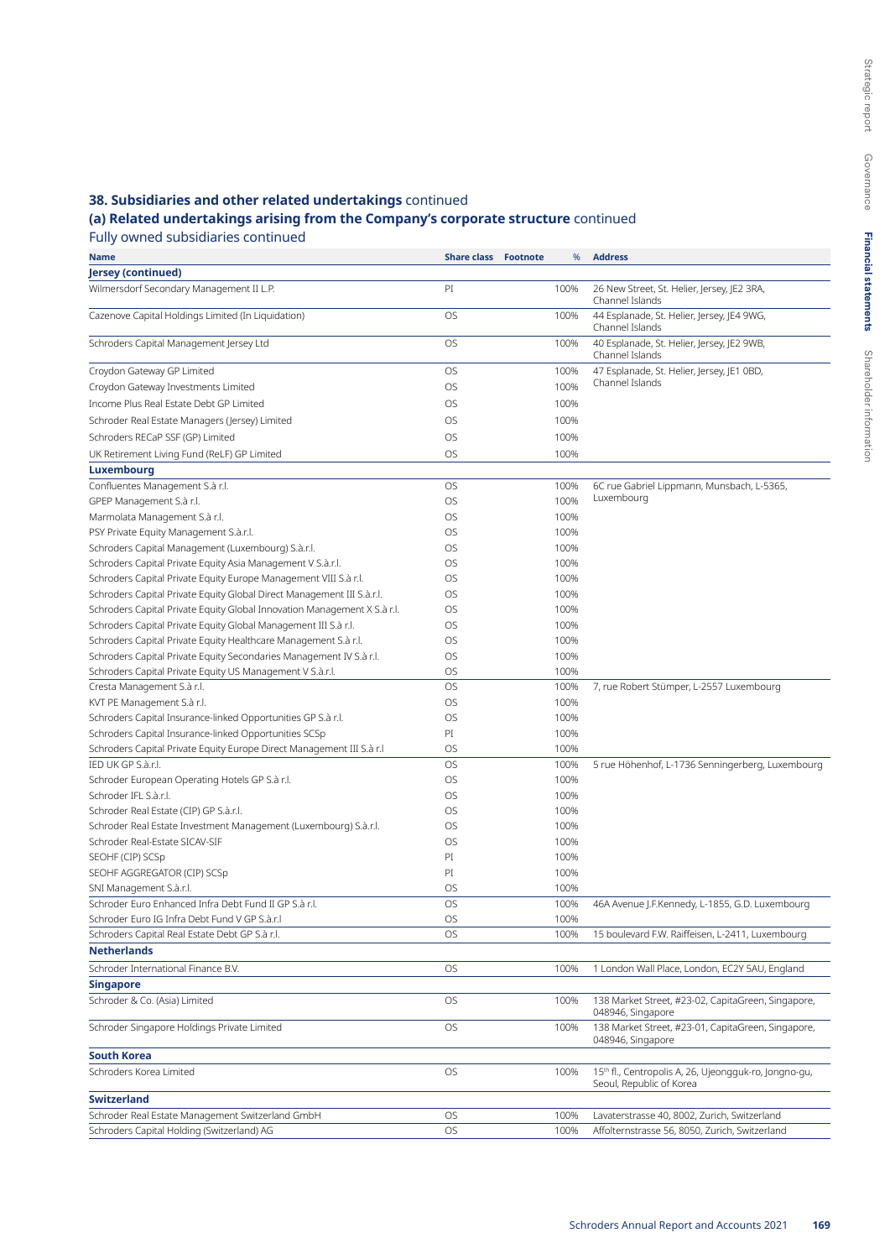# **38. Subsidiaries and other related undertakings** continued

# **(a) Related undertakings arising from the Company's corporate structure** continued

Fully owned subsidiaries continued<br>Name

| Name                                                                     | <b>Share class Footnote</b> | %    | <b>Address</b>                                                                                |
|--------------------------------------------------------------------------|-----------------------------|------|-----------------------------------------------------------------------------------------------|
| Jersey (continued)                                                       |                             |      |                                                                                               |
| Wilmersdorf Secondary Management II L.P.                                 | PI                          | 100% | 26 New Street, St. Helier, Jersey, JE2 3RA,<br>Channel Islands                                |
| Cazenove Capital Holdings Limited (In Liquidation)                       | OS                          | 100% | 44 Esplanade, St. Helier, Jersey, JE4 9WG,<br>Channel Islands                                 |
| Schroders Capital Management Jersey Ltd                                  | OS                          | 100% | 40 Esplanade, St. Helier, Jersey, JE2 9WB,<br>Channel Islands                                 |
| Croydon Gateway GP Limited                                               | OS                          | 100% | 47 Esplanade, St. Helier, Jersey, JE1 0BD,                                                    |
| Croydon Gateway Investments Limited                                      | OS                          | 100% | Channel Islands                                                                               |
| Income Plus Real Estate Debt GP Limited                                  | OS                          | 100% |                                                                                               |
| Schroder Real Estate Managers (Jersey) Limited                           | OS                          | 100% |                                                                                               |
| Schroders RECaP SSF (GP) Limited                                         | OS                          | 100% |                                                                                               |
| UK Retirement Living Fund (ReLF) GP Limited                              | OS                          | 100% |                                                                                               |
| Luxembourg                                                               |                             |      |                                                                                               |
| Confluentes Management S.à r.l.                                          | OS                          | 100% | 6C rue Gabriel Lippmann, Munsbach, L-5365,                                                    |
| GPEP Management S.à r.l.                                                 | OS                          | 100% | Luxembourg                                                                                    |
| Marmolata Management S.à r.l.                                            | OS                          | 100% |                                                                                               |
| PSY Private Equity Management S.à.r.l.                                   | OS                          | 100% |                                                                                               |
| Schroders Capital Management (Luxembourg) S.à.r.l.                       | OS                          | 100% |                                                                                               |
| Schroders Capital Private Equity Asia Management V S.à.r.l.              | OS                          | 100% |                                                                                               |
| Schroders Capital Private Equity Europe Management VIII S.à r.l.         | OS                          | 100% |                                                                                               |
| Schroders Capital Private Equity Global Direct Management III S.à.r.l.   | OS                          | 100% |                                                                                               |
| Schroders Capital Private Equity Global Innovation Management X S.à r.l. | OS                          | 100% |                                                                                               |
| Schroders Capital Private Equity Global Management III S.à r.l.          | OS                          | 100% |                                                                                               |
| Schroders Capital Private Equity Healthcare Management S.à r.l.          | OS                          | 100% |                                                                                               |
| Schroders Capital Private Equity Secondaries Management IV S.à r.l.      | OS                          | 100% |                                                                                               |
| Schroders Capital Private Equity US Management V S.à.r.l.                | OS                          | 100% |                                                                                               |
| Cresta Management S.à r.l.                                               | OS                          | 100% | 7, rue Robert Stümper, L-2557 Luxembourg                                                      |
| KVT PE Management S.à r.l.                                               | OS                          | 100% |                                                                                               |
| Schroders Capital Insurance-linked Opportunities GP S.à r.l.             | OS                          | 100% |                                                                                               |
| Schroders Capital Insurance-linked Opportunities SCSp                    | PI                          | 100% |                                                                                               |
| Schroders Capital Private Equity Europe Direct Management III S.à r.l    | OS                          | 100% |                                                                                               |
| IED UK GP S.à.r.l.                                                       | OS                          | 100% | 5 rue Höhenhof, L-1736 Senningerberg, Luxembourg                                              |
| Schroder European Operating Hotels GP S.à r.l.                           | OS                          | 100% |                                                                                               |
| Schroder IFL S.à.r.l.                                                    | OS                          | 100% |                                                                                               |
| Schroder Real Estate (CIP) GP S.à.r.l.                                   | OS                          | 100% |                                                                                               |
| Schroder Real Estate Investment Management (Luxembourg) S.à.r.l.         | OS                          | 100% |                                                                                               |
| Schroder Real-Estate SICAV-SIF                                           | OS                          | 100% |                                                                                               |
| SEOHF (CIP) SCSp                                                         | PI                          | 100% |                                                                                               |
| SEOHF AGGREGATOR (CIP) SCSp                                              | PI                          | 100% |                                                                                               |
| SNI Management S.à.r.l.                                                  | OS                          | 100% |                                                                                               |
| Schroder Euro Enhanced Infra Debt Fund II GP S.à r.l.                    | OS                          | 100% | 46A Avenue J.F.Kennedy, L-1855, G.D. Luxembourg                                               |
| Schroder Euro IG Infra Debt Fund V GP S.à.r.l                            | OS                          | 100% |                                                                                               |
| Schroders Capital Real Estate Debt GP S.à r.l.                           | OS                          | 100% | 15 boulevard F.W. Raiffeisen, L-2411, Luxembourg                                              |
| <b>Netherlands</b>                                                       |                             |      |                                                                                               |
| Schroder International Finance B.V.                                      | OS                          | 100% | 1 London Wall Place, London, EC2Y 5AU, England                                                |
| Singapore                                                                |                             |      |                                                                                               |
| Schroder & Co. (Asia) Limited                                            | OS                          | 100% | 138 Market Street, #23-02, CapitaGreen, Singapore,<br>048946, Singapore                       |
| Schroder Singapore Holdings Private Limited                              | OS                          | 100% | 138 Market Street, #23-01, CapitaGreen, Singapore,<br>048946, Singapore                       |
| <b>South Korea</b>                                                       |                             |      |                                                                                               |
| Schroders Korea Limited                                                  | OS                          | 100% | 15 <sup>th</sup> fl., Centropolis A, 26, Ujeongguk-ro, Jongno-gu,<br>Seoul, Republic of Korea |
| <b>Switzerland</b>                                                       |                             |      |                                                                                               |
| Schroder Real Estate Management Switzerland GmbH                         | OS                          | 100% | Lavaterstrasse 40, 8002, Zurich, Switzerland                                                  |
| Schroders Capital Holding (Switzerland) AG                               | OS                          | 100% | Affolternstrasse 56, 8050, Zurich, Switzerland                                                |
|                                                                          |                             |      |                                                                                               |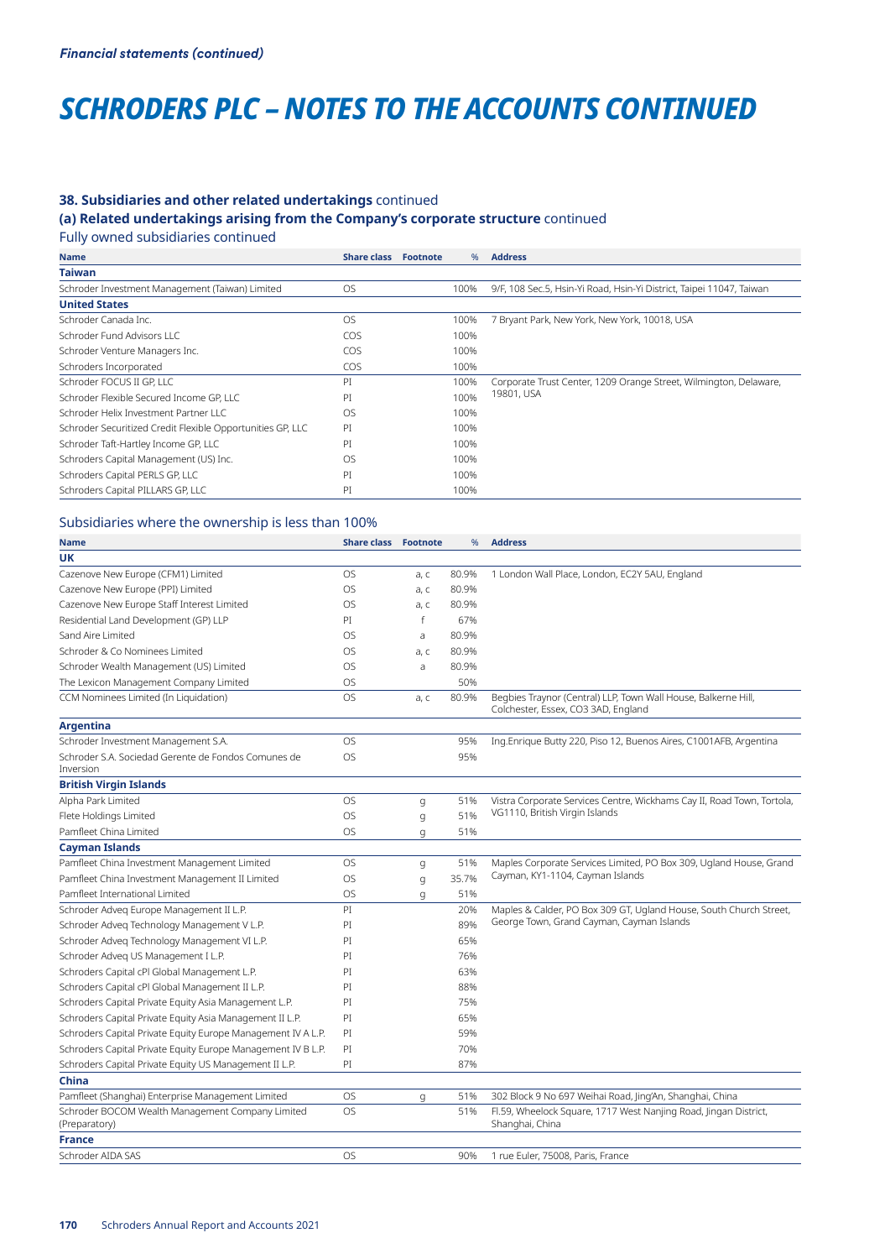# *SCHRODERS PLC – NOTES TO THE ACCOUNTS CONTINUED*

### **38. Subsidiaries and other related undertakings** continued

# **(a) Related undertakings arising from the Company's corporate structure** continued

Fully owned subsidiaries continued

| Name                                                       | <b>Share class</b> | <b>Footnote</b> | %    | <b>Address</b>                                                       |
|------------------------------------------------------------|--------------------|-----------------|------|----------------------------------------------------------------------|
| <b>Taiwan</b>                                              |                    |                 |      |                                                                      |
| Schroder Investment Management (Taiwan) Limited            | <b>OS</b>          |                 | 100% | 9/F, 108 Sec.5, Hsin-Yi Road, Hsin-Yi District, Taipei 11047, Taiwan |
| <b>United States</b>                                       |                    |                 |      |                                                                      |
| Schroder Canada Inc.                                       | <b>OS</b>          |                 | 100% | 7 Bryant Park, New York, New York, 10018, USA                        |
| Schroder Fund Advisors LLC                                 | COS                |                 | 100% |                                                                      |
| Schroder Venture Managers Inc.                             | COS                |                 | 100% |                                                                      |
| Schroders Incorporated                                     | <b>COS</b>         |                 | 100% |                                                                      |
| Schroder FOCUS II GP. LLC                                  | PI                 |                 | 100% | Corporate Trust Center, 1209 Orange Street, Wilmington, Delaware,    |
| Schroder Flexible Secured Income GP. LLC                   | PI                 |                 | 100% | 19801, USA                                                           |
| Schroder Helix Investment Partner LLC                      | OS                 |                 | 100% |                                                                      |
| Schroder Securitized Credit Flexible Opportunities GP, LLC | PI                 |                 | 100% |                                                                      |
| Schroder Taft-Hartley Income GP, LLC                       | PI                 |                 | 100% |                                                                      |
| Schroders Capital Management (US) Inc.                     | OS                 |                 | 100% |                                                                      |
| Schroders Capital PERLS GP, LLC                            | PI                 |                 | 100% |                                                                      |
| Schroders Capital PILLARS GP, LLC                          | PI                 |                 | 100% |                                                                      |
|                                                            |                    |                 |      |                                                                      |

# Subsidiaries where the ownership is less than 100%

| <b>Name</b>                                                       | <b>Share class</b> | <b>Footnote</b> | $\frac{9}{6}$ | <b>Address</b>                                                                                        |
|-------------------------------------------------------------------|--------------------|-----------------|---------------|-------------------------------------------------------------------------------------------------------|
| UK                                                                |                    |                 |               |                                                                                                       |
| Cazenove New Europe (CFM1) Limited                                | <b>OS</b>          | a, c            | 80.9%         | 1 London Wall Place, London, EC2Y 5AU, England                                                        |
| Cazenove New Europe (PPI) Limited                                 | <b>OS</b>          | a, c            | 80.9%         |                                                                                                       |
| Cazenove New Europe Staff Interest Limited                        | <b>OS</b>          | a, c            | 80.9%         |                                                                                                       |
| Residential Land Development (GP) LLP                             | PI                 | $\mathsf{f}$    | 67%           |                                                                                                       |
| Sand Aire Limited                                                 | OS                 | a               | 80.9%         |                                                                                                       |
| Schroder & Co Nominees Limited                                    | OS                 | a, c            | 80.9%         |                                                                                                       |
| Schroder Wealth Management (US) Limited                           | OS                 | a               | 80.9%         |                                                                                                       |
| The Lexicon Management Company Limited                            | <b>OS</b>          |                 | 50%           |                                                                                                       |
| CCM Nominees Limited (In Liquidation)                             | <b>OS</b>          | a, c            | 80.9%         | Begbies Traynor (Central) LLP, Town Wall House, Balkerne Hill,<br>Colchester, Essex, CO3 3AD, England |
| <b>Argentina</b>                                                  |                    |                 |               |                                                                                                       |
| Schroder Investment Management S.A.                               | <b>OS</b>          |                 | 95%           | Ing.Enrique Butty 220, Piso 12, Buenos Aires, C1001AFB, Argentina                                     |
| Schroder S.A. Sociedad Gerente de Fondos Comunes de<br>Inversion  | <b>OS</b>          |                 | 95%           |                                                                                                       |
| <b>British Virgin Islands</b>                                     |                    |                 |               |                                                                                                       |
| Alpha Park Limited                                                | <b>OS</b>          | g               | 51%           | Vistra Corporate Services Centre, Wickhams Cay II, Road Town, Tortola,                                |
| Flete Holdings Limited                                            | <b>OS</b>          | q               | 51%           | VG1110, British Virgin Islands                                                                        |
| Pamfleet China Limited                                            | <b>OS</b>          | g               | 51%           |                                                                                                       |
| <b>Cayman Islands</b>                                             |                    |                 |               |                                                                                                       |
| Pamfleet China Investment Management Limited                      | OS                 | g               | 51%           | Maples Corporate Services Limited, PO Box 309, Ugland House, Grand                                    |
| Pamfleet China Investment Management II Limited                   | <b>OS</b>          | g               | 35.7%         | Cayman, KY1-1104, Cayman Islands                                                                      |
| Pamfleet International Limited                                    | <b>OS</b>          | q               | 51%           |                                                                                                       |
| Schroder Adveg Europe Management II L.P.                          | PI                 |                 | 20%           | Maples & Calder, PO Box 309 GT, Ugland House, South Church Street,                                    |
| Schroder Adveg Technology Management V L.P.                       | PI                 |                 | 89%           | George Town, Grand Cayman, Cayman Islands                                                             |
| Schroder Adveg Technology Management VI L.P.                      | PI                 |                 | 65%           |                                                                                                       |
| Schroder Adveg US Management I L.P.                               | PI                 |                 | 76%           |                                                                                                       |
| Schroders Capital cPI Global Management L.P.                      | PI                 |                 | 63%           |                                                                                                       |
| Schroders Capital cPI Global Management II L.P.                   | PI                 |                 | 88%           |                                                                                                       |
| Schroders Capital Private Equity Asia Management L.P.             | PI                 |                 | 75%           |                                                                                                       |
| Schroders Capital Private Equity Asia Management II L.P.          | PI                 |                 | 65%           |                                                                                                       |
| Schroders Capital Private Equity Europe Management IV A L.P.      | PI                 |                 | 59%           |                                                                                                       |
| Schroders Capital Private Equity Europe Management IV B L.P.      | PI                 |                 | 70%           |                                                                                                       |
| Schroders Capital Private Equity US Management II L.P.            | PI                 |                 | 87%           |                                                                                                       |
| <b>China</b>                                                      |                    |                 |               |                                                                                                       |
| Pamfleet (Shanghai) Enterprise Management Limited                 | <b>OS</b>          | g               | 51%           | 302 Block 9 No 697 Weihai Road, Jing'An, Shanghai, China                                              |
| Schroder BOCOM Wealth Management Company Limited<br>(Preparatory) | <b>OS</b>          |                 | 51%           | Fl.59, Wheelock Square, 1717 West Nanjing Road, Jingan District,<br>Shanghai, China                   |
| <b>France</b>                                                     |                    |                 |               |                                                                                                       |
| Schroder AIDA SAS                                                 | <b>OS</b>          |                 | 90%           | 1 rue Euler, 75008, Paris, France                                                                     |
|                                                                   |                    |                 |               |                                                                                                       |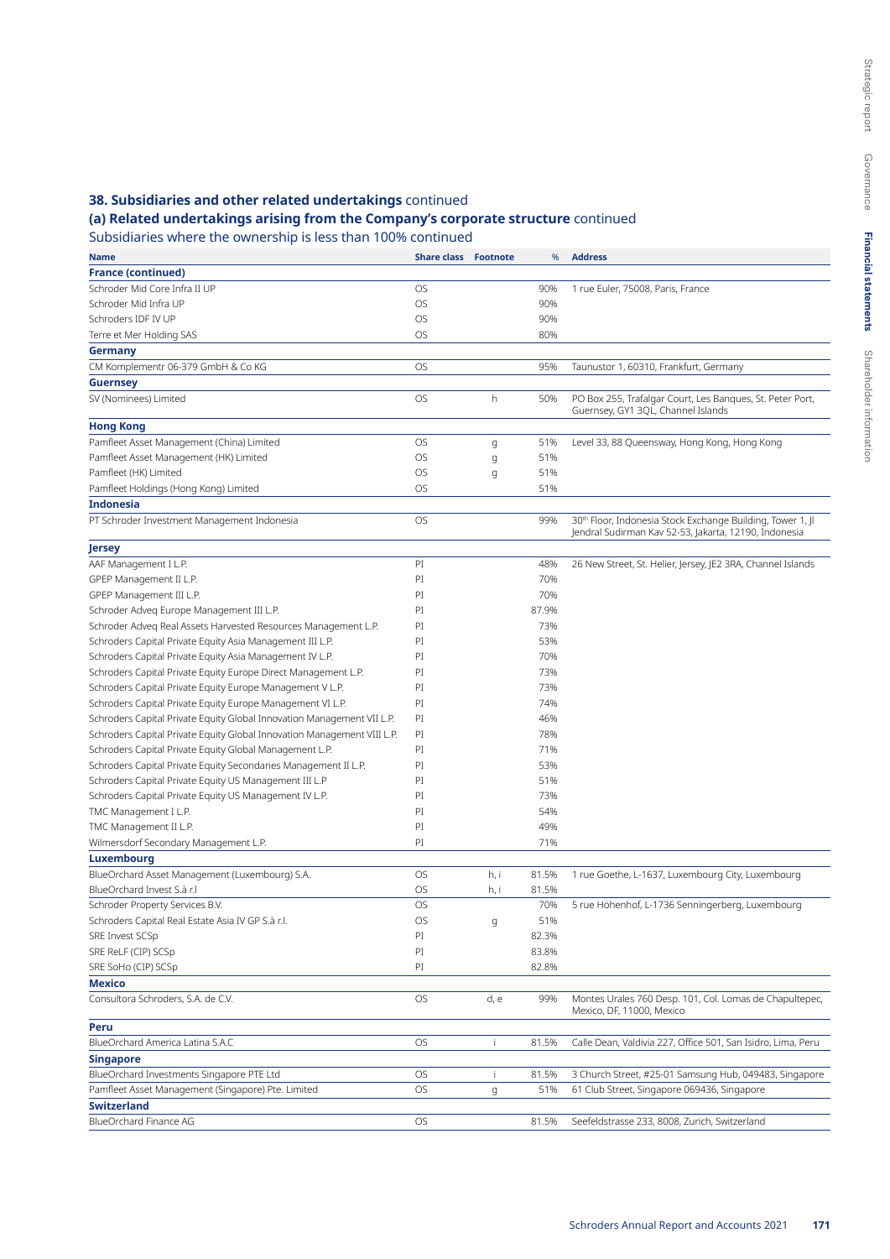# Governance Governance **Financial statements Financial statements** Shareholder information

Strategic report

Shareholder information

Strategic report

# **38. Subsidiaries and other related undertakings** continued

# **(a) Related undertakings arising from the Company's corporate structure** continued

Subsidiaries where the ownership is less than 100% continued

| <b>Name</b>                                                             | <b>Share class Footnote</b> |      | %     | <b>Address</b>                                                                       |
|-------------------------------------------------------------------------|-----------------------------|------|-------|--------------------------------------------------------------------------------------|
| <b>France (continued)</b>                                               |                             |      |       |                                                                                      |
| Schroder Mid Core Infra II UP                                           | OS                          |      | 90%   | 1 rue Euler, 75008, Paris, France                                                    |
| Schroder Mid Infra UP                                                   | OS                          |      | 90%   |                                                                                      |
| Schroders IDF IV UP                                                     | OS                          |      | 90%   |                                                                                      |
| Terre et Mer Holding SAS                                                | OS                          |      | 80%   |                                                                                      |
| Germany                                                                 |                             |      |       |                                                                                      |
| CM Komplementr 06-379 GmbH & Co KG                                      | OS                          |      | 95%   | Taunustor 1, 60310, Frankfurt, Germany                                               |
| <b>Guernsey</b>                                                         |                             |      |       |                                                                                      |
| SV (Nominees) Limited                                                   | OS                          | h    | 50%   | PO Box 255, Trafalgar Court, Les Banques, St. Peter Port,                            |
|                                                                         |                             |      |       | Guernsey, GY1 3QL, Channel Islands                                                   |
| <b>Hong Kong</b>                                                        |                             |      |       |                                                                                      |
| Pamfleet Asset Management (China) Limited                               | OS                          | g    | 51%   | Level 33, 88 Queensway, Hong Kong, Hong Kong                                         |
| Pamfleet Asset Management (HK) Limited                                  | OS                          | g    | 51%   |                                                                                      |
| Pamfleet (HK) Limited                                                   | OS                          | g    | 51%   |                                                                                      |
| Pamfleet Holdings (Hong Kong) Limited                                   | OS                          |      | 51%   |                                                                                      |
| <b>Indonesia</b>                                                        |                             |      |       |                                                                                      |
| PT Schroder Investment Management Indonesia                             | OS                          |      | 99%   | 30 <sup>th</sup> Floor, Indonesia Stock Exchange Building, Tower 1, Jl               |
|                                                                         |                             |      |       | Jendral Sudirman Kav 52-53, Jakarta, 12190, Indonesia                                |
| Jersey                                                                  |                             |      |       |                                                                                      |
| AAF Management I L.P.                                                   | PI                          |      | 48%   | 26 New Street, St. Helier, Jersey, JE2 3RA, Channel Islands                          |
| GPEP Management II L.P.                                                 | PI                          |      | 70%   |                                                                                      |
| GPEP Management III L.P.                                                | PI                          |      | 70%   |                                                                                      |
| Schroder Adveg Europe Management III L.P.                               | PI                          |      | 87.9% |                                                                                      |
| Schroder Adveg Real Assets Harvested Resources Management L.P.          | PI                          |      | 73%   |                                                                                      |
| Schroders Capital Private Equity Asia Management III L.P.               | PI                          |      | 53%   |                                                                                      |
| Schroders Capital Private Equity Asia Management IV L.P.                | PI                          |      | 70%   |                                                                                      |
| Schroders Capital Private Equity Europe Direct Management L.P.          | PI                          |      | 73%   |                                                                                      |
| Schroders Capital Private Equity Europe Management V L.P.               | PI                          |      | 73%   |                                                                                      |
| Schroders Capital Private Equity Europe Management VI L.P.              | PI                          |      | 74%   |                                                                                      |
| Schroders Capital Private Equity Global Innovation Management VII L.P.  | PI                          |      | 46%   |                                                                                      |
| Schroders Capital Private Equity Global Innovation Management VIII L.P. | PI                          |      | 78%   |                                                                                      |
| Schroders Capital Private Equity Global Management L.P.                 | PI                          |      | 71%   |                                                                                      |
| Schroders Capital Private Equity Secondaries Management II L.P.         | PI                          |      | 53%   |                                                                                      |
| Schroders Capital Private Equity US Management III L.P                  | PI                          |      | 51%   |                                                                                      |
| Schroders Capital Private Equity US Management IV L.P.                  | PI                          |      | 73%   |                                                                                      |
| TMC Management I L.P.                                                   | PI                          |      | 54%   |                                                                                      |
| TMC Management II L.P.                                                  | PI                          |      | 49%   |                                                                                      |
| Wilmersdorf Secondary Management L.P.                                   | PI                          |      | 71%   |                                                                                      |
| Luxembourg                                                              |                             |      |       |                                                                                      |
| BlueOrchard Asset Management (Luxembourg) S.A.                          | OS                          | h, i | 81.5% | 1 rue Goethe, L-1637, Luxembourg City, Luxembourg                                    |
| BlueOrchard Invest S.à r.l                                              | OS                          | h, i | 81.5% |                                                                                      |
| Schroder Property Services B.V.                                         | OS                          |      | 70%   | 5 rue Höhenhof, L-1736 Senningerberg, Luxembourg                                     |
| Schroders Capital Real Estate Asia IV GP S.à r.l.                       | OS                          | g    | 51%   |                                                                                      |
| SRE Invest SCSp                                                         | PI                          |      | 82.3% |                                                                                      |
| SRE ReLF (CIP) SCSp                                                     | PI                          |      | 83.8% |                                                                                      |
| SRE SoHo (CIP) SCSp                                                     | PI                          |      | 82.8% |                                                                                      |
| <b>Mexico</b>                                                           |                             |      |       |                                                                                      |
| Consultora Schroders, S.A. de C.V.                                      | OS                          | d, e | 99%   | Montes Urales 760 Desp. 101, Col. Lomas de Chapultepec,<br>Mexico, DF, 11000, Mexico |
| Peru                                                                    |                             |      |       |                                                                                      |
| BlueOrchard America Latina S.A.C                                        | OS                          | Ť.   | 81.5% | Calle Dean, Valdivia 227, Office 501, San Isidro, Lima, Peru                         |
| Singapore                                                               |                             |      |       |                                                                                      |
| BlueOrchard Investments Singapore PTE Ltd                               | OS                          | Ť.   | 81.5% | 3 Church Street, #25-01 Samsung Hub, 049483, Singapore                               |
| Pamfleet Asset Management (Singapore) Pte. Limited                      | OS                          | g    | 51%   | 61 Club Street, Singapore 069436, Singapore                                          |
| <b>Switzerland</b>                                                      |                             |      |       |                                                                                      |
| BlueOrchard Finance AG                                                  | OS                          |      | 81.5% | Seefeldstrasse 233, 8008, Zurich, Switzerland                                        |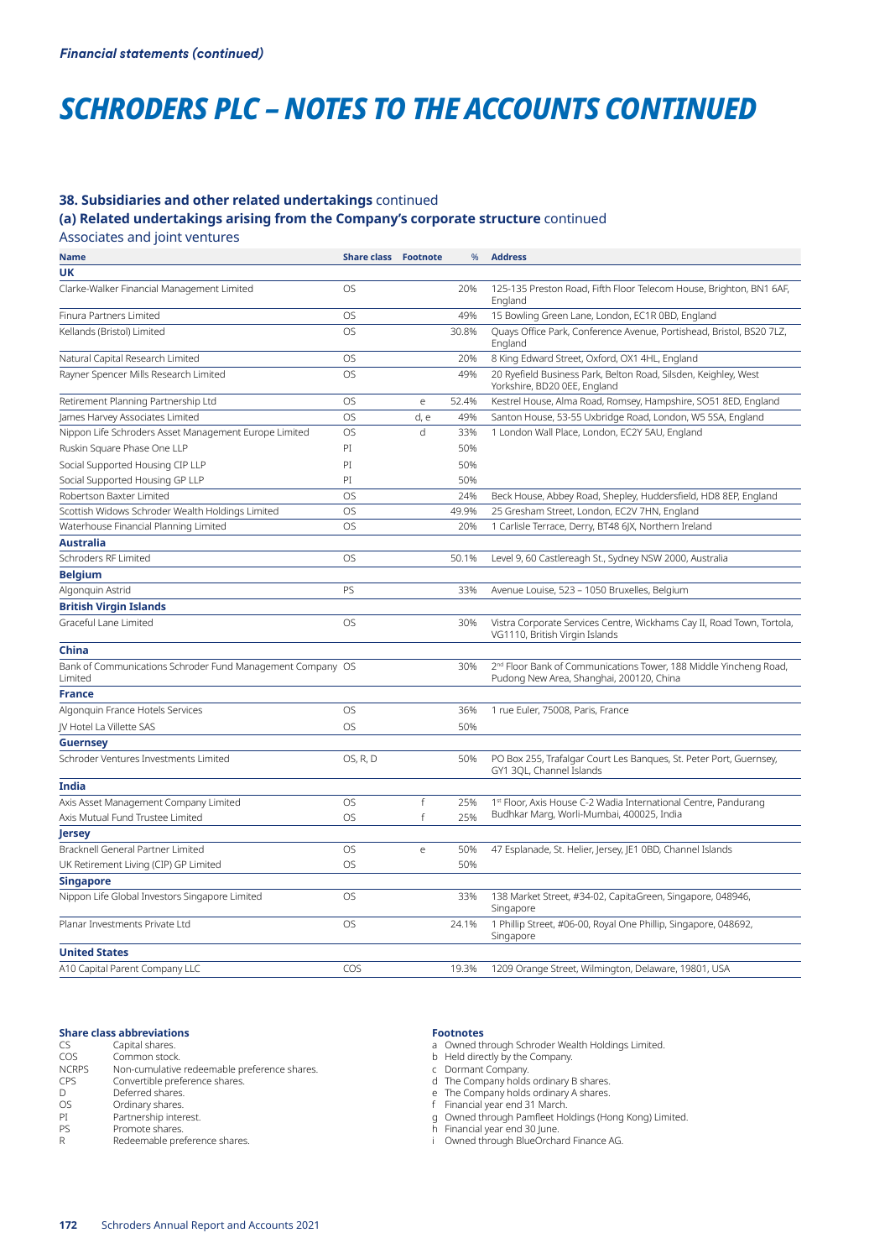# *SCHRODERS PLC – NOTES TO THE ACCOUNTS CONTINUED*

### **38. Subsidiaries and other related undertakings** continued

**(a) Related undertakings arising from the Company's corporate structure** continued

Associates and joint ventures

| Name                                                                  | <b>Share class</b> | <b>Footnote</b> | %     | <b>Address</b>                                                                                                            |
|-----------------------------------------------------------------------|--------------------|-----------------|-------|---------------------------------------------------------------------------------------------------------------------------|
| UK                                                                    |                    |                 |       |                                                                                                                           |
| Clarke-Walker Financial Management Limited                            | <b>OS</b>          |                 | 20%   | 125-135 Preston Road, Fifth Floor Telecom House, Brighton, BN1 6AF,<br>England                                            |
| Finura Partners Limited                                               | <b>OS</b>          |                 | 49%   | 15 Bowling Green Lane, London, EC1R 0BD, England                                                                          |
| Kellands (Bristol) Limited                                            | <b>OS</b>          |                 | 30.8% | Quays Office Park, Conference Avenue, Portishead, Bristol, BS20 7LZ,<br>England                                           |
| Natural Capital Research Limited                                      | <b>OS</b>          |                 | 20%   | 8 King Edward Street, Oxford, OX1 4HL, England                                                                            |
| Rayner Spencer Mills Research Limited                                 | <b>OS</b>          |                 | 49%   | 20 Ryefield Business Park, Belton Road, Silsden, Keighley, West<br>Yorkshire, BD20 0EE, England                           |
| Retirement Planning Partnership Ltd                                   | <b>OS</b>          | e               | 52.4% | Kestrel House, Alma Road, Romsey, Hampshire, SO51 8ED, England                                                            |
| James Harvey Associates Limited                                       | <b>OS</b>          | d, e            | 49%   | Santon House, 53-55 Uxbridge Road, London, W5 5SA, England                                                                |
| Nippon Life Schroders Asset Management Europe Limited                 | <b>OS</b>          | d               | 33%   | 1 London Wall Place, London, EC2Y 5AU, England                                                                            |
| Ruskin Square Phase One LLP                                           | PI                 |                 | 50%   |                                                                                                                           |
| Social Supported Housing CIP LLP                                      | PI                 |                 | 50%   |                                                                                                                           |
| Social Supported Housing GP LLP                                       | PI                 |                 | 50%   |                                                                                                                           |
| Robertson Baxter Limited                                              | <b>OS</b>          |                 | 24%   | Beck House, Abbey Road, Shepley, Huddersfield, HD8 8EP, England                                                           |
| Scottish Widows Schroder Wealth Holdings Limited                      | <b>OS</b>          |                 | 49.9% | 25 Gresham Street, London, EC2V 7HN, England                                                                              |
| Waterhouse Financial Planning Limited                                 | <b>OS</b>          |                 | 20%   | 1 Carlisle Terrace, Derry, BT48 6JX, Northern Ireland                                                                     |
| <b>Australia</b>                                                      |                    |                 |       |                                                                                                                           |
| Schroders RF Limited                                                  | <b>OS</b>          |                 | 50.1% | Level 9, 60 Castlereagh St., Sydney NSW 2000, Australia                                                                   |
| <b>Belgium</b>                                                        |                    |                 |       |                                                                                                                           |
| Algonquin Astrid                                                      | PS                 |                 | 33%   | Avenue Louise, 523 - 1050 Bruxelles, Belgium                                                                              |
| <b>British Virgin Islands</b>                                         |                    |                 |       |                                                                                                                           |
| Graceful Lane Limited                                                 | <b>OS</b>          |                 | 30%   | Vistra Corporate Services Centre, Wickhams Cay II, Road Town, Tortola,<br>VG1110, British Virgin Islands                  |
| China                                                                 |                    |                 |       |                                                                                                                           |
| Bank of Communications Schroder Fund Management Company OS<br>Limited |                    |                 | 30%   | 2 <sup>nd</sup> Floor Bank of Communications Tower, 188 Middle Yincheng Road,<br>Pudong New Area, Shanghai, 200120, China |
| <b>France</b>                                                         |                    |                 |       |                                                                                                                           |
| Algonguin France Hotels Services                                      | <b>OS</b>          |                 | 36%   | 1 rue Euler, 75008, Paris, France                                                                                         |
| JV Hotel La Villette SAS                                              | <b>OS</b>          |                 | 50%   |                                                                                                                           |
| <b>Guernsey</b>                                                       |                    |                 |       |                                                                                                                           |
| Schroder Ventures Investments Limited                                 | OS, R, D           |                 | 50%   | PO Box 255, Trafalgar Court Les Banques, St. Peter Port, Guernsey,<br>GY1 3QL, Channel Islands                            |
| India                                                                 |                    |                 |       |                                                                                                                           |
| Axis Asset Management Company Limited                                 | <b>OS</b>          | f               | 25%   | 1st Floor, Axis House C-2 Wadia International Centre, Pandurang                                                           |
| Axis Mutual Fund Trustee Limited                                      | OS                 | f               | 25%   | Budhkar Marg, Worli-Mumbai, 400025, India                                                                                 |
| Jersey                                                                |                    |                 |       |                                                                                                                           |
| Bracknell General Partner Limited                                     | <b>OS</b>          | e               | 50%   | 47 Esplanade, St. Helier, Jersey, JE1 0BD, Channel Islands                                                                |
| UK Retirement Living (CIP) GP Limited                                 | <b>OS</b>          |                 | 50%   |                                                                                                                           |
| <b>Singapore</b>                                                      |                    |                 |       |                                                                                                                           |
| Nippon Life Global Investors Singapore Limited                        | <b>OS</b>          |                 | 33%   | 138 Market Street, #34-02, CapitaGreen, Singapore, 048946,<br>Singapore                                                   |
| Planar Investments Private Ltd                                        | <b>OS</b>          |                 | 24.1% | 1 Phillip Street, #06-00, Royal One Phillip, Singapore, 048692,<br>Singapore                                              |
| <b>United States</b>                                                  |                    |                 |       |                                                                                                                           |
| A10 Capital Parent Company LLC                                        | COS                |                 | 19.3% | 1209 Orange Street, Wilmington, Delaware, 19801, USA                                                                      |
|                                                                       |                    |                 |       |                                                                                                                           |

#### **Share class abbreviations**

| CS           | Capital shares.                              |
|--------------|----------------------------------------------|
| COS          | Common stock.                                |
| <b>NCRPS</b> | Non-cumulative redeemable preference shares. |
| CPS          | Convertible preference shares.               |
| D            | Deferred shares.                             |
| <b>OS</b>    | Ordinary shares.                             |
| PI           | Partnership interest.                        |
| PS           | Promote shares.                              |
| R            | Redeemable preference shares.                |
|              |                                              |

#### **Footnotes**

a Owned through Schroder Wealth Holdings Limited.

- b Held directly by the Company.
- c Dormant Company.
- d The Company holds ordinary B shares.
- e The Company holds ordinary A shares.
- f Financial year end 31 March. g Owned through Pamfleet Holdings (Hong Kong) Limited.
- h Financial year end 30 June.
- i Owned through BlueOrchard Finance AG.

**172** Schroders Annual Report and Accounts 2021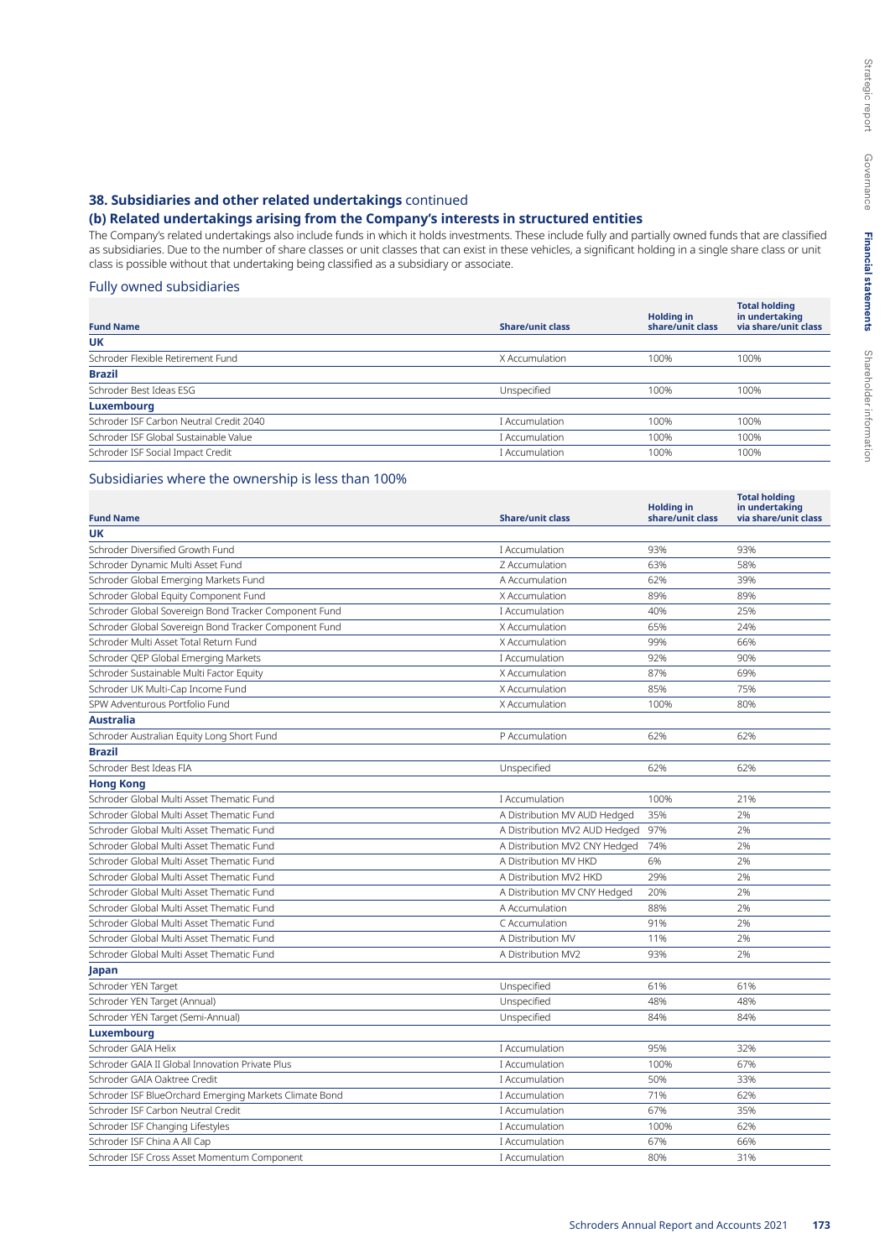# **38. Subsidiaries and other related undertakings** continued

# **(b) Related undertakings arising from the Company's interests in structured entities**

The Company's related undertakings also include funds in which it holds investments. These include fully and partially owned funds that are classified as subsidiaries. Due to the number of share classes or unit classes that can exist in these vehicles, a significant holding in a single share class or unit class is possible without that undertaking being classified as a subsidiary or associate.

### Fully owned subsidiaries

|                                         |                         | <b>Holding in</b> | <b>Total holding</b><br>in undertaking |
|-----------------------------------------|-------------------------|-------------------|----------------------------------------|
| <b>Fund Name</b>                        | <b>Share/unit class</b> | share/unit class  | via share/unit class                   |
| UK                                      |                         |                   |                                        |
| Schroder Flexible Retirement Fund       | X Accumulation          | 100%              | 100%                                   |
| <b>Brazil</b>                           |                         |                   |                                        |
| Schroder Best Ideas ESG                 | Unspecified             | 100%              | 100%                                   |
| Luxembourg                              |                         |                   |                                        |
| Schroder ISF Carbon Neutral Credit 2040 | I Accumulation          | 100%              | 100%                                   |
| Schroder ISF Global Sustainable Value   | I Accumulation          | 100%              | 100%                                   |
| Schroder ISF Social Impact Credit       | I Accumulation          | 100%              | 100%                                   |

# Subsidiaries where the ownership is less than 100%

| <b>Fund Name</b>                                       | <b>Share/unit class</b>       | <b>Holding in</b><br>share/unit class | <b>Total holding</b><br>in undertaking<br>via share/unit class |
|--------------------------------------------------------|-------------------------------|---------------------------------------|----------------------------------------------------------------|
| <b>UK</b>                                              |                               |                                       |                                                                |
| Schroder Diversified Growth Fund                       | I Accumulation                | 93%                                   | 93%                                                            |
| Schroder Dynamic Multi Asset Fund                      | Z Accumulation                | 63%                                   | 58%                                                            |
| Schroder Global Emerging Markets Fund                  | A Accumulation                | 62%                                   | 39%                                                            |
| Schroder Global Equity Component Fund                  | X Accumulation                | 89%                                   | 89%                                                            |
| Schroder Global Sovereign Bond Tracker Component Fund  | I Accumulation                | 40%                                   | 25%                                                            |
| Schroder Global Sovereign Bond Tracker Component Fund  | X Accumulation                | 65%                                   | 24%                                                            |
| Schroder Multi Asset Total Return Fund                 | X Accumulation                | 99%                                   | 66%                                                            |
| Schroder QEP Global Emerging Markets                   | I Accumulation                | 92%                                   | 90%                                                            |
| Schroder Sustainable Multi Factor Equity               | X Accumulation                | 87%                                   | 69%                                                            |
| Schroder UK Multi-Cap Income Fund                      | X Accumulation                | 85%                                   | 75%                                                            |
| SPW Adventurous Portfolio Fund                         | X Accumulation                | 100%                                  | 80%                                                            |
| <b>Australia</b>                                       |                               |                                       |                                                                |
| Schroder Australian Equity Long Short Fund             | P Accumulation                | 62%                                   | 62%                                                            |
| <b>Brazil</b>                                          |                               |                                       |                                                                |
| Schroder Best Ideas FIA                                | Unspecified                   | 62%                                   | 62%                                                            |
| <b>Hong Kong</b>                                       |                               |                                       |                                                                |
| Schroder Global Multi Asset Thematic Fund              | I Accumulation                | 100%                                  | 21%                                                            |
| Schroder Global Multi Asset Thematic Fund              | A Distribution MV AUD Hedged  | 35%                                   | 2%                                                             |
| Schroder Global Multi Asset Thematic Fund              | A Distribution MV2 AUD Hedged | 97%                                   | 2%                                                             |
| Schroder Global Multi Asset Thematic Fund              | A Distribution MV2 CNY Hedged | 74%                                   | 2%                                                             |
| Schroder Global Multi Asset Thematic Fund              | A Distribution MV HKD         | 6%                                    | 2%                                                             |
| Schroder Global Multi Asset Thematic Fund              | A Distribution MV2 HKD        | 29%                                   | 2%                                                             |
| Schroder Global Multi Asset Thematic Fund              | A Distribution MV CNY Hedged  | 20%                                   | 2%                                                             |
| Schroder Global Multi Asset Thematic Fund              | A Accumulation                | 88%                                   | 2%                                                             |
| Schroder Global Multi Asset Thematic Fund              | C Accumulation                | 91%                                   | 2%                                                             |
| Schroder Global Multi Asset Thematic Fund              | A Distribution MV             | 11%                                   | 2%                                                             |
| Schroder Global Multi Asset Thematic Fund              | A Distribution MV2            | 93%                                   | 2%                                                             |
| Japan                                                  |                               |                                       |                                                                |
| Schroder YEN Target                                    | Unspecified                   | 61%                                   | 61%                                                            |
| Schroder YEN Target (Annual)                           | Unspecified                   | 48%                                   | 48%                                                            |
| Schroder YEN Target (Semi-Annual)                      | Unspecified                   | 84%                                   | 84%                                                            |
| Luxembourg                                             |                               |                                       |                                                                |
| Schroder GAIA Helix                                    | I Accumulation                | 95%                                   | 32%                                                            |
| Schroder GAIA II Global Innovation Private Plus        | I Accumulation                | 100%                                  | 67%                                                            |
| Schroder GAIA Oaktree Credit                           | I Accumulation                | 50%                                   | 33%                                                            |
| Schroder ISF BlueOrchard Emerging Markets Climate Bond | I Accumulation                | 71%                                   | 62%                                                            |
| Schroder ISF Carbon Neutral Credit                     | I Accumulation                | 67%                                   | 35%                                                            |
| Schroder ISF Changing Lifestyles                       | I Accumulation                | 100%                                  | 62%                                                            |
| Schroder ISF China A All Cap                           | I Accumulation                | 67%                                   | 66%                                                            |
| Schroder ISF Cross Asset Momentum Component            | I Accumulation                | 80%                                   | 31%                                                            |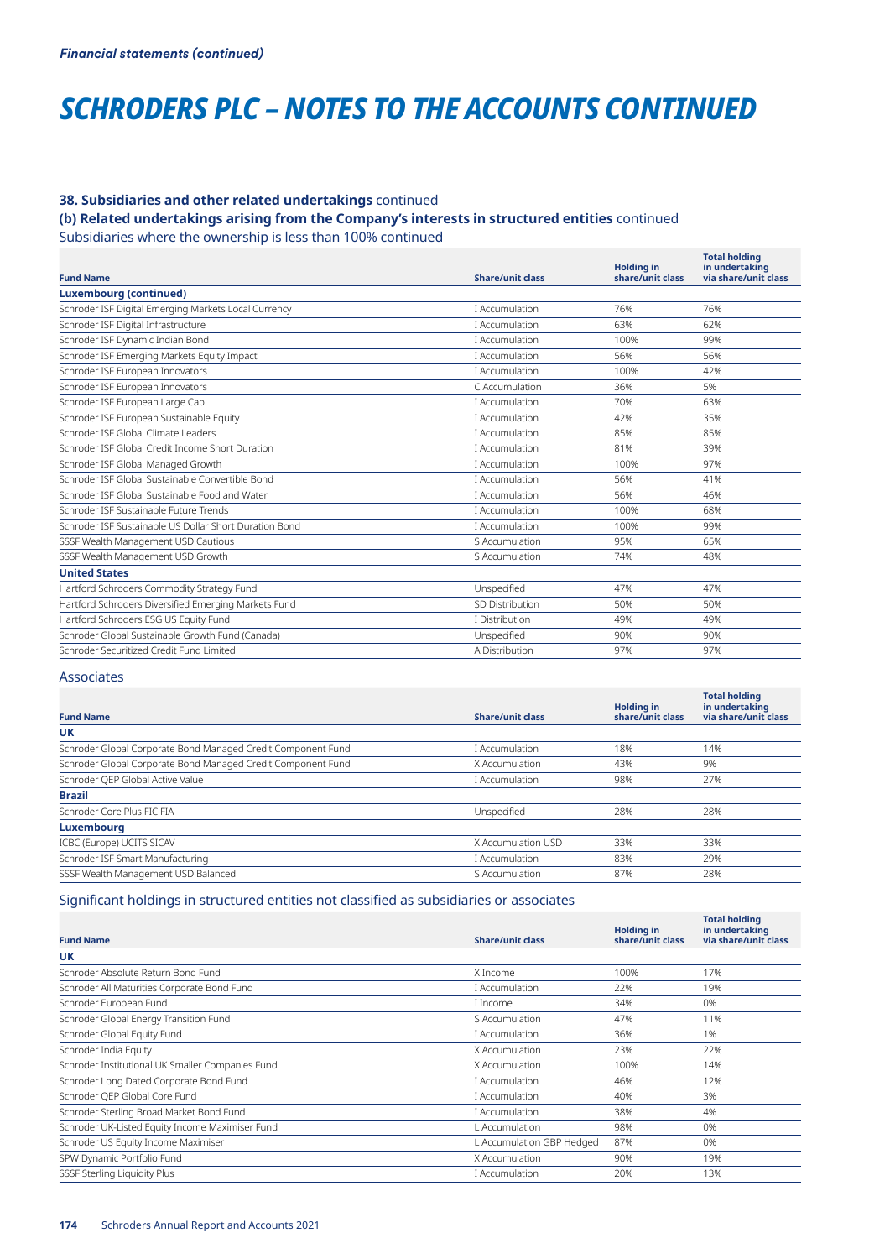# *SCHRODERS PLC – NOTES TO THE ACCOUNTS CONTINUED*

# **38. Subsidiaries and other related undertakings** continued

# **(b) Related undertakings arising from the Company's interests in structured entities** continued

Subsidiaries where the ownership is less than 100% continued

| <b>Fund Name</b>                                       | <b>Share/unit class</b> | <b>Holding in</b><br>share/unit class | <b>Total holding</b><br>in undertaking<br>via share/unit class |
|--------------------------------------------------------|-------------------------|---------------------------------------|----------------------------------------------------------------|
| <b>Luxembourg (continued)</b>                          |                         |                                       |                                                                |
| Schroder ISF Digital Emerging Markets Local Currency   | I Accumulation          | 76%                                   | 76%                                                            |
| Schroder ISF Digital Infrastructure                    | I Accumulation          | 63%                                   | 62%                                                            |
| Schroder ISF Dynamic Indian Bond                       | I Accumulation          | 100%                                  | 99%                                                            |
| Schroder ISF Emerging Markets Equity Impact            | I Accumulation          | 56%                                   | 56%                                                            |
| Schroder ISF European Innovators                       | I Accumulation          | 100%                                  | 42%                                                            |
| Schroder ISF European Innovators                       | C Accumulation          | 36%                                   | 5%                                                             |
| Schroder ISF European Large Cap                        | I Accumulation          | 70%                                   | 63%                                                            |
| Schroder ISF European Sustainable Equity               | I Accumulation          | 42%                                   | 35%                                                            |
| Schroder ISF Global Climate Leaders                    | I Accumulation          | 85%                                   | 85%                                                            |
| Schroder ISF Global Credit Income Short Duration       | I Accumulation          | 81%                                   | 39%                                                            |
| Schroder ISF Global Managed Growth                     | I Accumulation          | 100%                                  | 97%                                                            |
| Schroder ISF Global Sustainable Convertible Bond       | I Accumulation          | 56%                                   | 41%                                                            |
| Schroder ISE Global Sustainable Food and Water         | I Accumulation          | 56%                                   | 46%                                                            |
| Schroder ISE Sustainable Euture Trends                 | I Accumulation          | 100%                                  | 68%                                                            |
| Schroder ISE Sustainable US Dollar Short Duration Bond | I Accumulation          | 100%                                  | 99%                                                            |
| SSSF Wealth Management USD Cautious                    | S Accumulation          | 95%                                   | 65%                                                            |
| SSSF Wealth Management USD Growth                      | S Accumulation          | 74%                                   | 48%                                                            |
| <b>United States</b>                                   |                         |                                       |                                                                |
| Hartford Schroders Commodity Strategy Fund             | Unspecified             | 47%                                   | 47%                                                            |
| Hartford Schroders Diversified Emerging Markets Fund   | SD Distribution         | 50%                                   | 50%                                                            |
| Hartford Schroders ESG US Equity Fund                  | I Distribution          | 49%                                   | 49%                                                            |
| Schroder Global Sustainable Growth Fund (Canada)       | Unspecified             | 90%                                   | 90%                                                            |
| Schroder Securitized Credit Fund Limited               | A Distribution          | 97%                                   | 97%                                                            |
|                                                        |                         |                                       |                                                                |

# Associates

| <b>Fund Name</b>                                             | <b>Share/unit class</b> | <b>Holding in</b><br>share/unit class | <b>Total holding</b><br>in undertaking<br>via share/unit class |
|--------------------------------------------------------------|-------------------------|---------------------------------------|----------------------------------------------------------------|
| <b>UK</b>                                                    |                         |                                       |                                                                |
| Schroder Global Corporate Bond Managed Credit Component Fund | I Accumulation          | 18%                                   | 14%                                                            |
| Schroder Global Corporate Bond Managed Credit Component Fund | X Accumulation          | 43%                                   | 9%                                                             |
| Schroder QEP Global Active Value                             | I Accumulation          | 98%                                   | 27%                                                            |
| <b>Brazil</b>                                                |                         |                                       |                                                                |
| Schroder Core Plus FIC FIA                                   | Unspecified             | 28%                                   | 28%                                                            |
| <b>Luxembourg</b>                                            |                         |                                       |                                                                |
| ICBC (Europe) UCITS SICAV                                    | X Accumulation USD      | 33%                                   | 33%                                                            |
| Schroder ISF Smart Manufacturing                             | I Accumulation          | 83%                                   | 29%                                                            |
| SSSF Wealth Management USD Balanced                          | S Accumulation          | 87%                                   | 28%                                                            |

# Significant holdings in structured entities not classified as subsidiaries or associates

| <b>Fund Name</b>                                 | <b>Share/unit class</b>   | <b>Holding in</b><br>share/unit class | <b>Total holding</b><br>in undertaking<br>via share/unit class |
|--------------------------------------------------|---------------------------|---------------------------------------|----------------------------------------------------------------|
| UK                                               |                           |                                       |                                                                |
| Schroder Absolute Return Bond Fund               | X Income                  | 100%                                  | 17%                                                            |
| Schroder All Maturities Corporate Bond Fund      | I Accumulation            | 22%                                   | 19%                                                            |
| Schroder European Fund                           | I Income                  | 34%                                   | 0%                                                             |
| Schroder Global Energy Transition Fund           | S Accumulation            | 47%                                   | 11%                                                            |
| Schroder Global Equity Fund                      | I Accumulation            | 36%                                   | 1%                                                             |
| Schroder India Equity                            | X Accumulation            | 23%                                   | 22%                                                            |
| Schroder Institutional UK Smaller Companies Fund | X Accumulation            | 100%                                  | 14%                                                            |
| Schroder Long Dated Corporate Bond Fund          | I Accumulation            | 46%                                   | 12%                                                            |
| Schroder QEP Global Core Fund                    | I Accumulation            | 40%                                   | 3%                                                             |
| Schroder Sterling Broad Market Bond Fund         | I Accumulation            | 38%                                   | 4%                                                             |
| Schroder UK-Listed Equity Income Maximiser Fund  | L Accumulation            | 98%                                   | 0%                                                             |
| Schroder US Equity Income Maximiser              | L Accumulation GBP Hedged | 87%                                   | 0%                                                             |
| SPW Dynamic Portfolio Fund                       | X Accumulation            | 90%                                   | 19%                                                            |
| SSSF Sterling Liquidity Plus                     | I Accumulation            | 20%                                   | 13%                                                            |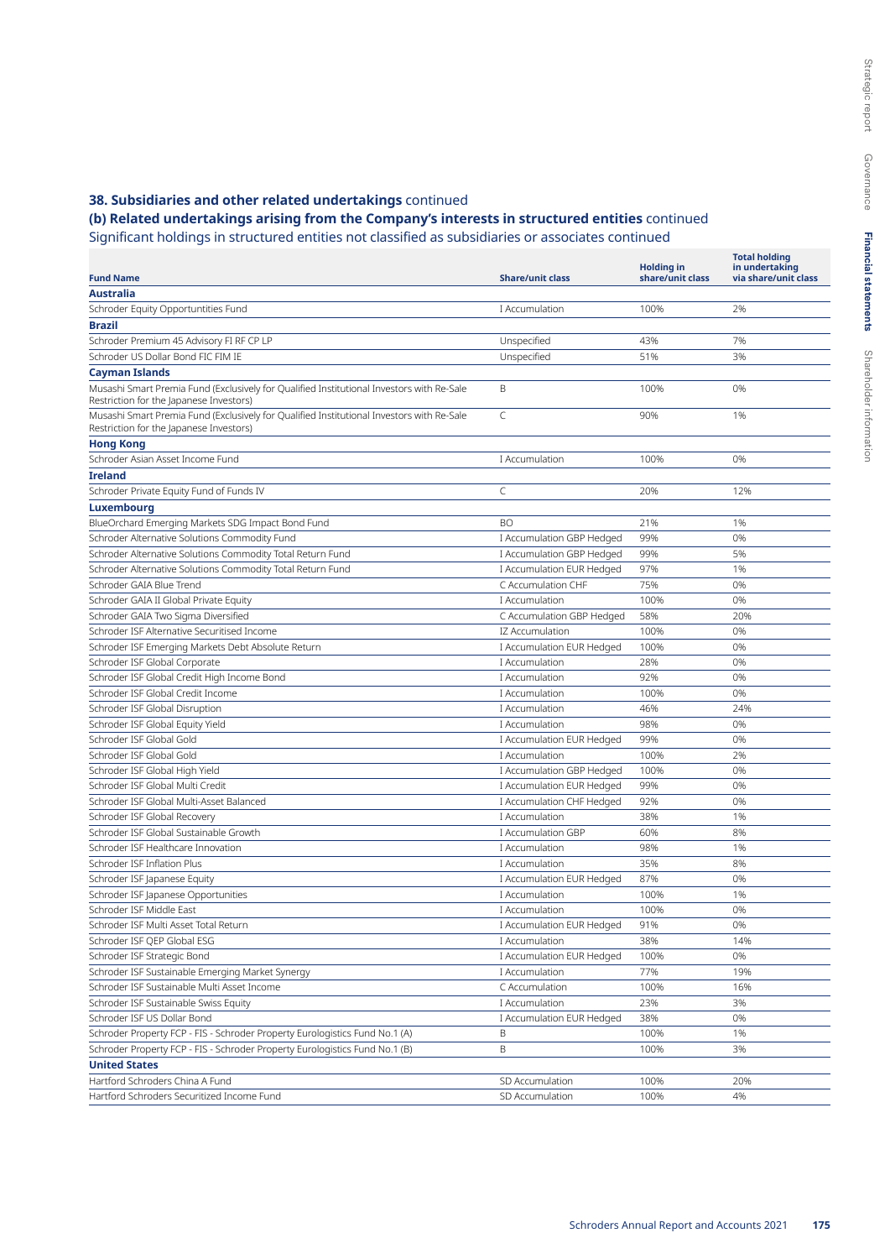# **(b) Related undertakings arising from the Company's interests in structured entities** continued

Significant holdings in structured entities not classified as subsidiaries or associates continued

|                                                                                                                                      |                                                 |                                       | <b>Total holding</b>                   |
|--------------------------------------------------------------------------------------------------------------------------------------|-------------------------------------------------|---------------------------------------|----------------------------------------|
| <b>Fund Name</b>                                                                                                                     | <b>Share/unit class</b>                         | <b>Holding in</b><br>share/unit class | in undertaking<br>via share/unit class |
| <b>Australia</b>                                                                                                                     |                                                 |                                       |                                        |
| Schroder Equity Opportuntities Fund                                                                                                  | I Accumulation                                  | 100%                                  | 2%                                     |
| <b>Brazil</b>                                                                                                                        |                                                 |                                       |                                        |
| Schroder Premium 45 Advisory FI RF CP LP                                                                                             | Unspecified                                     | 43%                                   | 7%                                     |
| Schroder US Dollar Bond FIC FIM IE                                                                                                   | Unspecified                                     | 51%                                   | 3%                                     |
| <b>Cayman Islands</b>                                                                                                                |                                                 |                                       |                                        |
| Musashi Smart Premia Fund (Exclusively for Qualified Institutional Investors with Re-Sale<br>Restriction for the Japanese Investors) | B                                               | 100%                                  | 0%                                     |
| Musashi Smart Premia Fund (Exclusively for Qualified Institutional Investors with Re-Sale<br>Restriction for the Japanese Investors) | $\subset$                                       | 90%                                   | 1%                                     |
| <b>Hong Kong</b>                                                                                                                     |                                                 |                                       |                                        |
| Schroder Asian Asset Income Fund                                                                                                     | I Accumulation                                  | 100%                                  | 0%                                     |
| <b>Ireland</b>                                                                                                                       |                                                 |                                       |                                        |
| Schroder Private Equity Fund of Funds IV                                                                                             | C                                               | 20%                                   | 12%                                    |
|                                                                                                                                      |                                                 |                                       |                                        |
| Luxembourg                                                                                                                           | <b>BO</b>                                       | 21%                                   | 1%                                     |
| BlueOrchard Emerging Markets SDG Impact Bond Fund                                                                                    |                                                 | 99%                                   | 0%                                     |
| Schroder Alternative Solutions Commodity Fund                                                                                        | I Accumulation GBP Hedged                       |                                       |                                        |
| Schroder Alternative Solutions Commodity Total Return Fund                                                                           | I Accumulation GBP Hedged                       | 99%                                   | 5%                                     |
| Schroder Alternative Solutions Commodity Total Return Fund                                                                           | I Accumulation EUR Hedged<br>C Accumulation CHF | 97%                                   | 1%                                     |
| Schroder GAIA Blue Trend                                                                                                             |                                                 | 75%                                   | 0%                                     |
| Schroder GAIA II Global Private Equity                                                                                               | I Accumulation                                  | 100%                                  | 0%                                     |
| Schroder GAIA Two Sigma Diversified                                                                                                  | C Accumulation GBP Hedged                       | 58%                                   | 20%                                    |
| Schroder ISF Alternative Securitised Income                                                                                          | IZ Accumulation                                 | 100%                                  | 0%                                     |
| Schroder ISF Emerging Markets Debt Absolute Return                                                                                   | I Accumulation EUR Hedged                       | 100%                                  | 0%                                     |
| Schroder ISF Global Corporate                                                                                                        | I Accumulation                                  | 28%                                   | 0%                                     |
| Schroder ISF Global Credit High Income Bond                                                                                          | I Accumulation                                  | 92%                                   | 0%                                     |
| Schroder ISF Global Credit Income                                                                                                    | I Accumulation                                  | 100%                                  | 0%                                     |
| Schroder ISF Global Disruption                                                                                                       | I Accumulation                                  | 46%                                   | 24%                                    |
| Schroder ISF Global Equity Yield                                                                                                     | I Accumulation                                  | 98%                                   | 0%                                     |
| Schroder ISF Global Gold                                                                                                             | I Accumulation EUR Hedged                       | 99%                                   | 0%                                     |
| Schroder ISF Global Gold                                                                                                             | I Accumulation                                  | 100%                                  | 2%                                     |
| Schroder ISF Global High Yield                                                                                                       | I Accumulation GBP Hedged                       | 100%                                  | 0%                                     |
| Schroder ISF Global Multi Credit                                                                                                     | I Accumulation EUR Hedged                       | 99%                                   | 0%                                     |
| Schroder ISF Global Multi-Asset Balanced                                                                                             | I Accumulation CHF Hedged                       | 92%                                   | 0%                                     |
| Schroder ISF Global Recovery                                                                                                         | I Accumulation                                  | 38%                                   | 1%                                     |
| Schroder ISE Global Sustainable Growth                                                                                               | <b>LAccumulation GBP</b>                        | 60%                                   | 8%                                     |
| Schroder ISF Healthcare Innovation                                                                                                   | I Accumulation                                  | 98%                                   | 1%                                     |
| Schroder ISF Inflation Plus                                                                                                          | I Accumulation                                  | 35%                                   | 8%                                     |
| Schroder ISF Japanese Equity                                                                                                         | I Accumulation EUR Hedged                       | 87%                                   | 0%                                     |
| Schroder ISF Japanese Opportunities                                                                                                  | I Accumulation                                  | 100%                                  | 1%                                     |
| Schroder ISF Middle East                                                                                                             | I Accumulation                                  | 100%                                  | 0%                                     |
| Schroder ISF Multi Asset Total Return                                                                                                | I Accumulation EUR Hedged                       | 91%                                   | 0%                                     |
| Schroder ISF QEP Global ESG                                                                                                          | I Accumulation                                  | 38%                                   | 14%                                    |
| Schroder ISF Strategic Bond                                                                                                          | I Accumulation EUR Hedged                       | 100%                                  | 0%                                     |
| Schroder ISF Sustainable Emerging Market Synergy                                                                                     | I Accumulation                                  | 77%                                   | 19%                                    |
| Schroder ISF Sustainable Multi Asset Income                                                                                          | C Accumulation                                  | 100%                                  | 16%                                    |
| Schroder ISF Sustainable Swiss Equity                                                                                                | I Accumulation                                  | 23%                                   | 3%                                     |
| Schroder ISF US Dollar Bond                                                                                                          | I Accumulation EUR Hedged                       | 38%                                   | 0%                                     |
| Schroder Property FCP - FIS - Schroder Property Eurologistics Fund No.1 (A)                                                          | B                                               | 100%                                  | 1%                                     |
| Schroder Property FCP - FIS - Schroder Property Eurologistics Fund No.1 (B)                                                          | $\mathsf B$                                     | 100%                                  | 3%                                     |
| <b>United States</b>                                                                                                                 |                                                 |                                       |                                        |
| Hartford Schroders China A Fund                                                                                                      | SD Accumulation                                 | 100%                                  | 20%                                    |
| Hartford Schroders Securitized Income Fund                                                                                           | SD Accumulation                                 | 100%                                  | 4%                                     |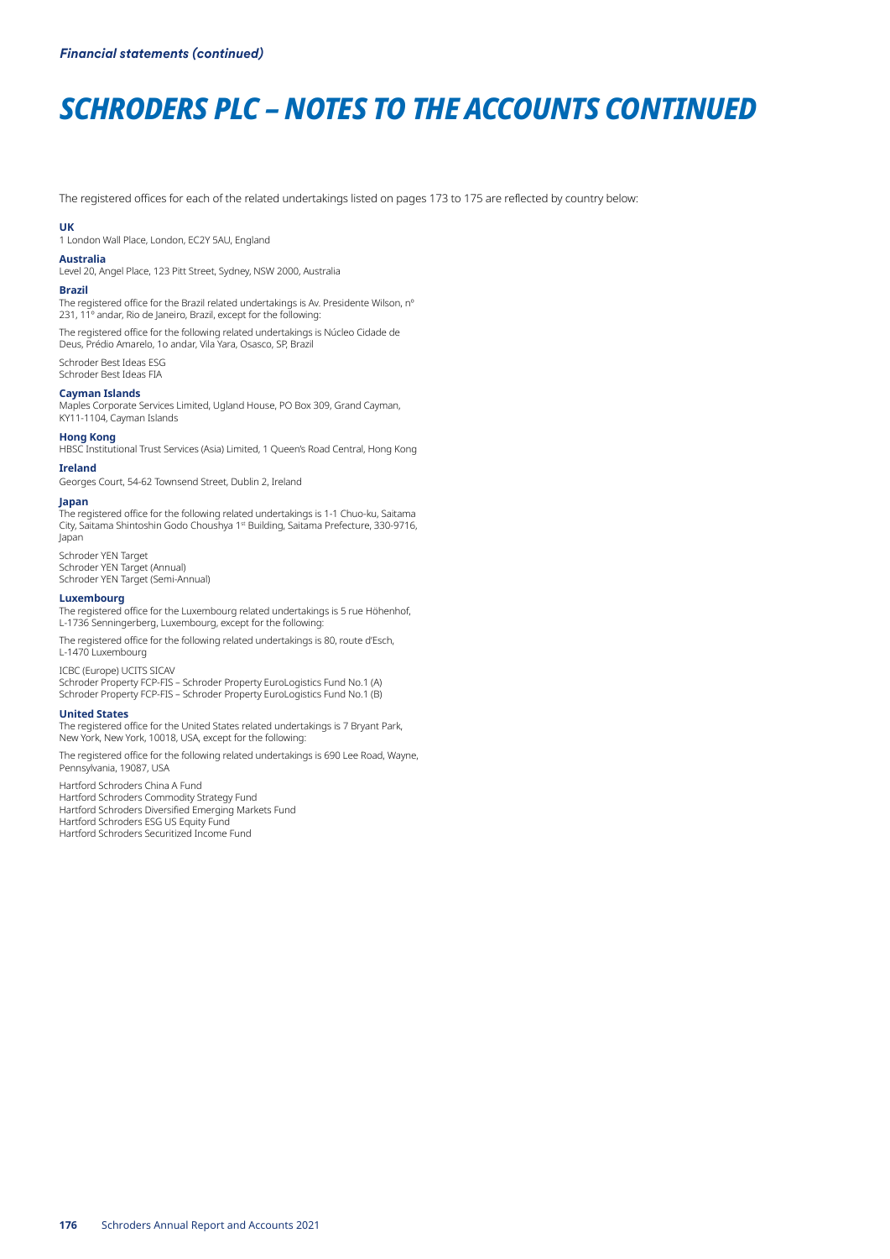# *SCHRODERS PLC – NOTES TO THE ACCOUNTS CONTINUED*

The registered offices for each of the related undertakings listed on pages 173 to 175 are reflected by country below:

#### **UK**

1 London Wall Place, London, EC2Y 5AU, England

#### **Australia**

Level 20, Angel Place, 123 Pitt Street, Sydney, NSW 2000, Australia

#### **Brazil**

The registered office for the Brazil related undertakings is Av. Presidente Wilson, n° 231, 11º andar, Rio de Janeiro, Brazil, except for the following:

The registered office for the following related undertakings is Núcleo Cidade de Deus, Prédio Amarelo, 1o andar, Vila Yara, Osasco, SP, Brazil

Schroder Best Ideas ESG Schroder Best Ideas FIA

#### **Cayman Islands**

Maples Corporate Services Limited, Ugland House, PO Box 309, Grand Cayman, KY11-1104, Cayman Islands

## **Hong Kong**

HBSC Institutional Trust Services (Asia) Limited, 1 Queen's Road Central, Hong Kong

**Ireland** Georges Court, 54-62 Townsend Street, Dublin 2, Ireland

## **Japan**

The registered office for the following related undertakings is 1-1 Chuo-ku, Saitama City, Saitama Shintoshin Godo Choushya 1st Building, Saitama Prefecture, 330-9716, Japan

Schroder YEN Target Schroder YEN Target (Annual) Schroder YEN Target (Semi-Annual)

#### **Luxembourg**

The registered office for the Luxembourg related undertakings is 5 rue Höhenhof, L-1736 Senningerberg, Luxembourg, except for the following:

The registered office for the following related undertakings is 80, route d'Esch, L-1470 Luxembourg

ICBC (Europe) UCITS SICAV

Schroder Property FCP-FIS – Schroder Property EuroLogistics Fund No.1 (A) Schroder Property FCP-FIS – Schroder Property EuroLogistics Fund No.1 (B)

#### **United States**

The registered office for the United States related undertakings is 7 Bryant Park, New York, New York, 10018, USA, except for the following:

The registered office for the following related undertakings is 690 Lee Road, Wayne, Pennsylvania, 19087, USA

Hartford Schroders China A Fund Hartford Schroders Commodity Strategy Fund Hartford Schroders Diversified Emerging Markets Fund Hartford Schroders ESG US Equity Fund Hartford Schroders Securitized Income Fund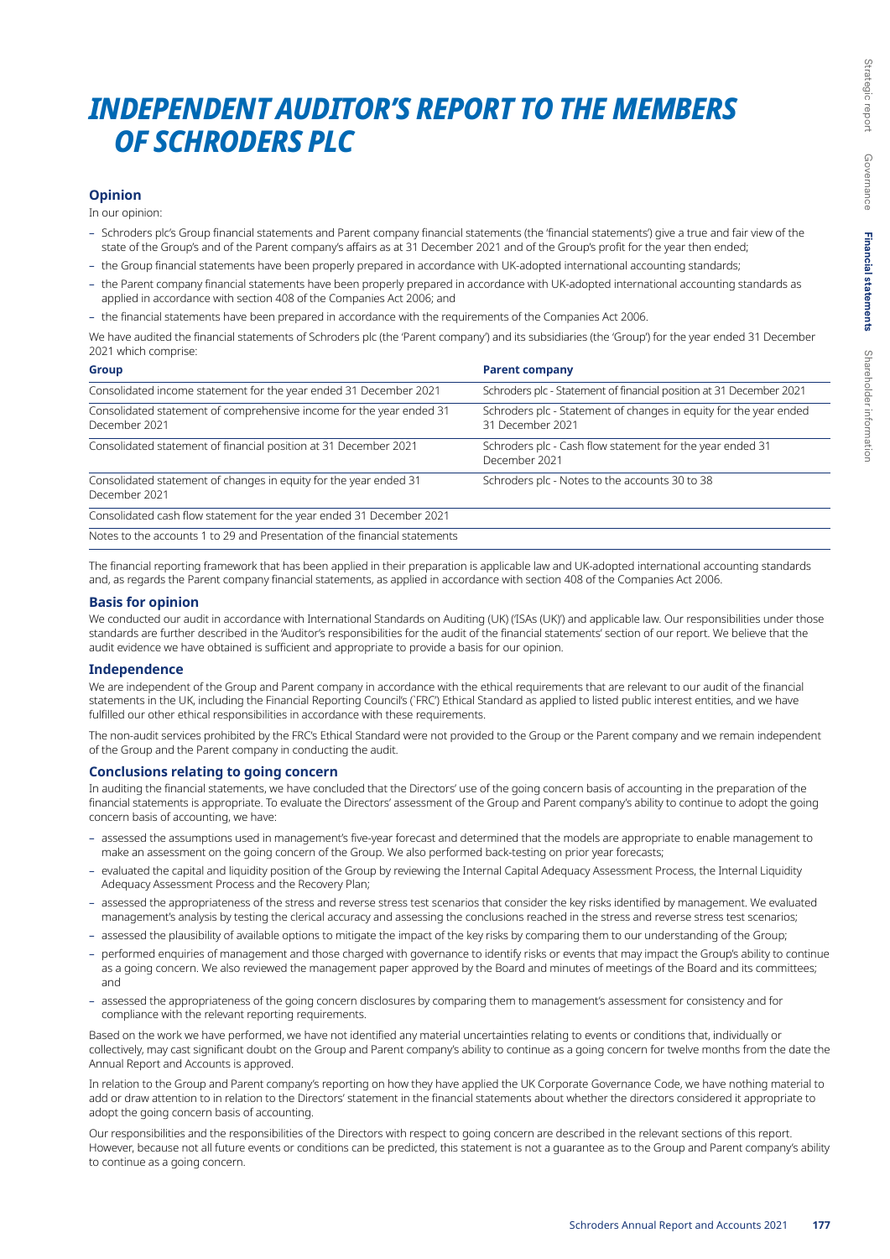## *INDEPENDENT AUDITOR'S REPORT TO THE MEMBERS OF SCHRODERS PLC*

## **Opinion**

In our opinion:

- Schroders plc's Group financial statements and Parent company financial statements (the 'financial statements') give a true and fair view of the state of the Group's and of the Parent company's affairs as at 31 December 2021 and of the Group's profit for the year then ended;
- the Group financial statements have been properly prepared in accordance with UK-adopted international accounting standards;
- the Parent company financial statements have been properly prepared in accordance with UK-adopted international accounting standards as applied in accordance with section 408 of the Companies Act 2006; and
- the financial statements have been prepared in accordance with the requirements of the Companies Act 2006.

We have audited the financial statements of Schroders plc (the 'Parent company') and its subsidiaries (the 'Group') for the year ended 31 December 2021 which comprise:

| <b>Group</b>                                                                          | <b>Parent company</b>                                                                 |
|---------------------------------------------------------------------------------------|---------------------------------------------------------------------------------------|
| Consolidated income statement for the year ended 31 December 2021                     | Schroders plc - Statement of financial position at 31 December 2021                   |
| Consolidated statement of comprehensive income for the year ended 31<br>December 2021 | Schroders plc - Statement of changes in equity for the year ended<br>31 December 2021 |
| Consolidated statement of financial position at 31 December 2021                      | Schroders plc - Cash flow statement for the year ended 31<br>December 2021            |
| Consolidated statement of changes in equity for the year ended 31<br>December 2021    | Schroders plc - Notes to the accounts 30 to 38                                        |
| Consolidated cash flow statement for the year ended 31 December 2021                  |                                                                                       |
| Notes to the accounts 1 to 29 and Presentation of the financial statements            |                                                                                       |

The financial reporting framework that has been applied in their preparation is applicable law and UK-adopted international accounting standards and, as regards the Parent company financial statements, as applied in accordance with section 408 of the Companies Act 2006.

#### **Basis for opinion**

We conducted our audit in accordance with International Standards on Auditing (UK) ('ISAs (UK)') and applicable law. Our responsibilities under those standards are further described in the 'Auditor's responsibilities for the audit of the financial statements' section of our report. We believe that the audit evidence we have obtained is sufficient and appropriate to provide a basis for our opinion.

## **Independence**

We are independent of the Group and Parent company in accordance with the ethical requirements that are relevant to our audit of the financial statements in the UK, including the Financial Reporting Council's (`FRC') Ethical Standard as applied to listed public interest entities, and we have fulfilled our other ethical responsibilities in accordance with these requirements.

The non-audit services prohibited by the FRC's Ethical Standard were not provided to the Group or the Parent company and we remain independent of the Group and the Parent company in conducting the audit.

#### **Conclusions relating to going concern**

In auditing the financial statements, we have concluded that the Directors' use of the going concern basis of accounting in the preparation of the financial statements is appropriate. To evaluate the Directors' assessment of the Group and Parent company's ability to continue to adopt the going concern basis of accounting, we have:

- assessed the assumptions used in management's five-year forecast and determined that the models are appropriate to enable management to make an assessment on the going concern of the Group. We also performed back-testing on prior year forecasts;
- evaluated the capital and liquidity position of the Group by reviewing the Internal Capital Adequacy Assessment Process, the Internal Liquidity Adequacy Assessment Process and the Recovery Plan;
- assessed the appropriateness of the stress and reverse stress test scenarios that consider the key risks identified by management. We evaluated management's analysis by testing the clerical accuracy and assessing the conclusions reached in the stress and reverse stress test scenarios;
- assessed the plausibility of available options to mitigate the impact of the key risks by comparing them to our understanding of the Group;
- performed enquiries of management and those charged with governance to identify risks or events that may impact the Group's ability to continue as a going concern. We also reviewed the management paper approved by the Board and minutes of meetings of the Board and its committees; and
- assessed the appropriateness of the going concern disclosures by comparing them to management's assessment for consistency and for compliance with the relevant reporting requirements.

Based on the work we have performed, we have not identified any material uncertainties relating to events or conditions that, individually or collectively, may cast significant doubt on the Group and Parent company's ability to continue as a going concern for twelve months from the date the Annual Report and Accounts is approved.

In relation to the Group and Parent company's reporting on how they have applied the UK Corporate Governance Code, we have nothing material to add or draw attention to in relation to the Directors' statement in the financial statements about whether the directors considered it appropriate to adopt the going concern basis of accounting.

Our responsibilities and the responsibilities of the Directors with respect to going concern are described in the relevant sections of this report. However, because not all future events or conditions can be predicted, this statement is not a guarantee as to the Group and Parent company's ability to continue as a going concern.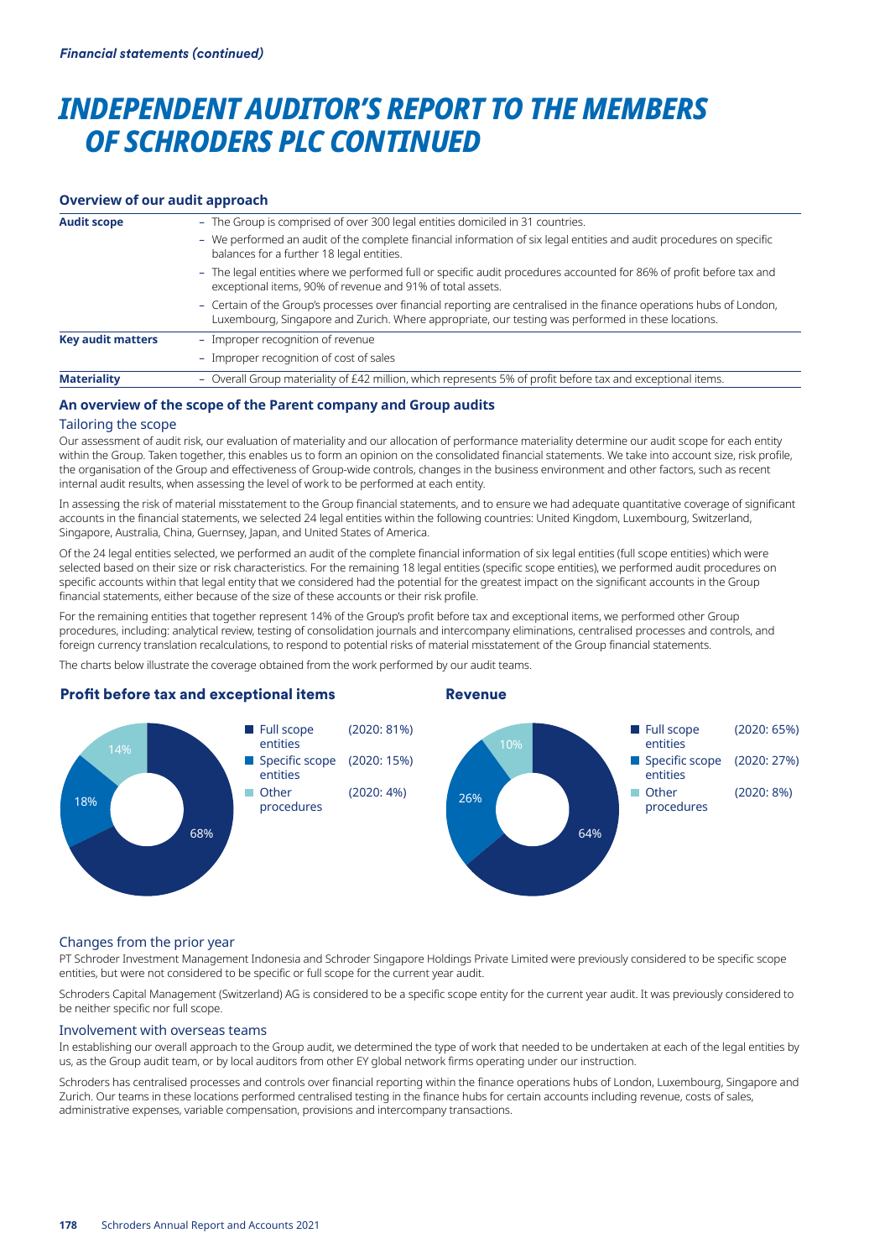## *INDEPENDENT AUDITOR'S REPORT TO THE MEMBERS OF SCHRODERS PLC CONTINUED*

### **Overview of our audit approach**

| <b>Audit scope</b>       | - The Group is comprised of over 300 legal entities domiciled in 31 countries.                                                                                                                                              |
|--------------------------|-----------------------------------------------------------------------------------------------------------------------------------------------------------------------------------------------------------------------------|
|                          | - We performed an audit of the complete financial information of six legal entities and audit procedures on specific<br>balances for a further 18 legal entities.                                                           |
|                          | - The legal entities where we performed full or specific audit procedures accounted for 86% of profit before tax and<br>exceptional items, 90% of revenue and 91% of total assets.                                          |
|                          | - Certain of the Group's processes over financial reporting are centralised in the finance operations hubs of London,<br>Luxembourg, Singapore and Zurich. Where appropriate, our testing was performed in these locations. |
| <b>Key audit matters</b> | - Improper recognition of revenue                                                                                                                                                                                           |
|                          | - Improper recognition of cost of sales                                                                                                                                                                                     |
| <b>Materiality</b>       | - Overall Group materiality of £42 million, which represents 5% of profit before tax and exceptional items.                                                                                                                 |

## **An overview of the scope of the Parent company and Group audits**

### Tailoring the scope

Our assessment of audit risk, our evaluation of materiality and our allocation of performance materiality determine our audit scope for each entity within the Group. Taken together, this enables us to form an opinion on the consolidated financial statements. We take into account size, risk profile, the organisation of the Group and effectiveness of Group-wide controls, changes in the business environment and other factors, such as recent internal audit results, when assessing the level of work to be performed at each entity.

In assessing the risk of material misstatement to the Group financial statements, and to ensure we had adequate quantitative coverage of significant accounts in the financial statements, we selected 24 legal entities within the following countries: United Kingdom, Luxembourg, Switzerland, Singapore, Australia, China, Guernsey, Japan, and United States of America.

Of the 24 legal entities selected, we performed an audit of the complete financial information of six legal entities (full scope entities) which were selected based on their size or risk characteristics. For the remaining 18 legal entities (specific scope entities), we performed audit procedures on specific accounts within that legal entity that we considered had the potential for the greatest impact on the significant accounts in the Group financial statements, either because of the size of these accounts or their risk profile.

For the remaining entities that together represent 14% of the Group's profit before tax and exceptional items, we performed other Group procedures, including: analytical review, testing of consolidation journals and intercompany eliminations, centralised processes and controls, and foreign currency translation recalculations, to respond to potential risks of material misstatement of the Group financial statements.

The charts below illustrate the coverage obtained from the work performed by our audit teams.

## Profit before tax and exceptional items

## Revenue



#### Changes from the prior year

PT Schroder Investment Management Indonesia and Schroder Singapore Holdings Private Limited were previously considered to be specific scope entities, but were not considered to be specific or full scope for the current year audit.

Schroders Capital Management (Switzerland) AG is considered to be a specific scope entity for the current year audit. It was previously considered to be neither specific nor full scope.

#### Involvement with overseas teams

In establishing our overall approach to the Group audit, we determined the type of work that needed to be undertaken at each of the legal entities by us, as the Group audit team, or by local auditors from other EY global network firms operating under our instruction.

Schroders has centralised processes and controls over financial reporting within the finance operations hubs of London, Luxembourg, Singapore and Zurich. Our teams in these locations performed centralised testing in the finance hubs for certain accounts including revenue, costs of sales, administrative expenses, variable compensation, provisions and intercompany transactions.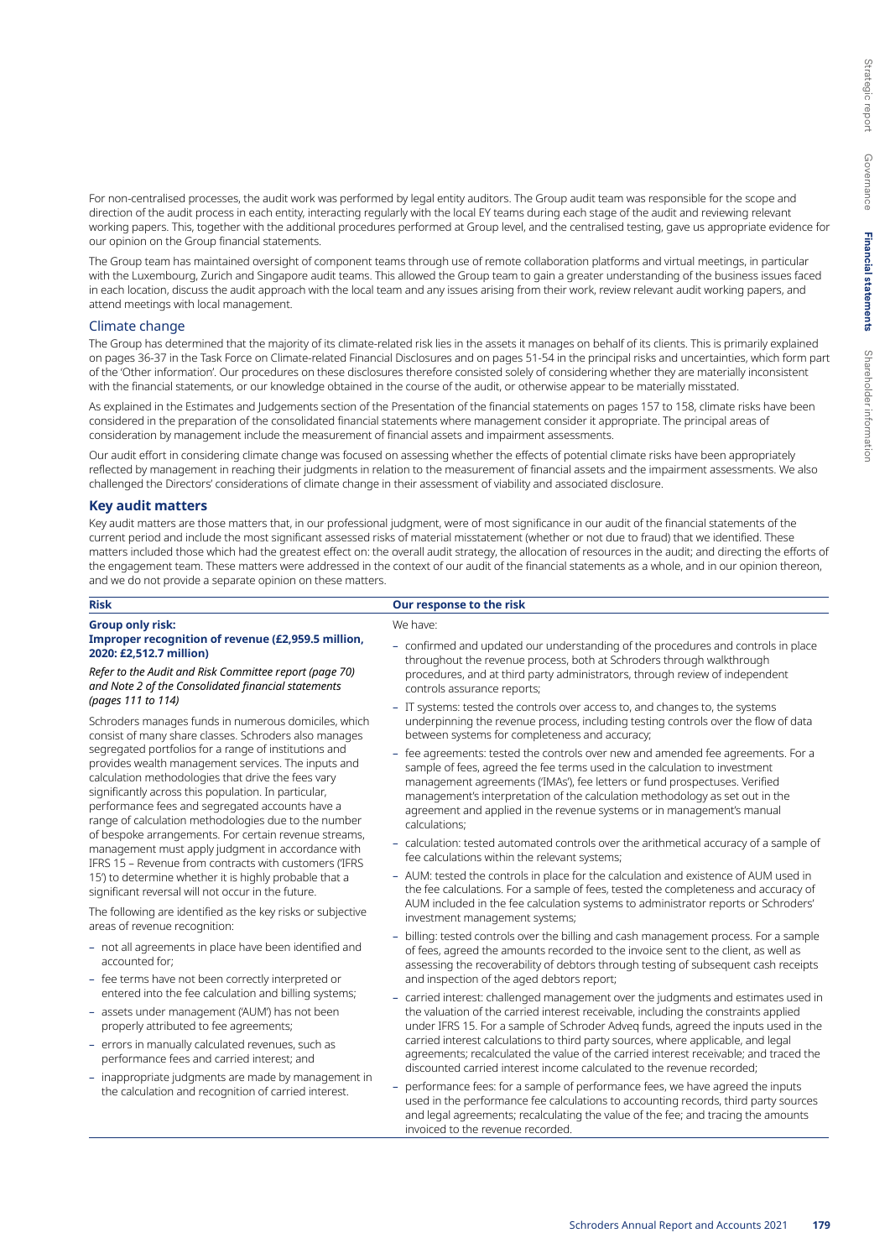For non-centralised processes, the audit work was performed by legal entity auditors. The Group audit team was responsible for the scope and direction of the audit process in each entity, interacting regularly with the local EY teams during each stage of the audit and reviewing relevant working papers. This, together with the additional procedures performed at Group level, and the centralised testing, gave us appropriate evidence for our opinion on the Group financial statements.

The Group team has maintained oversight of component teams through use of remote collaboration platforms and virtual meetings, in particular with the Luxembourg, Zurich and Singapore audit teams. This allowed the Group team to gain a greater understanding of the business issues faced in each location, discuss the audit approach with the local team and any issues arising from their work, review relevant audit working papers, and attend meetings with local management.

#### Climate change

The Group has determined that the majority of its climate-related risk lies in the assets it manages on behalf of its clients. This is primarily explained on pages 36-37 in the Task Force on Climate-related Financial Disclosures and on pages 51-54 in the principal risks and uncertainties, which form part of the 'Other information'. Our procedures on these disclosures therefore consisted solely of considering whether they are materially inconsistent with the financial statements, or our knowledge obtained in the course of the audit, or otherwise appear to be materially misstated.

As explained in the Estimates and Judgements section of the Presentation of the financial statements on pages 157 to 158, climate risks have been considered in the preparation of the consolidated financial statements where management consider it appropriate. The principal areas of consideration by management include the measurement of financial assets and impairment assessments.

Our audit effort in considering climate change was focused on assessing whether the effects of potential climate risks have been appropriately reflected by management in reaching their judgments in relation to the measurement of financial assets and the impairment assessments. We also challenged the Directors' considerations of climate change in their assessment of viability and associated disclosure.

#### **Key audit matters**

Key audit matters are those matters that, in our professional judgment, were of most significance in our audit of the financial statements of the current period and include the most significant assessed risks of material misstatement (whether or not due to fraud) that we identified. These matters included those which had the greatest effect on: the overall audit strategy, the allocation of resources in the audit; and directing the efforts of the engagement team. These matters were addressed in the context of our audit of the financial statements as a whole, and in our opinion thereon, and we do not provide a separate opinion on these matters.

| <b>Risk</b>                                                                                                                                                                                                                                                                                                                                                                                                                                                                                                                                                                                                                                                                                                                                                                                                                                                                                                                                                                                                                                                            | Our response to the risk                                                                                                                                                                                                                                                                                                                                                                                                          |
|------------------------------------------------------------------------------------------------------------------------------------------------------------------------------------------------------------------------------------------------------------------------------------------------------------------------------------------------------------------------------------------------------------------------------------------------------------------------------------------------------------------------------------------------------------------------------------------------------------------------------------------------------------------------------------------------------------------------------------------------------------------------------------------------------------------------------------------------------------------------------------------------------------------------------------------------------------------------------------------------------------------------------------------------------------------------|-----------------------------------------------------------------------------------------------------------------------------------------------------------------------------------------------------------------------------------------------------------------------------------------------------------------------------------------------------------------------------------------------------------------------------------|
| <b>Group only risk:</b>                                                                                                                                                                                                                                                                                                                                                                                                                                                                                                                                                                                                                                                                                                                                                                                                                                                                                                                                                                                                                                                | We have:                                                                                                                                                                                                                                                                                                                                                                                                                          |
| Improper recognition of revenue (£2,959.5 million,<br>2020: £2,512.7 million)<br>Refer to the Audit and Risk Committee report (page 70)<br>and Note 2 of the Consolidated financial statements<br>(pages 111 to 114)<br>Schroders manages funds in numerous domiciles, which<br>consist of many share classes. Schroders also manages<br>segregated portfolios for a range of institutions and<br>provides wealth management services. The inputs and<br>calculation methodologies that drive the fees vary<br>significantly across this population. In particular,<br>performance fees and segregated accounts have a<br>range of calculation methodologies due to the number<br>of bespoke arrangements. For certain revenue streams,<br>management must apply judgment in accordance with<br>IFRS 15 - Revenue from contracts with customers ('IFRS<br>15') to determine whether it is highly probable that a<br>significant reversal will not occur in the future.<br>The following are identified as the key risks or subjective<br>areas of revenue recognition: | - confirmed and updated our understanding of the procedures and controls in place<br>throughout the revenue process, both at Schroders through walkthrough<br>procedures, and at third party administrators, through review of independent<br>controls assurance reports;                                                                                                                                                         |
|                                                                                                                                                                                                                                                                                                                                                                                                                                                                                                                                                                                                                                                                                                                                                                                                                                                                                                                                                                                                                                                                        | - IT systems: tested the controls over access to, and changes to, the systems<br>underpinning the revenue process, including testing controls over the flow of data<br>between systems for completeness and accuracy;                                                                                                                                                                                                             |
|                                                                                                                                                                                                                                                                                                                                                                                                                                                                                                                                                                                                                                                                                                                                                                                                                                                                                                                                                                                                                                                                        | - fee agreements: tested the controls over new and amended fee agreements. For a<br>sample of fees, agreed the fee terms used in the calculation to investment<br>management agreements ('IMAs'), fee letters or fund prospectuses. Verified<br>management's interpretation of the calculation methodology as set out in the<br>agreement and applied in the revenue systems or in management's manual<br>calculations;           |
|                                                                                                                                                                                                                                                                                                                                                                                                                                                                                                                                                                                                                                                                                                                                                                                                                                                                                                                                                                                                                                                                        | - calculation: tested automated controls over the arithmetical accuracy of a sample of<br>fee calculations within the relevant systems;                                                                                                                                                                                                                                                                                           |
|                                                                                                                                                                                                                                                                                                                                                                                                                                                                                                                                                                                                                                                                                                                                                                                                                                                                                                                                                                                                                                                                        | - AUM: tested the controls in place for the calculation and existence of AUM used in<br>the fee calculations. For a sample of fees, tested the completeness and accuracy of                                                                                                                                                                                                                                                       |
|                                                                                                                                                                                                                                                                                                                                                                                                                                                                                                                                                                                                                                                                                                                                                                                                                                                                                                                                                                                                                                                                        | AUM included in the fee calculation systems to administrator reports or Schroders'<br>investment management systems;                                                                                                                                                                                                                                                                                                              |
| - not all agreements in place have been identified and<br>accounted for:                                                                                                                                                                                                                                                                                                                                                                                                                                                                                                                                                                                                                                                                                                                                                                                                                                                                                                                                                                                               | - billing: tested controls over the billing and cash management process. For a sample<br>of fees, agreed the amounts recorded to the invoice sent to the client, as well as<br>assessing the recoverability of debtors through testing of subsequent cash receipts                                                                                                                                                                |
| - fee terms have not been correctly interpreted or<br>entered into the fee calculation and billing systems;                                                                                                                                                                                                                                                                                                                                                                                                                                                                                                                                                                                                                                                                                                                                                                                                                                                                                                                                                            | and inspection of the aged debtors report;<br>- carried interest: challenged management over the judgments and estimates used in                                                                                                                                                                                                                                                                                                  |
| - assets under management ('AUM') has not been<br>properly attributed to fee agreements;                                                                                                                                                                                                                                                                                                                                                                                                                                                                                                                                                                                                                                                                                                                                                                                                                                                                                                                                                                               | the valuation of the carried interest receivable, including the constraints applied<br>under IFRS 15. For a sample of Schroder Adveg funds, agreed the inputs used in the<br>carried interest calculations to third party sources, where applicable, and legal<br>agreements; recalculated the value of the carried interest receivable; and traced the<br>discounted carried interest income calculated to the revenue recorded; |
| - errors in manually calculated revenues, such as<br>performance fees and carried interest; and                                                                                                                                                                                                                                                                                                                                                                                                                                                                                                                                                                                                                                                                                                                                                                                                                                                                                                                                                                        |                                                                                                                                                                                                                                                                                                                                                                                                                                   |
| - inappropriate judgments are made by management in<br>the calculation and recognition of carried interest.                                                                                                                                                                                                                                                                                                                                                                                                                                                                                                                                                                                                                                                                                                                                                                                                                                                                                                                                                            | performance fees: for a sample of performance fees, we have agreed the inputs<br>used in the performance fee calculations to accounting records, third party sources<br>and legal agreements; recalculating the value of the fee; and tracing the amounts<br>invoiced to the revenue recorded.                                                                                                                                    |
|                                                                                                                                                                                                                                                                                                                                                                                                                                                                                                                                                                                                                                                                                                                                                                                                                                                                                                                                                                                                                                                                        |                                                                                                                                                                                                                                                                                                                                                                                                                                   |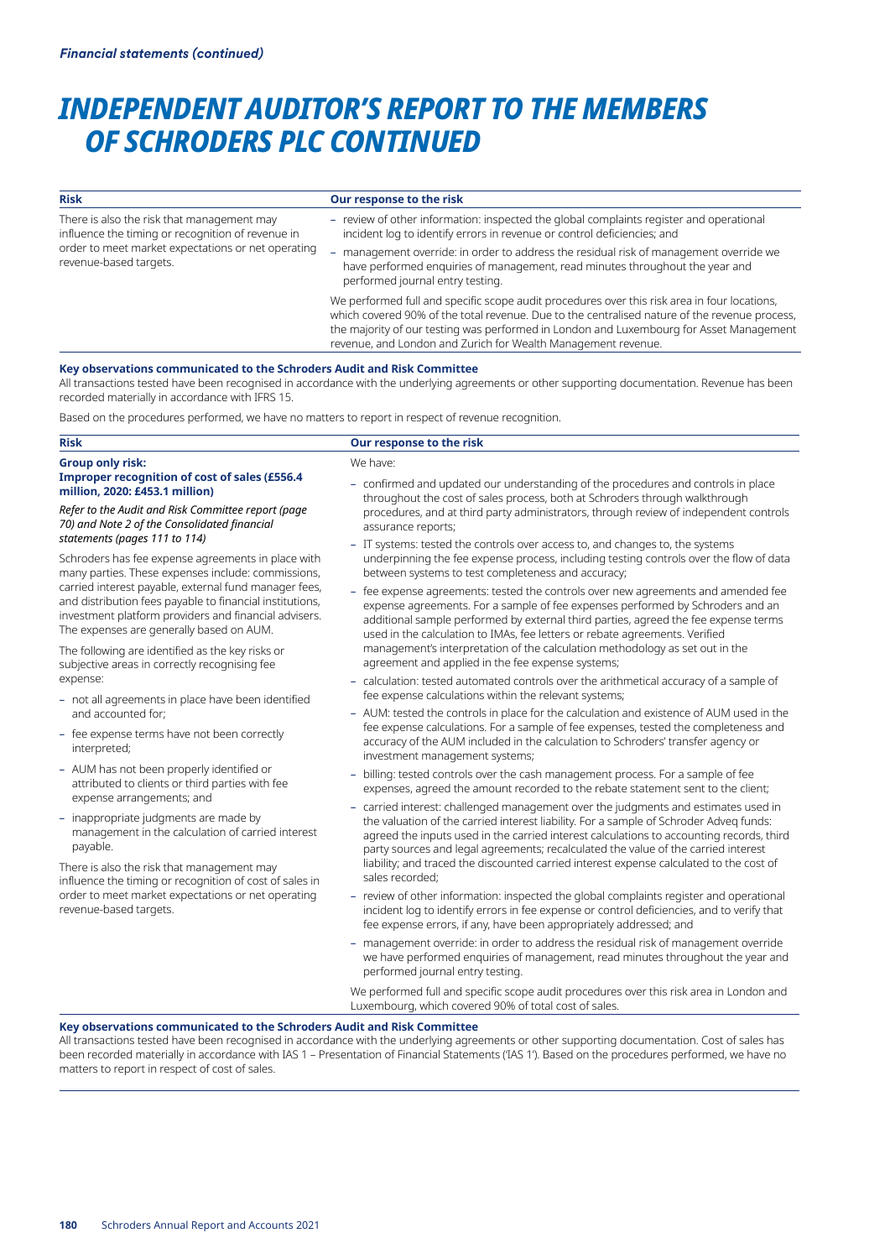## *INDEPENDENT AUDITOR'S REPORT TO THE MEMBERS OF SCHRODERS PLC CONTINUED*

| <b>Risk</b>                                                                                                                                                                     | Our response to the risk                                                                                                                                                                                                                                                                 |
|---------------------------------------------------------------------------------------------------------------------------------------------------------------------------------|------------------------------------------------------------------------------------------------------------------------------------------------------------------------------------------------------------------------------------------------------------------------------------------|
| There is also the risk that management may<br>influence the timing or recognition of revenue in<br>order to meet market expectations or net operating<br>revenue-based targets. | - review of other information: inspected the global complaints register and operational<br>incident log to identify errors in revenue or control deficiencies; and                                                                                                                       |
|                                                                                                                                                                                 | management override: in order to address the residual risk of management override we<br>have performed enquiries of management, read minutes throughout the year and<br>performed journal entry testing.                                                                                 |
|                                                                                                                                                                                 | We performed full and specific scope audit procedures over this risk area in four locations,<br>which covered 90% of the total revenue. Due to the centralised nature of the revenue process,<br>the majority of our testing was performed in London and Luxembourg for Asset Management |

#### **Key observations communicated to the Schroders Audit and Risk Committee**

All transactions tested have been recognised in accordance with the underlying agreements or other supporting documentation. Revenue has been recorded materially in accordance with IFRS 15.

revenue, and London and Zurich for Wealth Management revenue.

Based on the procedures performed, we have no matters to report in respect of revenue recognition.

## **Risk Our response to the risk**

#### **Group only risk: Improper recognition of cost of sales (£556.4 million, 2020: £453.1 million)**

#### *Refer to the Audit and Risk Committee report (page 70) and Note 2 of the Consolidated financial statements (pages 111 to 114)*

Schroders has fee expense agreements in place with many parties. These expenses include: commissions, carried interest payable, external fund manager fees, and distribution fees payable to financial institutions, investment platform providers and financial advisers. The expenses are generally based on AUM.

The following are identified as the key risks or subjective areas in correctly recognising fee expense:

- not all agreements in place have been identified and accounted for;
- fee expense terms have not been correctly interpreted;
- AUM has not been properly identified or attributed to clients or third parties with fee expense arrangements; and
- inappropriate judgments are made by management in the calculation of carried interest payable.

There is also the risk that management may influence the timing or recognition of cost of sales in order to meet market expectations or net operating revenue-based targets.

We have:

- confirmed and updated our understanding of the procedures and controls in place throughout the cost of sales process, both at Schroders through walkthrough procedures, and at third party administrators, through review of independent controls assurance reports;
- IT systems: tested the controls over access to, and changes to, the systems underpinning the fee expense process, including testing controls over the flow of data between systems to test completeness and accuracy;
- fee expense agreements: tested the controls over new agreements and amended fee expense agreements. For a sample of fee expenses performed by Schroders and an additional sample performed by external third parties, agreed the fee expense terms used in the calculation to IMAs, fee letters or rebate agreements. Verified management's interpretation of the calculation methodology as set out in the agreement and applied in the fee expense systems;
- calculation: tested automated controls over the arithmetical accuracy of a sample of fee expense calculations within the relevant systems;
- AUM: tested the controls in place for the calculation and existence of AUM used in the fee expense calculations. For a sample of fee expenses, tested the completeness and accuracy of the AUM included in the calculation to Schroders' transfer agency or investment management systems;
- billing: tested controls over the cash management process. For a sample of fee expenses, agreed the amount recorded to the rebate statement sent to the client;
- carried interest: challenged management over the judgments and estimates used in the valuation of the carried interest liability. For a sample of Schroder Adveq funds: agreed the inputs used in the carried interest calculations to accounting records, third party sources and legal agreements; recalculated the value of the carried interest liability; and traced the discounted carried interest expense calculated to the cost of sales recorded;
- review of other information: inspected the global complaints register and operational incident log to identify errors in fee expense or control deficiencies, and to verify that fee expense errors, if any, have been appropriately addressed; and
- management override: in order to address the residual risk of management override we have performed enquiries of management, read minutes throughout the year and performed journal entry testing.

We performed full and specific scope audit procedures over this risk area in London and Luxembourg, which covered 90% of total cost of sales.

#### **Key observations communicated to the Schroders Audit and Risk Committee**

All transactions tested have been recognised in accordance with the underlying agreements or other supporting documentation. Cost of sales has been recorded materially in accordance with IAS 1 – Presentation of Financial Statements ('IAS 1'). Based on the procedures performed, we have no matters to report in respect of cost of sales.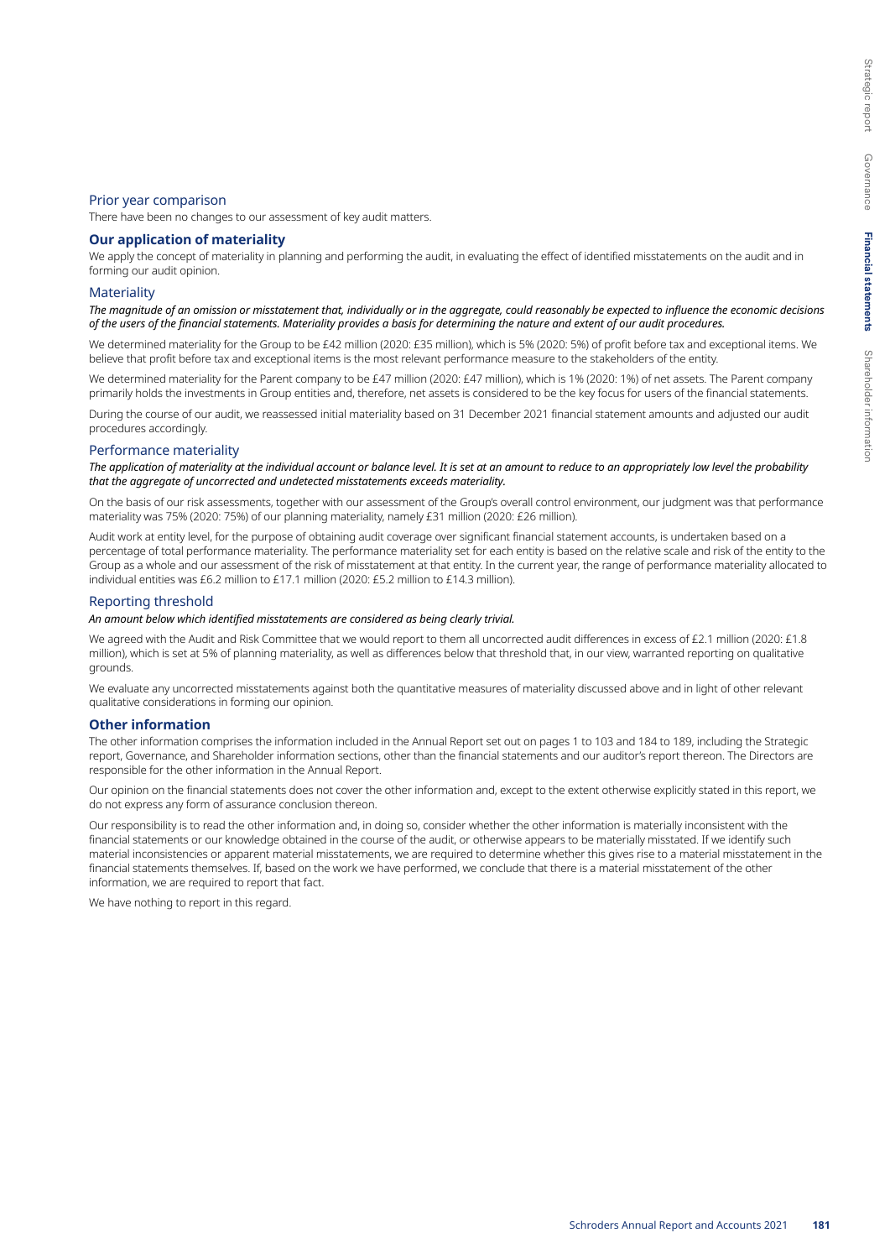#### Prior year comparison

There have been no changes to our assessment of key audit matters.

#### **Our application of materiality**

We apply the concept of materiality in planning and performing the audit, in evaluating the effect of identified misstatements on the audit and in forming our audit opinion.

#### **Materiality**

*The magnitude of an omission or misstatement that, individually or in the aggregate, could reasonably be expected to influence the economic decisions of the users of the financial statements. Materiality provides a basis for determining the nature and extent of our audit procedures.*

We determined materiality for the Group to be £42 million (2020: £35 million), which is 5% (2020: 5%) of profit before tax and exceptional items. We believe that profit before tax and exceptional items is the most relevant performance measure to the stakeholders of the entity.

We determined materiality for the Parent company to be £47 million (2020: £47 million), which is 1% (2020: 1%) of net assets. The Parent company primarily holds the investments in Group entities and, therefore, net assets is considered to be the key focus for users of the financial statements.

During the course of our audit, we reassessed initial materiality based on 31 December 2021 financial statement amounts and adjusted our audit procedures accordingly.

#### Performance materiality

*The application of materiality at the individual account or balance level. It is set at an amount to reduce to an appropriately low level the probability that the aggregate of uncorrected and undetected misstatements exceeds materiality.*

On the basis of our risk assessments, together with our assessment of the Group's overall control environment, our judgment was that performance materiality was 75% (2020: 75%) of our planning materiality, namely £31 million (2020: £26 million).

Audit work at entity level, for the purpose of obtaining audit coverage over significant financial statement accounts, is undertaken based on a percentage of total performance materiality. The performance materiality set for each entity is based on the relative scale and risk of the entity to the Group as a whole and our assessment of the risk of misstatement at that entity. In the current year, the range of performance materiality allocated to individual entities was £6.2 million to £17.1 million (2020: £5.2 million to £14.3 million).

#### Reporting threshold

## *An amount below which identified misstatements are considered as being clearly trivial.*

We agreed with the Audit and Risk Committee that we would report to them all uncorrected audit differences in excess of £2.1 million (2020: £1.8 million), which is set at 5% of planning materiality, as well as differences below that threshold that, in our view, warranted reporting on qualitative grounds.

We evaluate any uncorrected misstatements against both the quantitative measures of materiality discussed above and in light of other relevant qualitative considerations in forming our opinion.

#### **Other information**

The other information comprises the information included in the Annual Report set out on pages 1 to 103 and 184 to 189, including the Strategic report, Governance, and Shareholder information sections, other than the financial statements and our auditor's report thereon. The Directors are responsible for the other information in the Annual Report.

Our opinion on the financial statements does not cover the other information and, except to the extent otherwise explicitly stated in this report, we do not express any form of assurance conclusion thereon.

Our responsibility is to read the other information and, in doing so, consider whether the other information is materially inconsistent with the financial statements or our knowledge obtained in the course of the audit, or otherwise appears to be materially misstated. If we identify such material inconsistencies or apparent material misstatements, we are required to determine whether this gives rise to a material misstatement in the financial statements themselves. If, based on the work we have performed, we conclude that there is a material misstatement of the other information, we are required to report that fact.

We have nothing to report in this regard.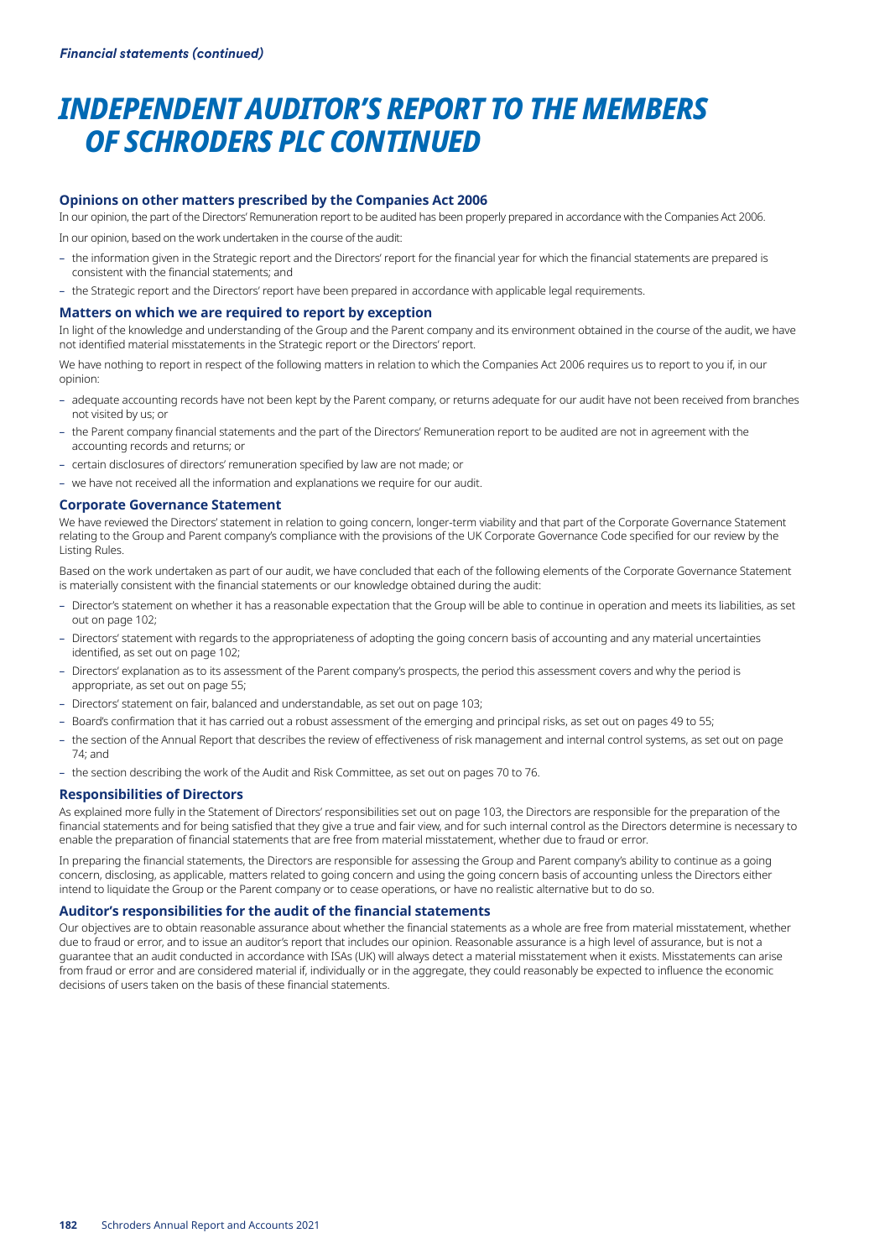## *INDEPENDENT AUDITOR'S REPORT TO THE MEMBERS OF SCHRODERS PLC CONTINUED*

## **Opinions on other matters prescribed by the Companies Act 2006**

In our opinion, the part of the Directors' Remuneration report to be audited has been properly prepared in accordance with the Companies Act 2006. In our opinion, based on the work undertaken in the course of the audit:

- the information given in the Strategic report and the Directors' report for the financial year for which the financial statements are prepared is consistent with the financial statements; and
- the Strategic report and the Directors' report have been prepared in accordance with applicable legal requirements.

#### **Matters on which we are required to report by exception**

In light of the knowledge and understanding of the Group and the Parent company and its environment obtained in the course of the audit, we have not identified material misstatements in the Strategic report or the Directors' report.

We have nothing to report in respect of the following matters in relation to which the Companies Act 2006 requires us to report to you if, in our opinion:

- adequate accounting records have not been kept by the Parent company, or returns adequate for our audit have not been received from branches not visited by us; or
- the Parent company financial statements and the part of the Directors' Remuneration report to be audited are not in agreement with the accounting records and returns; or
- certain disclosures of directors' remuneration specified by law are not made; or
- we have not received all the information and explanations we require for our audit.

#### **Corporate Governance Statement**

We have reviewed the Directors' statement in relation to going concern, longer-term viability and that part of the Corporate Governance Statement relating to the Group and Parent company's compliance with the provisions of the UK Corporate Governance Code specified for our review by the Listing Rules.

Based on the work undertaken as part of our audit, we have concluded that each of the following elements of the Corporate Governance Statement is materially consistent with the financial statements or our knowledge obtained during the audit:

- Director's statement on whether it has a reasonable expectation that the Group will be able to continue in operation and meets its liabilities, as set out on page 102;
- Directors' statement with regards to the appropriateness of adopting the going concern basis of accounting and any material uncertainties identified, as set out on page 102;
- Directors' explanation as to its assessment of the Parent company's prospects, the period this assessment covers and why the period is appropriate, as set out on page 55;
- Directors' statement on fair, balanced and understandable, as set out on page 103;
- Board's confirmation that it has carried out a robust assessment of the emerging and principal risks, as set out on pages 49 to 55;
- the section of the Annual Report that describes the review of effectiveness of risk management and internal control systems, as set out on page 74; and
- the section describing the work of the Audit and Risk Committee, as set out on pages 70 to 76.

#### **Responsibilities of Directors**

As explained more fully in the Statement of Directors' responsibilities set out on page 103, the Directors are responsible for the preparation of the financial statements and for being satisfied that they give a true and fair view, and for such internal control as the Directors determine is necessary to enable the preparation of financial statements that are free from material misstatement, whether due to fraud or error.

In preparing the financial statements, the Directors are responsible for assessing the Group and Parent company's ability to continue as a going concern, disclosing, as applicable, matters related to going concern and using the going concern basis of accounting unless the Directors either intend to liquidate the Group or the Parent company or to cease operations, or have no realistic alternative but to do so.

### **Auditor's responsibilities for the audit of the financial statements**

Our objectives are to obtain reasonable assurance about whether the financial statements as a whole are free from material misstatement, whether due to fraud or error, and to issue an auditor's report that includes our opinion. Reasonable assurance is a high level of assurance, but is not a guarantee that an audit conducted in accordance with ISAs (UK) will always detect a material misstatement when it exists. Misstatements can arise from fraud or error and are considered material if, individually or in the aggregate, they could reasonably be expected to influence the economic decisions of users taken on the basis of these financial statements.